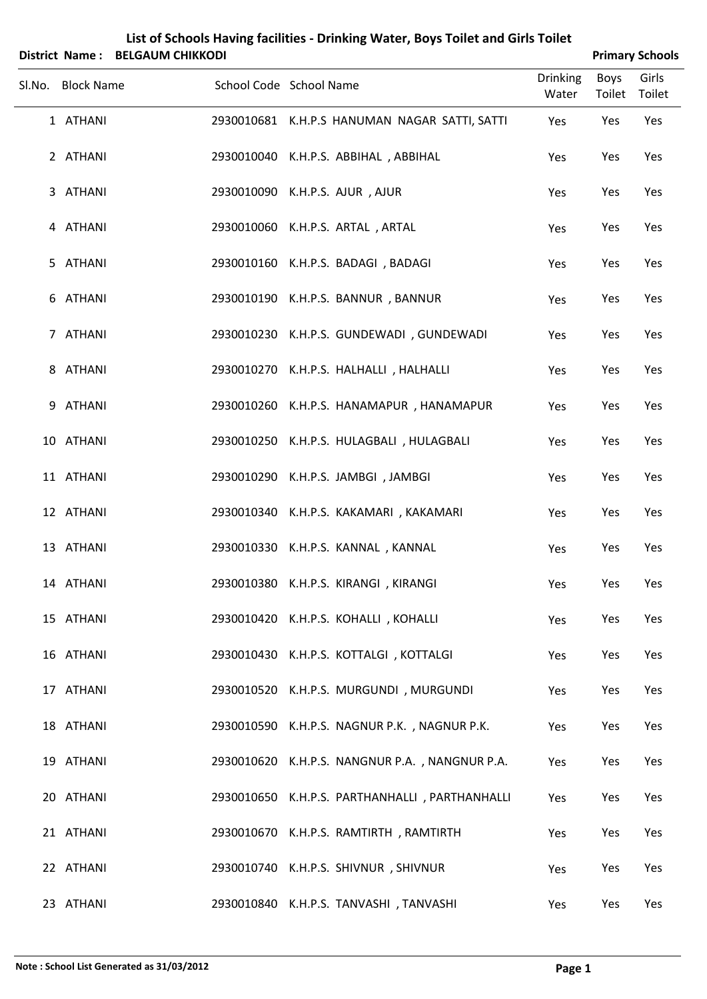|                   | District Name: BELGAUM CHIKKODI |                                                |                          | <b>Primary Schools</b> |                 |  |
|-------------------|---------------------------------|------------------------------------------------|--------------------------|------------------------|-----------------|--|
| Sl.No. Block Name |                                 | School Code School Name                        | <b>Drinking</b><br>Water | Boys<br>Toilet         | Girls<br>Toilet |  |
| 1 ATHANI          |                                 | 2930010681 K.H.P.S HANUMAN NAGAR SATTI, SATTI  | Yes                      | Yes                    | Yes             |  |
| 2 ATHANI          |                                 | 2930010040 K.H.P.S. ABBIHAL, ABBIHAL           | Yes                      | Yes                    | Yes             |  |
| 3 ATHANI          |                                 | 2930010090 K.H.P.S. AJUR, AJUR                 | Yes                      | Yes                    | Yes             |  |
| 4 ATHANI          |                                 | 2930010060 K.H.P.S. ARTAL, ARTAL               | Yes                      | Yes                    | Yes             |  |
| 5 ATHANI          |                                 | 2930010160 K.H.P.S. BADAGI, BADAGI             | Yes                      | Yes                    | Yes             |  |
| 6 ATHANI          |                                 | 2930010190 K.H.P.S. BANNUR, BANNUR             | Yes                      | Yes                    | Yes             |  |
| 7 ATHANI          |                                 | 2930010230 K.H.P.S. GUNDEWADI, GUNDEWADI       | Yes                      | Yes                    | Yes             |  |
| 8 ATHANI          |                                 | 2930010270 K.H.P.S. HALHALLI, HALHALLI         | Yes                      | Yes                    | Yes             |  |
| 9 ATHANI          |                                 | 2930010260 K.H.P.S. HANAMAPUR, HANAMAPUR       | Yes                      | Yes                    | Yes             |  |
| 10 ATHANI         |                                 | 2930010250 K.H.P.S. HULAGBALI, HULAGBALI       | Yes                      | Yes                    | Yes             |  |
| 11 ATHANI         |                                 | 2930010290 K.H.P.S. JAMBGI, JAMBGI             | Yes                      | Yes                    | Yes             |  |
| 12 ATHANI         |                                 | 2930010340 K.H.P.S. KAKAMARI, KAKAMARI         | Yes                      | Yes                    | Yes             |  |
| 13 ATHANI         |                                 | 2930010330 K.H.P.S. KANNAL, KANNAL             | Yes                      | Yes                    | Yes             |  |
| 14 ATHANI         |                                 | 2930010380 K.H.P.S. KIRANGI , KIRANGI          | Yes                      | Yes                    | Yes             |  |
| 15 ATHANI         |                                 | 2930010420 K.H.P.S. KOHALLI, KOHALLI           | Yes                      | Yes                    | Yes             |  |
| 16 ATHANI         |                                 | 2930010430 K.H.P.S. KOTTALGI, KOTTALGI         | Yes                      | Yes                    | Yes             |  |
| 17 ATHANI         |                                 | 2930010520 K.H.P.S. MURGUNDI, MURGUNDI         | Yes                      | Yes                    | Yes             |  |
| 18 ATHANI         |                                 | 2930010590 K.H.P.S. NAGNUR P.K., NAGNUR P.K.   | Yes                      | Yes                    | Yes             |  |
| 19 ATHANI         |                                 | 2930010620 K.H.P.S. NANGNUR P.A., NANGNUR P.A. | Yes                      | Yes                    | Yes             |  |
| 20 ATHANI         |                                 | 2930010650 K.H.P.S. PARTHANHALLI, PARTHANHALLI | Yes                      | Yes                    | Yes             |  |
| 21 ATHANI         |                                 | 2930010670 K.H.P.S. RAMTIRTH, RAMTIRTH         | Yes                      | Yes                    | Yes             |  |
| 22 ATHANI         |                                 | 2930010740 K.H.P.S. SHIVNUR, SHIVNUR           | Yes                      | Yes                    | Yes             |  |
| 23 ATHANI         |                                 | 2930010840 K.H.P.S. TANVASHI, TANVASHI         | Yes                      | Yes                    | Yes             |  |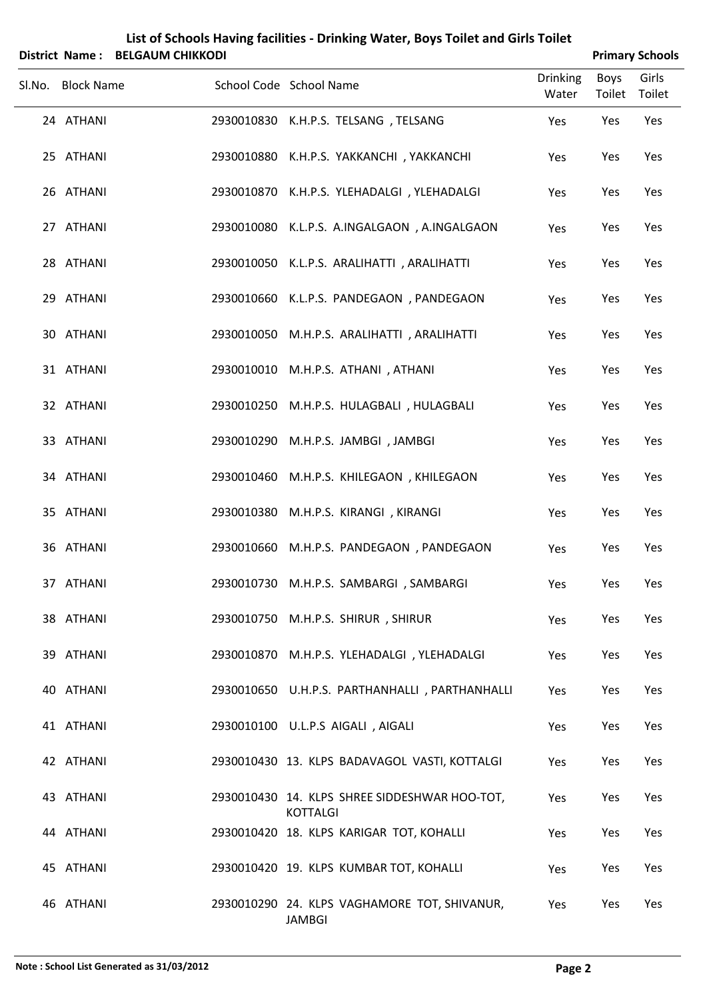| <b>District Name:</b> | <b>BELGAUM CHIKKODI</b> | List of Schools Having Tachities - Difficult Water, Doys Tollet and Offis Tollet |                          |                       | <b>Primary Schools</b> |
|-----------------------|-------------------------|----------------------------------------------------------------------------------|--------------------------|-----------------------|------------------------|
| Sl.No. Block Name     |                         | School Code School Name                                                          | <b>Drinking</b><br>Water | <b>Boys</b><br>Toilet | Girls<br>Toilet        |
| 24 ATHANI             |                         | 2930010830 K.H.P.S. TELSANG, TELSANG                                             | Yes                      | Yes                   | Yes                    |
| 25 ATHANI             | 2930010880              | K.H.P.S. YAKKANCHI, YAKKANCHI                                                    | Yes                      | Yes                   | Yes                    |
| 26 ATHANI             |                         | 2930010870 K.H.P.S. YLEHADALGI, YLEHADALGI                                       | Yes                      | Yes                   | Yes                    |
| 27 ATHANI             |                         | 2930010080 K.L.P.S. A.INGALGAON, A.INGALGAON                                     | Yes                      | Yes                   | Yes                    |
| 28 ATHANI             |                         | 2930010050 K.L.P.S. ARALIHATTI, ARALIHATTI                                       | Yes                      | Yes                   | Yes                    |
| 29 ATHANI             |                         | 2930010660 K.L.P.S. PANDEGAON, PANDEGAON                                         | Yes                      | Yes                   | Yes                    |
| 30 ATHANI             |                         | 2930010050 M.H.P.S. ARALIHATTI, ARALIHATTI                                       | Yes                      | Yes                   | Yes                    |
| 31 ATHANI             | 2930010010              | M.H.P.S. ATHANI, ATHANI                                                          | Yes                      | Yes                   | Yes                    |
| 32 ATHANI             | 2930010250              | M.H.P.S. HULAGBALI, HULAGBALI                                                    | Yes                      | Yes                   | Yes                    |
| 33 ATHANI             | 2930010290              | M.H.P.S. JAMBGI, JAMBGI                                                          | Yes                      | Yes                   | Yes                    |
| 34 ATHANI             | 2930010460              | M.H.P.S. KHILEGAON, KHILEGAON                                                    | Yes                      | Yes                   | Yes                    |
| 35 ATHANI             | 2930010380              | M.H.P.S. KIRANGI, KIRANGI                                                        | Yes                      | Yes                   | Yes                    |
| 36 ATHANI             | 2930010660              | M.H.P.S. PANDEGAON, PANDEGAON                                                    | Yes                      | Yes                   | Yes                    |
| 37 ATHANI             |                         | 2930010730 M.H.P.S. SAMBARGI, SAMBARGI                                           | Yes                      | Yes                   | Yes                    |
| 38 ATHANI             |                         | 2930010750 M.H.P.S. SHIRUR, SHIRUR                                               | Yes                      | Yes                   | Yes                    |
| 39 ATHANI             |                         | 2930010870 M.H.P.S. YLEHADALGI, YLEHADALGI                                       | Yes                      | Yes                   | Yes                    |
| 40 ATHANI             |                         | 2930010650 U.H.P.S. PARTHANHALLI, PARTHANHALLI                                   | Yes                      | Yes                   | Yes                    |
| 41 ATHANI             |                         | 2930010100 U.L.P.S AIGALI, AIGALI                                                | Yes                      | Yes                   | Yes                    |
| 42 ATHANI             |                         | 2930010430 13. KLPS BADAVAGOL VASTI, KOTTALGI                                    | Yes                      | Yes                   | Yes                    |
| 43 ATHANI             |                         | 2930010430 14. KLPS SHREE SIDDESHWAR HOO-TOT,                                    | Yes                      | Yes                   | Yes                    |
| 44 ATHANI             |                         | KOTTALGI<br>2930010420 18. KLPS KARIGAR TOT, KOHALLI                             | Yes                      | Yes                   | Yes                    |
| 45 ATHANI             |                         | 2930010420 19. KLPS KUMBAR TOT, KOHALLI                                          | Yes                      | Yes                   | Yes                    |
| 46 ATHANI             |                         | 2930010290 24. KLPS VAGHAMORE TOT, SHIVANUR,                                     | Yes                      | Yes                   | Yes                    |

JAMBGI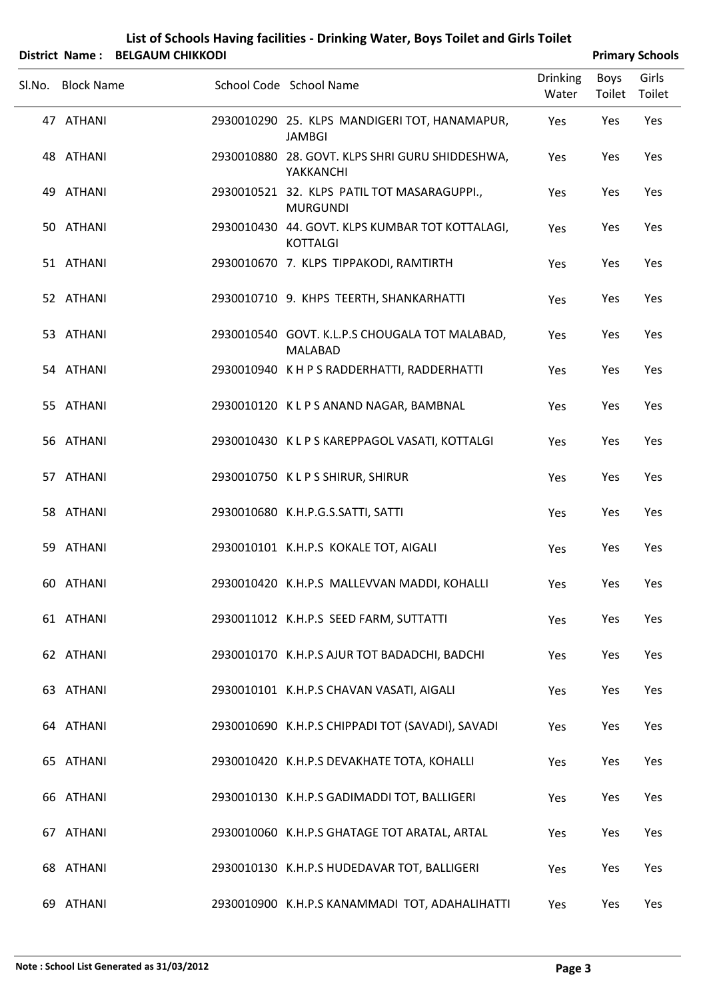|                   | District Name: BELGAUM CHIKKODI |                                                                  |                          |                | <b>Primary Schools</b> |
|-------------------|---------------------------------|------------------------------------------------------------------|--------------------------|----------------|------------------------|
| Sl.No. Block Name |                                 | School Code School Name                                          | <b>Drinking</b><br>Water | Boys<br>Toilet | Girls<br>Toilet        |
| 47 ATHANI         |                                 | 2930010290 25. KLPS MANDIGERI TOT, HANAMAPUR,<br><b>JAMBGI</b>   | Yes                      | Yes            | Yes                    |
| 48 ATHANI         |                                 | 2930010880 28. GOVT. KLPS SHRI GURU SHIDDESHWA,<br>YAKKANCHI     | Yes                      | Yes            | Yes                    |
| 49 ATHANI         |                                 | 2930010521 32. KLPS PATIL TOT MASARAGUPPI.,<br><b>MURGUNDI</b>   | Yes                      | Yes            | Yes                    |
| 50 ATHANI         |                                 | 2930010430 44. GOVT. KLPS KUMBAR TOT KOTTALAGI,<br>KOTTALGI      | Yes                      | Yes            | Yes                    |
| 51 ATHANI         |                                 | 2930010670 7. KLPS TIPPAKODI, RAMTIRTH                           | Yes                      | Yes            | Yes                    |
| 52 ATHANI         |                                 | 2930010710 9. KHPS TEERTH, SHANKARHATTI                          | Yes                      | Yes            | Yes                    |
| 53 ATHANI         |                                 | 2930010540 GOVT. K.L.P.S CHOUGALA TOT MALABAD,<br><b>MALABAD</b> | Yes                      | Yes            | Yes                    |
| 54 ATHANI         |                                 | 2930010940 K H P S RADDERHATTI, RADDERHATTI                      | Yes                      | Yes            | Yes                    |
| 55 ATHANI         |                                 | 2930010120 KLPS ANAND NAGAR, BAMBNAL                             | Yes                      | Yes            | Yes                    |
| 56 ATHANI         |                                 | 2930010430 KLPS KAREPPAGOL VASATI, KOTTALGI                      | Yes                      | Yes            | Yes                    |
| 57 ATHANI         |                                 | 2930010750 KLPS SHIRUR, SHIRUR                                   | Yes                      | Yes            | Yes                    |
| 58 ATHANI         |                                 | 2930010680 K.H.P.G.S.SATTI, SATTI                                | Yes                      | Yes            | Yes                    |
| 59 ATHANI         |                                 | 2930010101 K.H.P.S KOKALE TOT, AIGALI                            | Yes                      | Yes            | Yes                    |
| 60 ATHANI         |                                 | 2930010420 K.H.P.S MALLEVVAN MADDI, KOHALLI                      | Yes                      | Yes            | Yes                    |
| 61 ATHANI         |                                 | 2930011012 K.H.P.S SEED FARM, SUTTATTI                           | Yes                      | Yes            | Yes                    |
| 62 ATHANI         |                                 | 2930010170 K.H.P.S AJUR TOT BADADCHI, BADCHI                     | Yes                      | Yes            | Yes                    |
| 63 ATHANI         |                                 | 2930010101 K.H.P.S CHAVAN VASATI, AIGALI                         | Yes                      | Yes            | Yes                    |
| 64 ATHANI         |                                 | 2930010690 K.H.P.S CHIPPADI TOT (SAVADI), SAVADI                 | Yes                      | Yes            | Yes                    |
| 65 ATHANI         |                                 | 2930010420 K.H.P.S DEVAKHATE TOTA, KOHALLI                       | Yes                      | Yes            | Yes                    |
| 66 ATHANI         |                                 | 2930010130 K.H.P.S GADIMADDI TOT, BALLIGERI                      | Yes                      | Yes            | Yes                    |
| 67 ATHANI         |                                 | 2930010060 K.H.P.S GHATAGE TOT ARATAL, ARTAL                     | Yes                      | Yes            | Yes                    |
| 68 ATHANI         |                                 | 2930010130 K.H.P.S HUDEDAVAR TOT, BALLIGERI                      | Yes                      | Yes            | Yes                    |
| 69 ATHANI         |                                 | 2930010900 K.H.P.S KANAMMADI TOT, ADAHALIHATTI                   | Yes                      | Yes            | Yes                    |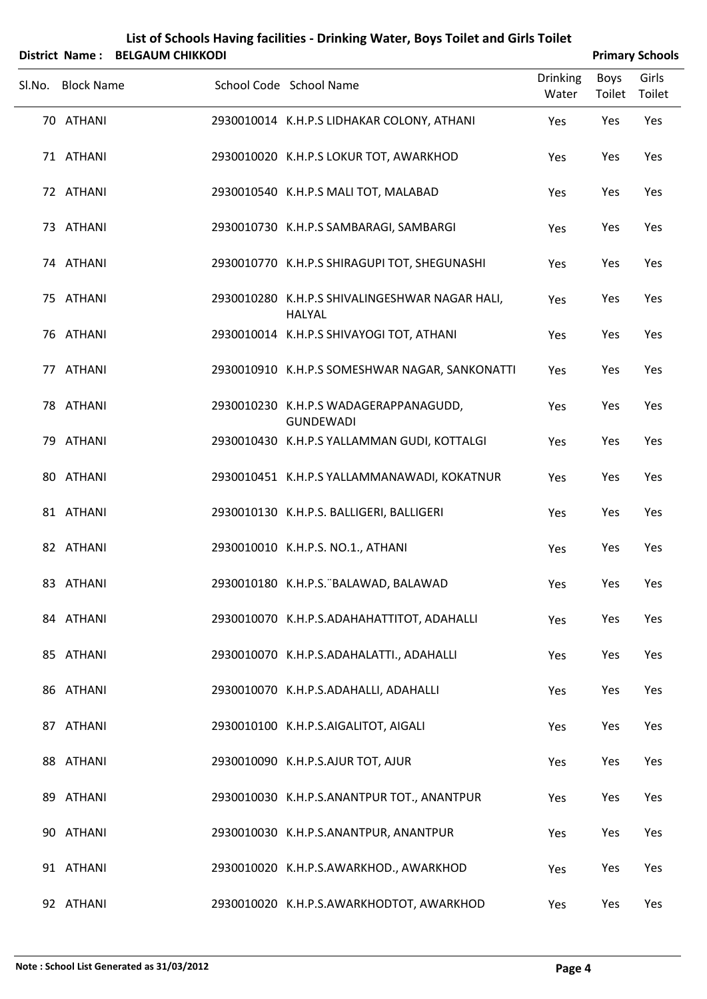| <b>District Name:</b> | <b>BELGAUM CHIKKODI</b> | List of Schools Having facilities - Drinking Water, Boys Toilet and Girls Toilet |                          |                       | <b>Primary Schools</b> |
|-----------------------|-------------------------|----------------------------------------------------------------------------------|--------------------------|-----------------------|------------------------|
| Sl.No. Block Name     |                         | School Code School Name                                                          | <b>Drinking</b><br>Water | <b>Boys</b><br>Toilet | Girls<br>Toilet        |
| 70 ATHANI             |                         | 2930010014 K.H.P.S LIDHAKAR COLONY, ATHANI                                       | Yes                      | Yes                   | Yes                    |
| 71 ATHANI             |                         | 2930010020 K.H.P.S LOKUR TOT, AWARKHOD                                           | Yes                      | Yes                   | Yes                    |
| 72 ATHANI             |                         | 2930010540 K.H.P.S MALI TOT, MALABAD                                             | Yes                      | Yes                   | Yes                    |
| 73 ATHANI             |                         | 2930010730 K.H.P.S SAMBARAGI, SAMBARGI                                           | Yes                      | Yes                   | Yes                    |
| 74 ATHANI             |                         | 2930010770 K.H.P.S SHIRAGUPI TOT, SHEGUNASHI                                     | Yes                      | Yes                   | Yes                    |
| 75 ATHANI             |                         | 2930010280 K.H.P.S SHIVALINGESHWAR NAGAR HALI,<br>HALYAL                         | Yes                      | Yes                   | Yes                    |
| 76 ATHANI             |                         | 2930010014 K.H.P.S SHIVAYOGI TOT, ATHANI                                         | Yes                      | Yes                   | Yes                    |
| 77 ATHANI             |                         | 2930010910 K.H.P.S SOMESHWAR NAGAR, SANKONATTI                                   | Yes                      | Yes                   | Yes                    |
| 78 ATHANI             |                         | 2930010230 K.H.P.S WADAGERAPPANAGUDD,<br><b>GUNDEWADI</b>                        | Yes                      | Yes                   | Yes                    |
| 79 ATHANI             |                         | 2930010430 K.H.P.S YALLAMMAN GUDI, KOTTALGI                                      | Yes                      | Yes                   | Yes                    |
| 80 ATHANI             |                         | 2930010451 K.H.P.S YALLAMMANAWADI, KOKATNUR                                      | Yes                      | Yes                   | Yes                    |
| 81 ATHANI             |                         | 2930010130 K.H.P.S. BALLIGERI, BALLIGERI                                         | Yes                      | Yes                   | Yes                    |
| 82 ATHANI             |                         | 2930010010 K.H.P.S. NO.1., ATHANI                                                | Yes                      | Yes                   | Yes                    |
| 83 ATHANI             |                         | 2930010180 K.H.P.S. BALAWAD, BALAWAD                                             | Yes                      | Yes                   | Yes                    |
| 84 ATHANI             |                         | 2930010070 K.H.P.S.ADAHAHATTITOT, ADAHALLI                                       | Yes                      | Yes                   | Yes                    |
| 85 ATHANI             |                         | 2930010070 K.H.P.S.ADAHALATTI., ADAHALLI                                         | Yes                      | Yes                   | Yes                    |
| 86 ATHANI             |                         | 2930010070 K.H.P.S.ADAHALLI, ADAHALLI                                            | Yes                      | Yes                   | Yes                    |
| 87 ATHANI             |                         | 2930010100 K.H.P.S.AIGALITOT, AIGALI                                             | Yes                      | Yes                   | Yes                    |
| 88 ATHANI             |                         | 2930010090 K.H.P.S.AJUR TOT, AJUR                                                | Yes                      | Yes                   | Yes                    |
| 89 ATHANI             |                         | 2930010030 K.H.P.S.ANANTPUR TOT., ANANTPUR                                       | Yes                      | Yes                   | Yes                    |
| 90 ATHANI             |                         | 2930010030 K.H.P.S.ANANTPUR, ANANTPUR                                            | Yes                      | Yes                   | Yes                    |
| 91 ATHANI             |                         | 2930010020 K.H.P.S.AWARKHOD., AWARKHOD                                           | Yes                      | Yes                   | Yes                    |
| 92 ATHANI             |                         | 2930010020 K.H.P.S.AWARKHODTOT, AWARKHOD                                         | Yes                      | Yes                   | Yes                    |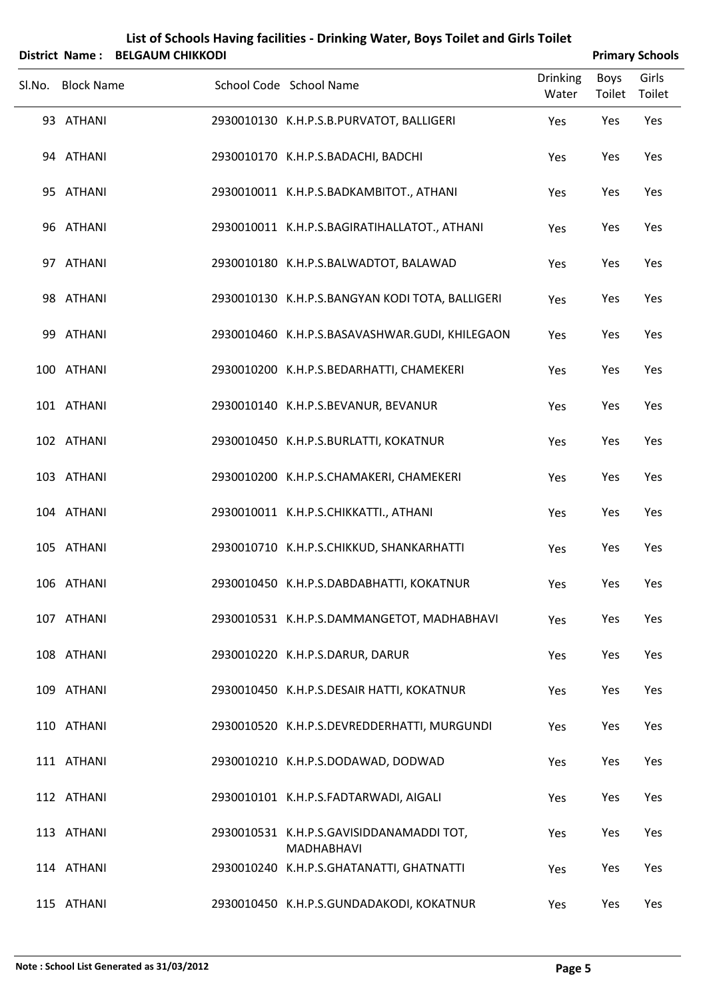|                   | District Name: BELGAUM CHIKKODI |                                                        | <b>Primary Schools</b>   |                |                 |
|-------------------|---------------------------------|--------------------------------------------------------|--------------------------|----------------|-----------------|
| Sl.No. Block Name |                                 | School Code School Name                                | <b>Drinking</b><br>Water | Boys<br>Toilet | Girls<br>Toilet |
| 93 ATHANI         |                                 | 2930010130 K.H.P.S.B.PURVATOT, BALLIGERI               | Yes                      | Yes            | Yes             |
| 94 ATHANI         |                                 | 2930010170 K.H.P.S.BADACHI, BADCHI                     | Yes                      | Yes            | Yes             |
| 95 ATHANI         |                                 | 2930010011 K.H.P.S.BADKAMBITOT., ATHANI                | Yes                      | Yes            | Yes             |
| 96 ATHANI         |                                 | 2930010011 K.H.P.S.BAGIRATIHALLATOT., ATHANI           | Yes                      | Yes            | Yes             |
| 97 ATHANI         |                                 | 2930010180 K.H.P.S.BALWADTOT, BALAWAD                  | Yes                      | Yes            | Yes             |
| 98 ATHANI         |                                 | 2930010130 K.H.P.S.BANGYAN KODI TOTA, BALLIGERI        | Yes                      | Yes            | Yes             |
| 99 ATHANI         |                                 | 2930010460 K.H.P.S.BASAVASHWAR.GUDI, KHILEGAON         | Yes                      | Yes            | Yes             |
| 100 ATHANI        |                                 | 2930010200 K.H.P.S.BEDARHATTI, CHAMEKERI               | Yes                      | Yes            | Yes             |
| 101 ATHANI        |                                 | 2930010140 K.H.P.S.BEVANUR, BEVANUR                    | Yes                      | Yes            | Yes             |
| 102 ATHANI        |                                 | 2930010450 K.H.P.S.BURLATTI, KOKATNUR                  | Yes                      | Yes            | Yes             |
| 103 ATHANI        |                                 | 2930010200 K.H.P.S.CHAMAKERI, CHAMEKERI                | Yes                      | Yes            | Yes             |
| 104 ATHANI        |                                 | 2930010011 K.H.P.S.CHIKKATTI., ATHANI                  | Yes                      | Yes            | Yes             |
| 105 ATHANI        |                                 | 2930010710 K.H.P.S.CHIKKUD, SHANKARHATTI               | Yes                      | Yes            | Yes             |
| 106 ATHANI        |                                 | 2930010450 K.H.P.S.DABDABHATTI, KOKATNUR               | Yes                      | Yes            | Yes             |
| 107 ATHANI        |                                 | 2930010531 K.H.P.S.DAMMANGETOT, MADHABHAVI             | Yes                      | Yes            | Yes             |
| 108 ATHANI        |                                 | 2930010220 K.H.P.S.DARUR, DARUR                        | Yes                      | Yes            | Yes             |
| 109 ATHANI        |                                 | 2930010450 K.H.P.S.DESAIR HATTI, KOKATNUR              | Yes                      | Yes            | Yes             |
| 110 ATHANI        |                                 | 2930010520 K.H.P.S.DEVREDDERHATTI, MURGUNDI            | Yes                      | Yes            | Yes             |
| 111 ATHANI        |                                 | 2930010210 K.H.P.S.DODAWAD, DODWAD                     | Yes                      | Yes            | Yes             |
| 112 ATHANI        |                                 | 2930010101 K.H.P.S.FADTARWADI, AIGALI                  | Yes                      | Yes            | Yes             |
| 113 ATHANI        |                                 | 2930010531 K.H.P.S.GAVISIDDANAMADDI TOT,<br>MADHABHAVI | Yes                      | Yes            | Yes             |
| 114 ATHANI        |                                 | 2930010240 K.H.P.S.GHATANATTI, GHATNATTI               | Yes                      | Yes            | Yes             |
| 115 ATHANI        |                                 | 2930010450 K.H.P.S.GUNDADAKODI, KOKATNUR               | Yes                      | Yes            | Yes             |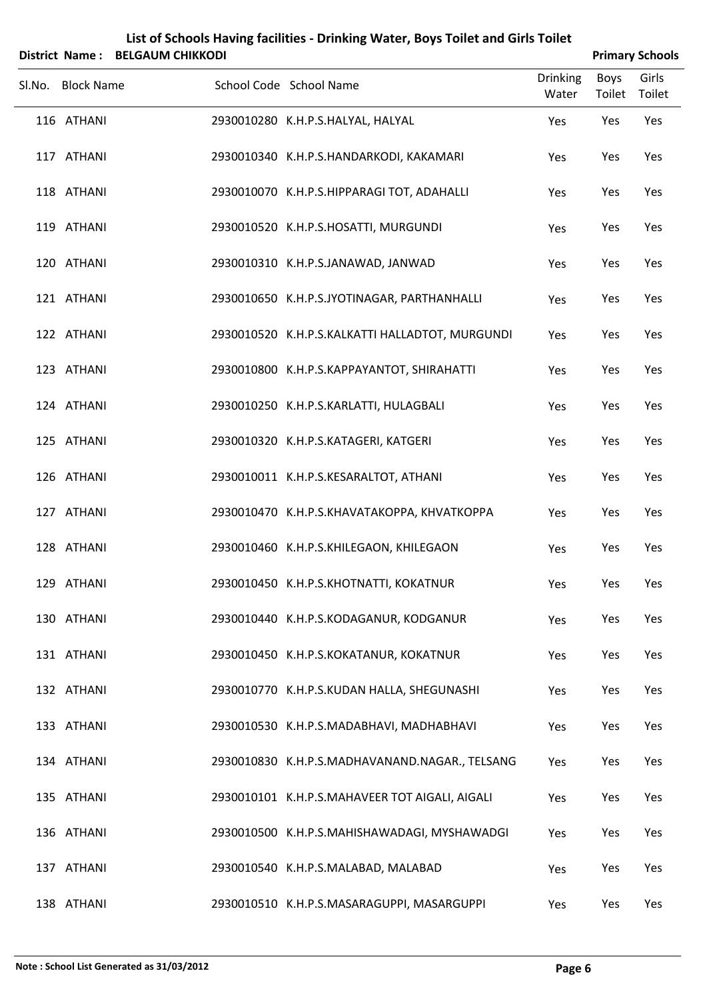|                   | District Name: BELGAUM CHIKKODI |                                                 | <b>Primary Schools</b>   |                       |                 |
|-------------------|---------------------------------|-------------------------------------------------|--------------------------|-----------------------|-----------------|
| Sl.No. Block Name |                                 | School Code School Name                         | <b>Drinking</b><br>Water | <b>Boys</b><br>Toilet | Girls<br>Toilet |
| 116 ATHANI        |                                 | 2930010280 K.H.P.S.HALYAL, HALYAL               | Yes                      | Yes                   | Yes             |
| 117 ATHANI        |                                 | 2930010340 K.H.P.S.HANDARKODI, KAKAMARI         | Yes                      | Yes                   | Yes             |
| 118 ATHANI        |                                 | 2930010070 K.H.P.S.HIPPARAGI TOT, ADAHALLI      | Yes                      | Yes                   | Yes             |
| 119 ATHANI        |                                 | 2930010520 K.H.P.S.HOSATTI, MURGUNDI            | Yes                      | Yes                   | Yes             |
| 120 ATHANI        |                                 | 2930010310 K.H.P.S.JANAWAD, JANWAD              | Yes                      | Yes                   | Yes             |
| 121 ATHANI        |                                 | 2930010650 K.H.P.S.JYOTINAGAR, PARTHANHALLI     | Yes                      | Yes                   | Yes             |
| 122 ATHANI        |                                 | 2930010520 K.H.P.S.KALKATTI HALLADTOT, MURGUNDI | Yes                      | Yes                   | Yes             |
| 123 ATHANI        |                                 | 2930010800 K.H.P.S.KAPPAYANTOT, SHIRAHATTI      | Yes                      | Yes                   | Yes             |
| 124 ATHANI        |                                 | 2930010250 K.H.P.S.KARLATTI, HULAGBALI          | Yes                      | Yes                   | Yes             |
| 125 ATHANI        |                                 | 2930010320 K.H.P.S.KATAGERI, KATGERI            | Yes                      | Yes                   | Yes             |
| 126 ATHANI        |                                 | 2930010011 K.H.P.S.KESARALTOT, ATHANI           | Yes                      | Yes                   | Yes             |
| 127 ATHANI        |                                 | 2930010470 K.H.P.S.KHAVATAKOPPA, KHVATKOPPA     | Yes                      | Yes                   | Yes             |
| 128 ATHANI        |                                 | 2930010460 K.H.P.S.KHILEGAON, KHILEGAON         | Yes                      | Yes                   | Yes             |
| 129 ATHANI        |                                 | 2930010450 K.H.P.S.KHOTNATTI, KOKATNUR          | Yes                      | Yes                   | Yes             |
| 130 ATHANI        |                                 | 2930010440 K.H.P.S.KODAGANUR, KODGANUR          | Yes                      | Yes                   | Yes             |
| 131 ATHANI        |                                 | 2930010450 K.H.P.S.KOKATANUR, KOKATNUR          | Yes                      | Yes                   | Yes             |
| 132 ATHANI        |                                 | 2930010770 K.H.P.S.KUDAN HALLA, SHEGUNASHI      | Yes                      | Yes                   | Yes             |
| 133 ATHANI        |                                 | 2930010530 K.H.P.S.MADABHAVI, MADHABHAVI        | Yes                      | Yes                   | Yes             |
| 134 ATHANI        |                                 | 2930010830 K.H.P.S.MADHAVANAND.NAGAR., TELSANG  | Yes                      | Yes                   | Yes             |
| 135 ATHANI        |                                 | 2930010101 K.H.P.S.MAHAVEER TOT AIGALI, AIGALI  | Yes                      | Yes                   | Yes             |
| 136 ATHANI        |                                 | 2930010500 K.H.P.S.MAHISHAWADAGI, MYSHAWADGI    | Yes                      | Yes                   | Yes             |
| 137 ATHANI        |                                 | 2930010540 K.H.P.S.MALABAD, MALABAD             | Yes                      | Yes                   | Yes             |
| 138 ATHANI        |                                 | 2930010510 K.H.P.S.MASARAGUPPI, MASARGUPPI      | Yes                      | Yes                   | Yes             |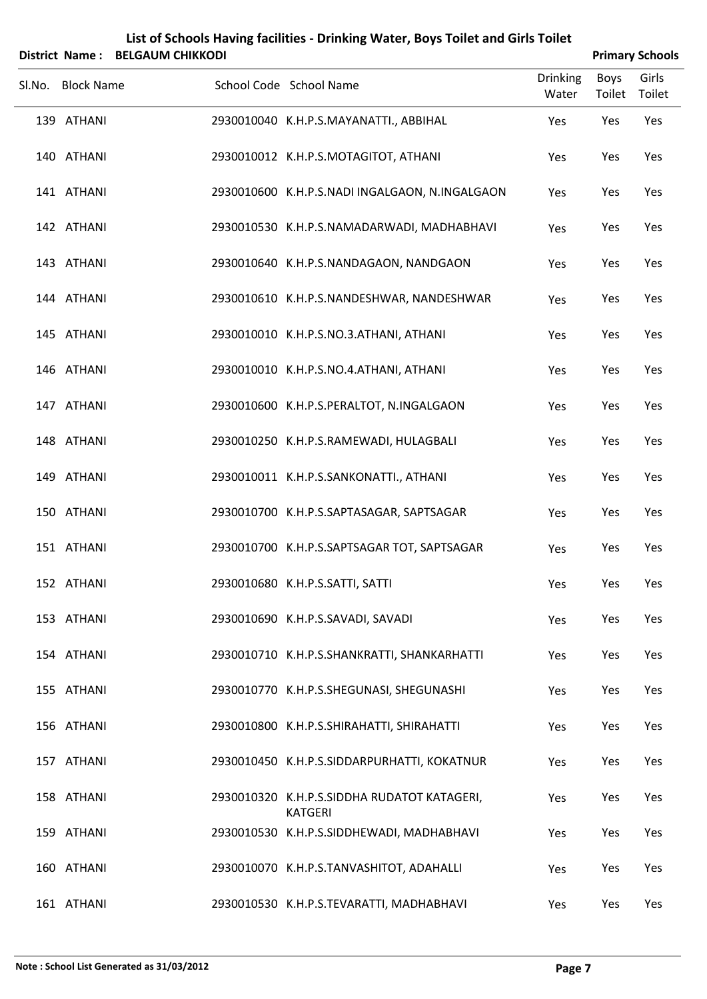|        | District Name: BELGAUM CHIKKODI | <b>Primary Schools</b>                                        |                          |                |                 |
|--------|---------------------------------|---------------------------------------------------------------|--------------------------|----------------|-----------------|
| Sl.No. | <b>Block Name</b>               | School Code School Name                                       | <b>Drinking</b><br>Water | Boys<br>Toilet | Girls<br>Toilet |
|        | 139 ATHANI                      | 2930010040 K.H.P.S.MAYANATTI., ABBIHAL                        | Yes                      | Yes            | Yes             |
|        | 140 ATHANI                      | 2930010012 K.H.P.S.MOTAGITOT, ATHANI                          | Yes                      | Yes            | Yes             |
|        | 141 ATHANI                      | 2930010600 K.H.P.S.NADI INGALGAON, N.INGALGAON                | Yes                      | Yes            | Yes             |
|        | 142 ATHANI                      | 2930010530 K.H.P.S.NAMADARWADI, MADHABHAVI                    | Yes                      | Yes            | Yes             |
|        | 143 ATHANI                      | 2930010640 K.H.P.S.NANDAGAON, NANDGAON                        | Yes                      | Yes            | Yes             |
|        | 144 ATHANI                      | 2930010610 K.H.P.S.NANDESHWAR, NANDESHWAR                     | Yes                      | Yes            | Yes             |
|        | 145 ATHANI                      | 2930010010 K.H.P.S.NO.3.ATHANI, ATHANI                        | Yes                      | Yes            | Yes             |
|        | 146 ATHANI                      | 2930010010 K.H.P.S.NO.4.ATHANI, ATHANI                        | Yes                      | Yes            | Yes             |
|        | 147 ATHANI                      | 2930010600 K.H.P.S.PERALTOT, N.INGALGAON                      | Yes                      | Yes            | Yes             |
|        | 148 ATHANI                      | 2930010250 K.H.P.S.RAMEWADI, HULAGBALI                        | Yes                      | Yes            | Yes             |
|        | 149 ATHANI                      | 2930010011 K.H.P.S.SANKONATTI., ATHANI                        | Yes                      | Yes            | Yes             |
|        | 150 ATHANI                      | 2930010700 K.H.P.S.SAPTASAGAR, SAPTSAGAR                      | Yes                      | Yes            | Yes             |
|        | 151 ATHANI                      | 2930010700 K.H.P.S.SAPTSAGAR TOT, SAPTSAGAR                   | Yes                      | Yes            | Yes             |
|        | 152 ATHANI                      | 2930010680 K.H.P.S.SATTI, SATTI                               | Yes                      | Yes            | Yes             |
|        | 153 ATHANI                      | 2930010690 K.H.P.S.SAVADI, SAVADI                             | Yes                      | Yes            | Yes             |
|        | 154 ATHANI                      | 2930010710 K.H.P.S.SHANKRATTI, SHANKARHATTI                   | Yes                      | Yes            | Yes             |
|        | 155 ATHANI                      | 2930010770 K.H.P.S.SHEGUNASI, SHEGUNASHI                      | Yes                      | Yes            | Yes             |
|        | 156 ATHANI                      | 2930010800 K.H.P.S.SHIRAHATTI, SHIRAHATTI                     | Yes                      | Yes            | Yes             |
|        | 157 ATHANI                      | 2930010450 K.H.P.S.SIDDARPURHATTI, KOKATNUR                   | Yes                      | Yes            | Yes             |
|        | 158 ATHANI                      | 2930010320 K.H.P.S.SIDDHA RUDATOT KATAGERI,<br><b>KATGERI</b> | Yes                      | Yes            | Yes             |
|        | 159 ATHANI                      | 2930010530 K.H.P.S.SIDDHEWADI, MADHABHAVI                     | Yes                      | Yes            | Yes             |
|        | 160 ATHANI                      | 2930010070 K.H.P.S.TANVASHITOT, ADAHALLI                      | Yes                      | Yes            | Yes             |
|        | 161 ATHANI                      | 2930010530 K.H.P.S.TEVARATTI, MADHABHAVI                      | Yes                      | Yes            | Yes             |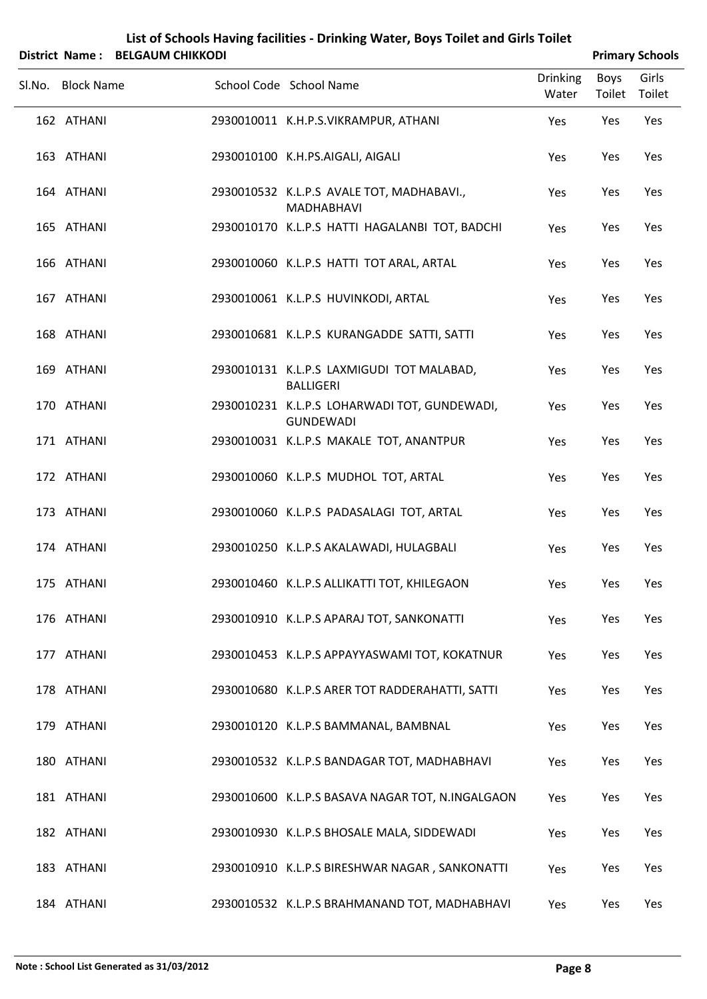| List of Schools Having facilities - Drinking Water, Boys Toilet and Girls Toilet                                                                                                                                                                                                                                                                                |  |
|-----------------------------------------------------------------------------------------------------------------------------------------------------------------------------------------------------------------------------------------------------------------------------------------------------------------------------------------------------------------|--|
| $\mathcal{L}$ . $\mathcal{L}$ . $\mathcal{L}$ . $\mathcal{L}$ . $\mathcal{L}$ . $\mathcal{L}$ . $\mathcal{L}$ . $\mathcal{L}$ . $\mathcal{L}$ . $\mathcal{L}$ . $\mathcal{L}$ . $\mathcal{L}$ . $\mathcal{L}$ . $\mathcal{L}$ . $\mathcal{L}$ . $\mathcal{L}$ . $\mathcal{L}$ . $\mathcal{L}$ . $\mathcal{L}$ . $\mathcal{L}$ . $\mathcal{L}$ . $\mathcal{L}$ . |  |

| District Name: BELGAUM CHIKKODI |                                                                  |                          |                | <b>Primary Schools</b> |
|---------------------------------|------------------------------------------------------------------|--------------------------|----------------|------------------------|
| Sl.No. Block Name               | School Code School Name                                          | <b>Drinking</b><br>Water | Boys<br>Toilet | Girls<br>Toilet        |
| 162 ATHANI                      | 2930010011 K.H.P.S.VIKRAMPUR, ATHANI                             | Yes                      | Yes            | Yes                    |
| 163 ATHANI                      | 2930010100 K.H.PS.AIGALI, AIGALI                                 | Yes                      | Yes            | Yes                    |
| 164 ATHANI                      | 2930010532 K.L.P.S AVALE TOT, MADHABAVI.,<br><b>MADHABHAVI</b>   | Yes                      | Yes            | Yes                    |
| 165 ATHANI                      | 2930010170 K.L.P.S HATTI HAGALANBI TOT, BADCHI                   | Yes                      | Yes            | Yes                    |
| 166 ATHANI                      | 2930010060 K.L.P.S HATTI TOT ARAL, ARTAL                         | Yes                      | Yes            | Yes                    |
| 167 ATHANI                      | 2930010061 K.L.P.S HUVINKODI, ARTAL                              | Yes                      | Yes            | Yes                    |
| 168 ATHANI                      | 2930010681 K.L.P.S KURANGADDE SATTI, SATTI                       | Yes                      | Yes            | Yes                    |
| 169 ATHANI                      | 2930010131 K.L.P.S LAXMIGUDI TOT MALABAD,<br><b>BALLIGERI</b>    | Yes                      | Yes            | Yes                    |
| 170 ATHANI                      | 2930010231 K.L.P.S LOHARWADI TOT, GUNDEWADI,<br><b>GUNDEWADI</b> | Yes                      | Yes            | Yes                    |
| 171 ATHANI                      | 2930010031 K.L.P.S MAKALE TOT, ANANTPUR                          | Yes                      | Yes            | Yes                    |
| 172 ATHANI                      | 2930010060 K.L.P.S MUDHOL TOT, ARTAL                             | Yes                      | Yes            | Yes                    |
| 173 ATHANI                      | 2930010060 K.L.P.S PADASALAGI TOT, ARTAL                         | Yes                      | Yes            | Yes                    |
| 174 ATHANI                      | 2930010250 K.L.P.S AKALAWADI, HULAGBALI                          | Yes                      | Yes            | Yes                    |
| 175 ATHANI                      | 2930010460 K.L.P.S ALLIKATTI TOT, KHILEGAON                      | Yes                      | Yes            | Yes                    |
| 176 ATHANI                      | 2930010910 K.L.P.S APARAJ TOT, SANKONATTI                        | Yes                      | Yes            | Yes                    |
| 177 ATHANI                      | 2930010453 K.L.P.S APPAYYASWAMI TOT, KOKATNUR                    | Yes                      | Yes            | Yes                    |
| 178 ATHANI                      | 2930010680 K.L.P.S ARER TOT RADDERAHATTI, SATTI                  | Yes                      | Yes            | Yes                    |
| 179 ATHANI                      | 2930010120 K.L.P.S BAMMANAL, BAMBNAL                             | Yes                      | Yes            | Yes                    |
| 180 ATHANI                      | 2930010532 K.L.P.S BANDAGAR TOT, MADHABHAVI                      | Yes                      | Yes            | Yes                    |
| 181 ATHANI                      | 2930010600 K.L.P.S BASAVA NAGAR TOT, N.INGALGAON                 | Yes                      | Yes            | Yes                    |
| 182 ATHANI                      | 2930010930 K.L.P.S BHOSALE MALA, SIDDEWADI                       | Yes                      | Yes            | Yes                    |
| 183 ATHANI                      | 2930010910 K.L.P.S BIRESHWAR NAGAR, SANKONATTI                   | Yes                      | Yes            | Yes                    |
| 184 ATHANI                      | 2930010532 K.L.P.S BRAHMANAND TOT, MADHABHAVI                    | Yes                      | Yes            | Yes                    |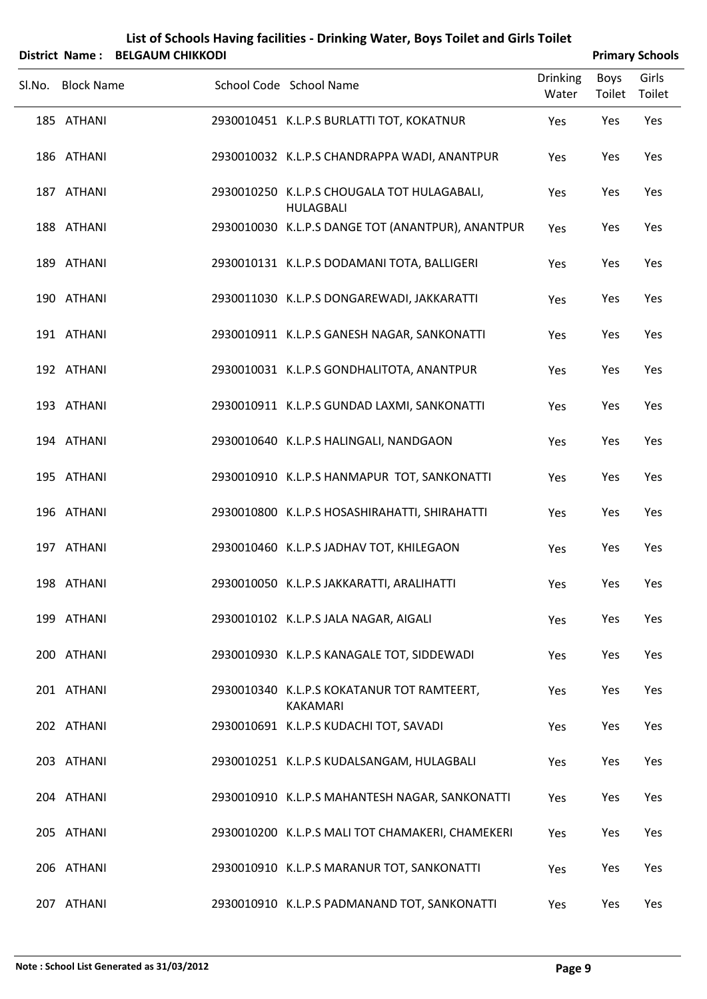| Sl.No. Block Name | School Code School Name                                         | <b>Drinking</b><br>Water | <b>Boys</b><br>Toilet Toilet | Girls |
|-------------------|-----------------------------------------------------------------|--------------------------|------------------------------|-------|
| 185 ATHANI        | 2930010451 K.L.P.S BURLATTI TOT, KOKATNUR                       | Yes                      | Yes                          | Yes   |
| 186 ATHANI        | 2930010032 K.L.P.S CHANDRAPPA WADI, ANANTPUR                    | Yes                      | Yes                          | Yes   |
| 187 ATHANI        | 2930010250 K.L.P.S CHOUGALA TOT HULAGABALI,<br><b>HULAGBALI</b> | Yes                      | Yes                          | Yes   |
| 188 ATHANI        | 2930010030 K.L.P.S DANGE TOT (ANANTPUR), ANANTPUR               | Yes                      | Yes                          | Yes   |
| 189 ATHANI        | 2930010131 K.L.P.S DODAMANI TOTA, BALLIGERI                     | Yes                      | Yes                          | Yes   |
| 190 ATHANI        | 2930011030 K.L.P.S DONGAREWADI, JAKKARATTI                      | Yes                      | Yes                          | Yes   |
| 191 ATHANI        | 2930010911 K.L.P.S GANESH NAGAR, SANKONATTI                     | Yes                      | Yes                          | Yes   |
| 192 ATHANI        | 2930010031 K.L.P.S GONDHALITOTA, ANANTPUR                       | Yes                      | Yes                          | Yes   |
| 193 ATHANI        | 2930010911 K.L.P.S GUNDAD LAXMI, SANKONATTI                     | Yes                      | Yes                          | Yes   |
| 194 ATHANI        | 2930010640 K.L.P.S HALINGALI, NANDGAON                          | Yes                      | Yes                          | Yes   |
| 195 ATHANI        | 2930010910 K.L.P.S HANMAPUR TOT, SANKONATTI                     | Yes                      | Yes                          | Yes   |
| 196 ATHANI        | 2930010800 K.L.P.S HOSASHIRAHATTI, SHIRAHATTI                   | Yes                      | Yes                          | Yes   |
| 197 ATHANI        | 2930010460 K.L.P.S JADHAV TOT, KHILEGAON                        | Yes                      | Yes                          | Yes   |
| 198 ATHANI        | 2930010050 K.L.P.S JAKKARATTI, ARALIHATTI                       | Yes                      | Yes                          | Yes   |
| 199 ATHANI        | 2930010102 K.L.P.S JALA NAGAR, AIGALI                           | Yes                      | Yes                          | Yes   |
| 200 ATHANI        | 2930010930 K.L.P.S KANAGALE TOT, SIDDEWADI                      | Yes                      | Yes                          | Yes   |
| 201 ATHANI        | 2930010340 K.L.P.S KOKATANUR TOT RAMTEERT,<br><b>KAKAMARI</b>   | Yes                      | Yes                          | Yes   |
| 202 ATHANI        | 2930010691 K.L.P.S KUDACHI TOT, SAVADI                          | Yes                      | Yes                          | Yes   |
| 203 ATHANI        | 2930010251 K.L.P.S KUDALSANGAM, HULAGBALI                       | Yes                      | Yes                          | Yes   |
| 204 ATHANI        | 2930010910 K.L.P.S MAHANTESH NAGAR, SANKONATTI                  | Yes                      | Yes                          | Yes   |
| 205 ATHANI        | 2930010200 K.L.P.S MALI TOT CHAMAKERI, CHAMEKERI                | Yes                      | Yes                          | Yes   |
| 206 ATHANI        | 2930010910 K.L.P.S MARANUR TOT, SANKONATTI                      | Yes                      | Yes                          | Yes   |
|                   |                                                                 |                          |                              |       |

ATHANI 2930010910 K.L.P.S PADMANAND TOT, SANKONATTI Yes Yes Yes

### **List of Schools Having facilities ‐ Drinking Water, Boys Toilet and Girls Toilet District Name: BELGAUM CHIKKODI Primary** Schools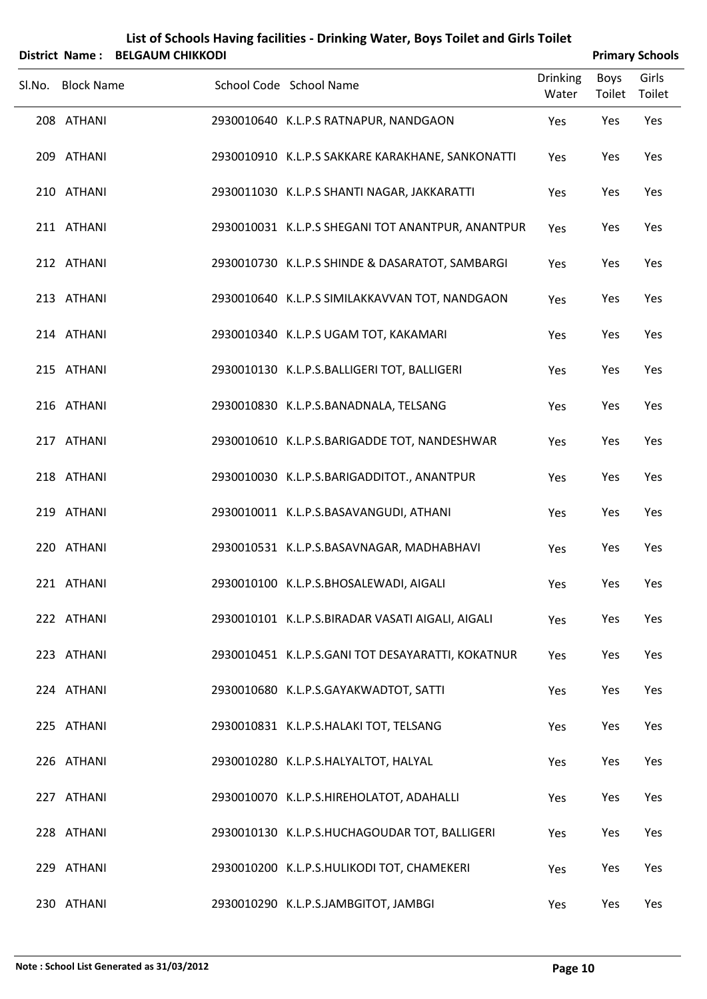| <b>District Name:</b> | List of Schools Having facilities - Drinking Water, Boys Toilet and Girls Toilet<br><b>BELGAUM CHIKKODI</b> |                                                   |                          |                |                                           |  |
|-----------------------|-------------------------------------------------------------------------------------------------------------|---------------------------------------------------|--------------------------|----------------|-------------------------------------------|--|
| Sl.No. Block Name     |                                                                                                             | School Code School Name                           | <b>Drinking</b><br>Water | Boys<br>Toilet | <b>Primary Schools</b><br>Girls<br>Toilet |  |
| 208 ATHANI            |                                                                                                             | 2930010640 K.L.P.S RATNAPUR, NANDGAON             | Yes                      | Yes            | Yes                                       |  |
| 209 ATHANI            |                                                                                                             | 2930010910 K.L.P.S SAKKARE KARAKHANE, SANKONATTI  | Yes                      | Yes            | Yes                                       |  |
| 210 ATHANI            |                                                                                                             | 2930011030 K.L.P.S SHANTI NAGAR, JAKKARATTI       | Yes                      | Yes            | Yes                                       |  |
| 211 ATHANI            |                                                                                                             | 2930010031 K.L.P.S SHEGANI TOT ANANTPUR, ANANTPUR | Yes                      | Yes            | Yes                                       |  |
| 212 ATHANI            |                                                                                                             | 2930010730 K.L.P.S SHINDE & DASARATOT, SAMBARGI   | Yes                      | Yes            | Yes                                       |  |
| 213 ATHANI            |                                                                                                             | 2930010640 K.L.P.S SIMILAKKAVVAN TOT, NANDGAON    | Yes                      | Yes            | Yes                                       |  |
| 214 ATHANI            |                                                                                                             | 2930010340 K.L.P.S UGAM TOT, KAKAMARI             | Yes                      | Yes            | Yes                                       |  |
| 215 ATHANI            |                                                                                                             | 2930010130 K.L.P.S.BALLIGERI TOT, BALLIGERI       | Yes                      | Yes            | Yes                                       |  |
| 216 ATHANI            |                                                                                                             | 2930010830 K.L.P.S.BANADNALA, TELSANG             | Yes                      | Yes            | Yes                                       |  |
| 217 ATHANI            |                                                                                                             | 2930010610 K.L.P.S.BARIGADDE TOT, NANDESHWAR      | Yes                      | Yes            | Yes                                       |  |
| 218 ATHANI            |                                                                                                             | 2930010030 K.L.P.S.BARIGADDITOT., ANANTPUR        | Yes                      | Yes            | Yes                                       |  |
| 219 ATHANI            |                                                                                                             | 2930010011 K.L.P.S.BASAVANGUDI, ATHANI            | Yes                      | Yes            | Yes                                       |  |
| 220 ATHANI            |                                                                                                             | 2930010531 K.L.P.S.BASAVNAGAR, MADHABHAVI         | Yes                      | Yes            | Yes                                       |  |
| 221 ATHANI            |                                                                                                             | 2930010100 K.L.P.S.BHOSALEWADI, AIGALI            | Yes                      | Yes            | Yes                                       |  |
| 222 ATHANI            |                                                                                                             | 2930010101 K.L.P.S.BIRADAR VASATI AIGALI, AIGALI  | Yes                      | Yes            | Yes                                       |  |
| 223 ATHANI            |                                                                                                             | 2930010451 K.L.P.S.GANI TOT DESAYARATTI, KOKATNUR | Yes                      | Yes            | Yes                                       |  |
| 224 ATHANI            |                                                                                                             | 2930010680 K.L.P.S.GAYAKWADTOT, SATTI             | Yes                      | Yes            | Yes                                       |  |
| 225 ATHANI            |                                                                                                             | 2930010831 K.L.P.S.HALAKI TOT, TELSANG            | Yes                      | Yes            | Yes                                       |  |
| 226 ATHANI            |                                                                                                             | 2930010280 K.L.P.S.HALYALTOT, HALYAL              | Yes                      | Yes            | Yes                                       |  |
| 227 ATHANI            |                                                                                                             | 2930010070 K.L.P.S.HIREHOLATOT, ADAHALLI          | Yes                      | Yes            | Yes                                       |  |
| 228 ATHANI            |                                                                                                             | 2930010130 K.L.P.S.HUCHAGOUDAR TOT, BALLIGERI     | Yes                      | Yes            | Yes                                       |  |
| 229 ATHANI            |                                                                                                             | 2930010200 K.L.P.S.HULIKODI TOT, CHAMEKERI        | Yes                      | Yes            | Yes                                       |  |
| 230 ATHANI            |                                                                                                             | 2930010290 K.L.P.S.JAMBGITOT, JAMBGI              | Yes                      | Yes            | Yes                                       |  |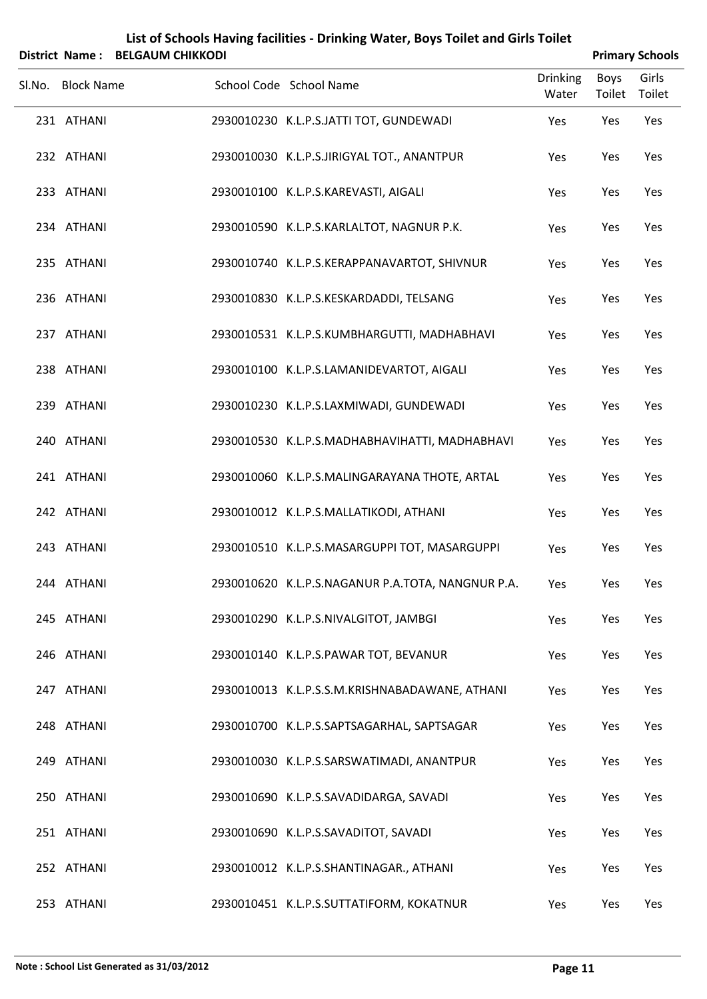|        | <b>District Name:</b> | <b>BELGAUM CHIKKODI</b> | List of Schools Having facilities - Drinking Water, Boys Toilet and Girls Toilet |                          |                       | <b>Primary Schools</b> |
|--------|-----------------------|-------------------------|----------------------------------------------------------------------------------|--------------------------|-----------------------|------------------------|
| Sl.No. | <b>Block Name</b>     |                         | School Code School Name                                                          | <b>Drinking</b><br>Water | <b>Boys</b><br>Toilet | Girls<br>Toilet        |
|        | 231 ATHANI            |                         | 2930010230 K.L.P.S.JATTI TOT, GUNDEWADI                                          | Yes                      | Yes                   | Yes                    |
|        | 232 ATHANI            |                         | 2930010030 K.L.P.S.JIRIGYAL TOT., ANANTPUR                                       | Yes                      | Yes                   | Yes                    |
|        | 233 ATHANI            |                         | 2930010100 K.L.P.S.KAREVASTI, AIGALI                                             | Yes                      | Yes                   | Yes                    |
|        | 234 ATHANI            |                         | 2930010590 K.L.P.S.KARLALTOT, NAGNUR P.K.                                        | Yes                      | Yes                   | Yes                    |
|        | 235 ATHANI            |                         | 2930010740 K.L.P.S.KERAPPANAVARTOT, SHIVNUR                                      | Yes                      | Yes                   | Yes                    |
|        | 236 ATHANI            |                         | 2930010830 K.L.P.S.KESKARDADDI, TELSANG                                          | Yes                      | Yes                   | Yes                    |
|        | 237 ATHANI            |                         | 2930010531 K.L.P.S.KUMBHARGUTTI, MADHABHAVI                                      | Yes                      | Yes                   | Yes                    |
|        | 238 ATHANI            |                         | 2930010100 K.L.P.S.LAMANIDEVARTOT, AIGALI                                        | Yes                      | Yes                   | Yes                    |
|        | 239 ATHANI            |                         | 2930010230 K.L.P.S.LAXMIWADI, GUNDEWADI                                          | Yes                      | Yes                   | Yes                    |
|        | 240 ATHANI            |                         | 2930010530 K.L.P.S.MADHABHAVIHATTI, MADHABHAVI                                   | Yes                      | Yes                   | Yes                    |
|        | 241 ATHANI            |                         | 2930010060 K.L.P.S.MALINGARAYANA THOTE, ARTAL                                    | Yes                      | Yes                   | Yes                    |
|        | 242 ATHANI            |                         | 2930010012 K.L.P.S.MALLATIKODI, ATHANI                                           | Yes                      | Yes                   | Yes                    |
|        | 243 ATHANI            |                         | 2930010510 K.L.P.S.MASARGUPPI TOT, MASARGUPPI                                    | Yes                      | Yes                   | Yes                    |
|        | 244 ATHANI            |                         | 2930010620 K.L.P.S.NAGANUR P.A.TOTA, NANGNUR P.A.                                | Yes                      | Yes                   | Yes                    |
|        | 245 ATHANI            |                         | 2930010290 K.L.P.S.NIVALGITOT, JAMBGI                                            | Yes                      | Yes                   | Yes                    |
|        | 246 ATHANI            |                         | 2930010140 K.L.P.S.PAWAR TOT, BEVANUR                                            | Yes                      | Yes                   | Yes                    |
|        | 247 ATHANI            |                         | 2930010013 K.L.P.S.S.M.KRISHNABADAWANE, ATHANI                                   | Yes                      | Yes                   | Yes                    |
|        | 248 ATHANI            |                         | 2930010700 K.L.P.S.SAPTSAGARHAL, SAPTSAGAR                                       | Yes                      | Yes                   | Yes                    |
|        | 249 ATHANI            |                         | 2930010030 K.L.P.S.SARSWATIMADI, ANANTPUR                                        | Yes                      | Yes                   | Yes                    |
|        | 250 ATHANI            |                         | 2930010690 K.L.P.S.SAVADIDARGA, SAVADI                                           | Yes                      | Yes                   | Yes                    |
|        | 251 ATHANI            |                         | 2930010690 K.L.P.S.SAVADITOT, SAVADI                                             | Yes                      | Yes                   | Yes                    |
|        | 252 ATHANI            |                         | 2930010012 K.L.P.S.SHANTINAGAR., ATHANI                                          | Yes                      | Yes                   | Yes                    |
|        | 253 ATHANI            |                         | 2930010451 K.L.P.S.SUTTATIFORM, KOKATNUR                                         | Yes                      | Yes                   | Yes                    |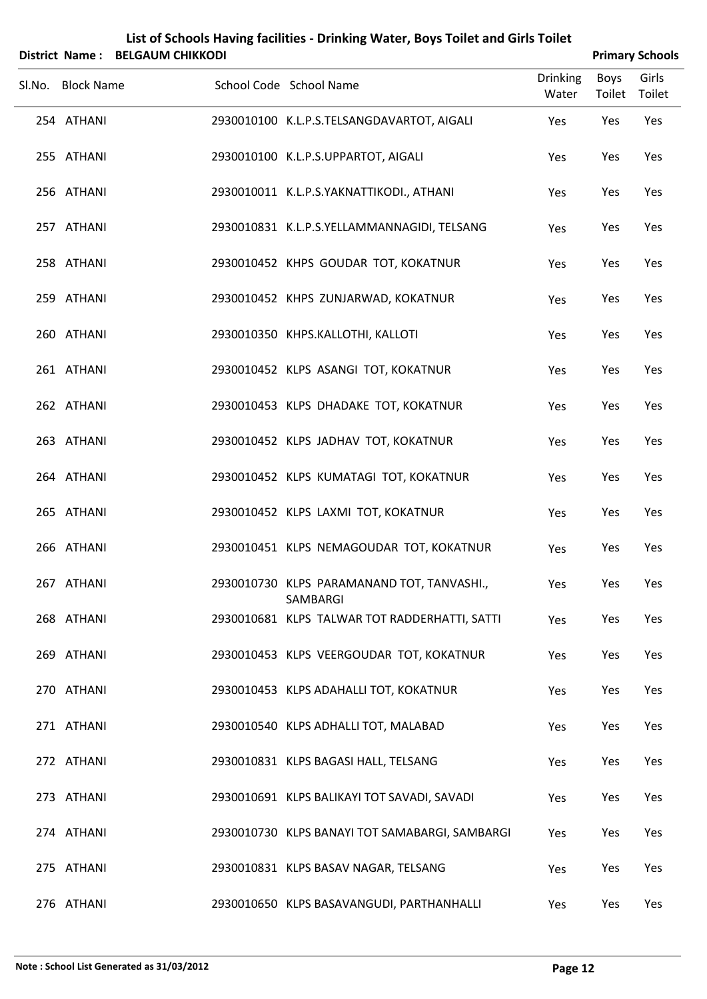|                   | District Name: BELGAUM CHIKKODI |                                                        |                          | <b>Primary Schools</b> |       |  |
|-------------------|---------------------------------|--------------------------------------------------------|--------------------------|------------------------|-------|--|
| Sl.No. Block Name |                                 | School Code School Name                                | <b>Drinking</b><br>Water | Boys<br>Toilet Toilet  | Girls |  |
| 254 ATHANI        |                                 | 2930010100 K.L.P.S.TELSANGDAVARTOT, AIGALI             | Yes                      | Yes                    | Yes   |  |
| 255 ATHANI        |                                 | 2930010100 K.L.P.S.UPPARTOT, AIGALI                    | Yes                      | Yes                    | Yes   |  |
| 256 ATHANI        |                                 | 2930010011 K.L.P.S.YAKNATTIKODI., ATHANI               | Yes                      | Yes                    | Yes   |  |
| 257 ATHANI        |                                 | 2930010831 K.L.P.S.YELLAMMANNAGIDI, TELSANG            | Yes                      | Yes                    | Yes   |  |
| 258 ATHANI        |                                 | 2930010452 KHPS GOUDAR TOT, KOKATNUR                   | Yes                      | Yes                    | Yes   |  |
| 259 ATHANI        |                                 | 2930010452 KHPS ZUNJARWAD, KOKATNUR                    | Yes                      | Yes                    | Yes   |  |
| 260 ATHANI        |                                 | 2930010350 KHPS.KALLOTHI, KALLOTI                      | Yes                      | Yes                    | Yes   |  |
| 261 ATHANI        |                                 | 2930010452 KLPS ASANGI TOT, KOKATNUR                   | Yes                      | Yes                    | Yes   |  |
| 262 ATHANI        |                                 | 2930010453 KLPS DHADAKE TOT, KOKATNUR                  | Yes                      | Yes                    | Yes   |  |
| 263 ATHANI        |                                 | 2930010452 KLPS JADHAV TOT, KOKATNUR                   | Yes                      | Yes                    | Yes   |  |
| 264 ATHANI        |                                 | 2930010452 KLPS KUMATAGI TOT, KOKATNUR                 | Yes                      | Yes                    | Yes   |  |
| 265 ATHANI        |                                 | 2930010452 KLPS LAXMI TOT, KOKATNUR                    | Yes                      | Yes                    | Yes   |  |
| 266 ATHANI        |                                 | 2930010451 KLPS NEMAGOUDAR TOT, KOKATNUR               | Yes                      | Yes                    | Yes   |  |
| 267 ATHANI        |                                 | 2930010730 KLPS PARAMANAND TOT, TANVASHI.,<br>SAMBARGI | Yes                      | Yes                    | Yes   |  |
| 268 ATHANI        |                                 | 2930010681 KLPS TALWAR TOT RADDERHATTI, SATTI          | Yes                      | Yes                    | Yes   |  |
| 269 ATHANI        |                                 | 2930010453 KLPS VEERGOUDAR TOT, KOKATNUR               | Yes                      | Yes                    | Yes   |  |
| 270 ATHANI        |                                 | 2930010453 KLPS ADAHALLI TOT, KOKATNUR                 | Yes                      | Yes                    | Yes   |  |
| 271 ATHANI        |                                 | 2930010540 KLPS ADHALLI TOT, MALABAD                   | Yes                      | Yes                    | Yes   |  |
| 272 ATHANI        |                                 | 2930010831 KLPS BAGASI HALL, TELSANG                   | Yes                      | Yes                    | Yes   |  |
| 273 ATHANI        |                                 | 2930010691 KLPS BALIKAYI TOT SAVADI, SAVADI            | Yes                      | Yes                    | Yes   |  |
| 274 ATHANI        |                                 | 2930010730 KLPS BANAYI TOT SAMABARGI, SAMBARGI         | Yes                      | Yes                    | Yes   |  |
| 275 ATHANI        |                                 | 2930010831 KLPS BASAV NAGAR, TELSANG                   | Yes                      | Yes                    | Yes   |  |
| 276 ATHANI        |                                 | 2930010650 KLPS BASAVANGUDI, PARTHANHALLI              | Yes                      | Yes                    | Yes   |  |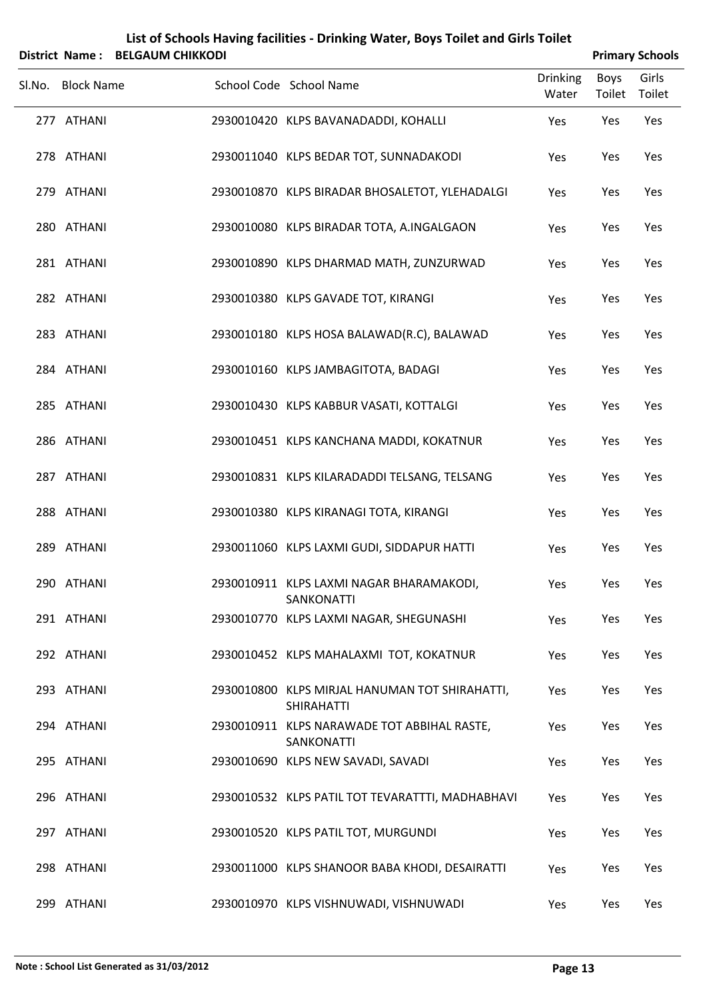|        |                   | District Name: BELGAUM CHIKKODI |                                                                     |                          |                       | <b>Primary Schools</b> |  |  |
|--------|-------------------|---------------------------------|---------------------------------------------------------------------|--------------------------|-----------------------|------------------------|--|--|
| Sl.No. | <b>Block Name</b> |                                 | School Code School Name                                             | <b>Drinking</b><br>Water | <b>Boys</b><br>Toilet | Girls<br>Toilet        |  |  |
|        | 277 ATHANI        |                                 | 2930010420 KLPS BAVANADADDI, KOHALLI                                | Yes                      | Yes                   | Yes                    |  |  |
|        | 278 ATHANI        |                                 | 2930011040 KLPS BEDAR TOT, SUNNADAKODI                              | Yes                      | Yes                   | Yes                    |  |  |
|        | 279 ATHANI        |                                 | 2930010870 KLPS BIRADAR BHOSALETOT, YLEHADALGI                      | Yes                      | Yes                   | Yes                    |  |  |
|        | 280 ATHANI        |                                 | 2930010080 KLPS BIRADAR TOTA, A.INGALGAON                           | Yes                      | Yes                   | Yes                    |  |  |
|        | 281 ATHANI        |                                 | 2930010890 KLPS DHARMAD MATH, ZUNZURWAD                             | Yes                      | Yes                   | Yes                    |  |  |
|        | 282 ATHANI        |                                 | 2930010380 KLPS GAVADE TOT, KIRANGI                                 | Yes                      | Yes                   | Yes                    |  |  |
|        | 283 ATHANI        |                                 | 2930010180 KLPS HOSA BALAWAD(R.C), BALAWAD                          | Yes                      | Yes                   | Yes                    |  |  |
|        | 284 ATHANI        |                                 | 2930010160 KLPS JAMBAGITOTA, BADAGI                                 | Yes                      | Yes                   | Yes                    |  |  |
|        | 285 ATHANI        |                                 | 2930010430 KLPS KABBUR VASATI, KOTTALGI                             | Yes                      | Yes                   | Yes                    |  |  |
|        | 286 ATHANI        |                                 | 2930010451 KLPS KANCHANA MADDI, KOKATNUR                            | Yes                      | Yes                   | Yes                    |  |  |
|        | 287 ATHANI        |                                 | 2930010831 KLPS KILARADADDI TELSANG, TELSANG                        | Yes                      | Yes                   | Yes                    |  |  |
|        | 288 ATHANI        |                                 | 2930010380 KLPS KIRANAGI TOTA, KIRANGI                              | Yes                      | Yes                   | Yes                    |  |  |
|        | 289 ATHANI        |                                 | 2930011060 KLPS LAXMI GUDI, SIDDAPUR HATTI                          | Yes                      | Yes                   | Yes                    |  |  |
|        | 290 ATHANI        |                                 | 2930010911 KLPS LAXMI NAGAR BHARAMAKODI,<br>SANKONATTI              | Yes                      | Yes                   | Yes                    |  |  |
|        | 291 ATHANI        |                                 | 2930010770 KLPS LAXMI NAGAR, SHEGUNASHI                             | Yes                      | Yes                   | Yes                    |  |  |
|        | 292 ATHANI        |                                 | 2930010452 KLPS MAHALAXMI TOT, KOKATNUR                             | Yes                      | Yes                   | Yes                    |  |  |
|        | 293 ATHANI        |                                 | 2930010800 KLPS MIRJAL HANUMAN TOT SHIRAHATTI,<br><b>SHIRAHATTI</b> | Yes                      | Yes                   | Yes                    |  |  |
|        | 294 ATHANI        |                                 | 2930010911 KLPS NARAWADE TOT ABBIHAL RASTE,<br>SANKONATTI           | Yes                      | Yes                   | Yes                    |  |  |
|        | 295 ATHANI        |                                 | 2930010690 KLPS NEW SAVADI, SAVADI                                  | Yes                      | Yes                   | Yes                    |  |  |
|        | 296 ATHANI        |                                 | 2930010532 KLPS PATIL TOT TEVARATTTI, MADHABHAVI                    | Yes                      | Yes                   | Yes                    |  |  |
|        | 297 ATHANI        |                                 | 2930010520 KLPS PATIL TOT, MURGUNDI                                 | Yes                      | Yes                   | Yes                    |  |  |
|        | 298 ATHANI        |                                 | 2930011000 KLPS SHANOOR BABA KHODI, DESAIRATTI                      | Yes                      | Yes                   | Yes                    |  |  |
|        | 299 ATHANI        |                                 | 2930010970 KLPS VISHNUWADI, VISHNUWADI                              | Yes                      | Yes                   | Yes                    |  |  |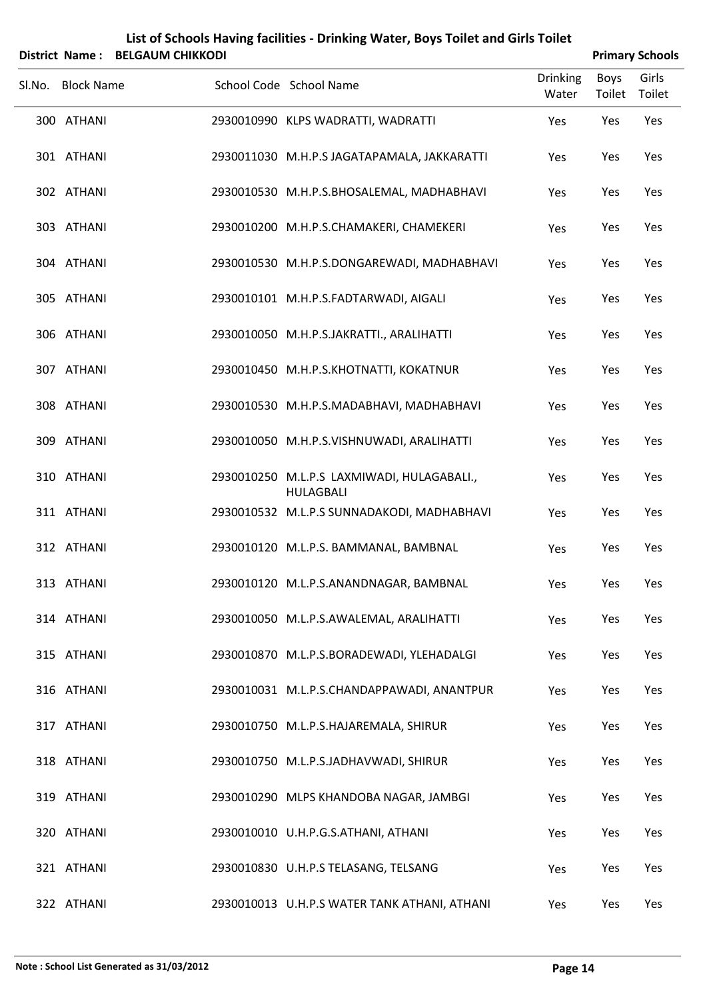|        |                   | District Name: BELGAUM CHIKKODI | List of Schools Having facilities - Drinking Water, Boys Toilet and Girls Toilet |                          |                | <b>Primary Schools</b> |
|--------|-------------------|---------------------------------|----------------------------------------------------------------------------------|--------------------------|----------------|------------------------|
| Sl.No. | <b>Block Name</b> |                                 | School Code School Name                                                          | <b>Drinking</b><br>Water | Boys<br>Toilet | Girls<br>Toilet        |
|        | 300 ATHANI        |                                 | 2930010990 KLPS WADRATTI, WADRATTI                                               | Yes                      | Yes            | Yes                    |
|        | 301 ATHANI        |                                 | 2930011030 M.H.P.S JAGATAPAMALA, JAKKARATTI                                      | Yes                      | Yes            | Yes                    |
|        | 302 ATHANI        |                                 | 2930010530 M.H.P.S.BHOSALEMAL, MADHABHAVI                                        | Yes                      | Yes            | Yes                    |
|        | 303 ATHANI        |                                 | 2930010200 M.H.P.S.CHAMAKERI, CHAMEKERI                                          | Yes                      | Yes            | Yes                    |
|        | 304 ATHANI        |                                 | 2930010530 M.H.P.S.DONGAREWADI, MADHABHAVI                                       | Yes                      | Yes            | Yes                    |
|        | 305 ATHANI        |                                 | 2930010101 M.H.P.S.FADTARWADI, AIGALI                                            | Yes                      | Yes            | Yes                    |
|        | 306 ATHANI        |                                 | 2930010050 M.H.P.S.JAKRATTI., ARALIHATTI                                         | Yes                      | Yes            | Yes                    |
|        | 307 ATHANI        |                                 | 2930010450 M.H.P.S.KHOTNATTI, KOKATNUR                                           | Yes                      | Yes            | Yes                    |
|        | 308 ATHANI        |                                 | 2930010530 M.H.P.S.MADABHAVI, MADHABHAVI                                         | Yes                      | Yes            | Yes                    |
|        | 309 ATHANI        |                                 | 2930010050 M.H.P.S.VISHNUWADI, ARALIHATTI                                        | Yes                      | Yes            | Yes                    |
|        | 310 ATHANI        |                                 | 2930010250 M.L.P.S LAXMIWADI, HULAGABALI.,<br><b>HULAGBALI</b>                   | Yes                      | Yes            | Yes                    |
|        | 311 ATHANI        |                                 | 2930010532 M.L.P.S SUNNADAKODI, MADHABHAVI                                       | Yes                      | Yes            | Yes                    |
|        | 312 ATHANI        |                                 | 2930010120 M.L.P.S. BAMMANAL, BAMBNAL                                            | Yes                      | Yes            | Yes                    |
|        | 313 ATHANI        |                                 | 2930010120 M.L.P.S.ANANDNAGAR, BAMBNAL                                           | Yes                      | Yes            | Yes                    |
|        | 314 ATHANI        |                                 | 2930010050 M.L.P.S.AWALEMAL, ARALIHATTI                                          | Yes                      | Yes            | Yes                    |
|        | 315 ATHANI        |                                 | 2930010870 M.L.P.S.BORADEWADI, YLEHADALGI                                        | Yes                      | Yes            | Yes                    |
|        | 316 ATHANI        |                                 | 2930010031 M.L.P.S.CHANDAPPAWADI, ANANTPUR                                       | Yes                      | Yes            | Yes                    |
|        | 317 ATHANI        |                                 | 2930010750 M.L.P.S.HAJAREMALA, SHIRUR                                            | Yes                      | Yes            | Yes                    |
|        | 318 ATHANI        |                                 | 2930010750 M.L.P.S.JADHAVWADI, SHIRUR                                            | Yes                      | Yes            | Yes                    |
|        | 319 ATHANI        |                                 | 2930010290 MLPS KHANDOBA NAGAR, JAMBGI                                           | Yes                      | Yes            | Yes                    |
|        | 320 ATHANI        |                                 | 2930010010 U.H.P.G.S.ATHANI, ATHANI                                              | Yes                      | Yes            | Yes                    |
|        | 321 ATHANI        |                                 | 2930010830 U.H.P.S TELASANG, TELSANG                                             | Yes                      | Yes            | Yes                    |
|        | 322 ATHANI        |                                 | 2930010013 U.H.P.S WATER TANK ATHANI, ATHANI                                     | Yes                      | Yes            | Yes                    |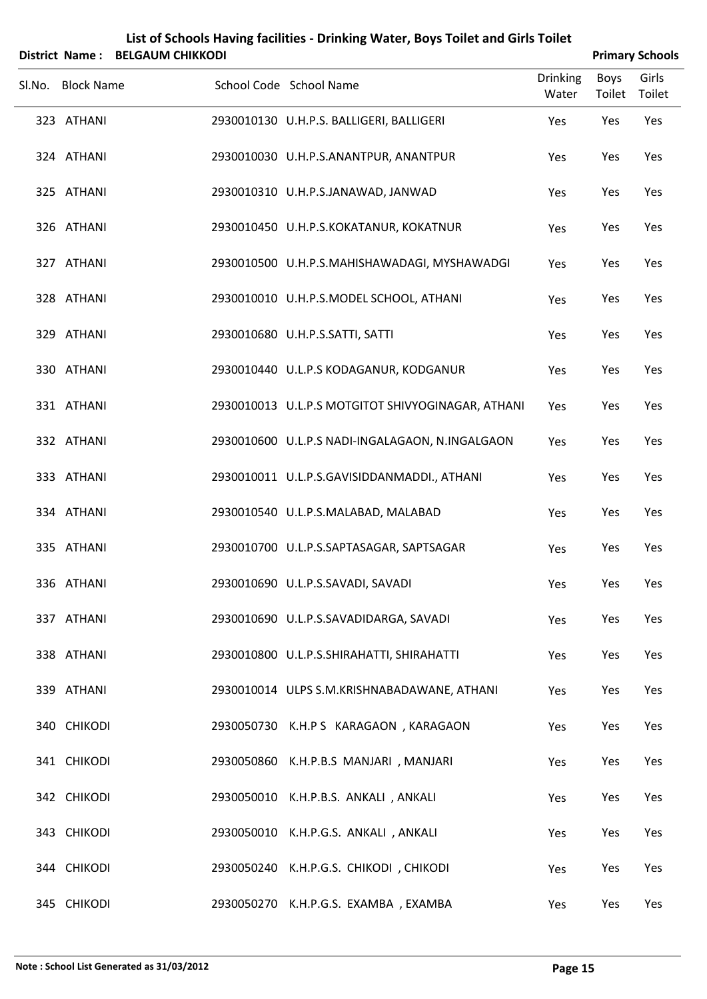|                   | District Name: BELGAUM CHIKKODI |                                                   |                          |                       | <b>Primary Schools</b> |
|-------------------|---------------------------------|---------------------------------------------------|--------------------------|-----------------------|------------------------|
| Sl.No. Block Name |                                 | School Code School Name                           | <b>Drinking</b><br>Water | <b>Boys</b><br>Toilet | Girls<br>Toilet        |
| 323 ATHANI        |                                 | 2930010130 U.H.P.S. BALLIGERI, BALLIGERI          | Yes                      | Yes                   | Yes                    |
| 324 ATHANI        |                                 | 2930010030 U.H.P.S.ANANTPUR, ANANTPUR             | Yes                      | Yes                   | Yes                    |
| 325 ATHANI        |                                 | 2930010310 U.H.P.S.JANAWAD, JANWAD                | Yes                      | Yes                   | Yes                    |
| 326 ATHANI        |                                 | 2930010450 U.H.P.S.KOKATANUR, KOKATNUR            | Yes                      | Yes                   | Yes                    |
| 327 ATHANI        |                                 | 2930010500 U.H.P.S.MAHISHAWADAGI, MYSHAWADGI      | Yes                      | Yes                   | Yes                    |
| 328 ATHANI        |                                 | 2930010010 U.H.P.S.MODEL SCHOOL, ATHANI           | Yes                      | Yes                   | Yes                    |
| 329 ATHANI        |                                 | 2930010680 U.H.P.S.SATTI, SATTI                   | Yes                      | Yes                   | Yes                    |
| 330 ATHANI        |                                 | 2930010440 U.L.P.S KODAGANUR, KODGANUR            | Yes                      | Yes                   | Yes                    |
| 331 ATHANI        |                                 | 2930010013 U.L.P.S MOTGITOT SHIVYOGINAGAR, ATHANI | Yes                      | Yes                   | Yes                    |
| 332 ATHANI        |                                 | 2930010600 U.L.P.S NADI-INGALAGAON, N.INGALGAON   | Yes                      | Yes                   | Yes                    |
| 333 ATHANI        |                                 | 2930010011 U.L.P.S.GAVISIDDANMADDI., ATHANI       | Yes                      | Yes                   | Yes                    |
| 334 ATHANI        |                                 | 2930010540 U.L.P.S.MALABAD, MALABAD               | Yes                      | Yes                   | Yes                    |
| 335 ATHANI        |                                 | 2930010700 U.L.P.S.SAPTASAGAR, SAPTSAGAR          | Yes                      | Yes                   | Yes                    |
| 336 ATHANI        |                                 | 2930010690 U.L.P.S.SAVADI, SAVADI                 | Yes                      | Yes                   | Yes                    |
| 337 ATHANI        |                                 | 2930010690 U.L.P.S.SAVADIDARGA, SAVADI            | Yes                      | Yes                   | Yes                    |
| 338 ATHANI        |                                 | 2930010800 U.L.P.S.SHIRAHATTI, SHIRAHATTI         | Yes                      | Yes                   | Yes                    |
| 339 ATHANI        |                                 | 2930010014 ULPS S.M.KRISHNABADAWANE, ATHANI       | Yes                      | Yes                   | Yes                    |
| 340 CHIKODI       |                                 | 2930050730 K.H.P S KARAGAON, KARAGAON             | Yes                      | Yes                   | Yes                    |
| 341 CHIKODI       |                                 | 2930050860 K.H.P.B.S MANJARI, MANJARI             | Yes                      | Yes                   | Yes                    |
| 342 CHIKODI       |                                 | 2930050010 K.H.P.B.S. ANKALI, ANKALI              | Yes                      | Yes                   | Yes                    |
| 343 CHIKODI       |                                 | 2930050010 K.H.P.G.S. ANKALI, ANKALI              | Yes                      | Yes                   | Yes                    |
| 344 CHIKODI       |                                 | 2930050240 K.H.P.G.S. CHIKODI, CHIKODI            | Yes                      | Yes                   | Yes                    |
| 345 CHIKODI       |                                 | 2930050270 K.H.P.G.S. EXAMBA, EXAMBA              | Yes                      | Yes                   | Yes                    |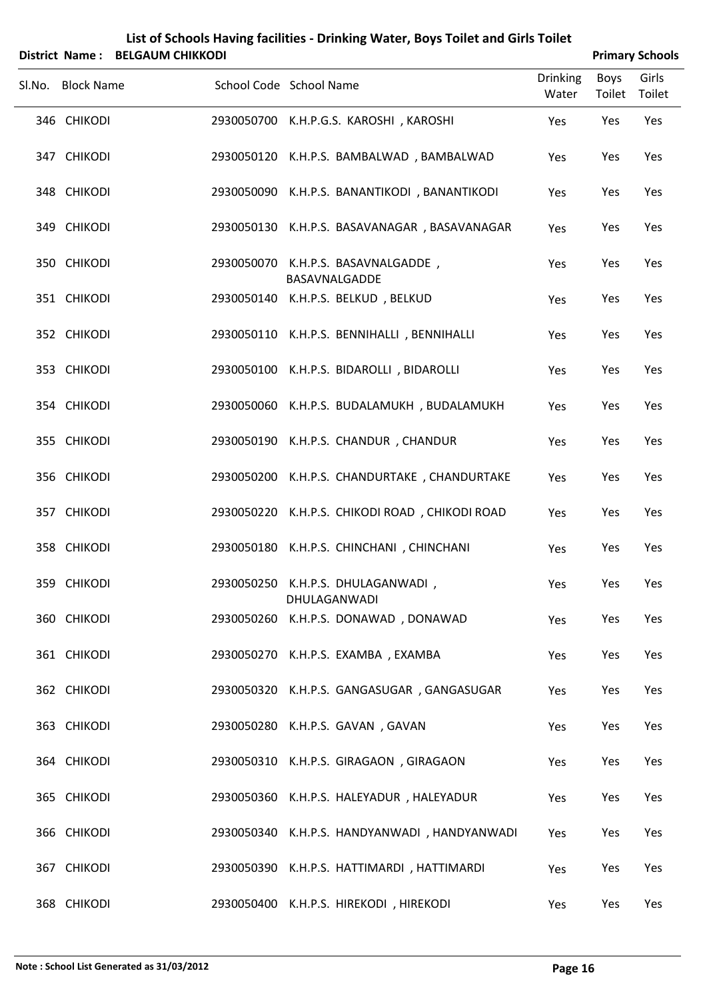| List of Schools Having facilities - Drinking Water, Boys Toilet and Girls Toilet |
|----------------------------------------------------------------------------------|
| District Name: BELGAUM CHIKKODI                                                  |

| <b>Primary Schools</b> |
|------------------------|
|                        |

|                   |                                                     |                          |                | נוטטווטנ פווידו |
|-------------------|-----------------------------------------------------|--------------------------|----------------|-----------------|
| Sl.No. Block Name | School Code School Name                             | <b>Drinking</b><br>Water | Boys<br>Toilet | Girls<br>Toilet |
| 346 CHIKODI       | 2930050700 K.H.P.G.S. KAROSHI, KAROSHI              | Yes                      | Yes            | Yes             |
| 347 CHIKODI       | 2930050120 K.H.P.S. BAMBALWAD, BAMBALWAD            | Yes                      | Yes            | Yes             |
| 348 CHIKODI       | 2930050090 K.H.P.S. BANANTIKODI, BANANTIKODI        | Yes                      | Yes            | Yes             |
| 349 CHIKODI       | 2930050130 K.H.P.S. BASAVANAGAR, BASAVANAGAR        | Yes                      | Yes            | Yes             |
| 350 CHIKODI       | 2930050070 K.H.P.S. BASAVNALGADDE,<br>BASAVNALGADDE | Yes                      | Yes            | Yes             |
| 351 CHIKODI       | 2930050140 K.H.P.S. BELKUD, BELKUD                  | Yes                      | Yes            | Yes             |
| 352 CHIKODI       | 2930050110 K.H.P.S. BENNIHALLI, BENNIHALLI          | Yes                      | Yes            | Yes             |
| 353 CHIKODI       | 2930050100 K.H.P.S. BIDAROLLI, BIDAROLLI            | Yes                      | Yes            | Yes             |
| 354 CHIKODI       | 2930050060 K.H.P.S. BUDALAMUKH, BUDALAMUKH          | Yes                      | Yes            | Yes             |
| 355 CHIKODI       | 2930050190 K.H.P.S. CHANDUR, CHANDUR                | Yes                      | Yes            | Yes             |
| 356 CHIKODI       | 2930050200 K.H.P.S. CHANDURTAKE, CHANDURTAKE        | Yes                      | Yes            | Yes             |
| 357 CHIKODI       | 2930050220 K.H.P.S. CHIKODI ROAD, CHIKODI ROAD      | Yes                      | Yes            | Yes             |
| 358 CHIKODI       | 2930050180 K.H.P.S. CHINCHANI, CHINCHANI            | Yes                      | Yes            | Yes             |
| 359 CHIKODI       | 2930050250 K.H.P.S. DHULAGANWADI,<br>DHULAGANWADI   | Yes                      | Yes            | Yes             |
| 360 CHIKODI       | 2930050260 K.H.P.S. DONAWAD, DONAWAD                | Yes                      | Yes            | Yes             |
| 361 CHIKODI       | 2930050270 K.H.P.S. EXAMBA, EXAMBA                  | Yes                      | Yes            | Yes             |
| 362 CHIKODI       | 2930050320 K.H.P.S. GANGASUGAR, GANGASUGAR          | Yes                      | Yes            | Yes             |
| 363 CHIKODI       | 2930050280 K.H.P.S. GAVAN, GAVAN                    | Yes                      | Yes            | Yes             |
| 364 CHIKODI       | 2930050310 K.H.P.S. GIRAGAON, GIRAGAON              | Yes                      | Yes            | Yes             |
| 365 CHIKODI       | 2930050360 K.H.P.S. HALEYADUR, HALEYADUR            | Yes                      | Yes            | Yes             |
| 366 CHIKODI       | 2930050340 K.H.P.S. HANDYANWADI, HANDYANWADI        | Yes                      | Yes            | Yes             |
| 367 CHIKODI       | 2930050390 K.H.P.S. HATTIMARDI, HATTIMARDI          | Yes                      | Yes            | Yes             |
| 368 CHIKODI       | 2930050400 K.H.P.S. HIREKODI, HIREKODI              | Yes                      | Yes            | Yes             |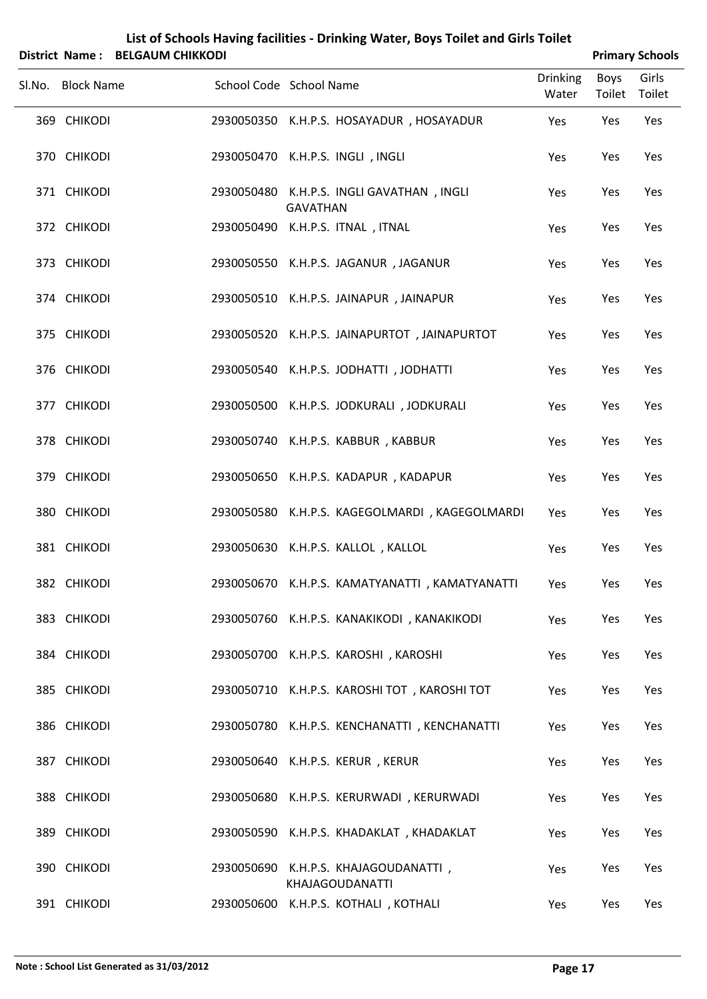|                            | District Name: BELGAUM CHIKKODI |                         |                 |                                                                                |                          | <b>Primary Schools</b> |            |
|----------------------------|---------------------------------|-------------------------|-----------------|--------------------------------------------------------------------------------|--------------------------|------------------------|------------|
| Sl.No. Block Name          |                                 | School Code School Name |                 |                                                                                | <b>Drinking</b><br>Water | Boys<br>Toilet Toilet  | Girls      |
| 369 CHIKODI                |                                 |                         |                 | 2930050350 K.H.P.S. HOSAYADUR, HOSAYADUR                                       | Yes                      | Yes                    | Yes        |
| 370 CHIKODI                |                                 |                         |                 | 2930050470 K.H.P.S. INGLI, INGLI                                               | Yes                      | Yes                    | Yes        |
| 371 CHIKODI                |                                 |                         | <b>GAVATHAN</b> | 2930050480 K.H.P.S. INGLI GAVATHAN, INGLI                                      | Yes                      | Yes                    | Yes        |
| 372 CHIKODI                |                                 |                         |                 | 2930050490 K.H.P.S. ITNAL, ITNAL                                               | Yes                      | Yes                    | Yes        |
| 373 CHIKODI                |                                 |                         |                 | 2930050550 K.H.P.S. JAGANUR, JAGANUR                                           | Yes                      | Yes                    | Yes        |
| 374 CHIKODI                |                                 |                         |                 | 2930050510 K.H.P.S. JAINAPUR, JAINAPUR                                         | Yes                      | Yes                    | Yes        |
| 375 CHIKODI                |                                 |                         |                 | 2930050520 K.H.P.S. JAINAPURTOT, JAINAPURTOT                                   | Yes                      | Yes                    | Yes        |
| 376 CHIKODI                |                                 |                         |                 | 2930050540 K.H.P.S. JODHATTI, JODHATTI                                         | Yes                      | Yes                    | Yes        |
| 377 CHIKODI<br>378 CHIKODI |                                 |                         |                 | 2930050500 K.H.P.S. JODKURALI, JODKURALI<br>2930050740 K.H.P.S. KABBUR, KABBUR | Yes                      | Yes                    | Yes<br>Yes |
| 379 CHIKODI                |                                 |                         |                 | 2930050650 K.H.P.S. KADAPUR, KADAPUR                                           | Yes<br>Yes               | Yes<br>Yes             | Yes        |
| 380 CHIKODI                |                                 |                         |                 | 2930050580 K.H.P.S. KAGEGOLMARDI, KAGEGOLMARDI                                 | Yes                      | Yes                    | Yes        |
| 381 CHIKODI                |                                 |                         |                 | 2930050630 K.H.P.S. KALLOL, KALLOL                                             | Yes                      | Yes                    | Yes        |
| 382 CHIKODI                |                                 |                         |                 | 2930050670 K.H.P.S. KAMATYANATTI, KAMATYANATTI                                 | Yes                      | Yes                    | Yes        |
| 383 CHIKODI                |                                 |                         |                 | 2930050760 K.H.P.S. KANAKIKODI, KANAKIKODI                                     | Yes                      | Yes                    | Yes        |
| 384 CHIKODI                |                                 |                         |                 | 2930050700 K.H.P.S. KAROSHI, KAROSHI                                           | Yes                      | Yes                    | Yes        |
| 385 CHIKODI                |                                 |                         |                 | 2930050710 K.H.P.S. KAROSHITOT, KAROSHITOT                                     | Yes                      | Yes                    | Yes        |
| 386 CHIKODI                |                                 |                         |                 | 2930050780 K.H.P.S. KENCHANATTI, KENCHANATTI                                   | Yes                      | Yes                    | Yes        |
| 387 CHIKODI                |                                 |                         |                 | 2930050640 K.H.P.S. KERUR, KERUR                                               | Yes                      | Yes                    | Yes        |
| 388 CHIKODI                |                                 |                         |                 | 2930050680 K.H.P.S. KERURWADI, KERURWADI                                       | Yes                      | Yes                    | Yes        |
| 389 CHIKODI                |                                 |                         |                 | 2930050590 K.H.P.S. KHADAKLAT, KHADAKLAT                                       | Yes                      | Yes                    | Yes        |
| 390 CHIKODI                |                                 |                         |                 | 2930050690 K.H.P.S. KHAJAGOUDANATTI,<br>KHAJAGOUDANATTI                        | Yes                      | Yes                    | Yes        |

391 CHIKODI 2930050600 K.H.P.S. KOTHALI , KOTHALI Yes Yes Yes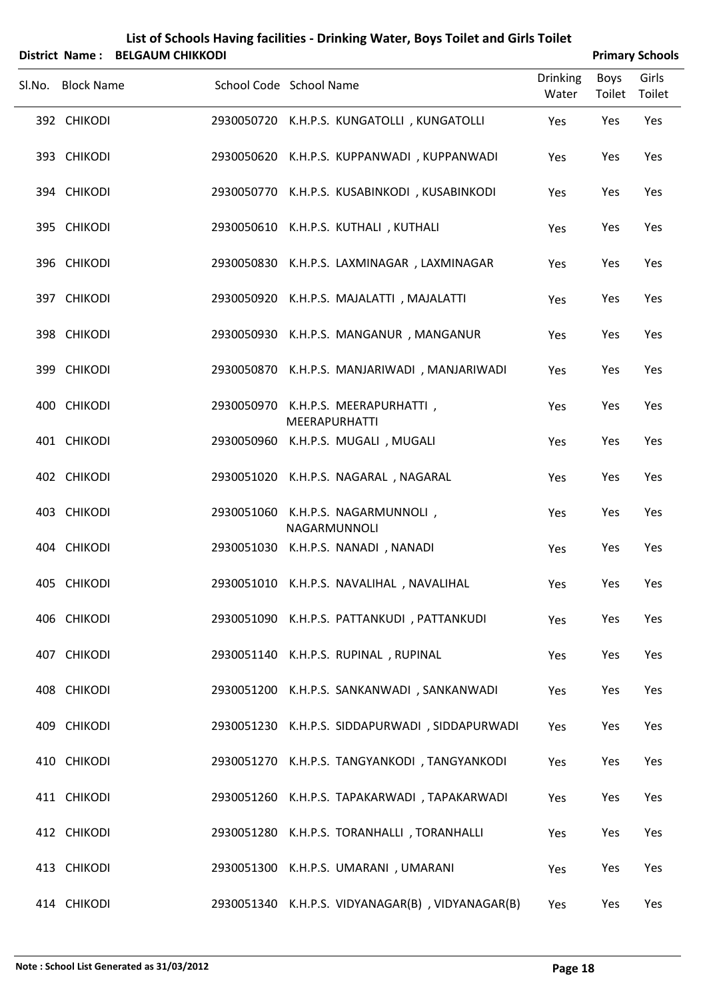| List of Schools Having facilities - Drinking Water, Boys Toilet and Girls Toilet |
|----------------------------------------------------------------------------------|
| District Name: BELGAUM CHIKKODI                                                  |

| <b>Primary Schools</b> |
|------------------------|
|                        |

|                   |                         |                                                            |                          |                       | <b>THING Y JUIVUS</b> |
|-------------------|-------------------------|------------------------------------------------------------|--------------------------|-----------------------|-----------------------|
| Sl.No. Block Name | School Code School Name |                                                            | <b>Drinking</b><br>Water | Boys<br>Toilet Toilet | Girls                 |
| 392 CHIKODI       |                         | 2930050720 K.H.P.S. KUNGATOLLI, KUNGATOLLI                 | Yes                      | Yes                   | Yes                   |
| 393 CHIKODI       |                         | 2930050620 K.H.P.S. KUPPANWADI, KUPPANWADI                 | Yes                      | Yes                   | Yes                   |
| 394 CHIKODI       |                         | 2930050770 K.H.P.S. KUSABINKODI, KUSABINKODI               | Yes                      | Yes                   | Yes                   |
| 395 CHIKODI       |                         | 2930050610 K.H.P.S. KUTHALI, KUTHALI                       | Yes                      | Yes                   | Yes                   |
| 396 CHIKODI       |                         | 2930050830 K.H.P.S. LAXMINAGAR, LAXMINAGAR                 | Yes                      | Yes                   | Yes                   |
| 397 CHIKODI       |                         | 2930050920 K.H.P.S. MAJALATTI, MAJALATTI                   | Yes                      | Yes                   | Yes                   |
| 398 CHIKODI       |                         | 2930050930 K.H.P.S. MANGANUR, MANGANUR                     | Yes                      | Yes                   | Yes                   |
| 399 CHIKODI       |                         | 2930050870 K.H.P.S. MANJARIWADI, MANJARIWADI               | Yes                      | Yes                   | Yes                   |
| 400 CHIKODI       |                         | 2930050970 K.H.P.S. MEERAPURHATTI,                         | Yes                      | Yes                   | Yes                   |
| 401 CHIKODI       |                         | <b>MEERAPURHATTI</b><br>2930050960 K.H.P.S. MUGALI, MUGALI | Yes                      | Yes                   | Yes                   |
| 402 CHIKODI       |                         | 2930051020 K.H.P.S. NAGARAL, NAGARAL                       | Yes                      | Yes                   | Yes                   |
| 403 CHIKODI       |                         | 2930051060 K.H.P.S. NAGARMUNNOLI,                          | Yes                      | Yes                   | Yes                   |
| 404 CHIKODI       |                         | NAGARMUNNOLI<br>2930051030 K.H.P.S. NANADI, NANADI         | Yes                      | Yes                   | Yes                   |
| 405 CHIKODI       |                         | 2930051010 K.H.P.S. NAVALIHAL, NAVALIHAL                   | Yes                      | Yes                   | Yes                   |
| 406 CHIKODI       |                         | 2930051090 K.H.P.S. PATTANKUDI, PATTANKUDI                 | Yes                      | Yes                   | Yes                   |
| 407 CHIKODI       |                         | 2930051140 K.H.P.S. RUPINAL, RUPINAL                       | Yes                      | Yes                   | Yes                   |
| 408 CHIKODI       |                         | 2930051200 K.H.P.S. SANKANWADI, SANKANWADI                 | Yes                      | Yes                   | Yes                   |
| 409 CHIKODI       |                         | 2930051230 K.H.P.S. SIDDAPURWADI, SIDDAPURWADI             | Yes                      | Yes                   | Yes                   |
| 410 CHIKODI       |                         | 2930051270 K.H.P.S. TANGYANKODI, TANGYANKODI               | Yes                      | Yes                   | Yes                   |
| 411 CHIKODI       |                         | 2930051260 K.H.P.S. TAPAKARWADI, TAPAKARWADI               | Yes                      | Yes                   | Yes                   |
| 412 CHIKODI       |                         | 2930051280 K.H.P.S. TORANHALLI, TORANHALLI                 | Yes                      | Yes                   | Yes                   |
| 413 CHIKODI       |                         | 2930051300 K.H.P.S. UMARANI, UMARANI                       | Yes                      | Yes                   | Yes                   |
| 414 CHIKODI       |                         | 2930051340 K.H.P.S. VIDYANAGAR(B), VIDYANAGAR(B)           | Yes                      | Yes                   | Yes                   |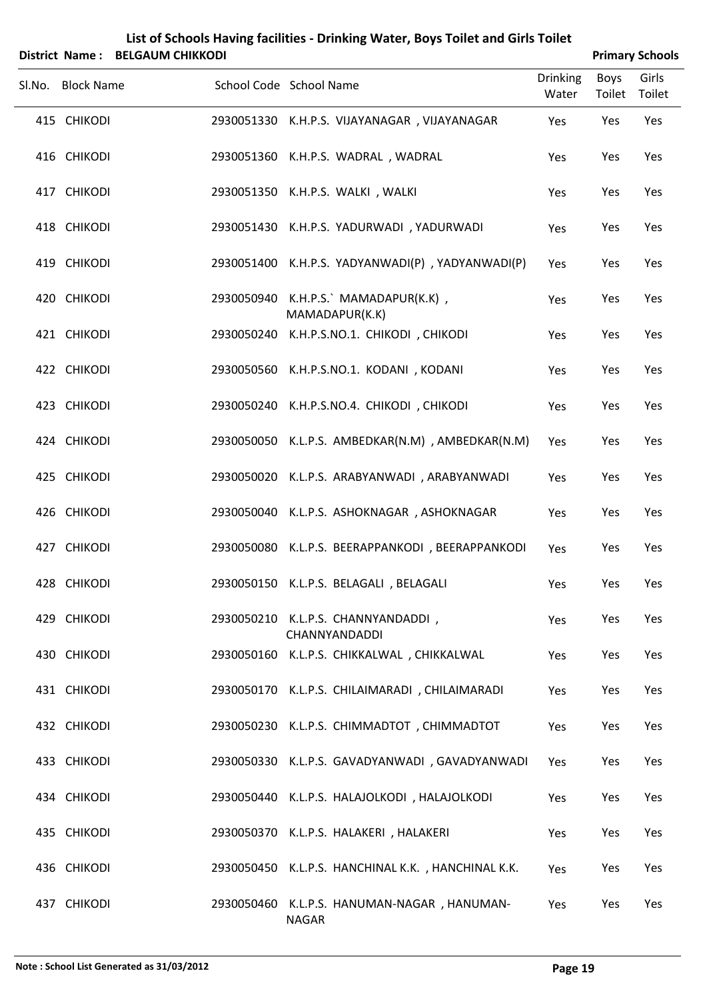|  |  | List of Schools Having facilities - Drinking Water, Boys Toilet and Girls Toilet |
|--|--|----------------------------------------------------------------------------------|
|  |  |                                                                                  |

|        |                   | District Name: BELGAUM CHIKKODI |                                                             |                          |                | <b>Primary Schools</b> |
|--------|-------------------|---------------------------------|-------------------------------------------------------------|--------------------------|----------------|------------------------|
| Sl.No. | <b>Block Name</b> |                                 | School Code School Name                                     | <b>Drinking</b><br>Water | Boys<br>Toilet | Girls<br>Toilet        |
|        | 415 CHIKODI       |                                 | 2930051330 K.H.P.S. VIJAYANAGAR, VIJAYANAGAR                | Yes                      | Yes            | Yes                    |
|        | 416 CHIKODI       |                                 | 2930051360 K.H.P.S. WADRAL, WADRAL                          | Yes                      | Yes            | Yes                    |
|        | 417 CHIKODI       |                                 | 2930051350 K.H.P.S. WALKI, WALKI                            | Yes                      | Yes            | Yes                    |
|        | 418 CHIKODI       |                                 | 2930051430 K.H.P.S. YADURWADI, YADURWADI                    | Yes                      | Yes            | Yes                    |
|        | 419 CHIKODI       |                                 | 2930051400 K.H.P.S. YADYANWADI(P), YADYANWADI(P)            | Yes                      | Yes            | Yes                    |
|        | 420 CHIKODI       |                                 | 2930050940 K.H.P.S.` MAMADAPUR(K.K),<br>MAMADAPUR(K.K)      | Yes                      | Yes            | Yes                    |
|        | 421 CHIKODI       |                                 | 2930050240 K.H.P.S.NO.1. CHIKODI, CHIKODI                   | Yes                      | Yes            | Yes                    |
|        | 422 CHIKODI       |                                 | 2930050560 K.H.P.S.NO.1. KODANI, KODANI                     | Yes                      | Yes            | Yes                    |
|        | 423 CHIKODI       |                                 | 2930050240 K.H.P.S.NO.4. CHIKODI, CHIKODI                   | Yes                      | Yes            | Yes                    |
|        | 424 CHIKODI       |                                 | 2930050050 K.L.P.S. AMBEDKAR(N.M), AMBEDKAR(N.M)            | Yes                      | Yes            | Yes                    |
|        | 425 CHIKODI       |                                 | 2930050020 K.L.P.S. ARABYANWADI, ARABYANWADI                | Yes                      | Yes            | Yes                    |
|        | 426 CHIKODI       |                                 | 2930050040 K.L.P.S. ASHOKNAGAR, ASHOKNAGAR                  | Yes                      | Yes            | Yes                    |
|        | 427 CHIKODI       |                                 | 2930050080 K.L.P.S. BEERAPPANKODI, BEERAPPANKODI            | Yes                      | Yes            | Yes                    |
|        | 428 CHIKODI       |                                 | 2930050150 K.L.P.S. BELAGALI, BELAGALI                      | Yes                      | Yes            | Yes                    |
|        | 429 CHIKODI       |                                 | 2930050210 K.L.P.S. CHANNYANDADDI,<br>CHANNYANDADDI         | Yes                      | Yes            | Yes                    |
|        | 430 CHIKODI       |                                 | 2930050160 K.L.P.S. CHIKKALWAL, CHIKKALWAL                  | Yes                      | Yes            | Yes                    |
|        | 431 CHIKODI       |                                 | 2930050170 K.L.P.S. CHILAIMARADI, CHILAIMARADI              | Yes                      | Yes            | Yes                    |
|        | 432 CHIKODI       |                                 | 2930050230 K.L.P.S. CHIMMADTOT, CHIMMADTOT                  | Yes                      | Yes            | Yes                    |
|        | 433 CHIKODI       |                                 | 2930050330 K.L.P.S. GAVADYANWADI, GAVADYANWADI              | Yes                      | Yes            | Yes                    |
|        | 434 CHIKODI       |                                 | 2930050440 K.L.P.S. HALAJOLKODI, HALAJOLKODI                | Yes                      | Yes            | Yes                    |
|        | 435 CHIKODI       |                                 | 2930050370 K.L.P.S. HALAKERI, HALAKERI                      | Yes                      | Yes            | Yes                    |
|        | 436 CHIKODI       |                                 | 2930050450 K.L.P.S. HANCHINAL K.K., HANCHINAL K.K.          | Yes                      | Yes            | Yes                    |
|        | 437 CHIKODI       |                                 | 2930050460 K.L.P.S. HANUMAN-NAGAR, HANUMAN-<br><b>NAGAR</b> | Yes                      | Yes            | Yes                    |

÷,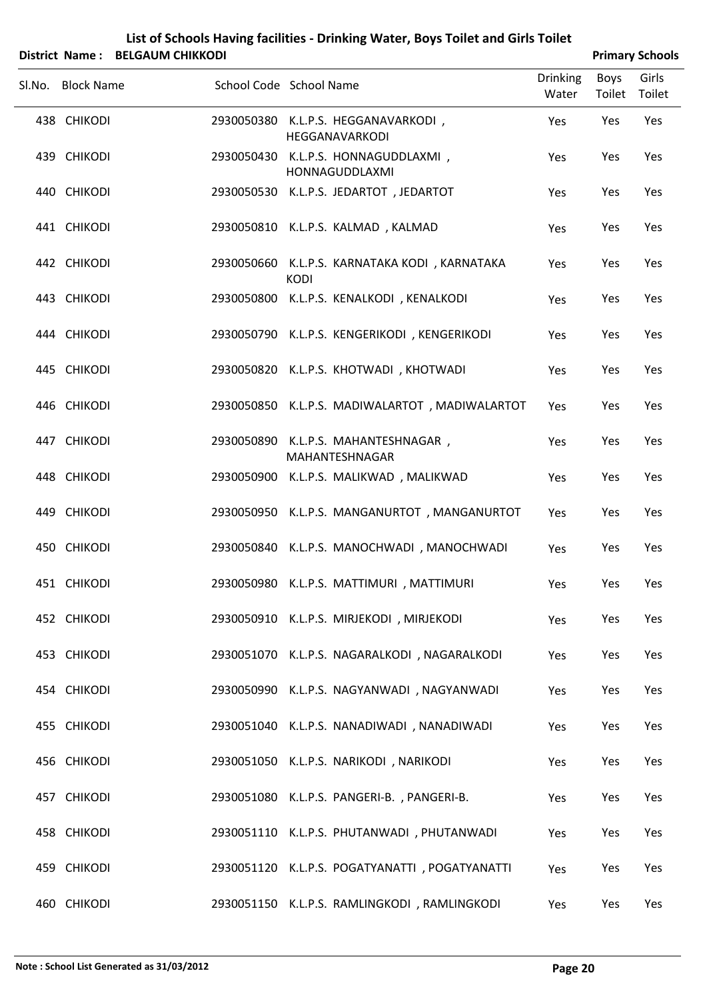| List of Schools Having facilities - Drinking Water, Boys Toilet and Girls Toilet |
|----------------------------------------------------------------------------------|
| $\mathbf{A}$ . The contract of $\mathbf{A}$ is a set of $\mathbf{A}$             |

| District Name: BELGAUM CHIKKODI |                                                              |                          |                | <b>Primary Schools</b> |
|---------------------------------|--------------------------------------------------------------|--------------------------|----------------|------------------------|
| Sl.No. Block Name               | School Code School Name                                      | <b>Drinking</b><br>Water | Boys<br>Toilet | Girls<br>Toilet        |
| 438 CHIKODI                     | 2930050380 K.L.P.S. HEGGANAVARKODI,<br>HEGGANAVARKODI        | Yes                      | Yes            | Yes                    |
| 439 CHIKODI                     | 2930050430 K.L.P.S. HONNAGUDDLAXMI,<br>HONNAGUDDLAXMI        | Yes                      | Yes            | Yes                    |
| 440 CHIKODI                     | 2930050530 K.L.P.S. JEDARTOT, JEDARTOT                       | Yes                      | Yes            | Yes                    |
| 441 CHIKODI                     | 2930050810 K.L.P.S. KALMAD, KALMAD                           | Yes                      | Yes            | Yes                    |
| 442 CHIKODI                     | 2930050660 K.L.P.S. KARNATAKA KODI, KARNATAKA<br><b>KODI</b> | Yes                      | Yes            | Yes                    |
| 443 CHIKODI                     | 2930050800 K.L.P.S. KENALKODI, KENALKODI                     | Yes                      | Yes            | Yes                    |
| 444 CHIKODI                     | 2930050790 K.L.P.S. KENGERIKODI, KENGERIKODI                 | Yes                      | Yes            | Yes                    |
| 445 CHIKODI                     | 2930050820 K.L.P.S. KHOTWADI, KHOTWADI                       | Yes                      | Yes            | Yes                    |
| 446 CHIKODI                     | 2930050850 K.L.P.S. MADIWALARTOT, MADIWALARTOT               | Yes                      | Yes            | Yes                    |
| 447 CHIKODI                     | 2930050890 K.L.P.S. MAHANTESHNAGAR,<br>MAHANTESHNAGAR        | Yes                      | Yes            | Yes                    |
| 448 CHIKODI                     | 2930050900 K.L.P.S. MALIKWAD, MALIKWAD                       | Yes                      | Yes            | Yes                    |
| 449 CHIKODI                     | 2930050950 K.L.P.S. MANGANURTOT, MANGANURTOT                 | Yes                      | Yes            | Yes                    |
| 450 CHIKODI                     | 2930050840 K.L.P.S. MANOCHWADI, MANOCHWADI                   | Yes                      | Yes            | Yes                    |
| 451 CHIKODI                     | 2930050980 K.L.P.S. MATTIMURI, MATTIMURI                     | Yes                      | Yes            | Yes                    |
| 452 CHIKODI                     | 2930050910 K.L.P.S. MIRJEKODI, MIRJEKODI                     | Yes                      | Yes            | Yes                    |
| 453 CHIKODI                     | 2930051070 K.L.P.S. NAGARALKODI, NAGARALKODI                 | Yes                      | Yes            | Yes                    |
| 454 CHIKODI                     | 2930050990 K.L.P.S. NAGYANWADI, NAGYANWADI                   | Yes                      | Yes            | Yes                    |
| 455 CHIKODI                     | 2930051040 K.L.P.S. NANADIWADI, NANADIWADI                   | Yes                      | Yes            | Yes                    |
| 456 CHIKODI                     | 2930051050 K.L.P.S. NARIKODI, NARIKODI                       | Yes                      | Yes            | Yes                    |
| 457 CHIKODI                     | 2930051080 K.L.P.S. PANGERI-B., PANGERI-B.                   | Yes                      | Yes            | Yes                    |
| 458 CHIKODI                     | 2930051110 K.L.P.S. PHUTANWADI, PHUTANWADI                   | Yes                      | Yes            | Yes                    |
| 459 CHIKODI                     | 2930051120 K.L.P.S. POGATYANATTI, POGATYANATTI               | Yes                      | Yes            | Yes                    |
| 460 CHIKODI                     | 2930051150 K.L.P.S. RAMLINGKODI, RAMLINGKODI                 | Yes                      | Yes            | Yes                    |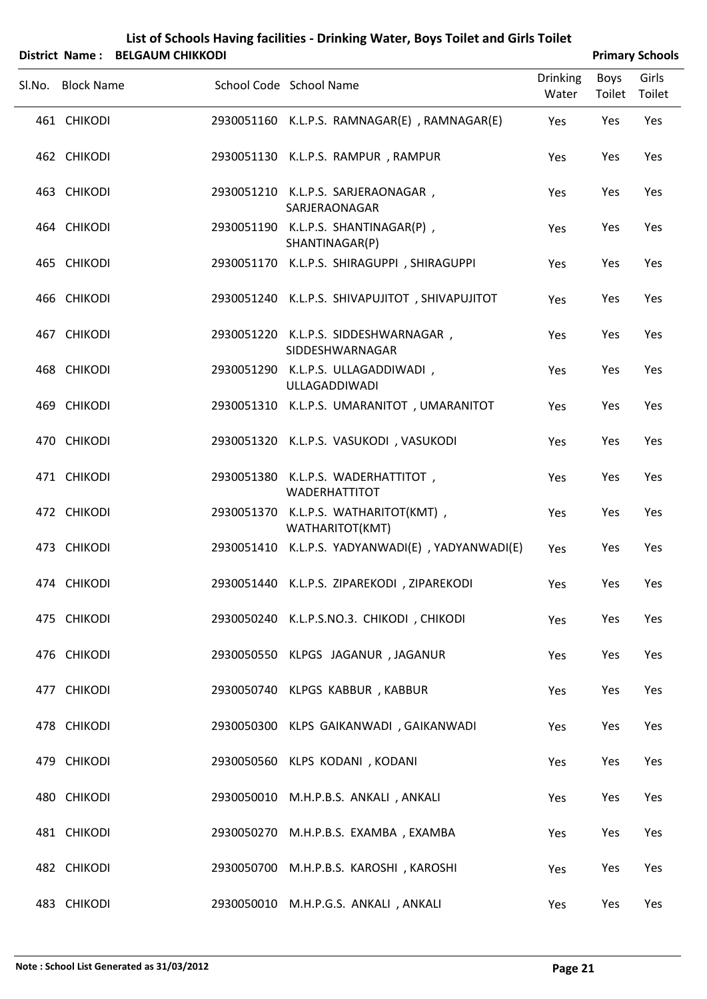| List of Schools Having facilities - Drinking Water, Boys Toilet and Girls Toilet |
|----------------------------------------------------------------------------------|
|                                                                                  |

|                            | District Name: BELGAUM CHIKKODI |                                                                           |                          |                | <b>Primary Schools</b> |
|----------------------------|---------------------------------|---------------------------------------------------------------------------|--------------------------|----------------|------------------------|
| Sl.No. Block Name          |                                 | School Code School Name                                                   | <b>Drinking</b><br>Water | Boys<br>Toilet | Girls<br>Toilet        |
| 461 CHIKODI                |                                 | 2930051160 K.L.P.S. RAMNAGAR(E), RAMNAGAR(E)                              | Yes                      | Yes            | Yes                    |
| 462 CHIKODI                |                                 | 2930051130 K.L.P.S. RAMPUR, RAMPUR                                        | Yes                      | Yes            | Yes                    |
| 463 CHIKODI                |                                 | 2930051210 K.L.P.S. SARJERAONAGAR,<br>SARJERAONAGAR                       | Yes                      | Yes            | Yes                    |
| 464 CHIKODI                |                                 | 2930051190 K.L.P.S. SHANTINAGAR(P),<br>SHANTINAGAR(P)                     | Yes                      | Yes            | Yes                    |
| 465 CHIKODI                |                                 | 2930051170 K.L.P.S. SHIRAGUPPI, SHIRAGUPPI                                | Yes                      | Yes            | Yes                    |
| 466 CHIKODI                |                                 | 2930051240 K.L.P.S. SHIVAPUJITOT, SHIVAPUJITOT                            | Yes                      | Yes            | Yes                    |
| 467 CHIKODI                |                                 | 2930051220 K.L.P.S. SIDDESHWARNAGAR,<br>SIDDESHWARNAGAR                   | Yes                      | Yes            | Yes                    |
| 468 CHIKODI                |                                 | 2930051290 K.L.P.S. ULLAGADDIWADI,<br>ULLAGADDIWADI                       | Yes                      | Yes            | Yes                    |
| 469 CHIKODI                |                                 | 2930051310 K.L.P.S. UMARANITOT, UMARANITOT                                | Yes                      | Yes            | Yes                    |
| 470 CHIKODI                |                                 | 2930051320 K.L.P.S. VASUKODI, VASUKODI                                    | Yes                      | Yes            | Yes                    |
| 471 CHIKODI                |                                 | 2930051380 K.L.P.S. WADERHATTITOT,<br><b>WADERHATTITOT</b>                | Yes                      | Yes            | Yes                    |
| 472 CHIKODI                |                                 | 2930051370 K.L.P.S. WATHARITOT(KMT),<br>WATHARITOT(KMT)                   | Yes                      | Yes            | Yes                    |
| 473 CHIKODI                |                                 | 2930051410 K.L.P.S. YADYANWADI(E), YADYANWADI(E)                          | Yes                      | Yes            | Yes                    |
| 474 CHIKODI                |                                 | 2930051440 K.L.P.S. ZIPAREKODI, ZIPAREKODI                                | Yes                      | Yes            | Yes                    |
| 475 CHIKODI                |                                 | 2930050240 K.L.P.S.NO.3. CHIKODI, CHIKODI                                 | Yes                      | Yes            | Yes                    |
| 476 CHIKODI<br>477 CHIKODI |                                 | 2930050550 KLPGS JAGANUR, JAGANUR                                         | Yes                      | Yes            | Yes                    |
| 478 CHIKODI                |                                 | 2930050740 KLPGS KABBUR, KABBUR<br>2930050300 KLPS GAIKANWADI, GAIKANWADI | Yes                      | Yes<br>Yes     | Yes<br>Yes             |
| 479 CHIKODI                |                                 | 2930050560 KLPS KODANI, KODANI                                            | Yes<br>Yes               | Yes            | Yes                    |
| 480 CHIKODI                |                                 | 2930050010 M.H.P.B.S. ANKALI, ANKALI                                      | Yes                      | Yes            | Yes                    |
| 481 CHIKODI                |                                 | 2930050270 M.H.P.B.S. EXAMBA, EXAMBA                                      | Yes                      | Yes            | Yes                    |
| 482 CHIKODI                |                                 | 2930050700 M.H.P.B.S. KAROSHI, KAROSHI                                    | Yes                      | Yes            | Yes                    |
|                            |                                 |                                                                           |                          |                |                        |

483 CHIKODI 2930050010 M.H.P.G.S. ANKALI , ANKALI Yes Yes Yes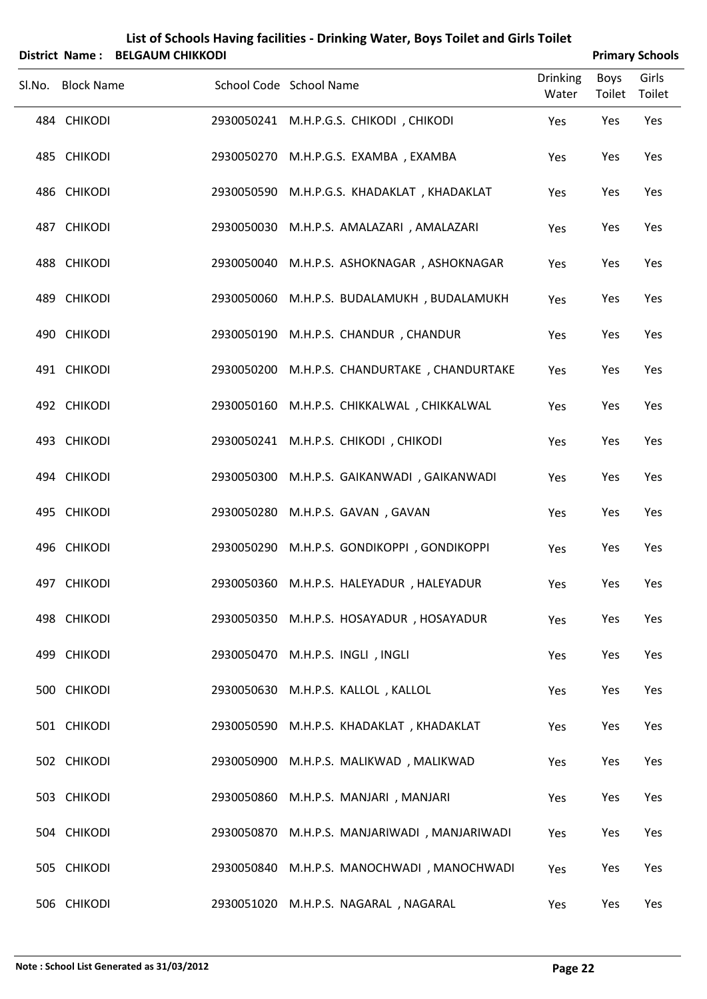| List of Schools Having facilities - Drinking Water, Boys Toilet and Girls Toilet |  |
|----------------------------------------------------------------------------------|--|
|                                                                                  |  |

| District Name: BELGAUM CHIKKODI |                                              |                          |                | <b>Primary Schools</b> |
|---------------------------------|----------------------------------------------|--------------------------|----------------|------------------------|
| Sl.No. Block Name               | School Code School Name                      | <b>Drinking</b><br>Water | Boys<br>Toilet | Girls<br>Toilet        |
| 484 CHIKODI                     | 2930050241 M.H.P.G.S. CHIKODI, CHIKODI       | Yes                      | Yes            | Yes                    |
| 485 CHIKODI                     | 2930050270 M.H.P.G.S. EXAMBA, EXAMBA         | Yes                      | Yes            | Yes                    |
| 486 CHIKODI                     | 2930050590 M.H.P.G.S. KHADAKLAT, KHADAKLAT   | Yes                      | Yes            | Yes                    |
| 487 CHIKODI                     | 2930050030 M.H.P.S. AMALAZARI, AMALAZARI     | Yes                      | Yes            | Yes                    |
| 488 CHIKODI                     | 2930050040 M.H.P.S. ASHOKNAGAR, ASHOKNAGAR   | Yes                      | Yes            | Yes                    |
| 489 CHIKODI                     | 2930050060 M.H.P.S. BUDALAMUKH, BUDALAMUKH   | Yes                      | Yes            | Yes                    |
| 490 CHIKODI                     | 2930050190 M.H.P.S. CHANDUR, CHANDUR         | Yes                      | Yes            | Yes                    |
| 491 CHIKODI                     | 2930050200 M.H.P.S. CHANDURTAKE, CHANDURTAKE | Yes                      | Yes            | Yes                    |
| 492 CHIKODI                     | 2930050160 M.H.P.S. CHIKKALWAL, CHIKKALWAL   | Yes                      | Yes            | Yes                    |
| 493 CHIKODI                     | 2930050241 M.H.P.S. CHIKODI, CHIKODI         | Yes                      | Yes            | Yes                    |
| 494 CHIKODI                     | 2930050300 M.H.P.S. GAIKANWADI, GAIKANWADI   | Yes                      | Yes            | Yes                    |
| 495 CHIKODI                     | 2930050280 M.H.P.S. GAVAN, GAVAN             | Yes                      | Yes            | Yes                    |
| 496 CHIKODI                     | 2930050290 M.H.P.S. GONDIKOPPI, GONDIKOPPI   | Yes                      | Yes            | Yes                    |
| 497 CHIKODI                     | 2930050360 M.H.P.S. HALEYADUR, HALEYADUR     | Yes                      | Yes            | Yes                    |
| 498 CHIKODI                     | 2930050350 M.H.P.S. HOSAYADUR, HOSAYADUR     | Yes                      | Yes            | Yes                    |
| 499 CHIKODI                     | 2930050470 M.H.P.S. INGLI, INGLI             | Yes                      | Yes            | Yes                    |
| 500 CHIKODI                     | 2930050630 M.H.P.S. KALLOL, KALLOL           | Yes                      | Yes            | Yes                    |
| 501 CHIKODI                     | 2930050590 M.H.P.S. KHADAKLAT, KHADAKLAT     | Yes                      | Yes            | Yes                    |
| 502 CHIKODI                     | 2930050900 M.H.P.S. MALIKWAD, MALIKWAD       | Yes                      | Yes            | Yes                    |
| 503 CHIKODI                     | 2930050860 M.H.P.S. MANJARI, MANJARI         | Yes                      | Yes            | Yes                    |
| 504 CHIKODI                     | 2930050870 M.H.P.S. MANJARIWADI, MANJARIWADI | Yes                      | Yes            | Yes                    |
| 505 CHIKODI                     | 2930050840 M.H.P.S. MANOCHWADI, MANOCHWADI   | Yes                      | Yes            | Yes                    |
| 506 CHIKODI                     | 2930051020 M.H.P.S. NAGARAL, NAGARAL         | Yes                      | Yes            | Yes                    |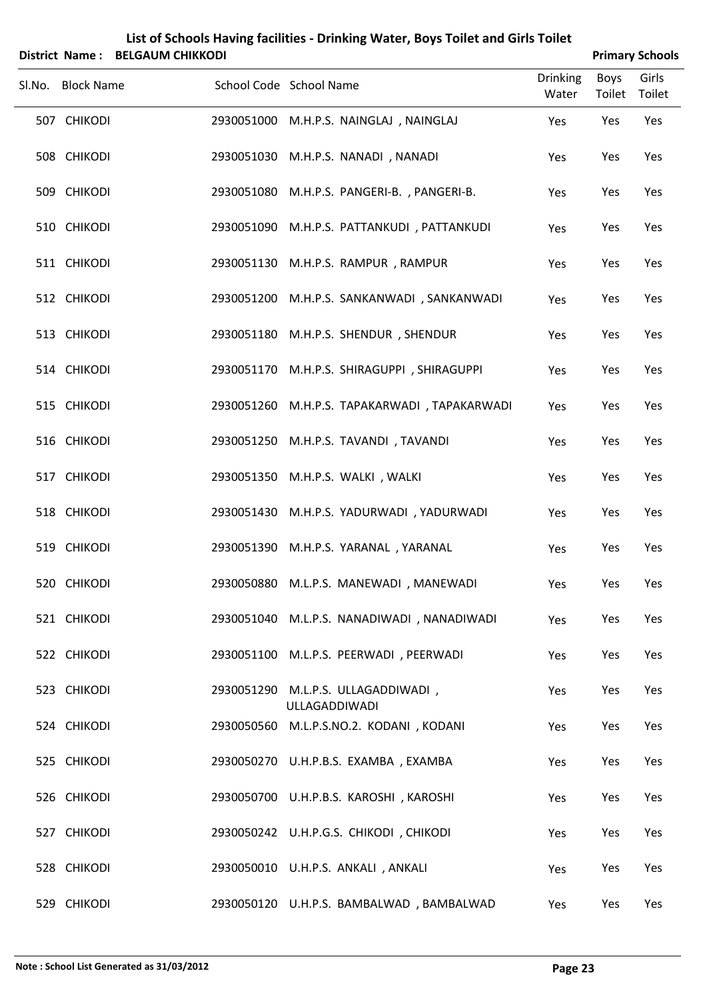| List of Schools Having facilities - Drinking Water, Boys Toilet and Girls Toilet<br>District Name: BELGAUM CHIKKODI |                   |  |            |                                                     |                          | <b>Primary Schools</b> |                 |  |
|---------------------------------------------------------------------------------------------------------------------|-------------------|--|------------|-----------------------------------------------------|--------------------------|------------------------|-----------------|--|
|                                                                                                                     | Sl.No. Block Name |  |            | School Code School Name                             | <b>Drinking</b><br>Water | Boys<br>Toilet         | Girls<br>Toilet |  |
|                                                                                                                     | 507 CHIKODI       |  |            | 2930051000 M.H.P.S. NAINGLAJ, NAINGLAJ              | Yes                      | Yes                    | Yes             |  |
|                                                                                                                     | 508 CHIKODI       |  |            | 2930051030 M.H.P.S. NANADI, NANADI                  | Yes                      | Yes                    | Yes             |  |
|                                                                                                                     | 509 CHIKODI       |  |            | 2930051080 M.H.P.S. PANGERI-B., PANGERI-B.          | Yes                      | Yes                    | Yes             |  |
|                                                                                                                     | 510 CHIKODI       |  |            | 2930051090 M.H.P.S. PATTANKUDI, PATTANKUDI          | Yes                      | Yes                    | Yes             |  |
|                                                                                                                     | 511 CHIKODI       |  |            | 2930051130 M.H.P.S. RAMPUR, RAMPUR                  | Yes                      | Yes                    | Yes             |  |
|                                                                                                                     | 512 CHIKODI       |  |            | 2930051200 M.H.P.S. SANKANWADI, SANKANWADI          | Yes                      | Yes                    | Yes             |  |
|                                                                                                                     | 513 CHIKODI       |  | 2930051180 | M.H.P.S. SHENDUR, SHENDUR                           | Yes                      | Yes                    | Yes             |  |
|                                                                                                                     | 514 CHIKODI       |  |            | 2930051170 M.H.P.S. SHIRAGUPPI, SHIRAGUPPI          | Yes                      | Yes                    | Yes             |  |
|                                                                                                                     | 515 CHIKODI       |  |            | 2930051260 M.H.P.S. TAPAKARWADI, TAPAKARWADI        | Yes                      | Yes                    | Yes             |  |
|                                                                                                                     | 516 CHIKODI       |  |            | 2930051250 M.H.P.S. TAVANDI, TAVANDI                | Yes                      | Yes                    | Yes             |  |
|                                                                                                                     | 517 CHIKODI       |  |            | 2930051350 M.H.P.S. WALKI, WALKI                    | Yes                      | Yes                    | Yes             |  |
|                                                                                                                     | 518 CHIKODI       |  |            | 2930051430 M.H.P.S. YADURWADI, YADURWADI            | Yes                      | Yes                    | Yes             |  |
|                                                                                                                     | 519 CHIKODI       |  |            | 2930051390 M.H.P.S. YARANAL, YARANAL                | Yes                      | Yes                    | Yes             |  |
|                                                                                                                     | 520 CHIKODI       |  |            | 2930050880 M.L.P.S. MANEWADI, MANEWADI              | Yes                      | Yes                    | Yes             |  |
|                                                                                                                     | 521 CHIKODI       |  |            | 2930051040 M.L.P.S. NANADIWADI, NANADIWADI          | Yes                      | Yes                    | Yes             |  |
|                                                                                                                     | 522 CHIKODI       |  | 2930051100 | M.L.P.S. PEERWADI, PEERWADI                         | Yes                      | Yes                    | Yes             |  |
|                                                                                                                     | 523 CHIKODI       |  |            | 2930051290 M.L.P.S. ULLAGADDIWADI,<br>ULLAGADDIWADI | Yes                      | Yes                    | Yes             |  |
|                                                                                                                     | 524 CHIKODI       |  |            | 2930050560 M.L.P.S.NO.2. KODANI, KODANI             | Yes                      | Yes                    | Yes             |  |
|                                                                                                                     | 525 CHIKODI       |  |            | 2930050270 U.H.P.B.S. EXAMBA, EXAMBA                | Yes                      | Yes                    | Yes             |  |
|                                                                                                                     | 526 CHIKODI       |  |            | 2930050700 U.H.P.B.S. KAROSHI, KAROSHI              | Yes                      | Yes                    | Yes             |  |
|                                                                                                                     | 527 CHIKODI       |  |            | 2930050242 U.H.P.G.S. CHIKODI, CHIKODI              | Yes                      | Yes                    | Yes             |  |
|                                                                                                                     | 528 CHIKODI       |  |            | 2930050010 U.H.P.S. ANKALI, ANKALI                  | Yes                      | Yes                    | Yes             |  |
|                                                                                                                     | 529 CHIKODI       |  |            | 2930050120 U.H.P.S. BAMBALWAD, BAMBALWAD            | Yes                      | Yes                    | Yes             |  |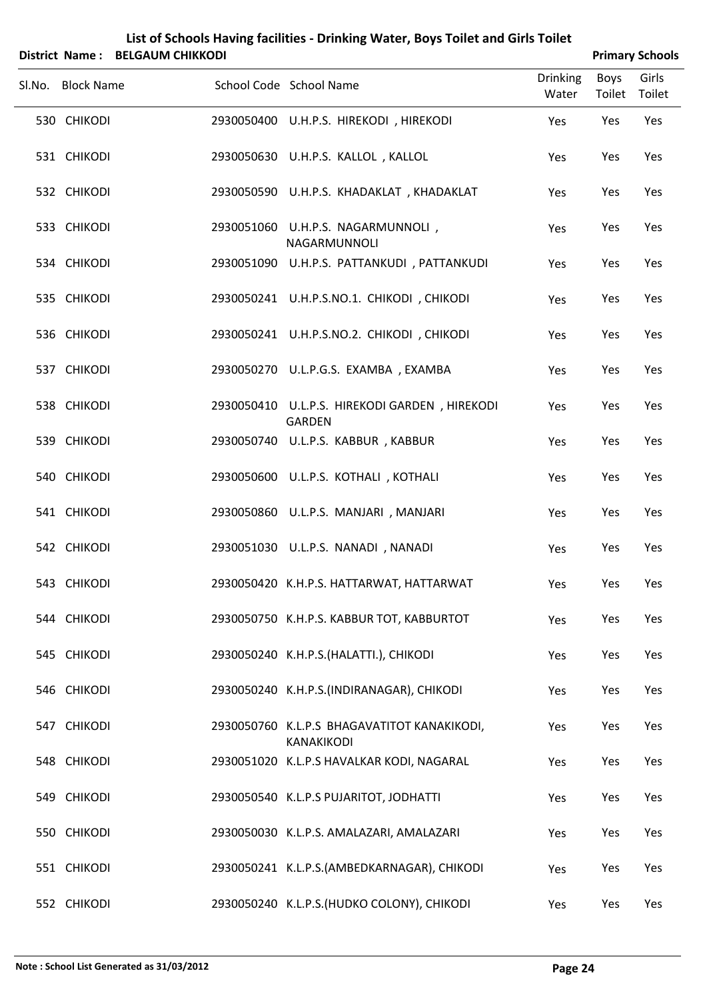|   | List of Schools Having facilities - Drinking Water, Boys Toilet and Girls Toilet |
|---|----------------------------------------------------------------------------------|
| . | $P = 1$                                                                          |

| District Name: BELGAUM CHIKKODI |                                                                |                          |                | <b>Primary Schools</b> |
|---------------------------------|----------------------------------------------------------------|--------------------------|----------------|------------------------|
| Sl.No. Block Name               | School Code School Name                                        | <b>Drinking</b><br>Water | Boys<br>Toilet | Girls<br>Toilet        |
| 530 CHIKODI                     | 2930050400 U.H.P.S. HIREKODI, HIREKODI                         | Yes                      | Yes            | Yes                    |
| 531 CHIKODI                     | 2930050630 U.H.P.S. KALLOL, KALLOL                             | Yes                      | Yes            | Yes                    |
| 532 CHIKODI                     | 2930050590 U.H.P.S. KHADAKLAT, KHADAKLAT                       | Yes                      | Yes            | Yes                    |
| 533 CHIKODI                     | 2930051060 U.H.P.S. NAGARMUNNOLI,<br>NAGARMUNNOLI              | Yes                      | Yes            | Yes                    |
| 534 CHIKODI                     | 2930051090 U.H.P.S. PATTANKUDI, PATTANKUDI                     | Yes                      | Yes            | Yes                    |
| 535 CHIKODI                     | 2930050241 U.H.P.S.NO.1. CHIKODI, CHIKODI                      | Yes                      | Yes            | Yes                    |
| 536 CHIKODI                     | 2930050241 U.H.P.S.NO.2. CHIKODI, CHIKODI                      | Yes                      | Yes            | Yes                    |
| 537 CHIKODI                     | 2930050270 U.L.P.G.S. EXAMBA, EXAMBA                           | Yes                      | Yes            | Yes                    |
| 538 CHIKODI                     | 2930050410 U.L.P.S. HIREKODI GARDEN, HIREKODI<br><b>GARDEN</b> | Yes                      | Yes            | Yes                    |
| 539 CHIKODI                     | 2930050740 U.L.P.S. KABBUR, KABBUR                             | Yes                      | Yes            | Yes                    |
| 540 CHIKODI                     | 2930050600 U.L.P.S. KOTHALI, KOTHALI                           | Yes                      | Yes            | Yes                    |
| 541 CHIKODI                     | 2930050860 U.L.P.S. MANJARI , MANJARI                          | Yes                      | Yes            | Yes                    |
| 542 CHIKODI                     | 2930051030 U.L.P.S. NANADI , NANADI                            | Yes                      | Yes            | Yes                    |
| 543 CHIKODI                     | 2930050420 K.H.P.S. HATTARWAT, HATTARWAT                       | Yes                      | Yes            | Yes                    |
| 544 CHIKODI                     | 2930050750 K.H.P.S. KABBUR TOT, KABBURTOT                      | Yes                      | Yes            | Yes                    |
| 545 CHIKODI                     | 2930050240 K.H.P.S.(HALATTI.), CHIKODI                         | Yes                      | Yes            | Yes                    |
| 546 CHIKODI                     | 2930050240 K.H.P.S.(INDIRANAGAR), CHIKODI                      | Yes                      | Yes            | Yes                    |
| 547 CHIKODI                     | 2930050760 K.L.P.S BHAGAVATITOT KANAKIKODI,<br>KANAKIKODI      | Yes                      | Yes            | Yes                    |
| 548 CHIKODI                     | 2930051020 K.L.P.S HAVALKAR KODI, NAGARAL                      | Yes                      | Yes            | Yes                    |
| 549 CHIKODI                     | 2930050540 K.L.P.S PUJARITOT, JODHATTI                         | Yes                      | Yes            | Yes                    |
| 550 CHIKODI                     | 2930050030 K.L.P.S. AMALAZARI, AMALAZARI                       | Yes                      | Yes            | Yes                    |
| 551 CHIKODI                     | 2930050241 K.L.P.S.(AMBEDKARNAGAR), CHIKODI                    | Yes                      | Yes            | Yes                    |
| 552 CHIKODI                     | 2930050240 K.L.P.S. (HUDKO COLONY), CHIKODI                    | Yes                      | Yes            | Yes                    |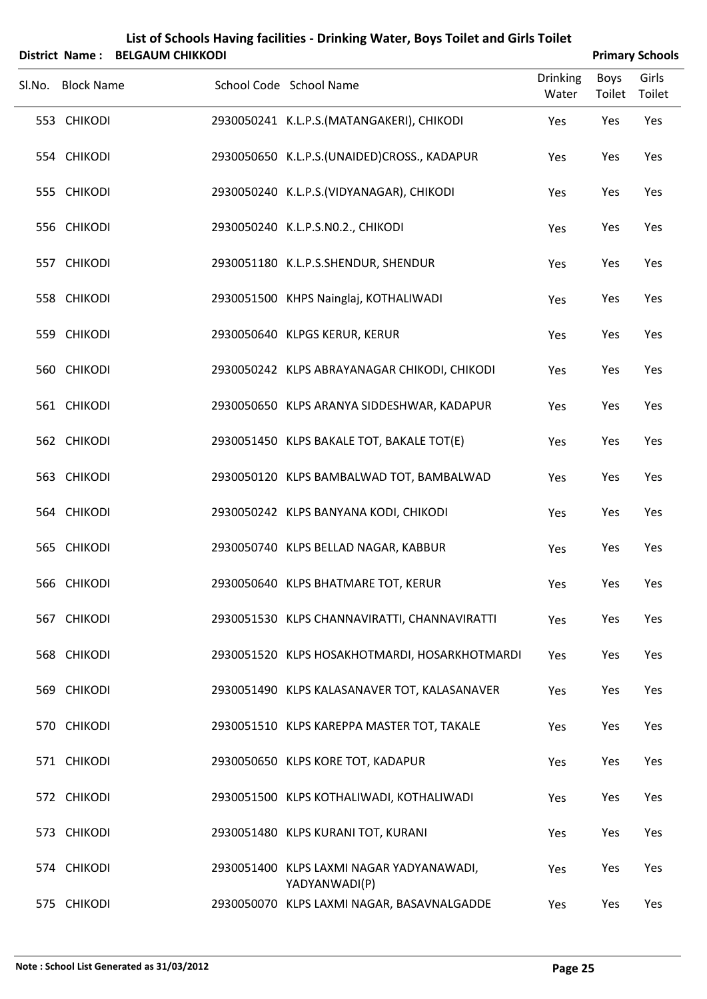|        | <b>District Name:</b> | <b>BELGAUM CHIKKODI</b> | List of Schools Having facilities - Drinking Water, Boys Toilet and Girls Toilet |                          |                | <b>Primary Schools</b> |
|--------|-----------------------|-------------------------|----------------------------------------------------------------------------------|--------------------------|----------------|------------------------|
| Sl.No. | <b>Block Name</b>     |                         | School Code School Name                                                          | <b>Drinking</b><br>Water | Boys<br>Toilet | Girls<br>Toilet        |
|        | 553 CHIKODI           |                         | 2930050241 K.L.P.S.(MATANGAKERI), CHIKODI                                        | Yes                      | Yes            | Yes                    |
|        | 554 CHIKODI           |                         | 2930050650 K.L.P.S.(UNAIDED)CROSS., KADAPUR                                      | Yes                      | Yes            | Yes                    |
|        | 555 CHIKODI           |                         | 2930050240 K.L.P.S.(VIDYANAGAR), CHIKODI                                         | Yes                      | Yes            | Yes                    |
|        | 556 CHIKODI           |                         | 2930050240 K.L.P.S.NO.2., CHIKODI                                                | Yes                      | Yes            | Yes                    |
|        | 557 CHIKODI           |                         | 2930051180 K.L.P.S.SHENDUR, SHENDUR                                              | Yes                      | Yes            | Yes                    |
|        | 558 CHIKODI           |                         | 2930051500 KHPS Nainglaj, KOTHALIWADI                                            | Yes                      | Yes            | Yes                    |
|        | 559 CHIKODI           |                         | 2930050640 KLPGS KERUR, KERUR                                                    | Yes                      | Yes            | Yes                    |
|        | 560 CHIKODI           |                         | 2930050242 KLPS ABRAYANAGAR CHIKODI, CHIKODI                                     | Yes                      | Yes            | Yes                    |
|        | 561 CHIKODI           |                         | 2930050650 KLPS ARANYA SIDDESHWAR, KADAPUR                                       | Yes                      | Yes            | Yes                    |
|        | 562 CHIKODI           |                         | 2930051450 KLPS BAKALE TOT, BAKALE TOT(E)                                        | Yes                      | Yes            | Yes                    |
|        | 563 CHIKODI           |                         | 2930050120 KLPS BAMBALWAD TOT, BAMBALWAD                                         | Yes                      | Yes            | Yes                    |
|        | 564 CHIKODI           |                         | 2930050242 KLPS BANYANA KODI, CHIKODI                                            | Yes                      | Yes            | Yes                    |
|        | 565 CHIKODI           |                         | 2930050740 KLPS BELLAD NAGAR, KABBUR                                             | Yes                      | Yes            | Yes                    |
|        | 566 CHIKODI           |                         | 2930050640 KLPS BHATMARE TOT, KERUR                                              | Yes                      | Yes            | Yes                    |
|        | 567 CHIKODI           |                         | 2930051530 KLPS CHANNAVIRATTI, CHANNAVIRATTI                                     | Yes                      | Yes            | Yes                    |
|        | 568 CHIKODI           |                         | 2930051520 KLPS HOSAKHOTMARDI, HOSARKHOTMARDI                                    | Yes                      | Yes            | Yes                    |
|        | 569 CHIKODI           |                         | 2930051490 KLPS KALASANAVER TOT, KALASANAVER                                     | Yes                      | Yes            | Yes                    |
|        | 570 CHIKODI           |                         | 2930051510 KLPS KAREPPA MASTER TOT, TAKALE                                       | Yes                      | Yes            | Yes                    |
|        | 571 CHIKODI           |                         | 2930050650 KLPS KORE TOT, KADAPUR                                                | Yes                      | Yes            | Yes                    |
|        | 572 CHIKODI           |                         | 2930051500 KLPS KOTHALIWADI, KOTHALIWADI                                         | Yes                      | Yes            | Yes                    |
|        | 573 CHIKODI           |                         | 2930051480 KLPS KURANI TOT, KURANI                                               | Yes                      | Yes            | Yes                    |
|        | 574 CHIKODI           |                         | 2930051400 KLPS LAXMI NAGAR YADYANAWADI,<br>YADYANWADI(P)                        | Yes                      | Yes            | Yes                    |
|        | 575 CHIKODI           |                         | 2930050070 KLPS LAXMI NAGAR, BASAVNALGADDE                                       | Yes                      | Yes            | Yes                    |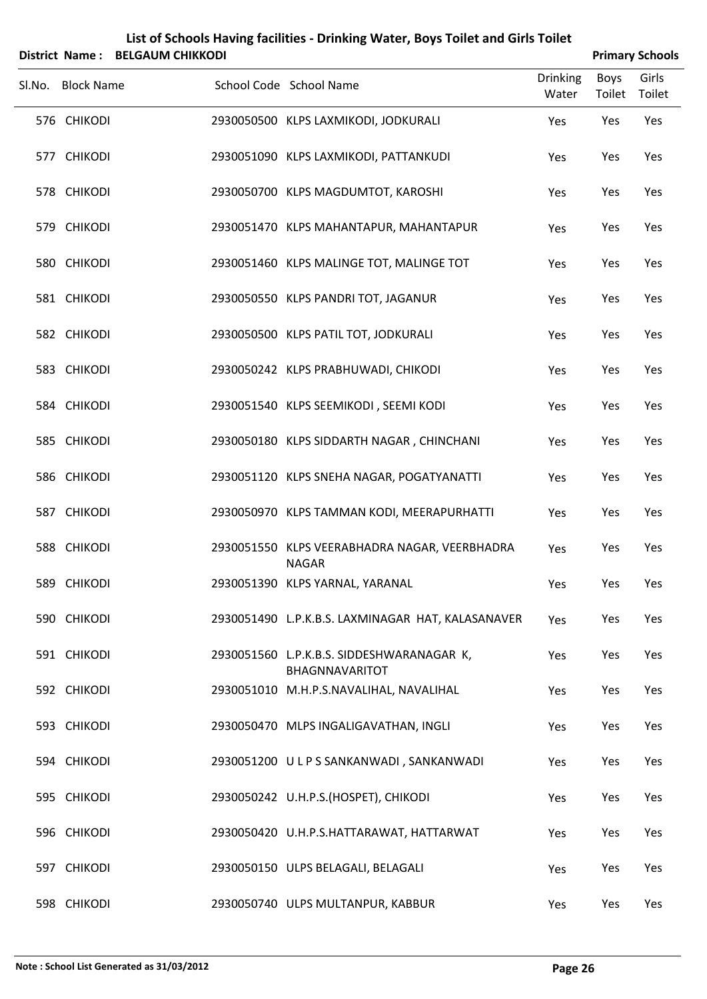|        | <b>District Name:</b> | <b>BELGAUM CHIKKODI</b> | List of Schools Having facilities - Drinking Water, Boys Toilet and Girls Toilet |                          |                | <b>Primary Schools</b> |
|--------|-----------------------|-------------------------|----------------------------------------------------------------------------------|--------------------------|----------------|------------------------|
| Sl.No. | <b>Block Name</b>     |                         | School Code School Name                                                          | <b>Drinking</b><br>Water | Boys<br>Toilet | Girls<br>Toilet        |
|        | 576 CHIKODI           |                         | 2930050500 KLPS LAXMIKODI, JODKURALI                                             | Yes                      | Yes            | Yes                    |
|        | 577 CHIKODI           |                         | 2930051090 KLPS LAXMIKODI, PATTANKUDI                                            | Yes                      | Yes            | Yes                    |
|        | 578 CHIKODI           |                         | 2930050700 KLPS MAGDUMTOT, KAROSHI                                               | Yes                      | Yes            | Yes                    |
|        | 579 CHIKODI           |                         | 2930051470 KLPS MAHANTAPUR, MAHANTAPUR                                           | Yes                      | Yes            | Yes                    |
|        | 580 CHIKODI           |                         | 2930051460 KLPS MALINGE TOT, MALINGE TOT                                         | Yes                      | Yes            | Yes                    |
|        | 581 CHIKODI           |                         | 2930050550 KLPS PANDRI TOT, JAGANUR                                              | Yes                      | Yes            | Yes                    |
|        | 582 CHIKODI           |                         | 2930050500 KLPS PATIL TOT, JODKURALI                                             | Yes                      | Yes            | Yes                    |
|        | 583 CHIKODI           |                         | 2930050242 KLPS PRABHUWADI, CHIKODI                                              | Yes                      | Yes            | Yes                    |
|        | 584 CHIKODI           |                         | 2930051540 KLPS SEEMIKODI, SEEMI KODI                                            | Yes                      | Yes            | Yes                    |
|        | 585 CHIKODI           |                         | 2930050180 KLPS SIDDARTH NAGAR, CHINCHANI                                        | Yes                      | Yes            | Yes                    |
|        | 586 CHIKODI           |                         | 2930051120 KLPS SNEHA NAGAR, POGATYANATTI                                        | Yes                      | Yes            | Yes                    |
|        | 587 CHIKODI           |                         | 2930050970 KLPS TAMMAN KODI, MEERAPURHATTI                                       | Yes                      | Yes            | Yes                    |
|        | 588 CHIKODI           |                         | 2930051550 KLPS VEERABHADRA NAGAR, VEERBHADRA<br><b>NAGAR</b>                    | Yes                      | Yes            | Yes                    |
|        | 589 CHIKODI           |                         | 2930051390 KLPS YARNAL, YARANAL                                                  | Yes                      | Yes            | Yes                    |
|        | 590 CHIKODI           |                         | 2930051490 L.P.K.B.S. LAXMINAGAR HAT, KALASANAVER                                | Yes                      | Yes            | Yes                    |
|        | 591 CHIKODI           |                         | 2930051560 L.P.K.B.S. SIDDESHWARANAGAR K,<br>BHAGNNAVARITOT                      | Yes                      | Yes            | Yes                    |
|        | 592 CHIKODI           |                         | 2930051010 M.H.P.S.NAVALIHAL, NAVALIHAL                                          | Yes                      | Yes            | Yes                    |
|        | 593 CHIKODI           |                         | 2930050470 MLPS INGALIGAVATHAN, INGLI                                            | Yes                      | Yes            | Yes                    |
|        | 594 CHIKODI           |                         | 2930051200 ULPS SANKANWADI, SANKANWADI                                           | Yes                      | Yes            | Yes                    |
|        | 595 CHIKODI           |                         | 2930050242 U.H.P.S.(HOSPET), CHIKODI                                             | Yes                      | Yes            | Yes                    |
|        | 596 CHIKODI           |                         | 2930050420 U.H.P.S.HATTARAWAT, HATTARWAT                                         | Yes                      | Yes            | Yes                    |
|        | 597 CHIKODI           |                         | 2930050150 ULPS BELAGALI, BELAGALI                                               | Yes                      | Yes            | Yes                    |
|        | 598 CHIKODI           |                         | 2930050740 ULPS MULTANPUR, KABBUR                                                | Yes                      | Yes            | Yes                    |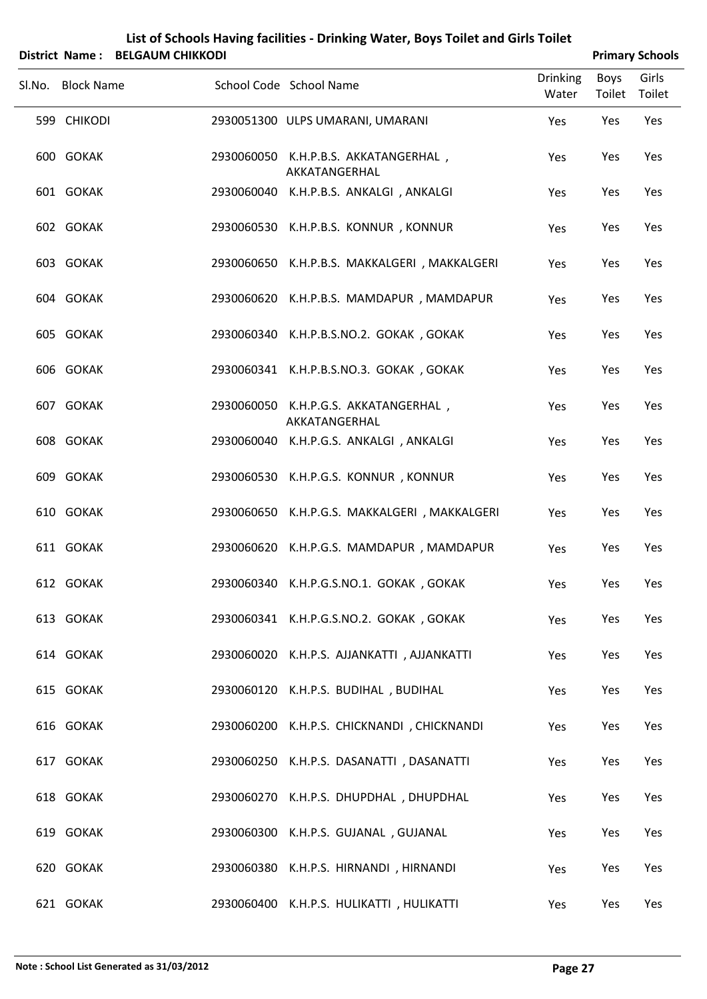| List of Schools Having facilities - Drinking Water, Boys Toilet and Girls Toilet |
|----------------------------------------------------------------------------------|
|                                                                                  |

|                   | District Name: BELGAUM CHIKKODI |                                                       |                          |                | <b>Primary Schools</b> |
|-------------------|---------------------------------|-------------------------------------------------------|--------------------------|----------------|------------------------|
| Sl.No. Block Name |                                 | School Code School Name                               | <b>Drinking</b><br>Water | Boys<br>Toilet | Girls<br>Toilet        |
| 599 CHIKODI       |                                 | 2930051300 ULPS UMARANI, UMARANI                      | Yes                      | Yes            | Yes                    |
| 600 GOKAK         |                                 | 2930060050 K.H.P.B.S. AKKATANGERHAL,<br>AKKATANGERHAL | Yes                      | Yes            | Yes                    |
| 601 GOKAK         |                                 | 2930060040 K.H.P.B.S. ANKALGI, ANKALGI                | Yes                      | Yes            | Yes                    |
| 602 GOKAK         |                                 | 2930060530 K.H.P.B.S. KONNUR, KONNUR                  | Yes                      | Yes            | Yes                    |
| 603 GOKAK         |                                 | 2930060650 K.H.P.B.S. MAKKALGERI, MAKKALGERI          | Yes                      | Yes            | Yes                    |
| 604 GOKAK         |                                 | 2930060620 K.H.P.B.S. MAMDAPUR, MAMDAPUR              | Yes                      | Yes            | Yes                    |
| 605 GOKAK         |                                 | 2930060340 K.H.P.B.S.NO.2. GOKAK, GOKAK               | Yes                      | Yes            | Yes                    |
| 606 GOKAK         |                                 | 2930060341 K.H.P.B.S.NO.3. GOKAK, GOKAK               | Yes                      | Yes            | Yes                    |
| 607 GOKAK         |                                 | 2930060050 K.H.P.G.S. AKKATANGERHAL,<br>AKKATANGERHAL | Yes                      | Yes            | Yes                    |
| 608 GOKAK         |                                 | 2930060040 K.H.P.G.S. ANKALGI, ANKALGI                | Yes                      | Yes            | Yes                    |
| 609 GOKAK         |                                 | 2930060530 K.H.P.G.S. KONNUR, KONNUR                  | Yes                      | Yes            | Yes                    |
| 610 GOKAK         |                                 | 2930060650 K.H.P.G.S. MAKKALGERI, MAKKALGERI          | Yes                      | Yes            | Yes                    |
| 611 GOKAK         |                                 | 2930060620 K.H.P.G.S. MAMDAPUR, MAMDAPUR              | Yes                      | Yes            | Yes                    |
| 612 GOKAK         |                                 | 2930060340 K.H.P.G.S.NO.1. GOKAK, GOKAK               | Yes                      | Yes            | Yes                    |
| 613 GOKAK         |                                 | 2930060341 K.H.P.G.S.NO.2. GOKAK, GOKAK               | Yes                      | Yes            | Yes                    |
| 614 GOKAK         |                                 | 2930060020 K.H.P.S. AJJANKATTI, AJJANKATTI            | Yes                      | Yes            | Yes                    |
| 615 GOKAK         |                                 | 2930060120 K.H.P.S. BUDIHAL, BUDIHAL                  | Yes                      | Yes            | Yes                    |
| 616 GOKAK         |                                 | 2930060200 K.H.P.S. CHICKNANDI, CHICKNANDI            | Yes                      | Yes            | Yes                    |
| 617 GOKAK         |                                 | 2930060250 K.H.P.S. DASANATTI, DASANATTI              | Yes                      | Yes            | Yes                    |
| 618 GOKAK         |                                 | 2930060270 K.H.P.S. DHUPDHAL, DHUPDHAL                | Yes                      | Yes            | Yes                    |
| 619 GOKAK         |                                 | 2930060300 K.H.P.S. GUJANAL, GUJANAL                  | Yes                      | Yes            | Yes                    |
| 620 GOKAK         |                                 | 2930060380 K.H.P.S. HIRNANDI, HIRNANDI                | Yes                      | Yes            | Yes                    |
| 621 GOKAK         |                                 | 2930060400 K.H.P.S. HULIKATTI, HULIKATTI              | Yes                      | Yes            | Yes                    |

 $\frac{1}{2}$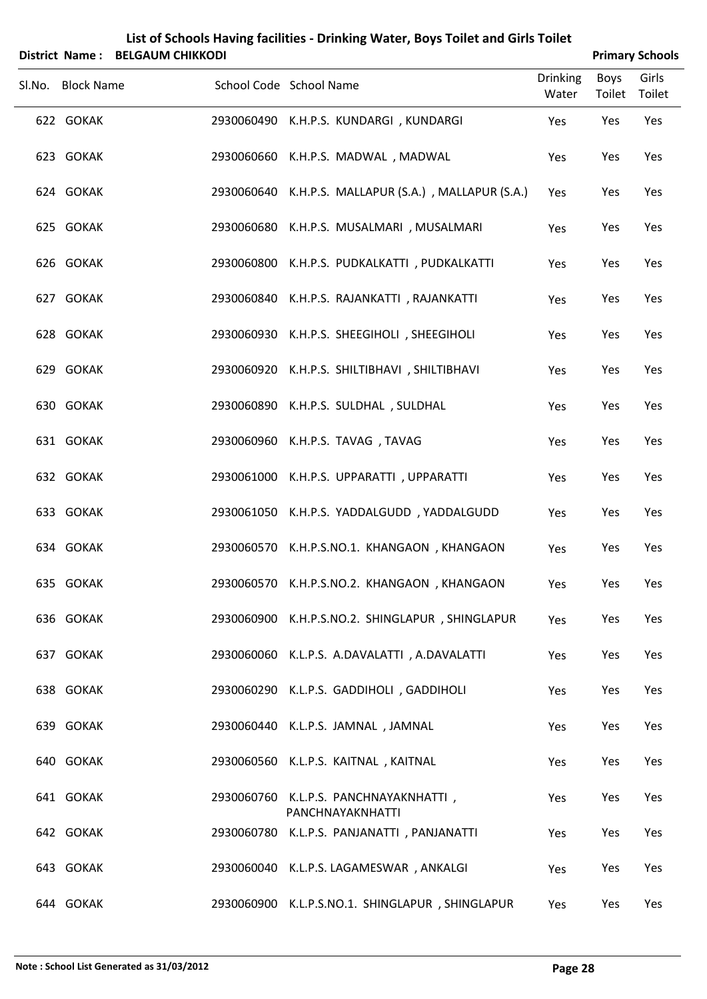| List of Schools Having facilities - Drinking Water, Boys Toilet and Girls Toilet |
|----------------------------------------------------------------------------------|
| District Name: RELGALIM CHIKKODL                                                 |

| <b>Primary Schools</b> |
|------------------------|
|                        |

| DISTITT IN THE PELOADIN CHINNODI |                                                           |                          |                | <b>FIIIIIAI Y JUIUUIS</b> |
|----------------------------------|-----------------------------------------------------------|--------------------------|----------------|---------------------------|
| Sl.No. Block Name                | School Code School Name                                   | <b>Drinking</b><br>Water | Boys<br>Toilet | Girls<br>Toilet           |
| 622 GOKAK                        | 2930060490 K.H.P.S. KUNDARGI, KUNDARGI                    | Yes                      | Yes            | Yes                       |
| 623 GOKAK                        | 2930060660 K.H.P.S. MADWAL, MADWAL                        | Yes                      | Yes            | Yes                       |
| 624 GOKAK                        | 2930060640 K.H.P.S. MALLAPUR (S.A.), MALLAPUR (S.A.)      | Yes                      | Yes            | Yes                       |
| 625 GOKAK                        | 2930060680 K.H.P.S. MUSALMARI , MUSALMARI                 | Yes                      | Yes            | Yes                       |
| 626 GOKAK                        | 2930060800 K.H.P.S. PUDKALKATTI, PUDKALKATTI              | Yes                      | Yes            | Yes                       |
| 627 GOKAK                        | 2930060840 K.H.P.S. RAJANKATTI, RAJANKATTI                | Yes                      | Yes            | Yes                       |
| 628 GOKAK                        | 2930060930 K.H.P.S. SHEEGIHOLI, SHEEGIHOLI                | Yes                      | Yes            | Yes                       |
| 629 GOKAK                        | 2930060920 K.H.P.S. SHILTIBHAVI, SHILTIBHAVI              | Yes                      | Yes            | Yes                       |
| 630 GOKAK                        | 2930060890 K.H.P.S. SULDHAL, SULDHAL                      | Yes                      | Yes            | Yes                       |
| 631 GOKAK                        | 2930060960 K.H.P.S. TAVAG, TAVAG                          | Yes                      | Yes            | Yes                       |
| 632 GOKAK                        | 2930061000 K.H.P.S. UPPARATTI, UPPARATTI                  | Yes                      | Yes            | Yes                       |
| 633 GOKAK                        | 2930061050 K.H.P.S. YADDALGUDD, YADDALGUDD                | Yes                      | Yes            | Yes                       |
| 634 GOKAK                        | 2930060570 K.H.P.S.NO.1. KHANGAON, KHANGAON               | Yes                      | Yes            | Yes                       |
| 635 GOKAK                        | 2930060570 K.H.P.S.NO.2. KHANGAON, KHANGAON               | Yes                      | Yes            | Yes                       |
| 636 GOKAK                        | 2930060900 K.H.P.S.NO.2. SHINGLAPUR, SHINGLAPUR           | Yes                      | Yes            | Yes                       |
| 637 GOKAK                        | 2930060060 K.L.P.S. A.DAVALATTI, A.DAVALATTI              | Yes                      | Yes            | Yes                       |
| 638 GOKAK                        | 2930060290 K.L.P.S. GADDIHOLI, GADDIHOLI                  | Yes                      | Yes            | Yes                       |
| 639 GOKAK                        | 2930060440 K.L.P.S. JAMNAL, JAMNAL                        | Yes                      | Yes            | Yes                       |
| 640 GOKAK                        | 2930060560 K.L.P.S. KAITNAL, KAITNAL                      | Yes                      | Yes            | Yes                       |
| 641 GOKAK                        | 2930060760 K.L.P.S. PANCHNAYAKNHATTI,<br>PANCHNAYAKNHATTI | Yes                      | Yes            | Yes                       |
| 642 GOKAK                        | 2930060780 K.L.P.S. PANJANATTI, PANJANATTI                | Yes                      | Yes            | Yes                       |
| 643 GOKAK                        | 2930060040 K.L.P.S. LAGAMESWAR, ANKALGI                   | Yes                      | Yes            | Yes                       |
| 644 GOKAK                        | 2930060900 K.L.P.S.NO.1. SHINGLAPUR, SHINGLAPUR           | Yes                      | Yes            | Yes                       |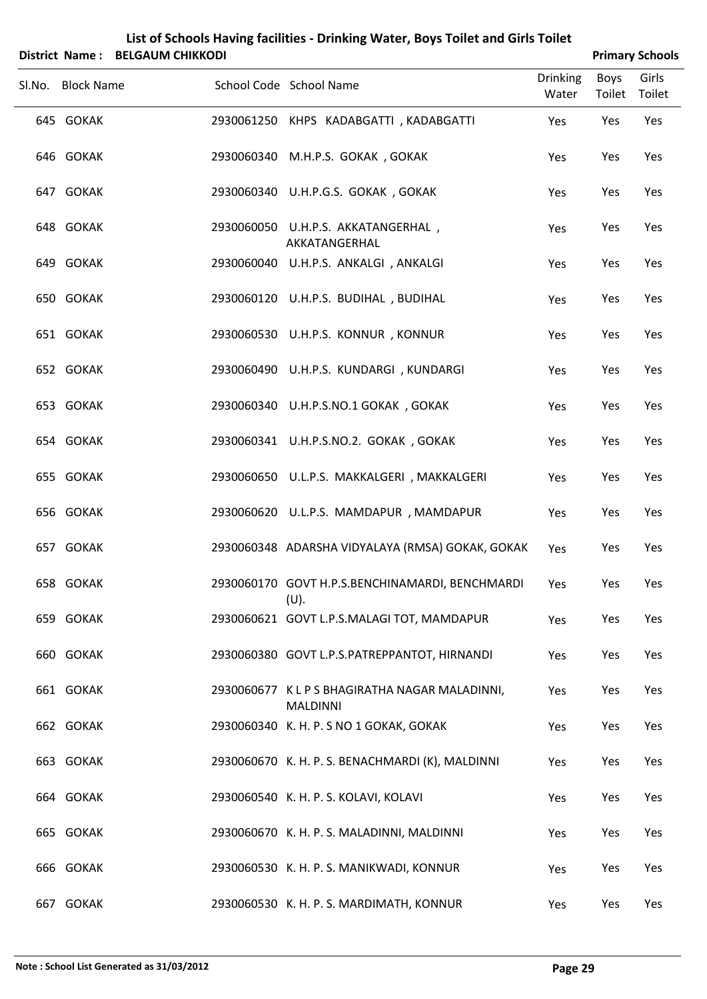|   | List of Schools Having facilities - Drinking Water, Boys Toilet and Girls Toilet |
|---|----------------------------------------------------------------------------------|
| . | _____________________                                                            |

| District Name: BELGAUM CHIKKODI |                                                                |                          |                | <b>Primary Schools</b> |
|---------------------------------|----------------------------------------------------------------|--------------------------|----------------|------------------------|
| Sl.No. Block Name               | School Code School Name                                        | <b>Drinking</b><br>Water | Boys<br>Toilet | Girls<br>Toilet        |
| 645 GOKAK                       | 2930061250 KHPS KADABGATTI, KADABGATTI                         | Yes                      | Yes            | Yes                    |
| 646 GOKAK                       | 2930060340 M.H.P.S. GOKAK, GOKAK                               | Yes                      | Yes            | Yes                    |
| 647 GOKAK                       | 2930060340 U.H.P.G.S. GOKAK, GOKAK                             | Yes                      | Yes            | Yes                    |
| 648 GOKAK                       | 2930060050 U.H.P.S. AKKATANGERHAL,<br>AKKATANGERHAL            | Yes                      | Yes            | Yes                    |
| 649 GOKAK                       | 2930060040 U.H.P.S. ANKALGI, ANKALGI                           | Yes                      | Yes            | Yes                    |
| 650 GOKAK                       | 2930060120 U.H.P.S. BUDIHAL, BUDIHAL                           | Yes                      | Yes            | Yes                    |
| 651 GOKAK                       | 2930060530 U.H.P.S. KONNUR, KONNUR                             | Yes                      | Yes            | Yes                    |
| 652 GOKAK                       | 2930060490 U.H.P.S. KUNDARGI, KUNDARGI                         | Yes                      | Yes            | Yes                    |
| 653 GOKAK                       | 2930060340 U.H.P.S.NO.1 GOKAK, GOKAK                           | Yes                      | Yes            | Yes                    |
| 654 GOKAK                       | 2930060341 U.H.P.S.NO.2. GOKAK, GOKAK                          | Yes                      | Yes            | Yes                    |
| 655 GOKAK                       | 2930060650 U.L.P.S. MAKKALGERI, MAKKALGERI                     | Yes                      | Yes            | Yes                    |
| 656 GOKAK                       | 2930060620 U.L.P.S. MAMDAPUR, MAMDAPUR                         | Yes                      | Yes            | Yes                    |
| 657 GOKAK                       | 2930060348 ADARSHA VIDYALAYA (RMSA) GOKAK, GOKAK               | Yes                      | Yes            | Yes                    |
| 658 GOKAK                       | 2930060170 GOVT H.P.S.BENCHINAMARDI, BENCHMARDI<br>$(U)$ .     | Yes                      | Yes            | Yes                    |
| 659 GOKAK                       | 2930060621 GOVT L.P.S.MALAGI TOT, MAMDAPUR                     | Yes                      | Yes            | Yes                    |
| 660 GOKAK                       | 2930060380 GOVT L.P.S.PATREPPANTOT, HIRNANDI                   | Yes                      | Yes            | Yes                    |
| 661 GOKAK                       | 2930060677 KLPS BHAGIRATHA NAGAR MALADINNI,<br><b>MALDINNI</b> | Yes                      | Yes            | Yes                    |
| 662 GOKAK                       | 2930060340 K. H. P. S NO 1 GOKAK, GOKAK                        | Yes                      | Yes            | Yes                    |
| 663 GOKAK                       | 2930060670 K. H. P. S. BENACHMARDI (K), MALDINNI               | Yes                      | Yes            | Yes                    |
| 664 GOKAK                       | 2930060540 K. H. P. S. KOLAVI, KOLAVI                          | Yes                      | Yes            | Yes                    |
| 665 GOKAK                       | 2930060670 K. H. P. S. MALADINNI, MALDINNI                     | Yes                      | Yes            | Yes                    |
| 666 GOKAK                       | 2930060530 K. H. P. S. MANIKWADI, KONNUR                       | Yes                      | Yes            | Yes                    |
| 667 GOKAK                       | 2930060530 K. H. P. S. MARDIMATH, KONNUR                       | Yes                      | Yes            | Yes                    |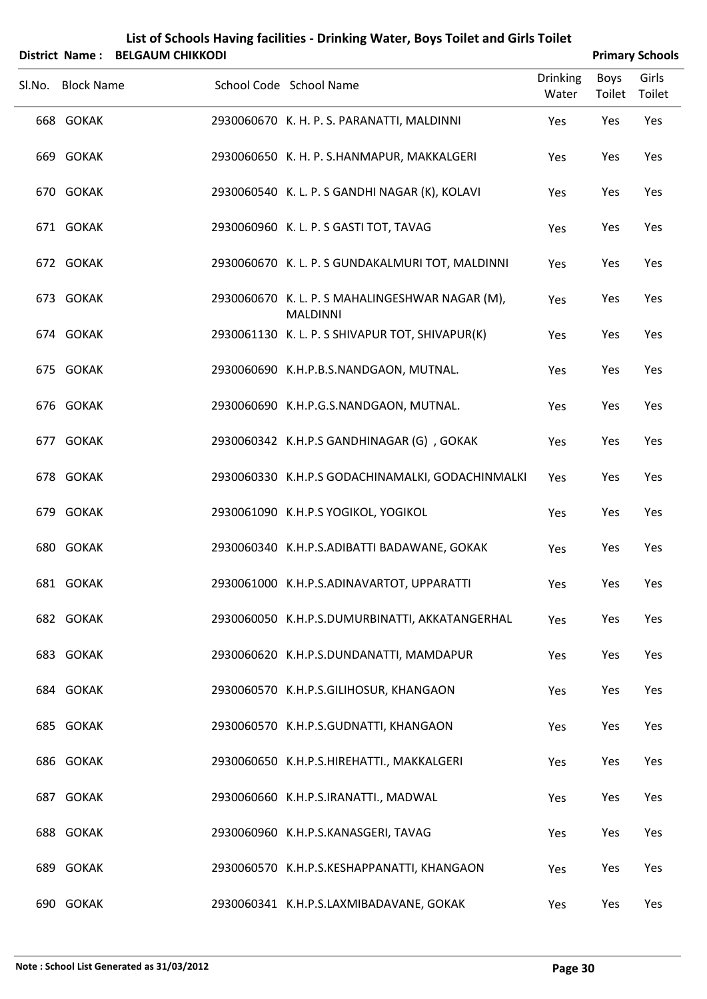| List of Schools Having facilities - Drinking Water, Boys Toilet and Girls Toilet |
|----------------------------------------------------------------------------------|
| -------------------                                                              |

|        |                   | District Name: BELGAUM CHIKKODI |                                                                    |                          |                | <b>Primary Schools</b> |
|--------|-------------------|---------------------------------|--------------------------------------------------------------------|--------------------------|----------------|------------------------|
| SI.No. | <b>Block Name</b> |                                 | School Code School Name                                            | <b>Drinking</b><br>Water | Boys<br>Toilet | Girls<br>Toilet        |
|        | 668 GOKAK         |                                 | 2930060670 K. H. P. S. PARANATTI, MALDINNI                         | Yes                      | Yes            | Yes                    |
|        | 669 GOKAK         |                                 | 2930060650 K. H. P. S.HANMAPUR, MAKKALGERI                         | Yes                      | Yes            | Yes                    |
|        | 670 GOKAK         |                                 | 2930060540 K. L. P. S GANDHI NAGAR (K), KOLAVI                     | Yes                      | Yes            | Yes                    |
|        | 671 GOKAK         |                                 | 2930060960 K. L. P. S GASTI TOT, TAVAG                             | Yes                      | Yes            | Yes                    |
|        | 672 GOKAK         |                                 | 2930060670 K. L. P. S GUNDAKALMURI TOT, MALDINNI                   | Yes                      | Yes            | Yes                    |
|        | 673 GOKAK         |                                 | 2930060670 K. L. P. S MAHALINGESHWAR NAGAR (M),<br><b>MALDINNI</b> | Yes                      | Yes            | Yes                    |
|        | 674 GOKAK         |                                 | 2930061130 K. L. P. S SHIVAPUR TOT, SHIVAPUR(K)                    | Yes                      | Yes            | Yes                    |
|        | 675 GOKAK         |                                 | 2930060690 K.H.P.B.S.NANDGAON, MUTNAL.                             | Yes                      | Yes            | Yes                    |
|        | 676 GOKAK         |                                 | 2930060690 K.H.P.G.S.NANDGAON, MUTNAL.                             | Yes                      | Yes            | Yes                    |
|        | 677 GOKAK         |                                 | 2930060342 K.H.P.S GANDHINAGAR (G), GOKAK                          | Yes                      | Yes            | Yes                    |
|        | 678 GOKAK         |                                 | 2930060330 K.H.P.S GODACHINAMALKI, GODACHINMALKI                   | Yes                      | Yes            | Yes                    |
|        | 679 GOKAK         |                                 | 2930061090 K.H.P.S YOGIKOL, YOGIKOL                                | Yes                      | Yes            | Yes                    |
|        | 680 GOKAK         |                                 | 2930060340 K.H.P.S.ADIBATTI BADAWANE, GOKAK                        | Yes                      | Yes            | Yes                    |
|        | 681 GOKAK         |                                 | 2930061000 K.H.P.S.ADINAVARTOT, UPPARATTI                          | Yes                      | Yes            | Yes                    |
|        | 682 GOKAK         |                                 | 2930060050 K.H.P.S.DUMURBINATTI, AKKATANGERHAL                     | Yes                      | Yes            | Yes                    |
|        | 683 GOKAK         |                                 | 2930060620 K.H.P.S.DUNDANATTI, MAMDAPUR                            | Yes                      | Yes            | Yes                    |
|        | 684 GOKAK         |                                 | 2930060570 K.H.P.S.GILIHOSUR, KHANGAON                             | Yes                      | Yes            | Yes                    |
|        | 685 GOKAK         |                                 | 2930060570 K.H.P.S.GUDNATTI, KHANGAON                              | Yes                      | Yes            | Yes                    |
|        | 686 GOKAK         |                                 | 2930060650 K.H.P.S.HIREHATTI., MAKKALGERI                          | Yes                      | Yes            | Yes                    |
|        | 687 GOKAK         |                                 | 2930060660 K.H.P.S.IRANATTI., MADWAL                               | Yes                      | Yes            | Yes                    |
|        | 688 GOKAK         |                                 | 2930060960 K.H.P.S.KANASGERI, TAVAG                                | Yes                      | Yes            | Yes                    |
|        | 689 GOKAK         |                                 | 2930060570 K.H.P.S.KESHAPPANATTI, KHANGAON                         | Yes                      | Yes            | Yes                    |
|        | 690 GOKAK         |                                 | 2930060341 K.H.P.S.LAXMIBADAVANE, GOKAK                            | Yes                      | Yes            | Yes                    |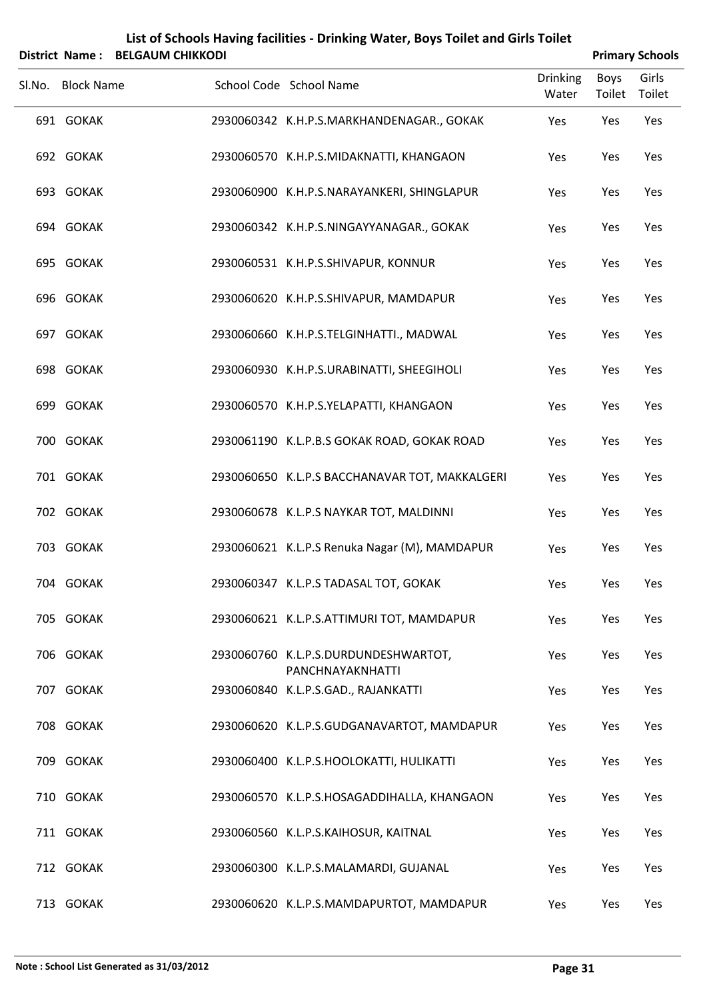| <b>District Name:</b> | <b>BELGAUM CHIKKODI</b> | List of Schools Having facilities - Drinking Water, Boys Toilet and Girls Toilet |                          |                | <b>Primary Schools</b> |
|-----------------------|-------------------------|----------------------------------------------------------------------------------|--------------------------|----------------|------------------------|
| Sl.No. Block Name     |                         | School Code School Name                                                          | <b>Drinking</b><br>Water | Boys<br>Toilet | Girls<br>Toilet        |
| 691 GOKAK             |                         | 2930060342 K.H.P.S.MARKHANDENAGAR., GOKAK                                        | Yes                      | Yes            | Yes                    |
| 692 GOKAK             |                         | 2930060570 K.H.P.S.MIDAKNATTI, KHANGAON                                          | Yes                      | Yes            | Yes                    |
| 693 GOKAK             |                         | 2930060900 K.H.P.S.NARAYANKERI, SHINGLAPUR                                       | Yes                      | Yes            | Yes                    |
| 694 GOKAK             |                         | 2930060342 K.H.P.S.NINGAYYANAGAR., GOKAK                                         | Yes                      | Yes            | Yes                    |
| 695 GOKAK             |                         | 2930060531 K.H.P.S.SHIVAPUR, KONNUR                                              | Yes                      | Yes            | Yes                    |
| 696 GOKAK             |                         | 2930060620 K.H.P.S.SHIVAPUR, MAMDAPUR                                            | Yes                      | Yes            | Yes                    |
| 697 GOKAK             |                         | 2930060660 K.H.P.S.TELGINHATTI., MADWAL                                          | Yes                      | Yes            | Yes                    |
| 698 GOKAK             |                         | 2930060930 K.H.P.S.URABINATTI, SHEEGIHOLI                                        | Yes                      | Yes            | Yes                    |
| 699 GOKAK             |                         | 2930060570 K.H.P.S.YELAPATTI, KHANGAON                                           | Yes                      | Yes            | Yes                    |
| 700 GOKAK             |                         | 2930061190 K.L.P.B.S GOKAK ROAD, GOKAK ROAD                                      | Yes                      | Yes            | Yes                    |
| 701 GOKAK             |                         | 2930060650 K.L.P.S BACCHANAVAR TOT, MAKKALGERI                                   | Yes                      | Yes            | Yes                    |
| 702 GOKAK             |                         | 2930060678 K.L.P.S NAYKAR TOT, MALDINNI                                          | Yes                      | Yes            | Yes                    |
| 703 GOKAK             |                         | 2930060621 K.L.P.S Renuka Nagar (M), MAMDAPUR                                    | Yes                      | Yes            | Yes                    |
| 704 GOKAK             |                         | 2930060347 K.L.P.S TADASAL TOT, GOKAK                                            | Yes                      | Yes            | Yes                    |
| 705 GOKAK             |                         | 2930060621 K.L.P.S.ATTIMURI TOT, MAMDAPUR                                        | Yes                      | Yes            | Yes                    |
| 706 GOKAK             |                         | 2930060760 K.L.P.S.DURDUNDESHWARTOT,<br>PANCHNAYAKNHATTI                         | Yes                      | Yes            | Yes                    |
| 707 GOKAK             |                         | 2930060840 K.L.P.S.GAD., RAJANKATTI                                              | Yes                      | Yes            | Yes                    |
| 708 GOKAK             |                         | 2930060620 K.L.P.S.GUDGANAVARTOT, MAMDAPUR                                       | Yes                      | Yes            | Yes                    |
| 709 GOKAK             |                         | 2930060400 K.L.P.S.HOOLOKATTI, HULIKATTI                                         | Yes                      | Yes            | Yes                    |
| 710 GOKAK             |                         | 2930060570 K.L.P.S.HOSAGADDIHALLA, KHANGAON                                      | Yes                      | Yes            | Yes                    |
| 711 GOKAK             |                         | 2930060560 K.L.P.S.KAIHOSUR, KAITNAL                                             | Yes                      | Yes            | Yes                    |
| 712 GOKAK             |                         | 2930060300 K.L.P.S.MALAMARDI, GUJANAL                                            | Yes                      | Yes            | Yes                    |
| 713 GOKAK             |                         | 2930060620 K.L.P.S.MAMDAPURTOT, MAMDAPUR                                         | Yes                      | Yes            | Yes                    |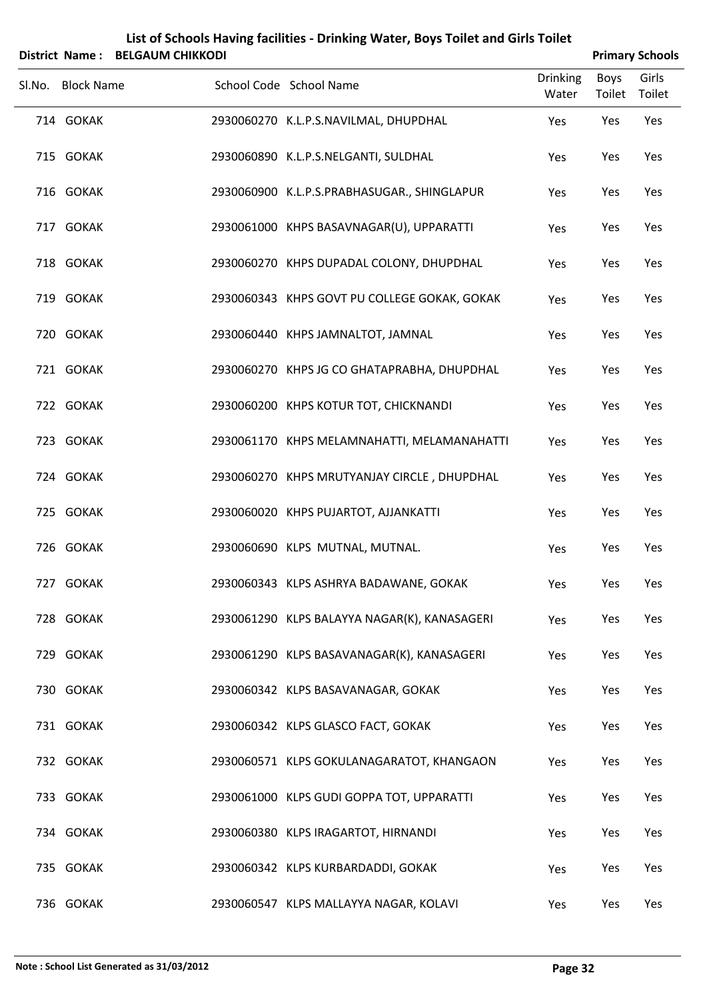|                   | District Name: BELGAUM CHIKKODI |                                              |                          |                | <b>Primary Schools</b> |
|-------------------|---------------------------------|----------------------------------------------|--------------------------|----------------|------------------------|
| Sl.No. Block Name |                                 | School Code School Name                      | <b>Drinking</b><br>Water | Boys<br>Toilet | Girls<br>Toilet        |
| 714 GOKAK         |                                 | 2930060270 K.L.P.S.NAVILMAL, DHUPDHAL        | Yes                      | Yes            | Yes                    |
| 715 GOKAK         |                                 | 2930060890 K.L.P.S.NELGANTI, SULDHAL         | Yes                      | Yes            | Yes                    |
| 716 GOKAK         |                                 | 2930060900 K.L.P.S.PRABHASUGAR., SHINGLAPUR  | Yes                      | Yes            | Yes                    |
| 717 GOKAK         |                                 | 2930061000 KHPS BASAVNAGAR(U), UPPARATTI     | Yes                      | Yes            | Yes                    |
| 718 GOKAK         |                                 | 2930060270 KHPS DUPADAL COLONY, DHUPDHAL     | Yes                      | Yes            | Yes                    |
| 719 GOKAK         |                                 | 2930060343 KHPS GOVT PU COLLEGE GOKAK, GOKAK | Yes                      | Yes            | Yes                    |
| 720 GOKAK         |                                 | 2930060440 KHPS JAMNALTOT, JAMNAL            | Yes                      | Yes            | Yes                    |
| 721 GOKAK         |                                 | 2930060270 KHPS JG CO GHATAPRABHA, DHUPDHAL  | Yes                      | Yes            | Yes                    |
| 722 GOKAK         |                                 | 2930060200 KHPS KOTUR TOT, CHICKNANDI        | Yes                      | Yes            | Yes                    |
| 723 GOKAK         |                                 | 2930061170 KHPS MELAMNAHATTI, MELAMANAHATTI  | Yes                      | Yes            | Yes                    |
| 724 GOKAK         |                                 | 2930060270 KHPS MRUTYANJAY CIRCLE, DHUPDHAL  | Yes                      | Yes            | Yes                    |
| 725 GOKAK         |                                 | 2930060020 KHPS PUJARTOT, AJJANKATTI         | Yes                      | Yes            | Yes                    |
| 726 GOKAK         |                                 | 2930060690 KLPS MUTNAL, MUTNAL.              | Yes                      | Yes            | Yes                    |
| 727 GOKAK         |                                 | 2930060343 KLPS ASHRYA BADAWANE, GOKAK       | Yes                      | Yes            | Yes                    |
| 728 GOKAK         |                                 | 2930061290 KLPS BALAYYA NAGAR(K), KANASAGERI | Yes                      | Yes            | Yes                    |
| 729 GOKAK         |                                 | 2930061290 KLPS BASAVANAGAR(K), KANASAGERI   | Yes                      | Yes            | Yes                    |
| 730 GOKAK         |                                 | 2930060342 KLPS BASAVANAGAR, GOKAK           | Yes                      | Yes            | Yes                    |
| 731 GOKAK         |                                 | 2930060342 KLPS GLASCO FACT, GOKAK           | Yes                      | Yes            | Yes                    |
| 732 GOKAK         |                                 | 2930060571 KLPS GOKULANAGARATOT, KHANGAON    | Yes                      | Yes            | Yes                    |
| 733 GOKAK         |                                 | 2930061000 KLPS GUDI GOPPA TOT, UPPARATTI    | Yes                      | Yes            | Yes                    |
| 734 GOKAK         |                                 | 2930060380 KLPS IRAGARTOT, HIRNANDI          | Yes                      | Yes            | Yes                    |
| 735 GOKAK         |                                 | 2930060342 KLPS KURBARDADDI, GOKAK           | Yes                      | Yes            | Yes                    |
| 736 GOKAK         |                                 | 2930060547 KLPS MALLAYYA NAGAR, KOLAVI       | Yes                      | Yes            | Yes                    |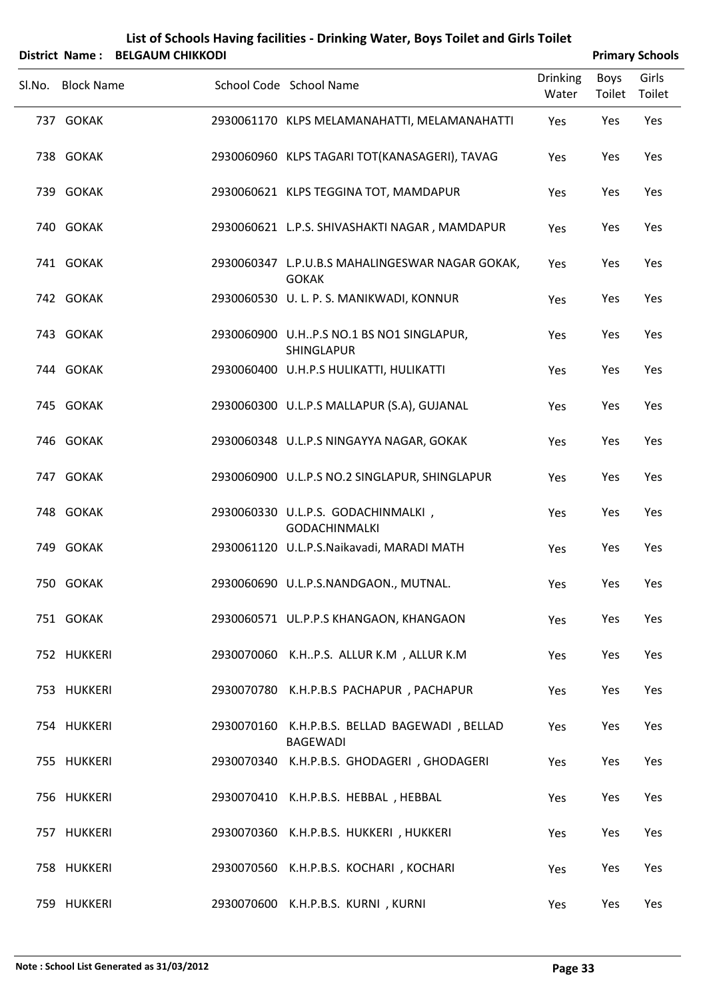|        | District Name: BELGAUM CHIKKODI |                                                                  |                          |                | <b>Primary Schools</b> |
|--------|---------------------------------|------------------------------------------------------------------|--------------------------|----------------|------------------------|
| Sl.No. | <b>Block Name</b>               | School Code School Name                                          | <b>Drinking</b><br>Water | Boys<br>Toilet | Girls<br>Toilet        |
|        | 737 GOKAK                       | 2930061170 KLPS MELAMANAHATTI, MELAMANAHATTI                     | Yes                      | Yes            | Yes                    |
|        | 738 GOKAK                       | 2930060960 KLPS TAGARI TOT(KANASAGERI), TAVAG                    | Yes                      | Yes            | Yes                    |
|        | 739 GOKAK                       | 2930060621 KLPS TEGGINA TOT, MAMDAPUR                            | Yes                      | Yes            | Yes                    |
|        | 740 GOKAK                       | 2930060621 L.P.S. SHIVASHAKTI NAGAR, MAMDAPUR                    | Yes                      | Yes            | Yes                    |
|        | 741 GOKAK                       | 2930060347 L.P.U.B.S MAHALINGESWAR NAGAR GOKAK,<br><b>GOKAK</b>  | Yes                      | Yes            | Yes                    |
|        | 742 GOKAK                       | 2930060530 U. L. P. S. MANIKWADI, KONNUR                         | Yes                      | Yes            | Yes                    |
|        | 743 GOKAK                       | 2930060900 U.HP.S NO.1 BS NO1 SINGLAPUR,<br>SHINGLAPUR           | Yes                      | Yes            | Yes                    |
|        | 744 GOKAK                       | 2930060400 U.H.P.S HULIKATTI, HULIKATTI                          | Yes                      | Yes            | Yes                    |
|        | 745 GOKAK                       | 2930060300 U.L.P.S MALLAPUR (S.A), GUJANAL                       | Yes                      | Yes            | Yes                    |
|        | 746 GOKAK                       | 2930060348 U.L.P.S NINGAYYA NAGAR, GOKAK                         | Yes                      | Yes            | Yes                    |
|        | 747 GOKAK                       | 2930060900 U.L.P.S NO.2 SINGLAPUR, SHINGLAPUR                    | Yes                      | Yes            | Yes                    |
|        | 748 GOKAK                       | 2930060330 U.L.P.S. GODACHINMALKI,<br><b>GODACHINMALKI</b>       | Yes                      | Yes            | Yes                    |
|        | 749 GOKAK                       | 2930061120 U.L.P.S.Naikavadi, MARADI MATH                        | Yes                      | Yes            | Yes                    |
|        | 750 GOKAK                       | 2930060690 U.L.P.S.NANDGAON., MUTNAL.                            | Yes                      | Yes            | Yes                    |
|        | 751 GOKAK                       | 2930060571 UL.P.P.S KHANGAON, KHANGAON                           | Yes                      | Yes            | Yes                    |
|        | 752 HUKKERI                     | 2930070060 K.HP.S. ALLUR K.M , ALLUR K.M                         | Yes                      | Yes            | Yes                    |
|        | 753 HUKKERI                     | 2930070780 K.H.P.B.S PACHAPUR, PACHAPUR                          | Yes                      | Yes            | Yes                    |
|        | 754 HUKKERI                     | 2930070160 K.H.P.B.S. BELLAD BAGEWADI, BELLAD<br><b>BAGEWADI</b> | Yes                      | Yes            | Yes                    |
|        | 755 HUKKERI                     | 2930070340 K.H.P.B.S. GHODAGERI, GHODAGERI                       | Yes                      | Yes            | Yes                    |
|        | 756 HUKKERI                     | 2930070410 K.H.P.B.S. HEBBAL, HEBBAL                             | Yes                      | Yes            | Yes                    |
|        | 757 HUKKERI                     | 2930070360 K.H.P.B.S. HUKKERI, HUKKERI                           | Yes                      | Yes            | Yes                    |
|        | 758 HUKKERI                     | 2930070560 K.H.P.B.S. KOCHARI, KOCHARI                           | Yes                      | Yes            | Yes                    |
|        | 759 HUKKERI                     | 2930070600 K.H.P.B.S. KURNI, KURNI                               | Yes                      | Yes            | Yes                    |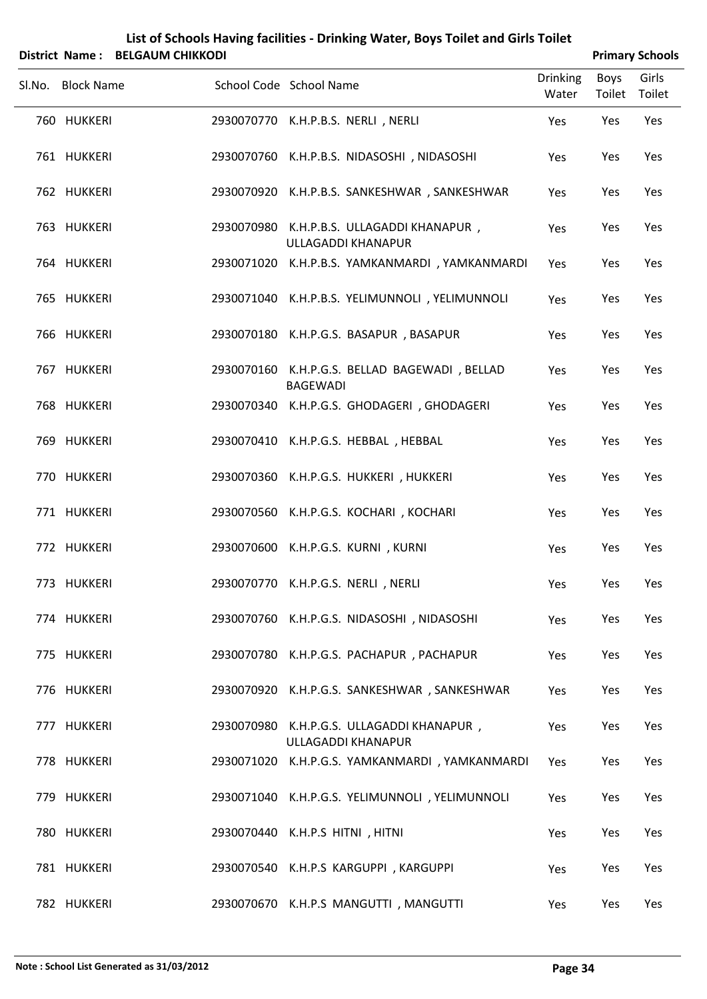| List of Schools Having facilities - Drinking Water, Boys Toilet and Girls Toilet |                        |
|----------------------------------------------------------------------------------|------------------------|
| $Dietrit$ Name $\cdot$ REIGALIM CHIKKODL                                         | <b>Drimary Schools</b> |

|                   | DISTRICT NAME: BELGAUNI CHIKKODI |                                                                  |                          |                       | <b>Primary Schools</b> |
|-------------------|----------------------------------|------------------------------------------------------------------|--------------------------|-----------------------|------------------------|
| Sl.No. Block Name |                                  | School Code School Name                                          | <b>Drinking</b><br>Water | Boys<br>Toilet Toilet | Girls                  |
| 760 HUKKERI       |                                  | 2930070770 K.H.P.B.S. NERLI, NERLI                               | Yes                      | Yes                   | Yes                    |
| 761 HUKKERI       |                                  | 2930070760 K.H.P.B.S. NIDASOSHI, NIDASOSHI                       | Yes                      | Yes                   | Yes                    |
| 762 HUKKERI       |                                  | 2930070920 K.H.P.B.S. SANKESHWAR, SANKESHWAR                     | Yes                      | Yes                   | Yes                    |
| 763 HUKKERI       |                                  | 2930070980 K.H.P.B.S. ULLAGADDI KHANAPUR,<br>ULLAGADDI KHANAPUR  | Yes                      | Yes                   | Yes                    |
| 764 HUKKERI       |                                  | 2930071020 K.H.P.B.S. YAMKANMARDI, YAMKANMARDI                   | Yes                      | Yes                   | Yes                    |
| 765 HUKKERI       |                                  | 2930071040 K.H.P.B.S. YELIMUNNOLI, YELIMUNNOLI                   | Yes                      | Yes                   | Yes                    |
| 766 HUKKERI       |                                  | 2930070180 K.H.P.G.S. BASAPUR, BASAPUR                           | Yes                      | Yes                   | Yes                    |
| 767 HUKKERI       |                                  | 2930070160 K.H.P.G.S. BELLAD BAGEWADI, BELLAD<br><b>BAGEWADI</b> | Yes                      | Yes                   | Yes                    |
| 768 HUKKERI       |                                  | 2930070340 K.H.P.G.S. GHODAGERI, GHODAGERI                       | Yes                      | Yes                   | Yes                    |
| 769 HUKKERI       |                                  | 2930070410 K.H.P.G.S. HEBBAL, HEBBAL                             | Yes                      | Yes                   | Yes                    |
| 770 HUKKERI       |                                  | 2930070360 K.H.P.G.S. HUKKERI, HUKKERI                           | Yes                      | Yes                   | Yes                    |
| 771 HUKKERI       |                                  | 2930070560 K.H.P.G.S. KOCHARI, KOCHARI                           | Yes                      | Yes                   | Yes                    |
| 772 HUKKERI       |                                  | 2930070600 K.H.P.G.S. KURNI, KURNI                               | Yes                      | Yes                   | Yes                    |
| 773 HUKKERI       |                                  | 2930070770 K.H.P.G.S. NERLI, NERLI                               | Yes                      | Yes                   | Yes                    |
| 774 HUKKERI       |                                  | 2930070760 K.H.P.G.S. NIDASOSHI, NIDASOSHI                       | Yes                      | Yes                   | Yes                    |
| 775 HUKKERI       |                                  | 2930070780 K.H.P.G.S. PACHAPUR, PACHAPUR                         | Yes                      | Yes                   | Yes                    |
| 776 HUKKERI       |                                  | 2930070920 K.H.P.G.S. SANKESHWAR, SANKESHWAR                     | Yes                      | Yes                   | Yes                    |
| 777 HUKKERI       |                                  | 2930070980 K.H.P.G.S. ULLAGADDI KHANAPUR,<br>ULLAGADDI KHANAPUR  | Yes                      | Yes                   | Yes                    |
| 778 HUKKERI       |                                  | 2930071020 K.H.P.G.S. YAMKANMARDI, YAMKANMARDI                   | Yes                      | Yes                   | Yes                    |
| 779 HUKKERI       |                                  | 2930071040 K.H.P.G.S. YELIMUNNOLI, YELIMUNNOLI                   | Yes                      | Yes                   | Yes                    |
| 780 HUKKERI       |                                  | 2930070440 K.H.P.S HITNI, HITNI                                  | Yes                      | Yes                   | Yes                    |
| 781 HUKKERI       |                                  | 2930070540 K.H.P.S KARGUPPI, KARGUPPI                            | Yes                      | Yes                   | Yes                    |
| 782 HUKKERI       |                                  | 2930070670 K.H.P.S MANGUTTI, MANGUTTI                            | Yes                      | Yes                   | Yes                    |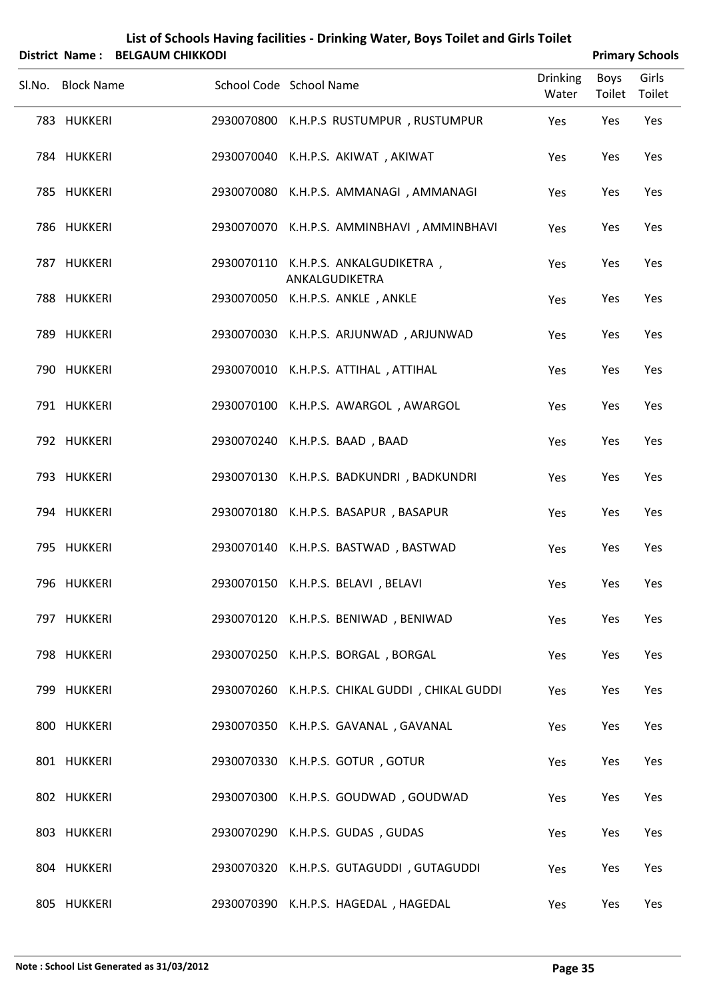| List of Schools Having facilities - Drinking Water, Boys Toilet and Girls Toilet |  |
|----------------------------------------------------------------------------------|--|
|                                                                                  |  |

| District Name: BELGAUM CHIKKODI |                                                       |                          |                | <b>Primary Schools</b> |
|---------------------------------|-------------------------------------------------------|--------------------------|----------------|------------------------|
| Sl.No. Block Name               | School Code School Name                               | <b>Drinking</b><br>Water | Boys<br>Toilet | Girls<br>Toilet        |
| 783 HUKKERI                     | 2930070800 K.H.P.S RUSTUMPUR, RUSTUMPUR               | Yes                      | Yes            | Yes                    |
| 784 HUKKERI                     | 2930070040 K.H.P.S. AKIWAT, AKIWAT                    | Yes                      | Yes            | Yes                    |
| 785 HUKKERI                     | 2930070080 K.H.P.S. AMMANAGI, AMMANAGI                | Yes                      | Yes            | Yes                    |
| 786 HUKKERI                     | 2930070070 K.H.P.S. AMMINBHAVI, AMMINBHAVI            | Yes                      | Yes            | Yes                    |
| 787 HUKKERI                     | 2930070110 K.H.P.S. ANKALGUDIKETRA,<br>ANKALGUDIKETRA | Yes                      | Yes            | Yes                    |
| 788 HUKKERI                     | 2930070050 K.H.P.S. ANKLE, ANKLE                      | Yes                      | Yes            | Yes                    |
| 789 HUKKERI                     | 2930070030 K.H.P.S. ARJUNWAD, ARJUNWAD                | Yes                      | Yes            | Yes                    |
| 790 HUKKERI                     | 2930070010 K.H.P.S. ATTIHAL, ATTIHAL                  | Yes                      | Yes            | Yes                    |
| 791 HUKKERI                     | 2930070100 K.H.P.S. AWARGOL, AWARGOL                  | Yes                      | Yes            | Yes                    |
| 792 HUKKERI                     | 2930070240 K.H.P.S. BAAD, BAAD                        | Yes                      | Yes            | Yes                    |
| 793 HUKKERI                     | 2930070130 K.H.P.S. BADKUNDRI, BADKUNDRI              | Yes                      | Yes            | Yes                    |
| 794 HUKKERI                     | 2930070180 K.H.P.S. BASAPUR, BASAPUR                  | Yes                      | Yes            | Yes                    |
| 795 HUKKERI                     | 2930070140 K.H.P.S. BASTWAD, BASTWAD                  | Yes                      | Yes            | Yes                    |
| 796 HUKKERI                     | 2930070150 K.H.P.S. BELAVI, BELAVI                    | Yes                      | Yes            | Yes                    |
| 797 HUKKERI                     | 2930070120 K.H.P.S. BENIWAD, BENIWAD                  | Yes                      | Yes            | Yes                    |
| 798 HUKKERI                     | 2930070250 K.H.P.S. BORGAL, BORGAL                    | Yes                      | Yes            | Yes                    |
| 799 HUKKERI                     | 2930070260 K.H.P.S. CHIKAL GUDDI, CHIKAL GUDDI        | Yes                      | Yes            | Yes                    |
| 800 HUKKERI                     | 2930070350 K.H.P.S. GAVANAL, GAVANAL                  | Yes                      | Yes            | Yes                    |
| 801 HUKKERI                     | 2930070330 K.H.P.S. GOTUR, GOTUR                      | Yes                      | Yes            | Yes                    |
| 802 HUKKERI                     | 2930070300 K.H.P.S. GOUDWAD, GOUDWAD                  | Yes                      | Yes            | Yes                    |
| 803 HUKKERI                     | 2930070290 K.H.P.S. GUDAS, GUDAS                      | Yes                      | Yes            | Yes                    |
| 804 HUKKERI                     | 2930070320 K.H.P.S. GUTAGUDDI, GUTAGUDDI              | Yes                      | Yes            | Yes                    |
| 805 HUKKERI                     | 2930070390 K.H.P.S. HAGEDAL, HAGEDAL                  | Yes                      | Yes            | Yes                    |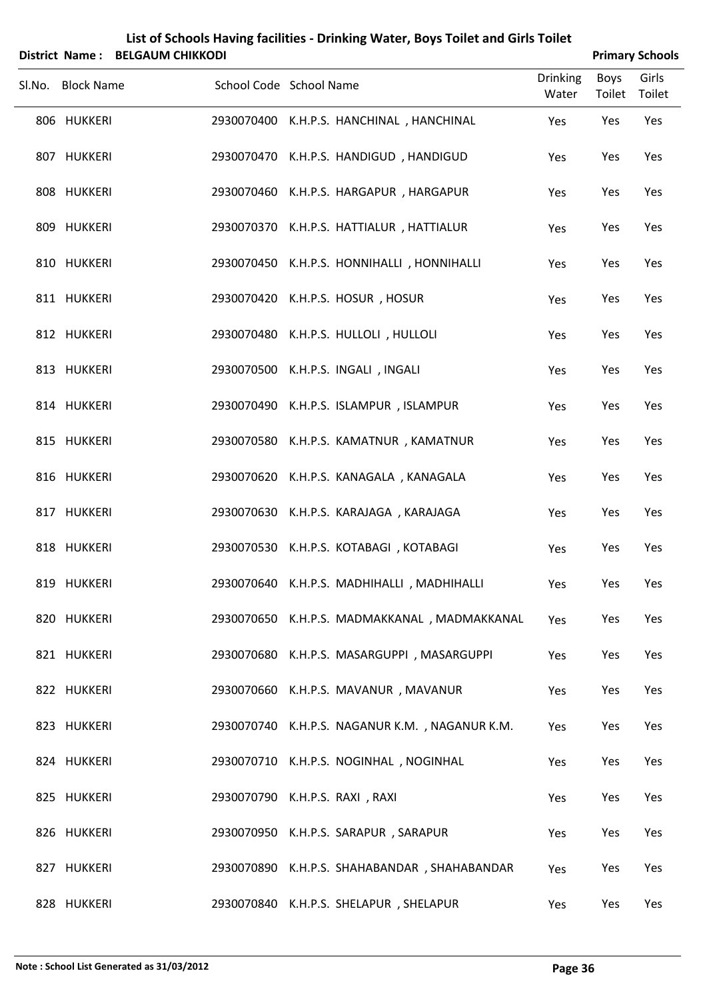| List of Schools Having facilities - Drinking Water, Boys Toilet and Girls Toilet<br>District Name: BELGAUM CHIKKODI<br><b>Primary Schools</b> |                   |                                |  |                                                |                          |                       |                 |
|-----------------------------------------------------------------------------------------------------------------------------------------------|-------------------|--------------------------------|--|------------------------------------------------|--------------------------|-----------------------|-----------------|
|                                                                                                                                               |                   |                                |  |                                                |                          |                       |                 |
|                                                                                                                                               | Sl.No. Block Name | School Code School Name        |  |                                                | <b>Drinking</b><br>Water | <b>Boys</b><br>Toilet | Girls<br>Toilet |
|                                                                                                                                               | 806 HUKKERI       |                                |  | 2930070400 K.H.P.S. HANCHINAL, HANCHINAL       | Yes                      | Yes                   | Yes             |
|                                                                                                                                               | 807 HUKKERI       |                                |  | 2930070470 K.H.P.S. HANDIGUD, HANDIGUD         | Yes                      | Yes                   | Yes             |
|                                                                                                                                               | 808 HUKKERI       |                                |  | 2930070460 K.H.P.S. HARGAPUR, HARGAPUR         | Yes                      | Yes                   | Yes             |
|                                                                                                                                               | 809 HUKKERI       |                                |  | 2930070370 K.H.P.S. HATTIALUR, HATTIALUR       | Yes                      | Yes                   | Yes             |
|                                                                                                                                               | 810 HUKKERI       |                                |  | 2930070450 K.H.P.S. HONNIHALLI, HONNIHALLI     | Yes                      | Yes                   | Yes             |
|                                                                                                                                               | 811 HUKKERI       |                                |  | 2930070420 K.H.P.S. HOSUR, HOSUR               | Yes                      | Yes                   | Yes             |
|                                                                                                                                               | 812 HUKKERI       |                                |  | 2930070480 K.H.P.S. HULLOLI, HULLOLI           | Yes                      | Yes                   | Yes             |
|                                                                                                                                               | 813 HUKKERI       |                                |  | 2930070500 K.H.P.S. INGALI, INGALI             | Yes                      | Yes                   | Yes             |
|                                                                                                                                               | 814 HUKKERI       |                                |  | 2930070490 K.H.P.S. ISLAMPUR, ISLAMPUR         | Yes                      | Yes                   | Yes             |
|                                                                                                                                               | 815 HUKKERI       |                                |  | 2930070580 K.H.P.S. KAMATNUR, KAMATNUR         | Yes                      | Yes                   | Yes             |
|                                                                                                                                               | 816 HUKKERI       |                                |  | 2930070620 K.H.P.S. KANAGALA, KANAGALA         | Yes                      | Yes                   | Yes             |
|                                                                                                                                               | 817 HUKKERI       |                                |  | 2930070630 K.H.P.S. KARAJAGA, KARAJAGA         | Yes                      | Yes                   | Yes             |
|                                                                                                                                               | 818 HUKKERI       |                                |  | 2930070530 K.H.P.S. KOTABAGI, KOTABAGI         | Yes                      | Yes                   | Yes             |
|                                                                                                                                               | 819 HUKKERI       |                                |  | 2930070640 K.H.P.S. MADHIHALLI, MADHIHALLI     | Yes                      | Yes                   | Yes             |
|                                                                                                                                               | 820 HUKKERI       |                                |  | 2930070650 K.H.P.S. MADMAKKANAL, MADMAKKANAL   | Yes                      | Yes                   | Yes             |
|                                                                                                                                               | 821 HUKKERI       |                                |  | 2930070680 K.H.P.S. MASARGUPPI, MASARGUPPI     | Yes                      | Yes                   | Yes             |
|                                                                                                                                               | 822 HUKKERI       |                                |  | 2930070660 K.H.P.S. MAVANUR, MAVANUR           | Yes                      | Yes                   | Yes             |
|                                                                                                                                               | 823 HUKKERI       |                                |  | 2930070740 K.H.P.S. NAGANUR K.M., NAGANUR K.M. | Yes                      | Yes                   | Yes             |
|                                                                                                                                               | 824 HUKKERI       |                                |  | 2930070710 K.H.P.S. NOGINHAL, NOGINHAL         | Yes                      | Yes                   | Yes             |
|                                                                                                                                               | 825 HUKKERI       | 2930070790 K.H.P.S. RAXI, RAXI |  |                                                | Yes                      | Yes                   | Yes             |
|                                                                                                                                               | 826 HUKKERI       |                                |  | 2930070950 K.H.P.S. SARAPUR, SARAPUR           | Yes                      | Yes                   | Yes             |
|                                                                                                                                               | 827 HUKKERI       |                                |  | 2930070890 K.H.P.S. SHAHABANDAR, SHAHABANDAR   | Yes                      | Yes                   | Yes             |
|                                                                                                                                               | 828 HUKKERI       |                                |  | 2930070840 K.H.P.S. SHELAPUR, SHELAPUR         | Yes                      | Yes                   | Yes             |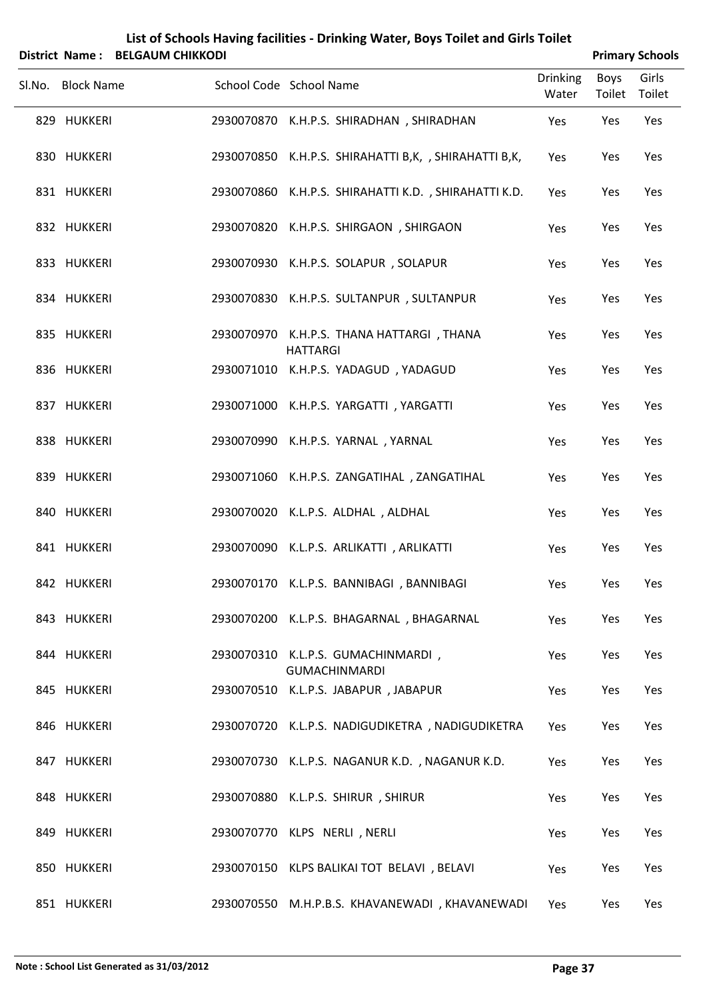| List of Schools Having facilities - Drinking Water, Boys Toilet and Girls Toilet |
|----------------------------------------------------------------------------------|
| District Name: BELGAUM CHIKKODI                                                  |

| <b>Primary Schools</b> |
|------------------------|
|                        |

| JIJULUL INGIIIC .<br>ושטחוווויט ויוטחשבים |                                                              |                          |                | r minary schools |
|-------------------------------------------|--------------------------------------------------------------|--------------------------|----------------|------------------|
| Sl.No. Block Name                         | School Code School Name                                      | <b>Drinking</b><br>Water | Boys<br>Toilet | Girls<br>Toilet  |
| 829 HUKKERI                               | 2930070870 K.H.P.S. SHIRADHAN, SHIRADHAN                     | Yes                      | Yes            | Yes              |
| 830 HUKKERI                               | 2930070850 K.H.P.S. SHIRAHATTI B,K, , SHIRAHATTI B,K,        | Yes                      | Yes            | Yes              |
| 831 HUKKERI                               | 2930070860 K.H.P.S. SHIRAHATTI K.D., SHIRAHATTI K.D.         | Yes                      | Yes            | Yes              |
| 832 HUKKERI                               | 2930070820 K.H.P.S. SHIRGAON, SHIRGAON                       | Yes                      | Yes            | Yes              |
| 833 HUKKERI                               | 2930070930 K.H.P.S. SOLAPUR, SOLAPUR                         | Yes                      | Yes            | Yes              |
| 834 HUKKERI                               | 2930070830 K.H.P.S. SULTANPUR, SULTANPUR                     | Yes                      | Yes            | Yes              |
| 835 HUKKERI                               | 2930070970 K.H.P.S. THANA HATTARGI, THANA<br><b>HATTARGI</b> | Yes                      | Yes            | Yes              |
| 836 HUKKERI                               | 2930071010 K.H.P.S. YADAGUD, YADAGUD                         | Yes                      | Yes            | Yes              |
| 837 HUKKERI                               | 2930071000 K.H.P.S. YARGATTI, YARGATTI                       | Yes                      | Yes            | Yes              |
| 838 HUKKERI                               | 2930070990 K.H.P.S. YARNAL, YARNAL                           | Yes                      | Yes            | Yes              |
| 839 HUKKERI                               | 2930071060 K.H.P.S. ZANGATIHAL, ZANGATIHAL                   | Yes                      | Yes            | Yes              |
| 840 HUKKERI                               | 2930070020 K.L.P.S. ALDHAL, ALDHAL                           | Yes                      | Yes            | Yes              |
| 841 HUKKERI                               | 2930070090 K.L.P.S. ARLIKATTI, ARLIKATTI                     | Yes                      | Yes            | Yes              |
| 842 HUKKERI                               | 2930070170 K.L.P.S. BANNIBAGI, BANNIBAGI                     | Yes                      | Yes            | Yes              |
| 843 HUKKERI                               | 2930070200 K.L.P.S. BHAGARNAL, BHAGARNAL                     | Yes                      | Yes            | Yes              |
| 844 HUKKERI                               | 2930070310 K.L.P.S. GUMACHINMARDI,<br><b>GUMACHINMARDI</b>   | Yes                      | Yes            | Yes              |
| 845 HUKKERI                               | 2930070510 K.L.P.S. JABAPUR, JABAPUR                         | Yes                      | Yes            | Yes              |
| 846 HUKKERI                               | 2930070720 K.L.P.S. NADIGUDIKETRA, NADIGUDIKETRA             | Yes                      | Yes            | Yes              |
| 847 HUKKERI                               | 2930070730 K.L.P.S. NAGANUR K.D., NAGANUR K.D.               | Yes                      | Yes            | Yes              |
| 848 HUKKERI                               | 2930070880 K.L.P.S. SHIRUR, SHIRUR                           | Yes                      | Yes            | Yes              |
| 849 HUKKERI                               | 2930070770 KLPS NERLI, NERLI                                 | Yes                      | Yes            | Yes              |
| 850 HUKKERI                               | 2930070150 KLPS BALIKAI TOT BELAVI, BELAVI                   | Yes                      | Yes            | Yes              |
| 851 HUKKERI                               | 2930070550 M.H.P.B.S. KHAVANEWADI, KHAVANEWADI               | Yes                      | Yes            | Yes              |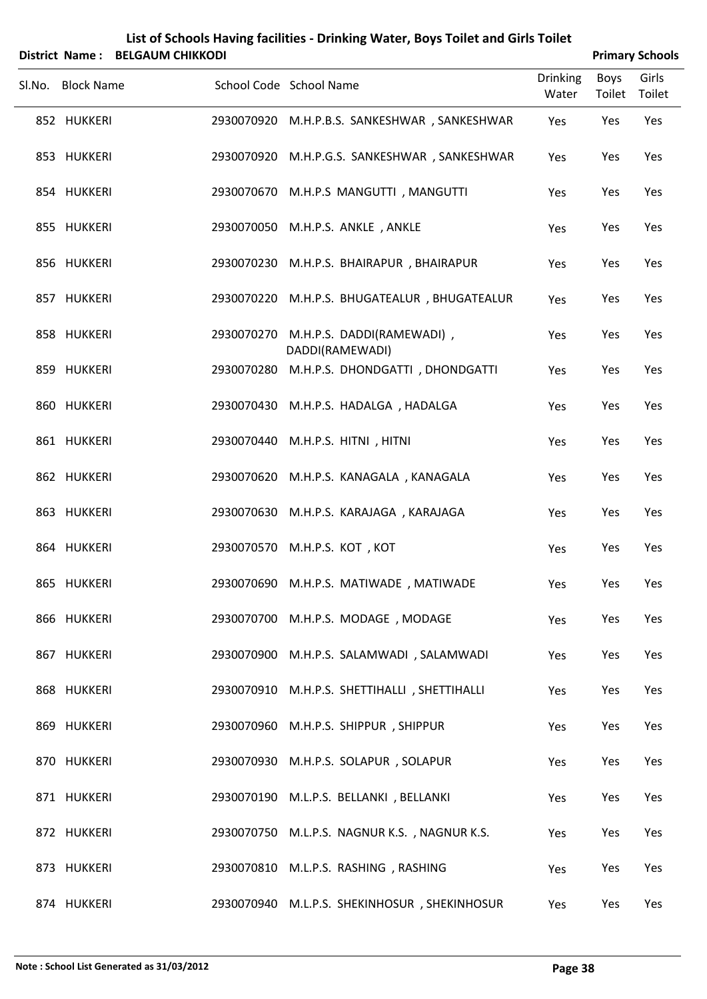| List of Schools Having facilities - Drinking Water, Boys Toilet and Girls Toilet |
|----------------------------------------------------------------------------------|
| District Name: RELGALIM CHIKKODL                                                 |

| <b>Primary Schools</b> |
|------------------------|
|                        |

| . סוווסוי ויטוווכ<br>- DLLUAVIVI CHINNUDI |                                                               |                          |                | r milial y Juliouis |
|-------------------------------------------|---------------------------------------------------------------|--------------------------|----------------|---------------------|
| Sl.No. Block Name                         | School Code School Name                                       | <b>Drinking</b><br>Water | Boys<br>Toilet | Girls<br>Toilet     |
| 852 HUKKERI                               | 2930070920 M.H.P.B.S. SANKESHWAR, SANKESHWAR                  | Yes                      | Yes            | Yes                 |
| 853 HUKKERI                               | 2930070920 M.H.P.G.S. SANKESHWAR, SANKESHWAR                  | Yes                      | Yes            | Yes                 |
| 854 HUKKERI                               | 2930070670 M.H.P.S MANGUTTI, MANGUTTI                         | Yes                      | Yes            | Yes                 |
| 855 HUKKERI                               | 2930070050 M.H.P.S. ANKLE, ANKLE                              | Yes                      | Yes            | Yes                 |
| 856 HUKKERI                               | 2930070230 M.H.P.S. BHAIRAPUR, BHAIRAPUR                      | Yes                      | Yes            | Yes                 |
| 857 HUKKERI                               | 2930070220 M.H.P.S. BHUGATEALUR, BHUGATEALUR                  | Yes                      | Yes            | Yes                 |
| 858 HUKKERI                               | 2930070270 M.H.P.S. DADDI(RAMEWADI),                          | Yes                      | Yes            | Yes                 |
| 859 HUKKERI                               | DADDI(RAMEWADI)<br>2930070280 M.H.P.S. DHONDGATTI, DHONDGATTI | Yes                      | Yes            | Yes                 |
| 860 HUKKERI                               | 2930070430 M.H.P.S. HADALGA, HADALGA                          | Yes                      | Yes            | Yes                 |
| 861 HUKKERI                               | 2930070440 M.H.P.S. HITNI, HITNI                              | Yes                      | Yes            | Yes                 |
| 862 HUKKERI                               | 2930070620 M.H.P.S. KANAGALA, KANAGALA                        | Yes                      | Yes            | Yes                 |
| 863 HUKKERI                               | 2930070630 M.H.P.S. KARAJAGA, KARAJAGA                        | Yes                      | Yes            | Yes                 |
| 864 HUKKERI                               | 2930070570 M.H.P.S. KOT, KOT                                  | Yes                      | Yes            | Yes                 |
| 865 HUKKERI                               | 2930070690 M.H.P.S. MATIWADE, MATIWADE                        | Yes                      | Yes            | Yes                 |
| 866 HUKKERI                               | 2930070700 M.H.P.S. MODAGE, MODAGE                            | Yes                      | Yes            | Yes                 |
| 867 HUKKERI                               | 2930070900 M.H.P.S. SALAMWADI, SALAMWADI                      | Yes                      | Yes            | Yes                 |
| 868 HUKKERI                               | 2930070910 M.H.P.S. SHETTIHALLI, SHETTIHALLI                  | Yes                      | Yes            | Yes                 |
| 869 HUKKERI                               | 2930070960 M.H.P.S. SHIPPUR, SHIPPUR                          | Yes                      | Yes            | Yes                 |
| 870 HUKKERI                               | 2930070930 M.H.P.S. SOLAPUR, SOLAPUR                          | Yes                      | Yes            | Yes                 |
| 871 HUKKERI                               | 2930070190 M.L.P.S. BELLANKI, BELLANKI                        | Yes                      | Yes            | Yes                 |
| 872 HUKKERI                               | 2930070750 M.L.P.S. NAGNUR K.S., NAGNUR K.S.                  | Yes                      | Yes            | Yes                 |
| 873 HUKKERI                               | 2930070810 M.L.P.S. RASHING, RASHING                          | Yes                      | Yes            | Yes                 |
| 874 HUKKERI                               | 2930070940 M.L.P.S. SHEKINHOSUR, SHEKINHOSUR                  | Yes                      | Yes            | Yes                 |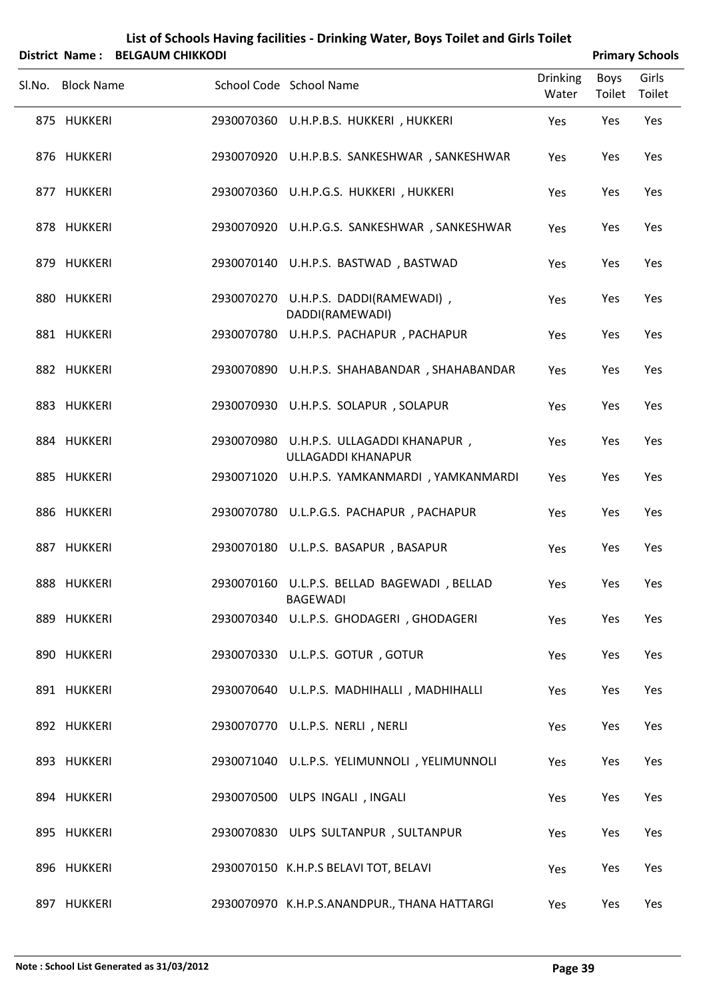| List of Schools Having facilities - Drinking Water, Boys Toilet and Girls Toilet |                        |
|----------------------------------------------------------------------------------|------------------------|
| District Name · RELGALIM CHIKKODL                                                | <b>Primary Schools</b> |

|                   | DISTRICT Name: BELGAUNI CHIRRODI |                                                                |                          |                       | <b>Primary Schools</b> |
|-------------------|----------------------------------|----------------------------------------------------------------|--------------------------|-----------------------|------------------------|
| Sl.No. Block Name |                                  | School Code School Name                                        | <b>Drinking</b><br>Water | <b>Boys</b><br>Toilet | Girls<br>Toilet        |
| 875 HUKKERI       |                                  | 2930070360 U.H.P.B.S. HUKKERI, HUKKERI                         | Yes                      | Yes                   | Yes                    |
| 876 HUKKERI       |                                  | 2930070920 U.H.P.B.S. SANKESHWAR, SANKESHWAR                   | Yes                      | Yes                   | Yes                    |
| 877 HUKKERI       |                                  | 2930070360 U.H.P.G.S. HUKKERI, HUKKERI                         | Yes                      | Yes                   | Yes                    |
| 878 HUKKERI       |                                  | 2930070920 U.H.P.G.S. SANKESHWAR, SANKESHWAR                   | Yes                      | Yes                   | Yes                    |
| 879 HUKKERI       |                                  | 2930070140 U.H.P.S. BASTWAD, BASTWAD                           | Yes                      | Yes                   | Yes                    |
| 880 HUKKERI       |                                  | 2930070270 U.H.P.S. DADDI(RAMEWADI),<br>DADDI(RAMEWADI)        | Yes                      | Yes                   | Yes                    |
| 881 HUKKERI       |                                  | 2930070780 U.H.P.S. PACHAPUR, PACHAPUR                         | Yes                      | Yes                   | Yes                    |
| 882 HUKKERI       |                                  | 2930070890 U.H.P.S. SHAHABANDAR, SHAHABANDAR                   | Yes                      | Yes                   | Yes                    |
| 883 HUKKERI       |                                  | 2930070930 U.H.P.S. SOLAPUR, SOLAPUR                           | Yes                      | Yes                   | Yes                    |
| 884 HUKKERI       |                                  | 2930070980 U.H.P.S. ULLAGADDI KHANAPUR,<br>ULLAGADDI KHANAPUR  | Yes                      | Yes                   | Yes                    |
| 885 HUKKERI       |                                  | 2930071020 U.H.P.S. YAMKANMARDI, YAMKANMARDI                   | Yes                      | Yes                   | Yes                    |
| 886 HUKKERI       |                                  | 2930070780 U.L.P.G.S. PACHAPUR, PACHAPUR                       | Yes                      | Yes                   | Yes                    |
| 887 HUKKERI       |                                  | 2930070180 U.L.P.S. BASAPUR, BASAPUR                           | Yes                      | Yes                   | Yes                    |
| 888 HUKKERI       |                                  | 2930070160 U.L.P.S. BELLAD BAGEWADI, BELLAD<br><b>BAGEWADI</b> | Yes                      | Yes                   | Yes                    |
| 889 HUKKERI       |                                  | 2930070340 U.L.P.S. GHODAGERI, GHODAGERI                       | Yes                      | Yes                   | Yes                    |
| 890 HUKKERI       |                                  | 2930070330 U.L.P.S. GOTUR, GOTUR                               | Yes                      | Yes                   | Yes                    |
| 891 HUKKERI       |                                  | 2930070640 U.L.P.S. MADHIHALLI, MADHIHALLI                     | Yes                      | Yes                   | Yes                    |
| 892 HUKKERI       |                                  | 2930070770 U.L.P.S. NERLI, NERLI                               | Yes                      | Yes                   | Yes                    |
| 893 HUKKERI       |                                  | 2930071040 U.L.P.S. YELIMUNNOLI, YELIMUNNOLI                   | Yes                      | Yes                   | Yes                    |
| 894 HUKKERI       |                                  | 2930070500 ULPS INGALI, INGALI                                 | Yes                      | Yes                   | Yes                    |
| 895 HUKKERI       |                                  | 2930070830 ULPS SULTANPUR, SULTANPUR                           | Yes                      | Yes                   | Yes                    |
| 896 HUKKERI       |                                  | 2930070150 K.H.P.S BELAVI TOT, BELAVI                          | Yes                      | Yes                   | Yes                    |
| 897 HUKKERI       |                                  | 2930070970 K.H.P.S.ANANDPUR., THANA HATTARGI                   | Yes                      | Yes                   | Yes                    |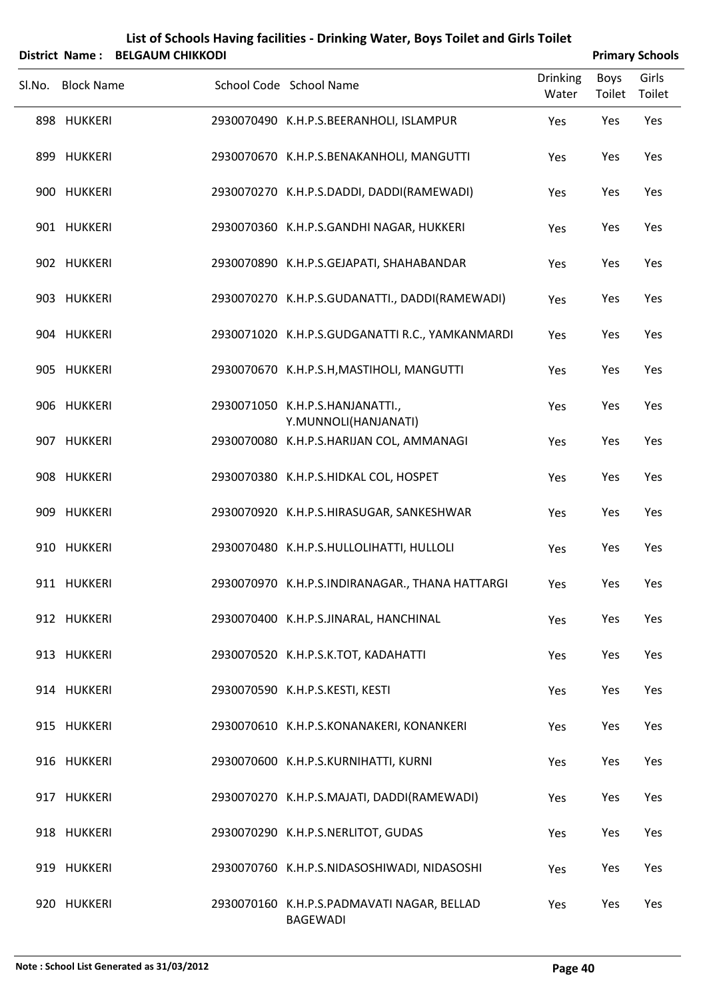|        |                   | District Name: BELGAUM CHIKKODI |                                                         |                          |                | <b>Primary Schools</b> |
|--------|-------------------|---------------------------------|---------------------------------------------------------|--------------------------|----------------|------------------------|
| Sl.No. | <b>Block Name</b> |                                 | School Code School Name                                 | <b>Drinking</b><br>Water | Boys<br>Toilet | Girls<br>Toilet        |
|        | 898 HUKKERI       |                                 | 2930070490 K.H.P.S.BEERANHOLI, ISLAMPUR                 | Yes                      | Yes            | Yes                    |
|        | 899 HUKKERI       |                                 | 2930070670 K.H.P.S.BENAKANHOLI, MANGUTTI                | Yes                      | Yes            | Yes                    |
|        | 900 HUKKERI       |                                 | 2930070270 K.H.P.S.DADDI, DADDI(RAMEWADI)               | Yes                      | Yes            | Yes                    |
|        | 901 HUKKERI       |                                 | 2930070360 K.H.P.S.GANDHI NAGAR, HUKKERI                | Yes                      | Yes            | Yes                    |
|        | 902 HUKKERI       |                                 | 2930070890 K.H.P.S.GEJAPATI, SHAHABANDAR                | Yes                      | Yes            | Yes                    |
|        | 903 HUKKERI       |                                 | 2930070270 K.H.P.S.GUDANATTI., DADDI(RAMEWADI)          | Yes                      | Yes            | Yes                    |
|        | 904 HUKKERI       |                                 | 2930071020 K.H.P.S.GUDGANATTI R.C., YAMKANMARDI         | Yes                      | Yes            | Yes                    |
|        | 905 HUKKERI       |                                 | 2930070670 K.H.P.S.H, MASTIHOLI, MANGUTTI               | Yes                      | Yes            | Yes                    |
|        | 906 HUKKERI       |                                 | 2930071050 K.H.P.S.HANJANATTI.,<br>Y.MUNNOLI(HANJANATI) | Yes                      | Yes            | Yes                    |
|        | 907 HUKKERI       |                                 | 2930070080 K.H.P.S.HARIJAN COL, AMMANAGI                | Yes                      | Yes            | Yes                    |
|        | 908 HUKKERI       |                                 | 2930070380 K.H.P.S.HIDKAL COL, HOSPET                   | Yes                      | Yes            | Yes                    |
|        | 909 HUKKERI       |                                 | 2930070920 K.H.P.S.HIRASUGAR, SANKESHWAR                | Yes                      | Yes            | Yes                    |
|        | 910 HUKKERI       |                                 | 2930070480 K.H.P.S.HULLOLIHATTI, HULLOLI                | Yes                      | Yes            | Yes                    |
|        | 911 HUKKERI       |                                 | 2930070970 K.H.P.S.INDIRANAGAR., THANA HATTARGI         | Yes                      | Yes            | Yes                    |
|        | 912 HUKKERI       |                                 | 2930070400 K.H.P.S.JINARAL, HANCHINAL                   | Yes                      | Yes            | Yes                    |
|        | 913 HUKKERI       |                                 | 2930070520 K.H.P.S.K.TOT, KADAHATTI                     | Yes                      | Yes            | Yes                    |
|        | 914 HUKKERI       |                                 | 2930070590 K.H.P.S.KESTI, KESTI                         | Yes                      | Yes            | Yes                    |
|        | 915 HUKKERI       |                                 | 2930070610 K.H.P.S.KONANAKERI, KONANKERI                | Yes                      | Yes            | Yes                    |
|        | 916 HUKKERI       |                                 | 2930070600 K.H.P.S.KURNIHATTI, KURNI                    | Yes                      | Yes            | Yes                    |
|        | 917 HUKKERI       |                                 | 2930070270 K.H.P.S.MAJATI, DADDI(RAMEWADI)              | Yes                      | Yes            | Yes                    |
|        | 918 HUKKERI       |                                 | 2930070290 K.H.P.S.NERLITOT, GUDAS                      | Yes                      | Yes            | Yes                    |
|        | 919 HUKKERI       |                                 | 2930070760 K.H.P.S.NIDASOSHIWADI, NIDASOSHI             | Yes                      | Yes            | Yes                    |
|        | 920 HUKKERI       |                                 | 2930070160 K.H.P.S.PADMAVATI NAGAR, BELLAD              | Yes                      | Yes            | Yes                    |

BAGEWADI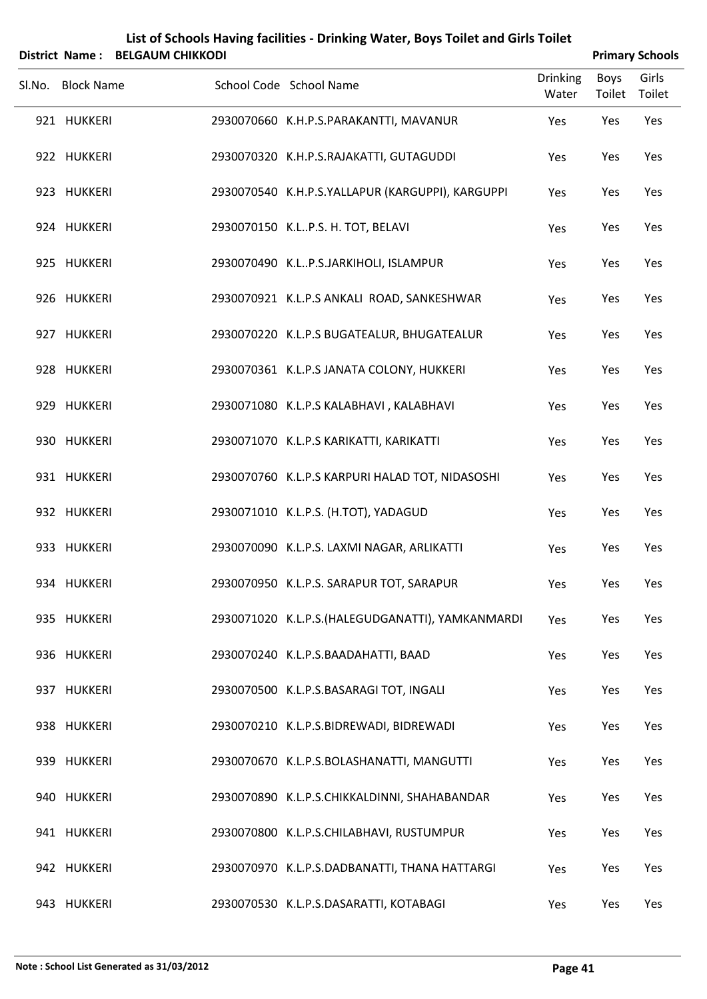|        | <b>District Name:</b> | <b>BELGAUM CHIKKODI</b> | List of Schools Having facilities - Drinking Water, Boys Toilet and Girls Toilet |                          |                       | <b>Primary Schools</b> |
|--------|-----------------------|-------------------------|----------------------------------------------------------------------------------|--------------------------|-----------------------|------------------------|
| Sl.No. | <b>Block Name</b>     |                         | School Code School Name                                                          | <b>Drinking</b><br>Water | <b>Boys</b><br>Toilet | Girls<br>Toilet        |
|        | 921 HUKKERI           |                         | 2930070660 K.H.P.S.PARAKANTTI, MAVANUR                                           | Yes                      | Yes                   | Yes                    |
|        | 922 HUKKERI           |                         | 2930070320 K.H.P.S.RAJAKATTI, GUTAGUDDI                                          | Yes                      | Yes                   | Yes                    |
|        | 923 HUKKERI           |                         | 2930070540 K.H.P.S.YALLAPUR (KARGUPPI), KARGUPPI                                 | Yes                      | Yes                   | Yes                    |
|        | 924 HUKKERI           |                         | 2930070150 K.LP.S. H. TOT, BELAVI                                                | Yes                      | Yes                   | Yes                    |
|        | 925 HUKKERI           |                         | 2930070490 K.LP.S.JARKIHOLI, ISLAMPUR                                            | Yes                      | Yes                   | Yes                    |
|        | 926 HUKKERI           |                         | 2930070921 K.L.P.S ANKALI ROAD, SANKESHWAR                                       | Yes                      | Yes                   | Yes                    |
|        | 927 HUKKERI           |                         | 2930070220 K.L.P.S BUGATEALUR, BHUGATEALUR                                       | Yes                      | Yes                   | Yes                    |
|        | 928 HUKKERI           |                         | 2930070361 K.L.P.S JANATA COLONY, HUKKERI                                        | Yes                      | Yes                   | Yes                    |
|        | 929 HUKKERI           |                         | 2930071080 K.L.P.S KALABHAVI, KALABHAVI                                          | Yes                      | Yes                   | Yes                    |
|        | 930 HUKKERI           |                         | 2930071070 K.L.P.S KARIKATTI, KARIKATTI                                          | Yes                      | Yes                   | Yes                    |
|        | 931 HUKKERI           |                         | 2930070760 K.L.P.S KARPURI HALAD TOT, NIDASOSHI                                  | Yes                      | Yes                   | Yes                    |
|        | 932 HUKKERI           |                         | 2930071010 K.L.P.S. (H.TOT), YADAGUD                                             | Yes                      | Yes                   | Yes                    |
|        | 933 HUKKERI           |                         | 2930070090 K.L.P.S. LAXMI NAGAR, ARLIKATTI                                       | Yes                      | Yes                   | Yes                    |
|        | 934 HUKKERI           |                         | 2930070950 K.L.P.S. SARAPUR TOT, SARAPUR                                         | Yes                      | Yes                   | Yes                    |
|        | 935 HUKKERI           |                         | 2930071020 K.L.P.S.(HALEGUDGANATTI), YAMKANMARDI                                 | Yes                      | Yes                   | Yes                    |
|        | 936 HUKKERI           |                         | 2930070240 K.L.P.S.BAADAHATTI, BAAD                                              | Yes                      | Yes                   | Yes                    |
|        | 937 HUKKERI           |                         | 2930070500 K.L.P.S.BASARAGI TOT, INGALI                                          | Yes                      | Yes                   | Yes                    |
|        | 938 HUKKERI           |                         | 2930070210 K.L.P.S.BIDREWADI, BIDREWADI                                          | Yes                      | Yes                   | Yes                    |
|        | 939 HUKKERI           |                         | 2930070670 K.L.P.S.BOLASHANATTI, MANGUTTI                                        | Yes                      | Yes                   | Yes                    |
|        | 940 HUKKERI           |                         | 2930070890 K.L.P.S.CHIKKALDINNI, SHAHABANDAR                                     | Yes                      | Yes                   | Yes                    |
|        | 941 HUKKERI           |                         | 2930070800 K.L.P.S.CHILABHAVI, RUSTUMPUR                                         | Yes                      | Yes                   | Yes                    |
|        | 942 HUKKERI           |                         | 2930070970 K.L.P.S.DADBANATTI, THANA HATTARGI                                    | Yes                      | Yes                   | Yes                    |
|        | 943 HUKKERI           |                         | 2930070530 K.L.P.S.DASARATTI, KOTABAGI                                           | Yes                      | Yes                   | Yes                    |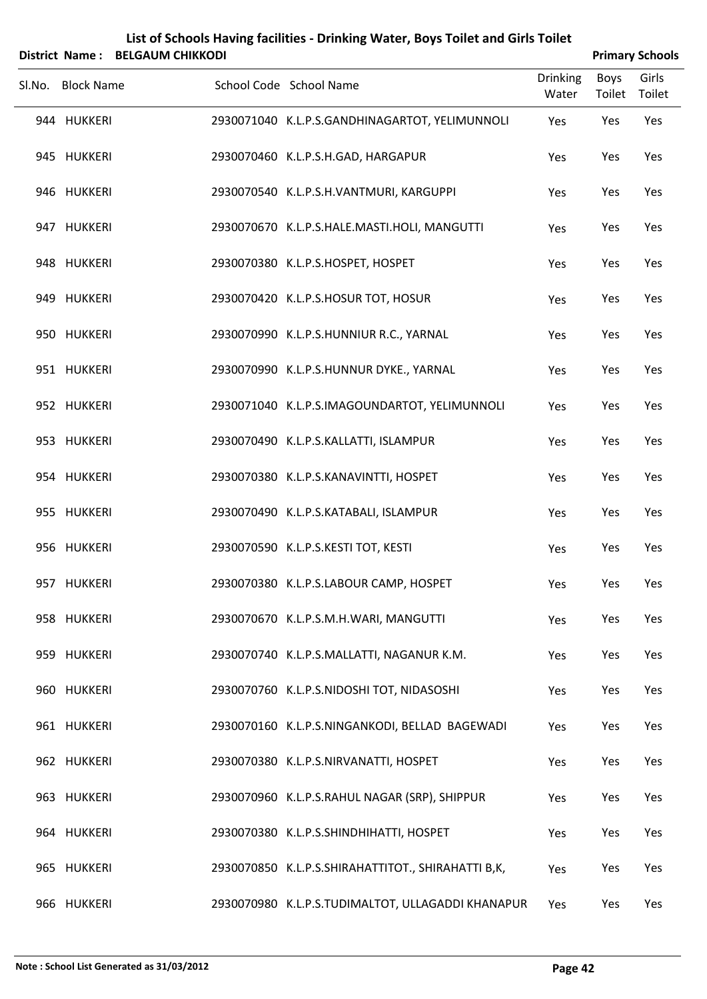|        | <b>District Name:</b> | <b>BELGAUM CHIKKODI</b> |                                                    |                          |                       | <b>Primary Schools</b> |
|--------|-----------------------|-------------------------|----------------------------------------------------|--------------------------|-----------------------|------------------------|
| Sl.No. | <b>Block Name</b>     |                         | School Code School Name                            | <b>Drinking</b><br>Water | <b>Boys</b><br>Toilet | Girls<br>Toilet        |
|        | 944 HUKKERI           |                         | 2930071040 K.L.P.S.GANDHINAGARTOT, YELIMUNNOLI     | Yes                      | Yes                   | Yes                    |
|        | 945 HUKKERI           |                         | 2930070460 K.L.P.S.H.GAD, HARGAPUR                 | Yes                      | Yes                   | Yes                    |
|        | 946 HUKKERI           |                         | 2930070540 K.L.P.S.H.VANTMURI, KARGUPPI            | Yes                      | Yes                   | Yes                    |
|        | 947 HUKKERI           |                         | 2930070670 K.L.P.S.HALE.MASTI.HOLI, MANGUTTI       | Yes                      | Yes                   | Yes                    |
|        | 948 HUKKERI           |                         | 2930070380 K.L.P.S.HOSPET, HOSPET                  | Yes                      | Yes                   | Yes                    |
|        | 949 HUKKERI           |                         | 2930070420 K.L.P.S.HOSUR TOT, HOSUR                | Yes                      | Yes                   | Yes                    |
|        | 950 HUKKERI           |                         | 2930070990 K.L.P.S.HUNNIUR R.C., YARNAL            | Yes                      | Yes                   | Yes                    |
|        | 951 HUKKERI           |                         | 2930070990 K.L.P.S.HUNNUR DYKE., YARNAL            | Yes                      | Yes                   | Yes                    |
|        | 952 HUKKERI           |                         | 2930071040 K.L.P.S.IMAGOUNDARTOT, YELIMUNNOLI      | Yes                      | Yes                   | Yes                    |
|        | 953 HUKKERI           |                         | 2930070490 K.L.P.S.KALLATTI, ISLAMPUR              | Yes                      | Yes                   | Yes                    |
|        | 954 HUKKERI           |                         | 2930070380 K.L.P.S.KANAVINTTI, HOSPET              | Yes                      | Yes                   | Yes                    |
|        | 955 HUKKERI           |                         | 2930070490 K.L.P.S.KATABALI, ISLAMPUR              | Yes                      | Yes                   | Yes                    |
|        | 956 HUKKERI           |                         | 2930070590 K.L.P.S.KESTI TOT, KESTI                | Yes                      | Yes                   | Yes                    |
|        | 957 HUKKERI           |                         | 2930070380 K.L.P.S.LABOUR CAMP, HOSPET             | Yes                      | Yes                   | Yes                    |
|        | 958 HUKKERI           |                         | 2930070670 K.L.P.S.M.H.WARI, MANGUTTI              | Yes                      | Yes                   | Yes                    |
|        | 959 HUKKERI           |                         | 2930070740 K.L.P.S.MALLATTI, NAGANUR K.M.          | Yes                      | Yes                   | Yes                    |
|        | 960 HUKKERI           |                         | 2930070760 K.L.P.S.NIDOSHI TOT, NIDASOSHI          | Yes                      | Yes                   | Yes                    |
|        | 961 HUKKERI           |                         | 2930070160 K.L.P.S.NINGANKODI, BELLAD BAGEWADI     | Yes                      | Yes                   | Yes                    |
|        | 962 HUKKERI           |                         | 2930070380 K.L.P.S.NIRVANATTI, HOSPET              | Yes                      | Yes                   | Yes                    |
|        | 963 HUKKERI           |                         | 2930070960 K.L.P.S.RAHUL NAGAR (SRP), SHIPPUR      | Yes                      | Yes                   | Yes                    |
|        | 964 HUKKERI           |                         | 2930070380 K.L.P.S.SHINDHIHATTI, HOSPET            | Yes                      | Yes                   | Yes                    |
|        | 965 HUKKERI           |                         | 2930070850 K.L.P.S.SHIRAHATTITOT., SHIRAHATTI B,K, | Yes                      | Yes                   | Yes                    |
|        | 966 HUKKERI           |                         | 2930070980 K.L.P.S.TUDIMALTOT, ULLAGADDI KHANAPUR  | Yes                      | Yes                   | Yes                    |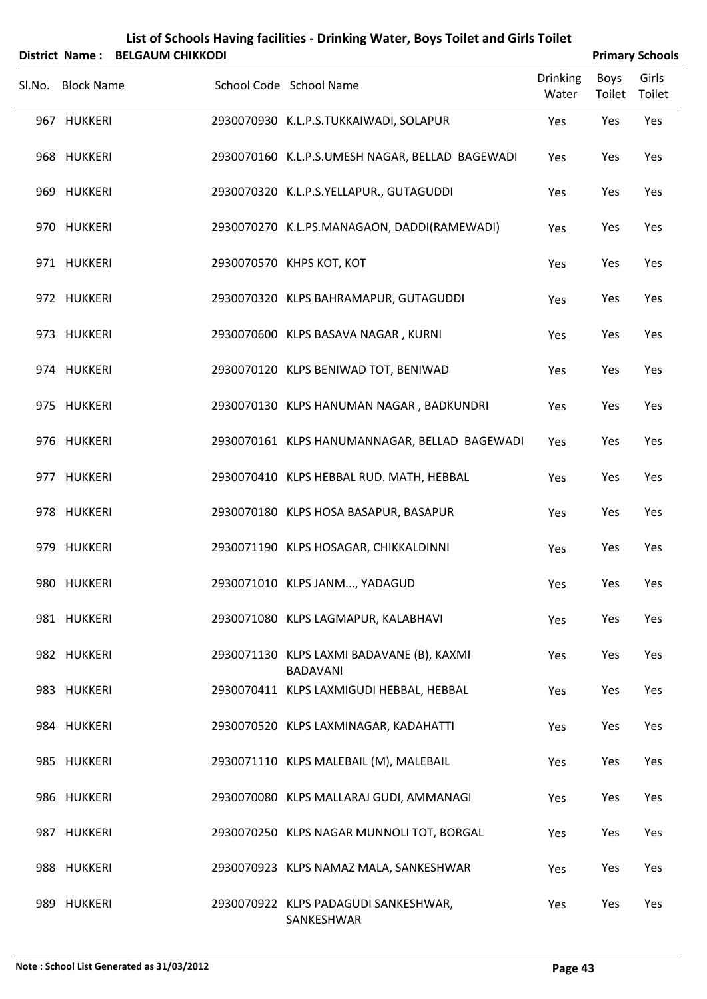|        |                       |                         | List of Schools Having facilities - Drinking Water, Boys Toilet and Girls Toilet |                          |                       |                        |
|--------|-----------------------|-------------------------|----------------------------------------------------------------------------------|--------------------------|-----------------------|------------------------|
|        | <b>District Name:</b> | <b>BELGAUM CHIKKODI</b> |                                                                                  |                          |                       | <b>Primary Schools</b> |
| SI.No. | <b>Block Name</b>     |                         | School Code School Name                                                          | <b>Drinking</b><br>Water | <b>Boys</b><br>Toilet | Girls<br>Toilet        |
|        | 967 HUKKERI           |                         | 2930070930 K.L.P.S.TUKKAIWADI, SOLAPUR                                           | Yes                      | Yes                   | Yes                    |
|        | 968 HUKKERI           |                         | 2930070160 K.L.P.S.UMESH NAGAR, BELLAD BAGEWADI                                  | Yes                      | Yes                   | Yes                    |
|        | 969 HUKKERI           |                         | 2930070320 K.L.P.S.YELLAPUR., GUTAGUDDI                                          | Yes                      | Yes                   | Yes                    |
|        | 970 HUKKERI           |                         | 2930070270 K.L.PS.MANAGAON, DADDI(RAMEWADI)                                      | Yes                      | Yes                   | Yes                    |
|        | 971 HUKKERI           |                         | 2930070570 KHPS KOT, KOT                                                         | Yes                      | Yes                   | Yes                    |
|        | 972 HUKKERI           |                         | 2930070320 KLPS BAHRAMAPUR, GUTAGUDDI                                            | Yes                      | Yes                   | Yes                    |
|        | 973 HUKKERI           |                         | 2930070600 KLPS BASAVA NAGAR, KURNI                                              | Yes                      | Yes                   | Yes                    |
|        | 974 HUKKERI           |                         | 2930070120 KLPS BENIWAD TOT, BENIWAD                                             | Yes                      | Yes                   | Yes                    |
|        | 975 HUKKERI           |                         | 2930070130 KLPS HANUMAN NAGAR, BADKUNDRI                                         | Yes                      | Yes                   | Yes                    |
|        | 976 HUKKERI           |                         | 2930070161 KLPS HANUMANNAGAR, BELLAD BAGEWADI                                    | Yes                      | Yes                   | Yes                    |
|        | 977 HUKKERI           |                         | 2930070410 KLPS HEBBAL RUD. MATH, HEBBAL                                         | Yes                      | Yes                   | Yes                    |
|        | 978 HUKKERI           |                         | 2930070180 KLPS HOSA BASAPUR, BASAPUR                                            | Yes                      | Yes                   | Yes                    |
|        | 979 HUKKERI           |                         | 2930071190 KLPS HOSAGAR, CHIKKALDINNI                                            | Yes                      | Yes                   | Yes                    |
|        | 980 HUKKERI           |                         | 2930071010 KLPS JANM, YADAGUD                                                    | Yes                      | Yes                   | Yes                    |
|        | 981 HUKKERI           |                         | 2930071080 KLPS LAGMAPUR, KALABHAVI                                              | Yes                      | Yes                   | Yes                    |
|        | 982 HUKKERI           |                         | 2930071130 KLPS LAXMI BADAVANE (B), KAXMI<br><b>BADAVANI</b>                     | Yes                      | Yes                   | Yes                    |
|        | 983 HUKKERI           |                         | 2930070411 KLPS LAXMIGUDI HEBBAL, HEBBAL                                         | Yes                      | Yes                   | Yes                    |
|        | 984 HUKKERI           |                         | 2930070520 KLPS LAXMINAGAR, KADAHATTI                                            | Yes                      | Yes                   | Yes                    |
|        | 985 HUKKERI           |                         | 2930071110 KLPS MALEBAIL (M), MALEBAIL                                           | Yes                      | Yes                   | Yes                    |
|        | 986 HUKKERI           |                         | 2930070080 KLPS MALLARAJ GUDI, AMMANAGI                                          | Yes                      | Yes                   | Yes                    |
|        | 987 HUKKERI           |                         | 2930070250 KLPS NAGAR MUNNOLI TOT, BORGAL                                        | Yes                      | Yes                   | Yes                    |
|        | 988 HUKKERI           |                         | 2930070923 KLPS NAMAZ MALA, SANKESHWAR                                           | Yes                      | Yes                   | Yes                    |
|        | 989 HUKKERI           |                         | 2930070922 KLPS PADAGUDI SANKESHWAR,<br>SANKESHWAR                               | Yes                      | Yes                   | Yes                    |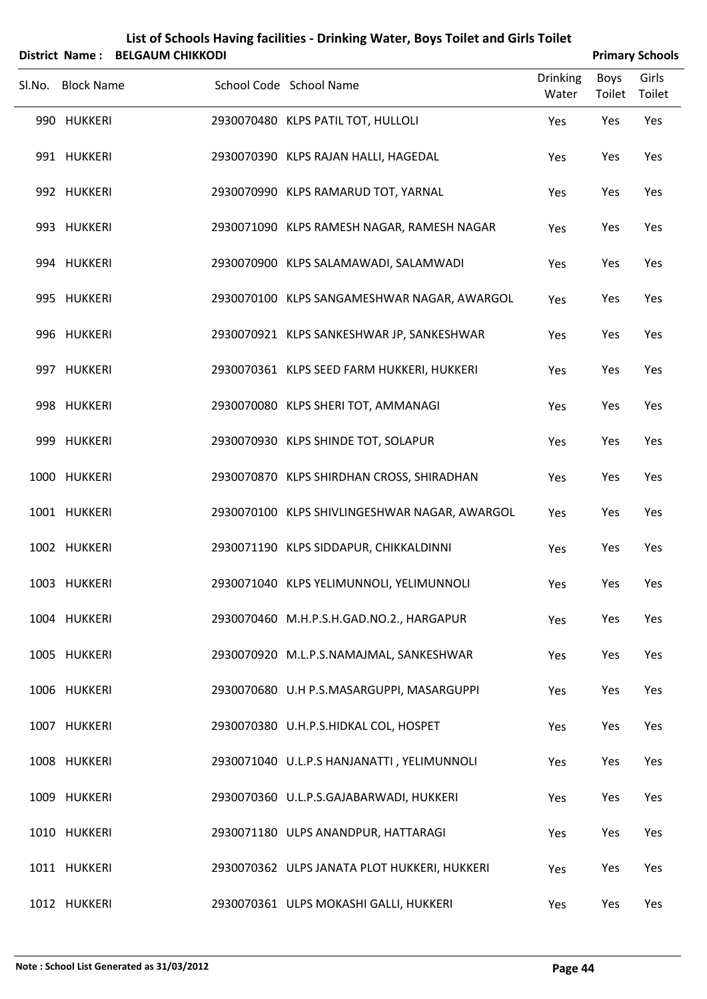| District Name:    | <b>BELGAUM CHIKKODI</b> | List of Schools Having facilities - Drinking Water, Boys Toilet and Girls Toilet |                          |                       | <b>Primary Schools</b> |
|-------------------|-------------------------|----------------------------------------------------------------------------------|--------------------------|-----------------------|------------------------|
| Sl.No. Block Name |                         | School Code School Name                                                          | <b>Drinking</b><br>Water | <b>Boys</b><br>Toilet | Girls<br>Toilet        |
| 990 HUKKERI       |                         | 2930070480 KLPS PATIL TOT, HULLOLI                                               | Yes                      | Yes                   | Yes                    |
| 991 HUKKERI       |                         | 2930070390 KLPS RAJAN HALLI, HAGEDAL                                             | Yes                      | Yes                   | Yes                    |
| 992 HUKKERI       |                         | 2930070990 KLPS RAMARUD TOT, YARNAL                                              | Yes                      | Yes                   | Yes                    |
| 993 HUKKERI       |                         | 2930071090 KLPS RAMESH NAGAR, RAMESH NAGAR                                       | Yes                      | Yes                   | Yes                    |
| 994 HUKKERI       |                         | 2930070900 KLPS SALAMAWADI, SALAMWADI                                            | Yes                      | Yes                   | Yes                    |
| 995 HUKKERI       |                         | 2930070100 KLPS SANGAMESHWAR NAGAR, AWARGOL                                      | Yes                      | Yes                   | Yes                    |
| 996 HUKKERI       |                         | 2930070921 KLPS SANKESHWAR JP, SANKESHWAR                                        | Yes                      | Yes                   | Yes                    |
| 997 HUKKERI       |                         | 2930070361 KLPS SEED FARM HUKKERI, HUKKERI                                       | Yes                      | Yes                   | Yes                    |
| 998 HUKKERI       |                         | 2930070080 KLPS SHERI TOT, AMMANAGI                                              | Yes                      | Yes                   | Yes                    |
| 999 HUKKERI       |                         | 2930070930 KLPS SHINDE TOT, SOLAPUR                                              | Yes                      | Yes                   | Yes                    |
| 1000 HUKKERI      |                         | 2930070870 KLPS SHIRDHAN CROSS, SHIRADHAN                                        | Yes                      | Yes                   | Yes                    |
| 1001 HUKKERI      |                         | 2930070100 KLPS SHIVLINGESHWAR NAGAR, AWARGOL                                    | Yes                      | Yes                   | Yes                    |
| 1002 HUKKERI      |                         | 2930071190 KLPS SIDDAPUR, CHIKKALDINNI                                           | Yes                      | Yes                   | Yes                    |
| 1003 HUKKERI      |                         | 2930071040 KLPS YELIMUNNOLI, YELIMUNNOLI                                         | Yes                      | Yes                   | Yes                    |
| 1004 HUKKERI      |                         | 2930070460 M.H.P.S.H.GAD.NO.2., HARGAPUR                                         | Yes                      | Yes                   | Yes                    |
| 1005 HUKKERI      |                         | 2930070920 M.L.P.S.NAMAJMAL, SANKESHWAR                                          | Yes                      | Yes                   | Yes                    |
| 1006 HUKKERI      |                         | 2930070680 U.H P.S.MASARGUPPI, MASARGUPPI                                        | Yes                      | Yes                   | Yes                    |
| 1007 HUKKERI      |                         | 2930070380 U.H.P.S.HIDKAL COL, HOSPET                                            | Yes                      | Yes                   | Yes                    |
| 1008 HUKKERI      |                         | 2930071040 U.L.P.S HANJANATTI, YELIMUNNOLI                                       | Yes                      | Yes                   | Yes                    |
| 1009 HUKKERI      |                         | 2930070360 U.L.P.S.GAJABARWADI, HUKKERI                                          | Yes                      | Yes                   | Yes                    |
| 1010 HUKKERI      |                         | 2930071180 ULPS ANANDPUR, HATTARAGI                                              | Yes                      | Yes                   | Yes                    |
| 1011 HUKKERI      |                         | 2930070362 ULPS JANATA PLOT HUKKERI, HUKKERI                                     | Yes                      | Yes                   | Yes                    |
| 1012 HUKKERI      |                         | 2930070361 ULPS MOKASHI GALLI, HUKKERI                                           | Yes                      | Yes                   | Yes                    |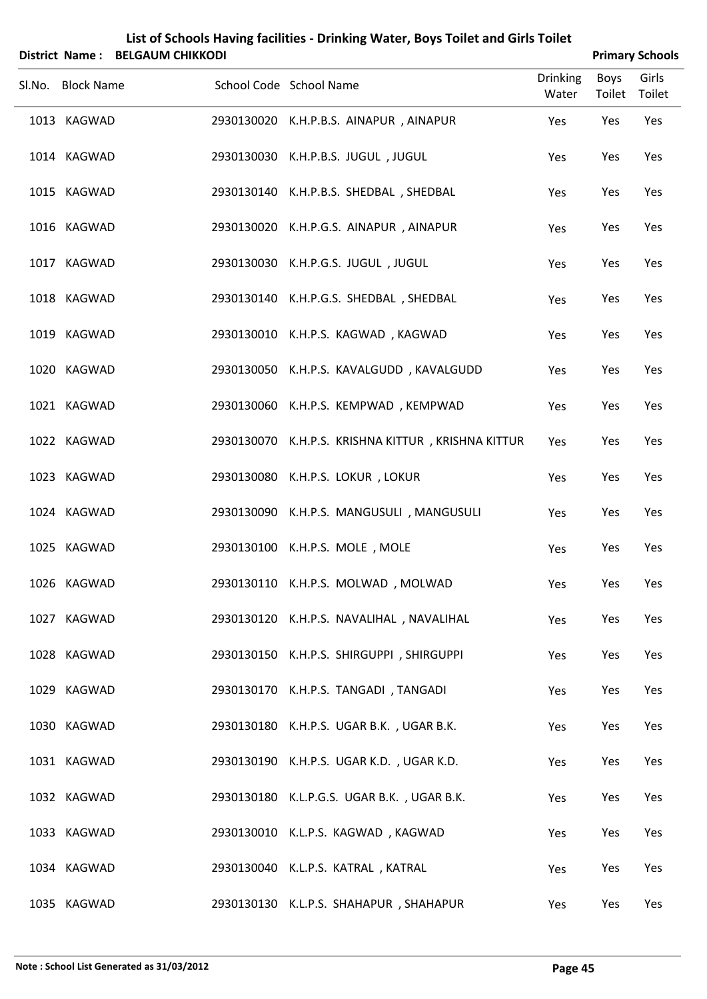| District Name: BELGAUM CHIKKODI |                                                    |                          |      | <b>Primary Schools</b> |
|---------------------------------|----------------------------------------------------|--------------------------|------|------------------------|
| Sl.No. Block Name               | School Code School Name                            | <b>Drinking</b><br>Water | Boys | Girls<br>Toilet Toilet |
| 1013 KAGWAD                     | 2930130020 K.H.P.B.S. AINAPUR, AINAPUR             | Yes                      | Yes  | Yes                    |
| 1014 KAGWAD                     | 2930130030 K.H.P.B.S. JUGUL, JUGUL                 | Yes                      | Yes  | Yes                    |
| 1015 KAGWAD                     | 2930130140 K.H.P.B.S. SHEDBAL, SHEDBAL             | Yes                      | Yes  | Yes                    |
| 1016 KAGWAD                     | 2930130020 K.H.P.G.S. AINAPUR, AINAPUR             | Yes                      | Yes  | Yes                    |
| 1017 KAGWAD                     | 2930130030 K.H.P.G.S. JUGUL, JUGUL                 | Yes                      | Yes  | Yes                    |
| 1018 KAGWAD                     | 2930130140 K.H.P.G.S. SHEDBAL, SHEDBAL             | Yes                      | Yes  | Yes                    |
| 1019 KAGWAD                     | 2930130010 K.H.P.S. KAGWAD, KAGWAD                 | Yes                      | Yes  | Yes                    |
| 1020 KAGWAD                     | 2930130050 K.H.P.S. KAVALGUDD, KAVALGUDD           | Yes                      | Yes  | Yes                    |
| 1021 KAGWAD                     | 2930130060 K.H.P.S. KEMPWAD, KEMPWAD               | Yes                      | Yes  | Yes                    |
| 1022 KAGWAD                     | 2930130070 K.H.P.S. KRISHNA KITTUR, KRISHNA KITTUR | Yes                      | Yes  | Yes                    |
| 1023 KAGWAD                     | 2930130080 K.H.P.S. LOKUR, LOKUR                   | Yes                      | Yes  | Yes                    |
| 1024 KAGWAD                     | 2930130090 K.H.P.S. MANGUSULI, MANGUSULI           | Yes                      | Yes  | Yes                    |
| 1025 KAGWAD                     | 2930130100 K.H.P.S. MOLE, MOLE                     | Yes                      | Yes  | Yes                    |
| 1026 KAGWAD                     | 2930130110 K.H.P.S. MOLWAD, MOLWAD                 | Yes                      | Yes  | Yes                    |
| 1027 KAGWAD                     | 2930130120 K.H.P.S. NAVALIHAL, NAVALIHAL           | Yes                      | Yes  | Yes                    |
| 1028 KAGWAD                     | 2930130150 K.H.P.S. SHIRGUPPI, SHIRGUPPI           | Yes                      | Yes  | Yes                    |
| 1029 KAGWAD                     | 2930130170 K.H.P.S. TANGADI, TANGADI               | Yes                      | Yes  | Yes                    |
| 1030 KAGWAD                     | 2930130180 K.H.P.S. UGAR B.K., UGAR B.K.           | Yes                      | Yes  | Yes                    |
| 1031 KAGWAD                     | 2930130190 K.H.P.S. UGAR K.D., UGAR K.D.           | Yes                      | Yes  | Yes                    |
| 1032 KAGWAD                     | 2930130180 K.L.P.G.S. UGAR B.K., UGAR B.K.         | Yes                      | Yes  | Yes                    |
| 1033 KAGWAD                     | 2930130010 K.L.P.S. KAGWAD, KAGWAD                 | Yes                      | Yes  | Yes                    |
| 1034 KAGWAD                     | 2930130040 K.L.P.S. KATRAL, KATRAL                 | Yes                      | Yes  | Yes                    |
| 1035 KAGWAD                     | 2930130130 K.L.P.S. SHAHAPUR, SHAHAPUR             | Yes                      | Yes  | Yes                    |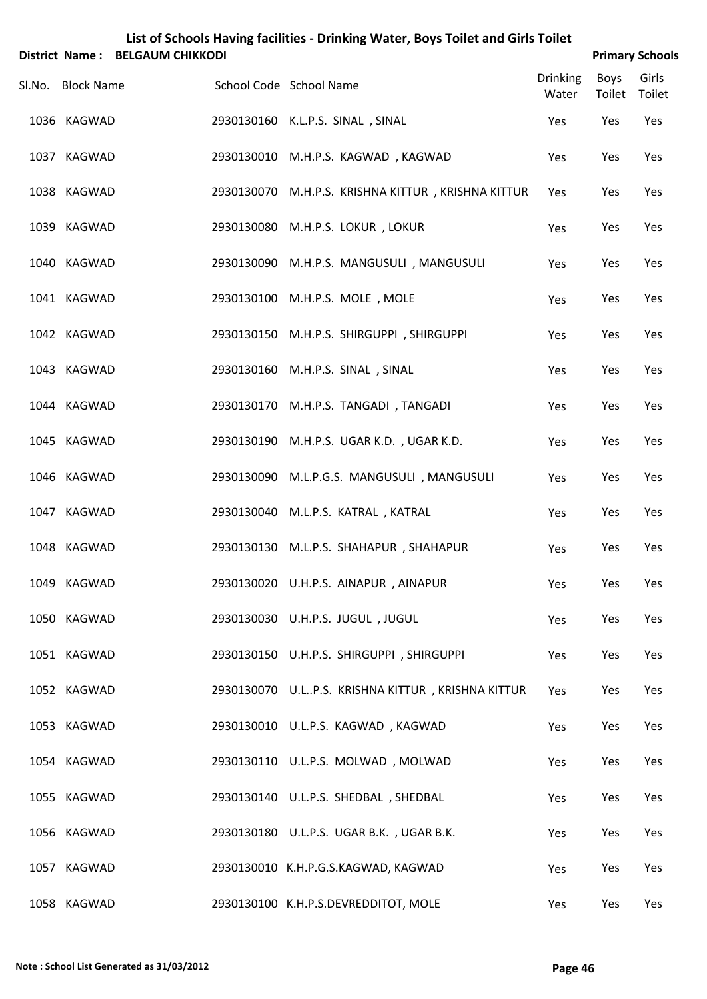| List of Schools Having facilities - Drinking Water, Boys Toilet and Girls Toilet<br>District Name: BELGAUM CHIKKODI<br><b>Primary Schools</b> |  |                                                    |                          |                |                 |  |  |  |
|-----------------------------------------------------------------------------------------------------------------------------------------------|--|----------------------------------------------------|--------------------------|----------------|-----------------|--|--|--|
| Sl.No. Block Name                                                                                                                             |  | School Code School Name                            | <b>Drinking</b><br>Water | Boys<br>Toilet | Girls<br>Toilet |  |  |  |
| 1036 KAGWAD                                                                                                                                   |  | 2930130160 K.L.P.S. SINAL, SINAL                   | Yes                      | Yes            | Yes             |  |  |  |
| 1037 KAGWAD                                                                                                                                   |  | 2930130010 M.H.P.S. KAGWAD, KAGWAD                 | Yes                      | Yes            | Yes             |  |  |  |
| 1038 KAGWAD                                                                                                                                   |  | 2930130070 M.H.P.S. KRISHNA KITTUR, KRISHNA KITTUR | Yes                      | Yes            | Yes             |  |  |  |
| 1039 KAGWAD                                                                                                                                   |  | 2930130080 M.H.P.S. LOKUR, LOKUR                   | Yes                      | Yes            | Yes             |  |  |  |
| 1040 KAGWAD                                                                                                                                   |  | 2930130090 M.H.P.S. MANGUSULI, MANGUSULI           | Yes                      | Yes            | Yes             |  |  |  |
| 1041 KAGWAD                                                                                                                                   |  | 2930130100 M.H.P.S. MOLE, MOLE                     | Yes                      | Yes            | Yes             |  |  |  |
| 1042 KAGWAD                                                                                                                                   |  | 2930130150 M.H.P.S. SHIRGUPPI, SHIRGUPPI           | Yes                      | Yes            | Yes             |  |  |  |
| 1043 KAGWAD                                                                                                                                   |  | 2930130160 M.H.P.S. SINAL, SINAL                   | Yes                      | Yes            | Yes             |  |  |  |
| 1044 KAGWAD                                                                                                                                   |  | 2930130170 M.H.P.S. TANGADI, TANGADI               | Yes                      | Yes            | Yes             |  |  |  |
| 1045 KAGWAD                                                                                                                                   |  | 2930130190 M.H.P.S. UGAR K.D., UGAR K.D.           | Yes                      | Yes            | Yes             |  |  |  |
| 1046 KAGWAD                                                                                                                                   |  | 2930130090 M.L.P.G.S. MANGUSULI , MANGUSULI        | Yes                      | Yes            | Yes             |  |  |  |
| 1047 KAGWAD                                                                                                                                   |  | 2930130040 M.L.P.S. KATRAL, KATRAL                 | Yes                      | Yes            | Yes             |  |  |  |
| 1048 KAGWAD                                                                                                                                   |  | 2930130130 M.L.P.S. SHAHAPUR, SHAHAPUR             | Yes                      | Yes            | Yes             |  |  |  |
| 1049 KAGWAD                                                                                                                                   |  | 2930130020 U.H.P.S. AINAPUR, AINAPUR               | Yes                      | Yes            | Yes             |  |  |  |
| 1050 KAGWAD                                                                                                                                   |  | 2930130030 U.H.P.S. JUGUL, JUGUL                   | Yes                      | Yes            | Yes             |  |  |  |
| 1051 KAGWAD                                                                                                                                   |  | 2930130150 U.H.P.S. SHIRGUPPI, SHIRGUPPI           | Yes                      | Yes            | Yes             |  |  |  |
| 1052 KAGWAD                                                                                                                                   |  | 2930130070 U.LP.S. KRISHNA KITTUR, KRISHNA KITTUR  | Yes                      | Yes            | Yes             |  |  |  |
| 1053 KAGWAD                                                                                                                                   |  | 2930130010 U.L.P.S. KAGWAD, KAGWAD                 | Yes                      | Yes            | Yes             |  |  |  |
| 1054 KAGWAD                                                                                                                                   |  | 2930130110 U.L.P.S. MOLWAD, MOLWAD                 | Yes                      | Yes            | Yes             |  |  |  |
| 1055 KAGWAD                                                                                                                                   |  | 2930130140 U.L.P.S. SHEDBAL, SHEDBAL               | Yes                      | Yes            | Yes             |  |  |  |
| 1056 KAGWAD                                                                                                                                   |  | 2930130180 U.L.P.S. UGAR B.K., UGAR B.K.           | Yes                      | Yes            | Yes             |  |  |  |
| 1057 KAGWAD                                                                                                                                   |  | 2930130010 K.H.P.G.S.KAGWAD, KAGWAD                | Yes                      | Yes            | Yes             |  |  |  |
| 1058 KAGWAD                                                                                                                                   |  | 2930130100 K.H.P.S.DEVREDDITOT, MOLE               | Yes                      | Yes            | Yes             |  |  |  |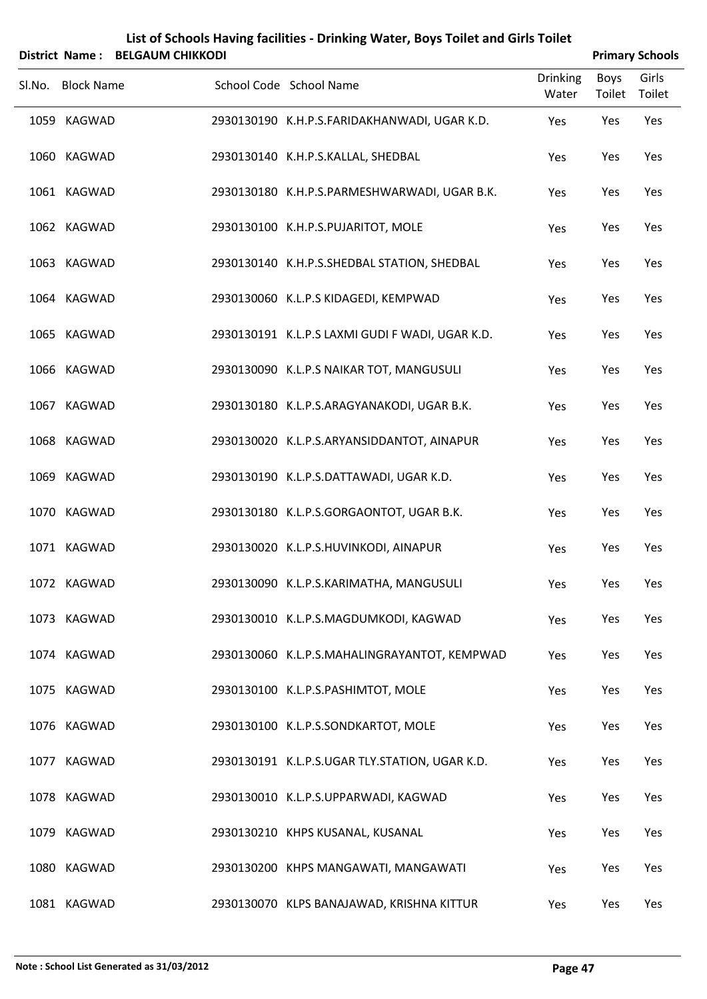|        |                   | District Name: BELGAUM CHIKKODI |                                                 |                          | <b>Primary Schools</b> |                 |
|--------|-------------------|---------------------------------|-------------------------------------------------|--------------------------|------------------------|-----------------|
| SI.No. | <b>Block Name</b> |                                 | School Code School Name                         | <b>Drinking</b><br>Water | Boys<br>Toilet         | Girls<br>Toilet |
|        | 1059 KAGWAD       |                                 | 2930130190 K.H.P.S.FARIDAKHANWADI, UGAR K.D.    | Yes                      | Yes                    | Yes             |
|        | 1060 KAGWAD       |                                 | 2930130140 K.H.P.S.KALLAL, SHEDBAL              | Yes                      | Yes                    | Yes             |
|        | 1061 KAGWAD       |                                 | 2930130180 K.H.P.S.PARMESHWARWADI, UGAR B.K.    | Yes                      | Yes                    | Yes             |
|        | 1062 KAGWAD       |                                 | 2930130100 K.H.P.S.PUJARITOT, MOLE              | Yes                      | Yes                    | Yes             |
|        | 1063 KAGWAD       |                                 | 2930130140 K.H.P.S.SHEDBAL STATION, SHEDBAL     | Yes                      | Yes                    | Yes             |
|        | 1064 KAGWAD       |                                 | 2930130060 K.L.P.S KIDAGEDI, KEMPWAD            | Yes                      | Yes                    | Yes             |
|        | 1065 KAGWAD       |                                 | 2930130191 K.L.P.S LAXMI GUDI F WADI, UGAR K.D. | Yes                      | Yes                    | Yes             |
|        | 1066 KAGWAD       |                                 | 2930130090 K.L.P.S NAIKAR TOT, MANGUSULI        | Yes                      | Yes                    | Yes             |
|        | 1067 KAGWAD       |                                 | 2930130180 K.L.P.S.ARAGYANAKODI, UGAR B.K.      | Yes                      | Yes                    | Yes             |
|        | 1068 KAGWAD       |                                 | 2930130020 K.L.P.S.ARYANSIDDANTOT, AINAPUR      | Yes                      | Yes                    | Yes             |
|        | 1069 KAGWAD       |                                 | 2930130190 K.L.P.S.DATTAWADI, UGAR K.D.         | Yes                      | Yes                    | Yes             |
|        | 1070 KAGWAD       |                                 | 2930130180 K.L.P.S.GORGAONTOT, UGAR B.K.        | Yes                      | Yes                    | Yes             |
|        | 1071 KAGWAD       |                                 | 2930130020 K.L.P.S.HUVINKODI, AINAPUR           | Yes                      | Yes                    | Yes             |
|        | 1072 KAGWAD       |                                 | 2930130090 K.L.P.S.KARIMATHA, MANGUSULI         | Yes                      | Yes                    | Yes             |
|        | 1073 KAGWAD       |                                 | 2930130010 K.L.P.S.MAGDUMKODI, KAGWAD           | Yes                      | Yes                    | Yes             |
|        | 1074 KAGWAD       |                                 | 2930130060 K.L.P.S.MAHALINGRAYANTOT, KEMPWAD    | Yes                      | Yes                    | Yes             |
|        | 1075 KAGWAD       |                                 | 2930130100 K.L.P.S.PASHIMTOT, MOLE              | Yes                      | Yes                    | Yes             |
|        | 1076 KAGWAD       |                                 | 2930130100 K.L.P.S.SONDKARTOT, MOLE             | Yes                      | Yes                    | Yes             |
|        | 1077 KAGWAD       |                                 | 2930130191 K.L.P.S.UGAR TLY.STATION, UGAR K.D.  | Yes                      | Yes                    | Yes             |
|        | 1078 KAGWAD       |                                 | 2930130010 K.L.P.S.UPPARWADI, KAGWAD            | Yes                      | Yes                    | Yes             |
|        | 1079 KAGWAD       |                                 | 2930130210 KHPS KUSANAL, KUSANAL                | Yes                      | Yes                    | Yes             |
|        | 1080 KAGWAD       |                                 | 2930130200 KHPS MANGAWATI, MANGAWATI            | Yes                      | Yes                    | Yes             |
|        | 1081 KAGWAD       |                                 | 2930130070 KLPS BANAJAWAD, KRISHNA KITTUR       | Yes                      | Yes                    | Yes             |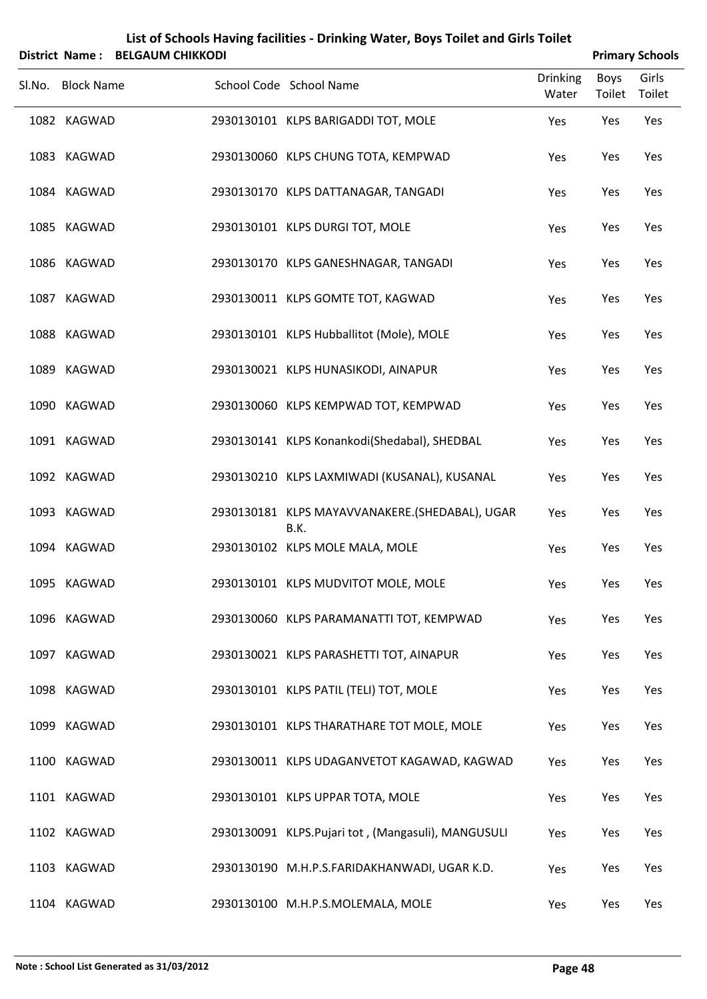|                   | District Name: BELGAUM CHIKKODI |                                                        |                          |                       | <b>Primary Schools</b> |
|-------------------|---------------------------------|--------------------------------------------------------|--------------------------|-----------------------|------------------------|
| Sl.No. Block Name |                                 | School Code School Name                                | <b>Drinking</b><br>Water | <b>Boys</b><br>Toilet | Girls<br>Toilet        |
| 1082 KAGWAD       |                                 | 2930130101 KLPS BARIGADDI TOT, MOLE                    | Yes                      | Yes                   | Yes                    |
| 1083 KAGWAD       |                                 | 2930130060 KLPS CHUNG TOTA, KEMPWAD                    | Yes                      | Yes                   | Yes                    |
| 1084 KAGWAD       |                                 | 2930130170 KLPS DATTANAGAR, TANGADI                    | Yes                      | Yes                   | Yes                    |
| 1085 KAGWAD       |                                 | 2930130101 KLPS DURGI TOT, MOLE                        | Yes                      | Yes                   | Yes                    |
| 1086 KAGWAD       |                                 | 2930130170 KLPS GANESHNAGAR, TANGADI                   | Yes                      | Yes                   | Yes                    |
| 1087 KAGWAD       |                                 | 2930130011 KLPS GOMTE TOT, KAGWAD                      | Yes                      | Yes                   | Yes                    |
| 1088 KAGWAD       |                                 | 2930130101 KLPS Hubballitot (Mole), MOLE               | Yes                      | Yes                   | Yes                    |
| 1089 KAGWAD       |                                 | 2930130021 KLPS HUNASIKODI, AINAPUR                    | Yes                      | Yes                   | Yes                    |
| 1090 KAGWAD       |                                 | 2930130060 KLPS KEMPWAD TOT, KEMPWAD                   | Yes                      | Yes                   | Yes                    |
| 1091 KAGWAD       |                                 | 2930130141 KLPS Konankodi(Shedabal), SHEDBAL           | Yes                      | Yes                   | Yes                    |
| 1092 KAGWAD       |                                 | 2930130210 KLPS LAXMIWADI (KUSANAL), KUSANAL           | Yes                      | Yes                   | Yes                    |
| 1093 KAGWAD       |                                 | 2930130181 KLPS MAYAVVANAKERE.(SHEDABAL), UGAR<br>B.K. | Yes                      | Yes                   | Yes                    |
| 1094 KAGWAD       |                                 | 2930130102 KLPS MOLE MALA, MOLE                        | Yes                      | Yes                   | Yes                    |
| 1095 KAGWAD       |                                 | 2930130101 KLPS MUDVITOT MOLE, MOLE                    | Yes                      | Yes                   | Yes                    |
| 1096 KAGWAD       |                                 | 2930130060 KLPS PARAMANATTI TOT, KEMPWAD               | Yes                      | Yes                   | Yes                    |
| 1097 KAGWAD       |                                 | 2930130021 KLPS PARASHETTI TOT, AINAPUR                | Yes                      | Yes                   | Yes                    |
| 1098 KAGWAD       |                                 | 2930130101 KLPS PATIL (TELI) TOT, MOLE                 | Yes                      | Yes                   | Yes                    |
| 1099 KAGWAD       |                                 | 2930130101 KLPS THARATHARE TOT MOLE, MOLE              | Yes                      | Yes                   | Yes                    |
| 1100 KAGWAD       |                                 | 2930130011 KLPS UDAGANVETOT KAGAWAD, KAGWAD            | Yes                      | Yes                   | Yes                    |
| 1101 KAGWAD       |                                 | 2930130101 KLPS UPPAR TOTA, MOLE                       | Yes                      | Yes                   | Yes                    |
| 1102 KAGWAD       |                                 | 2930130091 KLPS. Pujari tot, (Mangasuli), MANGUSULI    | Yes                      | Yes                   | Yes                    |
| 1103 KAGWAD       |                                 | 2930130190 M.H.P.S.FARIDAKHANWADI, UGAR K.D.           | Yes                      | Yes                   | Yes                    |
| 1104 KAGWAD       |                                 | 2930130100 M.H.P.S.MOLEMALA, MOLE                      | Yes                      | Yes                   | Yes                    |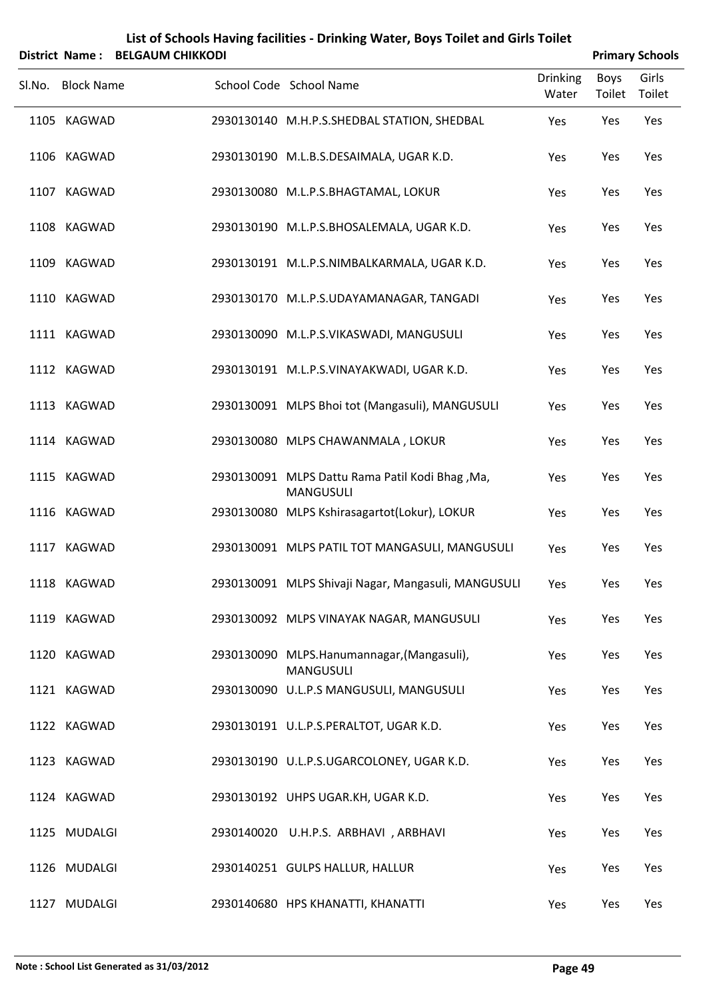|                   | District Name: BELGAUM CHIKKODI |                                                                     |                          |                | <b>Primary Schools</b> |
|-------------------|---------------------------------|---------------------------------------------------------------------|--------------------------|----------------|------------------------|
| Sl.No. Block Name |                                 | School Code School Name                                             | <b>Drinking</b><br>Water | Boys<br>Toilet | Girls<br>Toilet        |
| 1105 KAGWAD       |                                 | 2930130140 M.H.P.S.SHEDBAL STATION, SHEDBAL                         | Yes                      | Yes            | Yes                    |
| 1106 KAGWAD       |                                 | 2930130190 M.L.B.S.DESAIMALA, UGAR K.D.                             | Yes                      | Yes            | Yes                    |
| 1107 KAGWAD       |                                 | 2930130080 M.L.P.S.BHAGTAMAL, LOKUR                                 | Yes                      | Yes            | Yes                    |
| 1108 KAGWAD       |                                 | 2930130190 M.L.P.S.BHOSALEMALA, UGAR K.D.                           | Yes                      | Yes            | Yes                    |
| 1109 KAGWAD       |                                 | 2930130191 M.L.P.S.NIMBALKARMALA, UGAR K.D.                         | Yes                      | Yes            | Yes                    |
| 1110 KAGWAD       |                                 | 2930130170 M.L.P.S.UDAYAMANAGAR, TANGADI                            | Yes                      | Yes            | Yes                    |
| 1111 KAGWAD       |                                 | 2930130090 M.L.P.S.VIKASWADI, MANGUSULI                             | Yes                      | Yes            | Yes                    |
| 1112 KAGWAD       |                                 | 2930130191 M.L.P.S.VINAYAKWADI, UGAR K.D.                           | Yes                      | Yes            | Yes                    |
| 1113 KAGWAD       |                                 | 2930130091 MLPS Bhoi tot (Mangasuli), MANGUSULI                     | Yes                      | Yes            | Yes                    |
| 1114 KAGWAD       |                                 | 2930130080 MLPS CHAWANMALA, LOKUR                                   | Yes                      | Yes            | Yes                    |
| 1115 KAGWAD       |                                 | 2930130091 MLPS Dattu Rama Patil Kodi Bhag, Ma,<br><b>MANGUSULI</b> | Yes                      | Yes            | Yes                    |
| 1116 KAGWAD       |                                 | 2930130080 MLPS Kshirasagartot(Lokur), LOKUR                        | Yes                      | Yes            | Yes                    |
| 1117 KAGWAD       |                                 | 2930130091 MLPS PATIL TOT MANGASULI, MANGUSULI                      | Yes                      | Yes            | Yes                    |
| 1118 KAGWAD       |                                 | 2930130091 MLPS Shivaji Nagar, Mangasuli, MANGUSULI                 | Yes                      | Yes            | Yes                    |
| 1119 KAGWAD       |                                 | 2930130092 MLPS VINAYAK NAGAR, MANGUSULI                            | Yes                      | Yes            | Yes                    |
| 1120 KAGWAD       |                                 | 2930130090 MLPS.Hanumannagar, (Mangasuli),<br><b>MANGUSULI</b>      | Yes                      | Yes            | Yes                    |
| 1121 KAGWAD       |                                 | 2930130090 U.L.P.S MANGUSULI, MANGUSULI                             | Yes                      | Yes            | Yes                    |
| 1122 KAGWAD       |                                 | 2930130191 U.L.P.S.PERALTOT, UGAR K.D.                              | Yes                      | Yes            | Yes                    |
| 1123 KAGWAD       |                                 | 2930130190 U.L.P.S.UGARCOLONEY, UGAR K.D.                           | Yes                      | Yes            | Yes                    |
| 1124 KAGWAD       |                                 | 2930130192 UHPS UGAR.KH, UGAR K.D.                                  | Yes                      | Yes            | Yes                    |
| 1125 MUDALGI      |                                 | 2930140020 U.H.P.S. ARBHAVI, ARBHAVI                                | Yes                      | Yes            | Yes                    |
| 1126 MUDALGI      |                                 | 2930140251 GULPS HALLUR, HALLUR                                     | Yes                      | Yes            | Yes                    |
| 1127 MUDALGI      |                                 | 2930140680 HPS KHANATTI, KHANATTI                                   | Yes                      | Yes            | Yes                    |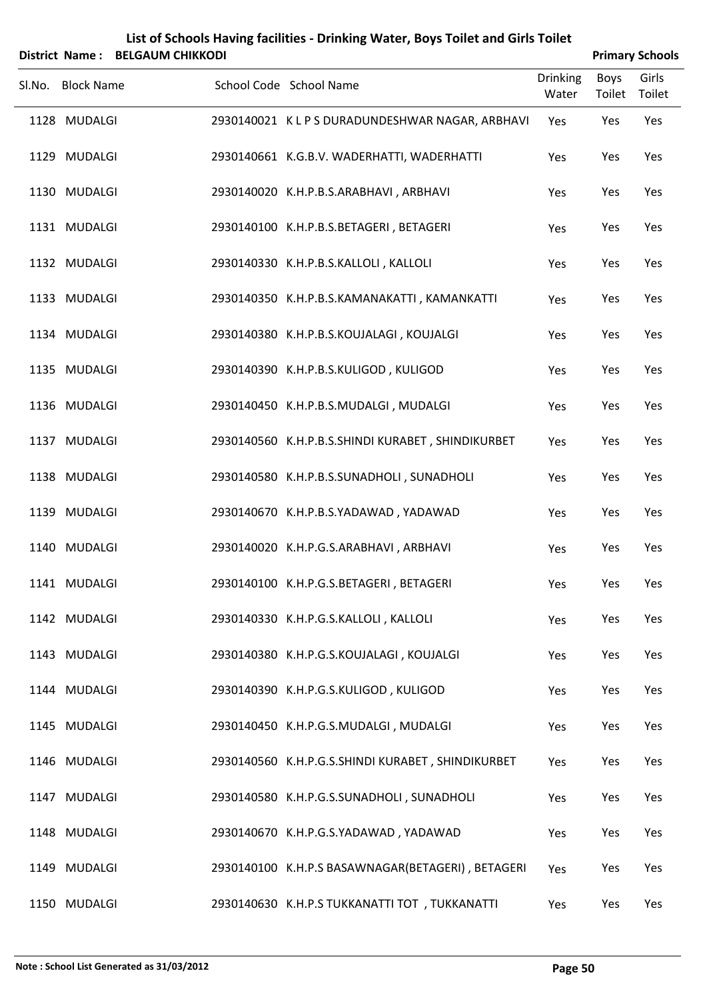|        |                   | District Name: BELGAUM CHIKKODI |                                                   |                          |                | <b>Primary Schools</b> |
|--------|-------------------|---------------------------------|---------------------------------------------------|--------------------------|----------------|------------------------|
| Sl.No. | <b>Block Name</b> |                                 | School Code School Name                           | <b>Drinking</b><br>Water | Boys<br>Toilet | Girls<br>Toilet        |
|        | 1128 MUDALGI      |                                 | 2930140021 KLPSDURADUNDESHWAR NAGAR, ARBHAVI      | Yes                      | Yes            | Yes                    |
|        | 1129 MUDALGI      |                                 | 2930140661 K.G.B.V. WADERHATTI, WADERHATTI        | Yes                      | Yes            | Yes                    |
|        | 1130 MUDALGI      |                                 | 2930140020 K.H.P.B.S.ARABHAVI, ARBHAVI            | Yes                      | Yes            | Yes                    |
|        | 1131 MUDALGI      |                                 | 2930140100 K.H.P.B.S.BETAGERI, BETAGERI           | Yes                      | Yes            | Yes                    |
|        | 1132 MUDALGI      |                                 | 2930140330 K.H.P.B.S.KALLOLI, KALLOLI             | Yes                      | Yes            | Yes                    |
|        | 1133 MUDALGI      |                                 | 2930140350 K.H.P.B.S.KAMANAKATTI, KAMANKATTI      | Yes                      | Yes            | Yes                    |
|        | 1134 MUDALGI      |                                 | 2930140380 K.H.P.B.S.KOUJALAGI, KOUJALGI          | Yes                      | Yes            | Yes                    |
|        | 1135 MUDALGI      |                                 | 2930140390 K.H.P.B.S.KULIGOD, KULIGOD             | Yes                      | Yes            | Yes                    |
|        | 1136 MUDALGI      |                                 | 2930140450 K.H.P.B.S.MUDALGI, MUDALGI             | Yes                      | Yes            | Yes                    |
|        | 1137 MUDALGI      |                                 | 2930140560 K.H.P.B.S.SHINDI KURABET, SHINDIKURBET | Yes                      | Yes            | Yes                    |
|        | 1138 MUDALGI      |                                 | 2930140580 K.H.P.B.S.SUNADHOLI, SUNADHOLI         | Yes                      | Yes            | Yes                    |
|        | 1139 MUDALGI      |                                 | 2930140670 K.H.P.B.S.YADAWAD, YADAWAD             | Yes                      | Yes            | Yes                    |
|        | 1140 MUDALGI      |                                 | 2930140020 K.H.P.G.S.ARABHAVI, ARBHAVI            | Yes                      | Yes            | Yes                    |
|        | 1141 MUDALGI      |                                 | 2930140100 K.H.P.G.S.BETAGERI, BETAGERI           | Yes                      | Yes            | Yes                    |
|        | 1142 MUDALGI      |                                 | 2930140330 K.H.P.G.S.KALLOLI, KALLOLI             | Yes                      | Yes            | Yes                    |
|        | 1143 MUDALGI      |                                 | 2930140380 K.H.P.G.S.KOUJALAGI, KOUJALGI          | Yes                      | Yes            | Yes                    |
|        | 1144 MUDALGI      |                                 | 2930140390 K.H.P.G.S.KULIGOD, KULIGOD             | Yes                      | Yes            | Yes                    |
|        | 1145 MUDALGI      |                                 | 2930140450 K.H.P.G.S.MUDALGI, MUDALGI             | Yes                      | Yes            | Yes                    |
|        | 1146 MUDALGI      |                                 | 2930140560 K.H.P.G.S.SHINDI KURABET, SHINDIKURBET | Yes                      | Yes            | Yes                    |
|        | 1147 MUDALGI      |                                 | 2930140580 K.H.P.G.S.SUNADHOLI, SUNADHOLI         | Yes                      | Yes            | Yes                    |
|        | 1148 MUDALGI      |                                 | 2930140670 K.H.P.G.S.YADAWAD, YADAWAD             | Yes                      | Yes            | Yes                    |
|        | 1149 MUDALGI      |                                 | 2930140100 K.H.P.S BASAWNAGAR(BETAGERI), BETAGERI | Yes                      | Yes            | Yes                    |
|        | 1150 MUDALGI      |                                 | 2930140630 K.H.P.S TUKKANATTI TOT, TUKKANATTI     | Yes                      | Yes            | Yes                    |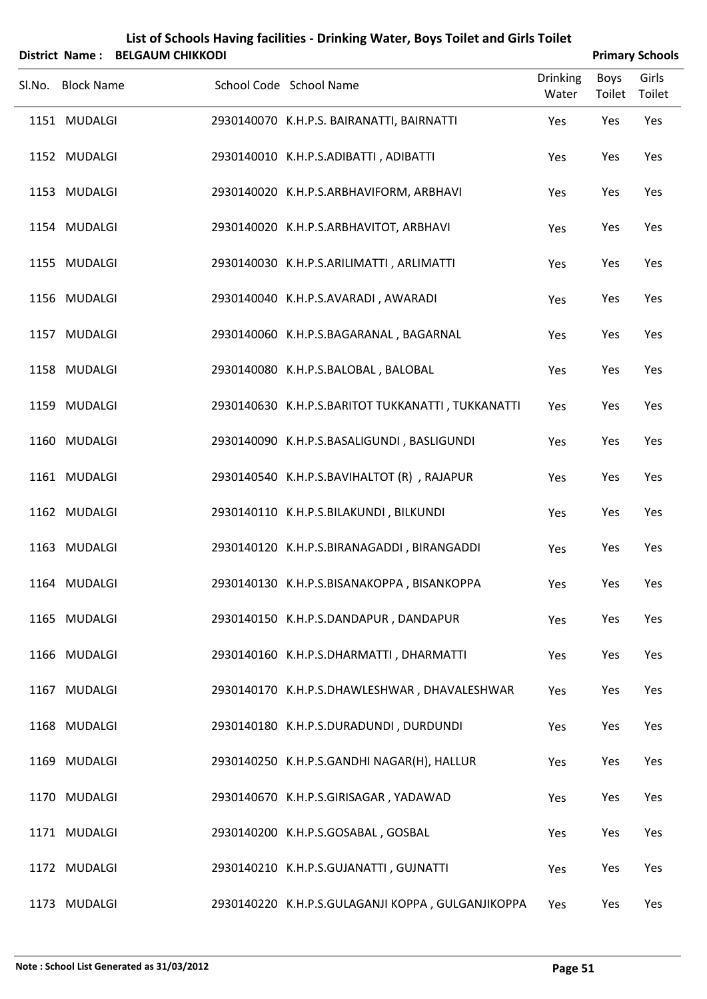|                   | District Name: BELGAUM CHIKKODI |                                                   |                          |                       | <b>Primary Schools</b> |
|-------------------|---------------------------------|---------------------------------------------------|--------------------------|-----------------------|------------------------|
| Sl.No. Block Name |                                 | School Code School Name                           | <b>Drinking</b><br>Water | <b>Boys</b><br>Toilet | Girls<br>Toilet        |
| 1151 MUDALGI      |                                 | 2930140070 K.H.P.S. BAIRANATTI, BAIRNATTI         | Yes                      | Yes                   | Yes                    |
| 1152 MUDALGI      |                                 | 2930140010 K.H.P.S.ADIBATTI, ADIBATTI             | Yes                      | Yes                   | Yes                    |
| 1153 MUDALGI      |                                 | 2930140020 K.H.P.S.ARBHAVIFORM, ARBHAVI           | Yes                      | Yes                   | Yes                    |
| 1154 MUDALGI      |                                 | 2930140020 K.H.P.S.ARBHAVITOT, ARBHAVI            | Yes                      | Yes                   | Yes                    |
| 1155 MUDALGI      |                                 | 2930140030 K.H.P.S.ARILIMATTI, ARLIMATTI          | Yes                      | Yes                   | Yes                    |
| 1156 MUDALGI      |                                 | 2930140040 K.H.P.S.AVARADI, AWARADI               | Yes                      | Yes                   | Yes                    |
| 1157 MUDALGI      |                                 | 2930140060 K.H.P.S.BAGARANAL, BAGARNAL            | Yes                      | Yes                   | Yes                    |
| 1158 MUDALGI      |                                 | 2930140080 K.H.P.S.BALOBAL, BALOBAL               | Yes                      | Yes                   | Yes                    |
| 1159 MUDALGI      |                                 | 2930140630 K.H.P.S.BARITOT TUKKANATTI, TUKKANATTI | Yes                      | Yes                   | Yes                    |
| 1160 MUDALGI      |                                 | 2930140090 K.H.P.S.BASALIGUNDI, BASLIGUNDI        | Yes                      | Yes                   | Yes                    |
| 1161 MUDALGI      |                                 | 2930140540 K.H.P.S.BAVIHALTOT (R), RAJAPUR        | Yes                      | Yes                   | Yes                    |
| 1162 MUDALGI      |                                 | 2930140110 K.H.P.S.BILAKUNDI, BILKUNDI            | Yes                      | Yes                   | Yes                    |
| 1163 MUDALGI      |                                 | 2930140120 K.H.P.S.BIRANAGADDI, BIRANGADDI        | Yes                      | Yes                   | Yes                    |
| 1164 MUDALGI      |                                 | 2930140130 K.H.P.S.BISANAKOPPA, BISANKOPPA        | Yes                      | Yes                   | Yes                    |
| 1165 MUDALGI      |                                 | 2930140150 K.H.P.S.DANDAPUR, DANDAPUR             | Yes                      | Yes                   | Yes                    |
| 1166 MUDALGI      |                                 | 2930140160 K.H.P.S.DHARMATTI, DHARMATTI           | Yes                      | Yes                   | Yes                    |
| 1167 MUDALGI      |                                 | 2930140170 K.H.P.S.DHAWLESHWAR, DHAVALESHWAR      | Yes                      | Yes                   | Yes                    |
| 1168 MUDALGI      |                                 | 2930140180 K.H.P.S.DURADUNDI, DURDUNDI            | Yes                      | Yes                   | Yes                    |
| 1169 MUDALGI      |                                 | 2930140250 K.H.P.S.GANDHI NAGAR(H), HALLUR        | Yes                      | Yes                   | Yes                    |
| 1170 MUDALGI      |                                 | 2930140670 K.H.P.S.GIRISAGAR, YADAWAD             | Yes                      | Yes                   | Yes                    |
| 1171 MUDALGI      |                                 | 2930140200 K.H.P.S.GOSABAL, GOSBAL                | Yes                      | Yes                   | Yes                    |
| 1172 MUDALGI      |                                 | 2930140210 K.H.P.S.GUJANATTI, GUJNATTI            | Yes                      | Yes                   | Yes                    |
| 1173 MUDALGI      |                                 | 2930140220 K.H.P.S.GULAGANJI KOPPA, GULGANJIKOPPA | Yes                      | Yes                   | Yes                    |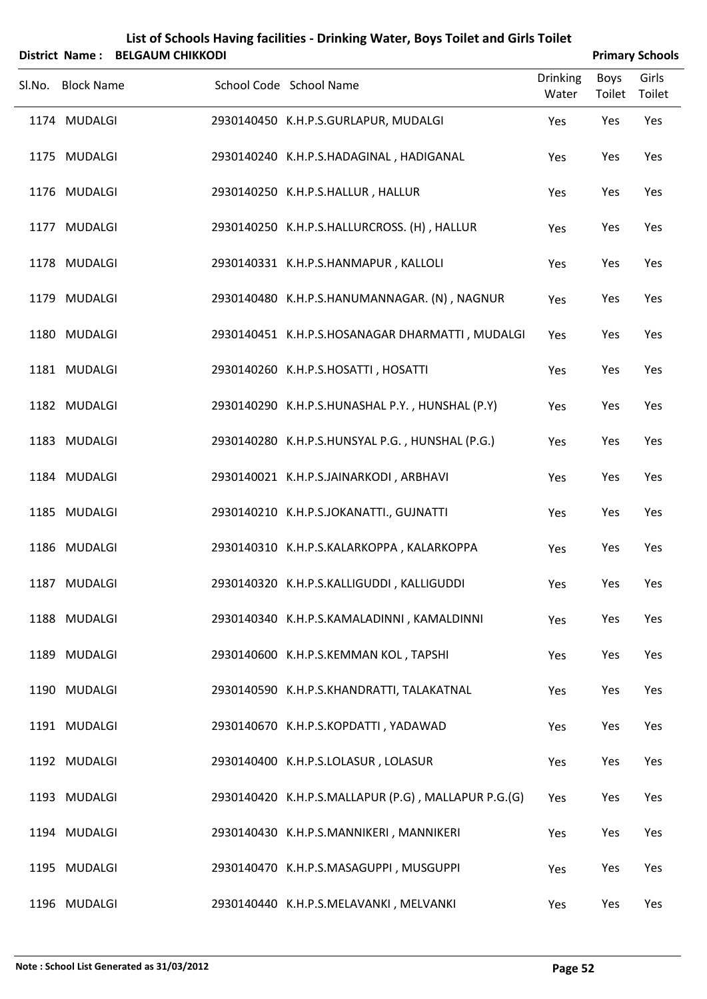|                   | District Name: BELGAUM CHIKKODI |                                                     |                          |                       | <b>Primary Schools</b> |
|-------------------|---------------------------------|-----------------------------------------------------|--------------------------|-----------------------|------------------------|
| Sl.No. Block Name |                                 | School Code School Name                             | <b>Drinking</b><br>Water | <b>Boys</b><br>Toilet | Girls<br>Toilet        |
| 1174 MUDALGI      |                                 | 2930140450 K.H.P.S.GURLAPUR, MUDALGI                | Yes                      | Yes                   | Yes                    |
| 1175 MUDALGI      |                                 | 2930140240 K.H.P.S.HADAGINAL, HADIGANAL             | Yes                      | Yes                   | Yes                    |
| 1176 MUDALGI      |                                 | 2930140250 K.H.P.S.HALLUR, HALLUR                   | Yes                      | Yes                   | Yes                    |
| 1177 MUDALGI      |                                 | 2930140250 K.H.P.S.HALLURCROSS. (H), HALLUR         | Yes                      | Yes                   | Yes                    |
| 1178 MUDALGI      |                                 | 2930140331 K.H.P.S.HANMAPUR, KALLOLI                | Yes                      | Yes                   | Yes                    |
| 1179 MUDALGI      |                                 | 2930140480 K.H.P.S.HANUMANNAGAR. (N), NAGNUR        | Yes                      | Yes                   | Yes                    |
| 1180 MUDALGI      |                                 | 2930140451 K.H.P.S.HOSANAGAR DHARMATTI, MUDALGI     | Yes                      | Yes                   | Yes                    |
| 1181 MUDALGI      |                                 | 2930140260 K.H.P.S.HOSATTI, HOSATTI                 | Yes                      | Yes                   | Yes                    |
| 1182 MUDALGI      |                                 | 2930140290 K.H.P.S.HUNASHAL P.Y., HUNSHAL (P.Y)     | Yes                      | Yes                   | Yes                    |
| 1183 MUDALGI      |                                 | 2930140280 K.H.P.S.HUNSYAL P.G., HUNSHAL (P.G.)     | Yes                      | Yes                   | Yes                    |
| 1184 MUDALGI      |                                 | 2930140021 K.H.P.S.JAINARKODI, ARBHAVI              | Yes                      | Yes                   | Yes                    |
| 1185 MUDALGI      |                                 | 2930140210 K.H.P.S.JOKANATTI., GUJNATTI             | Yes                      | Yes                   | Yes                    |
| 1186 MUDALGI      |                                 | 2930140310 K.H.P.S.KALARKOPPA, KALARKOPPA           | Yes                      | Yes                   | Yes                    |
| 1187 MUDALGI      |                                 | 2930140320 K.H.P.S.KALLIGUDDI, KALLIGUDDI           | Yes                      | Yes                   | Yes                    |
| 1188 MUDALGI      |                                 | 2930140340 K.H.P.S.KAMALADINNI, KAMALDINNI          | Yes                      | Yes                   | Yes                    |
| 1189 MUDALGI      |                                 | 2930140600 K.H.P.S.KEMMAN KOL, TAPSHI               | Yes                      | Yes                   | Yes                    |
| 1190 MUDALGI      |                                 | 2930140590 K.H.P.S.KHANDRATTI, TALAKATNAL           | Yes                      | Yes                   | Yes                    |
| 1191 MUDALGI      |                                 | 2930140670 K.H.P.S.KOPDATTI, YADAWAD                | Yes                      | Yes                   | Yes                    |
| 1192 MUDALGI      |                                 | 2930140400 K.H.P.S.LOLASUR, LOLASUR                 | Yes                      | Yes                   | Yes                    |
| 1193 MUDALGI      |                                 | 2930140420 K.H.P.S.MALLAPUR (P.G), MALLAPUR P.G.(G) | Yes                      | Yes                   | Yes                    |
| 1194 MUDALGI      |                                 | 2930140430 K.H.P.S.MANNIKERI, MANNIKERI             | Yes                      | Yes                   | Yes                    |
| 1195 MUDALGI      |                                 | 2930140470 K.H.P.S.MASAGUPPI, MUSGUPPI              | Yes                      | Yes                   | Yes                    |
| 1196 MUDALGI      |                                 | 2930140440 K.H.P.S.MELAVANKI, MELVANKI              | Yes                      | Yes                   | Yes                    |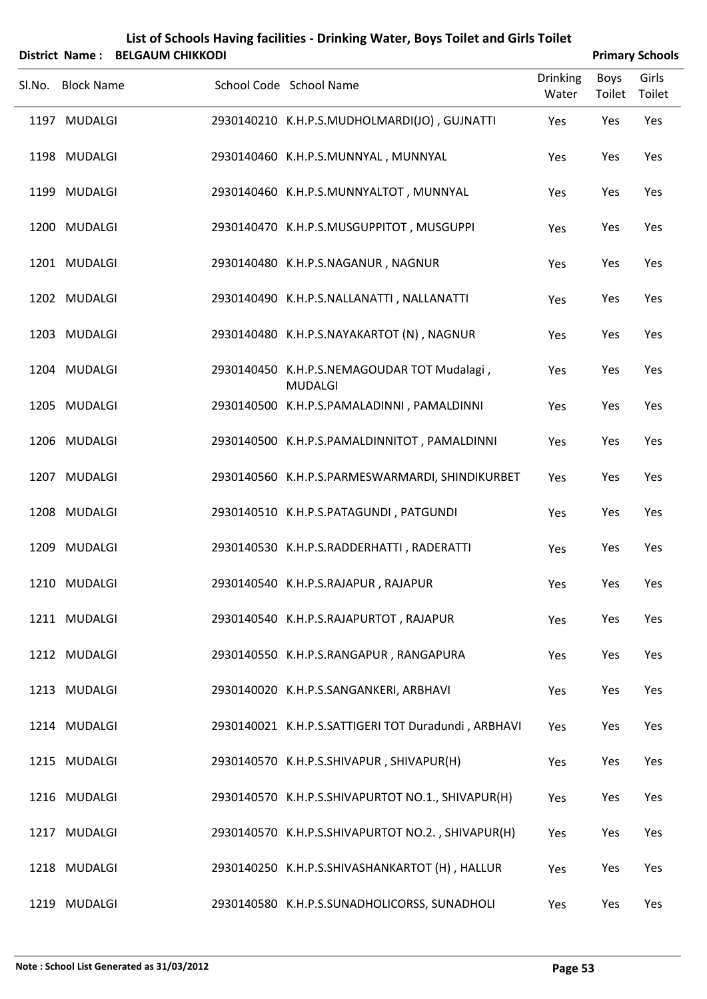|        |                              | District Name: BELGAUM CHIKKODI |                                                                                                 |                          | <b>Primary Schools</b> |                 |
|--------|------------------------------|---------------------------------|-------------------------------------------------------------------------------------------------|--------------------------|------------------------|-----------------|
| Sl.No. | <b>Block Name</b>            |                                 | School Code School Name                                                                         | <b>Drinking</b><br>Water | Boys<br>Toilet         | Girls<br>Toilet |
|        | 1197 MUDALGI                 |                                 | 2930140210 K.H.P.S.MUDHOLMARDI(JO), GUJNATTI                                                    | Yes                      | Yes                    | Yes             |
|        | 1198 MUDALGI                 |                                 | 2930140460 K.H.P.S.MUNNYAL, MUNNYAL                                                             | Yes                      | Yes                    | Yes             |
|        | 1199 MUDALGI                 |                                 | 2930140460 K.H.P.S.MUNNYALTOT, MUNNYAL                                                          | Yes                      | Yes                    | Yes             |
|        | 1200 MUDALGI                 |                                 | 2930140470 K.H.P.S.MUSGUPPITOT, MUSGUPPI                                                        | Yes                      | Yes                    | Yes             |
|        | 1201 MUDALGI                 |                                 | 2930140480 K.H.P.S.NAGANUR, NAGNUR                                                              | Yes                      | Yes                    | Yes             |
|        | 1202 MUDALGI                 |                                 | 2930140490 K.H.P.S.NALLANATTI, NALLANATTI                                                       | Yes                      | Yes                    | Yes             |
|        | 1203 MUDALGI                 |                                 | 2930140480 K.H.P.S.NAYAKARTOT (N), NAGNUR                                                       | Yes                      | Yes                    | Yes             |
|        | 1204 MUDALGI                 |                                 | 2930140450 K.H.P.S.NEMAGOUDAR TOT Mudalagi,<br><b>MUDALGI</b>                                   | Yes                      | Yes                    | Yes             |
|        | 1205 MUDALGI                 |                                 | 2930140500 K.H.P.S.PAMALADINNI, PAMALDINNI                                                      | Yes                      | Yes                    | Yes             |
|        | 1206 MUDALGI<br>1207 MUDALGI |                                 | 2930140500 K.H.P.S.PAMALDINNITOT, PAMALDINNI<br>2930140560 K.H.P.S.PARMESWARMARDI, SHINDIKURBET | Yes                      | Yes                    | Yes<br>Yes      |
|        | 1208 MUDALGI                 |                                 | 2930140510 K.H.P.S.PATAGUNDI, PATGUNDI                                                          | Yes<br>Yes               | Yes<br>Yes             | Yes             |
|        | 1209 MUDALGI                 |                                 | 2930140530 K.H.P.S.RADDERHATTI, RADERATTI                                                       | Yes                      | Yes                    | Yes             |
|        | 1210 MUDALGI                 |                                 | 2930140540 K.H.P.S.RAJAPUR, RAJAPUR                                                             | Yes                      | Yes                    | Yes             |
|        | 1211 MUDALGI                 |                                 | 2930140540 K.H.P.S.RAJAPURTOT, RAJAPUR                                                          | Yes                      | Yes                    | Yes             |
|        | 1212 MUDALGI                 |                                 | 2930140550 K.H.P.S.RANGAPUR, RANGAPURA                                                          | Yes                      | Yes                    | Yes             |
|        | 1213 MUDALGI                 |                                 | 2930140020 K.H.P.S.SANGANKERI, ARBHAVI                                                          | Yes                      | Yes                    | Yes             |
|        | 1214 MUDALGI                 |                                 | 2930140021 K.H.P.S.SATTIGERI TOT Duradundi, ARBHAVI                                             | Yes                      | Yes                    | Yes             |
|        | 1215 MUDALGI                 |                                 | 2930140570 K.H.P.S.SHIVAPUR, SHIVAPUR(H)                                                        | Yes                      | Yes                    | Yes             |
|        | 1216 MUDALGI                 |                                 | 2930140570 K.H.P.S.SHIVAPURTOT NO.1., SHIVAPUR(H)                                               | Yes                      | Yes                    | Yes             |
|        | 1217 MUDALGI                 |                                 | 2930140570 K.H.P.S.SHIVAPURTOT NO.2., SHIVAPUR(H)                                               | Yes                      | Yes                    | Yes             |
|        | 1218 MUDALGI                 |                                 | 2930140250 K.H.P.S.SHIVASHANKARTOT (H), HALLUR                                                  | Yes                      | Yes                    | Yes             |
|        |                              |                                 |                                                                                                 |                          |                        |                 |

MUDALGI 2930140580 K.H.P.S.SUNADHOLICORSS, SUNADHOLI Yes Yes Yes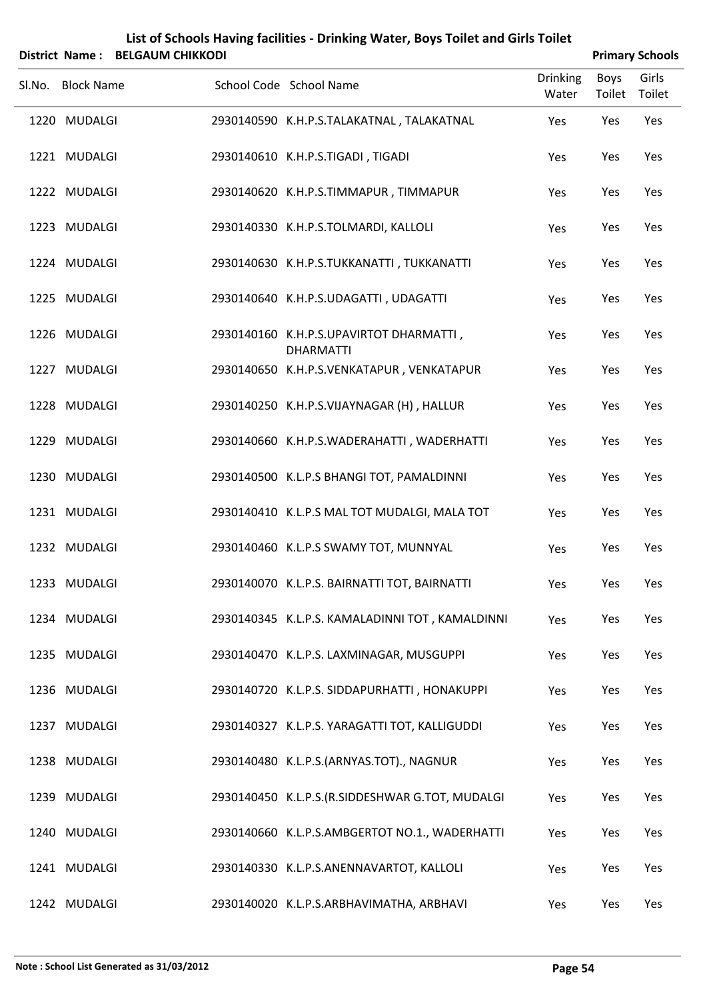|        |                   | District Name: BELGAUM CHIKKODI | List of Schools Having facilities - Drinking Water, Boys Toilet and Girls Toilet |                          |                       | <b>Primary Schools</b> |
|--------|-------------------|---------------------------------|----------------------------------------------------------------------------------|--------------------------|-----------------------|------------------------|
| Sl.No. | <b>Block Name</b> |                                 | School Code School Name                                                          | <b>Drinking</b><br>Water | <b>Boys</b><br>Toilet | Girls<br>Toilet        |
|        | 1220 MUDALGI      |                                 | 2930140590 K.H.P.S.TALAKATNAL, TALAKATNAL                                        | Yes                      | Yes                   | Yes                    |
|        | 1221 MUDALGI      |                                 | 2930140610 K.H.P.S.TIGADI, TIGADI                                                | Yes                      | Yes                   | Yes                    |
|        | 1222 MUDALGI      |                                 | 2930140620 K.H.P.S.TIMMAPUR, TIMMAPUR                                            | Yes                      | Yes                   | Yes                    |
|        | 1223 MUDALGI      |                                 | 2930140330 K.H.P.S.TOLMARDI, KALLOLI                                             | Yes                      | Yes                   | Yes                    |
|        | 1224 MUDALGI      |                                 | 2930140630 K.H.P.S.TUKKANATTI, TUKKANATTI                                        | Yes                      | Yes                   | Yes                    |
|        | 1225 MUDALGI      |                                 | 2930140640 K.H.P.S.UDAGATTI, UDAGATTI                                            | Yes                      | Yes                   | Yes                    |
|        | 1226 MUDALGI      |                                 | 2930140160 K.H.P.S.UPAVIRTOT DHARMATTI,<br><b>DHARMATTI</b>                      | Yes                      | Yes                   | Yes                    |
|        | 1227 MUDALGI      |                                 | 2930140650 K.H.P.S.VENKATAPUR, VENKATAPUR                                        | Yes                      | Yes                   | Yes                    |
|        | 1228 MUDALGI      |                                 | 2930140250 K.H.P.S.VIJAYNAGAR (H), HALLUR                                        | Yes                      | Yes                   | Yes                    |
|        | 1229 MUDALGI      |                                 | 2930140660 K.H.P.S.WADERAHATTI, WADERHATTI                                       | Yes                      | Yes                   | Yes                    |
|        | 1230 MUDALGI      |                                 | 2930140500 K.L.P.S BHANGI TOT, PAMALDINNI                                        | Yes                      | Yes                   | Yes                    |
|        | 1231 MUDALGI      |                                 | 2930140410 K.L.P.S MAL TOT MUDALGI, MALA TOT                                     | Yes                      | Yes                   | Yes                    |
|        | 1232 MUDALGI      |                                 | 2930140460 K.L.P.S SWAMY TOT, MUNNYAL                                            | Yes                      | Yes                   | Yes                    |
|        | 1233 MUDALGI      |                                 | 2930140070 K.L.P.S. BAIRNATTI TOT, BAIRNATTI                                     | Yes                      | Yes                   | Yes                    |
|        | 1234 MUDALGI      |                                 | 2930140345 K.L.P.S. KAMALADINNI TOT, KAMALDINNI                                  | Yes                      | Yes                   | Yes                    |
|        | 1235 MUDALGI      |                                 | 2930140470 K.L.P.S. LAXMINAGAR, MUSGUPPI                                         | Yes                      | Yes                   | Yes                    |
|        | 1236 MUDALGI      |                                 | 2930140720 K.L.P.S. SIDDAPURHATTI, HONAKUPPI                                     | Yes                      | Yes                   | Yes                    |
|        | 1237 MUDALGI      |                                 | 2930140327 K.L.P.S. YARAGATTI TOT, KALLIGUDDI                                    | Yes                      | Yes                   | Yes                    |
|        | 1238 MUDALGI      |                                 | 2930140480 K.L.P.S.(ARNYAS.TOT)., NAGNUR                                         | Yes                      | Yes                   | Yes                    |
|        | 1239 MUDALGI      |                                 | 2930140450 K.L.P.S.(R.SIDDESHWAR G.TOT, MUDALGI                                  | Yes                      | Yes                   | Yes                    |
|        | 1240 MUDALGI      |                                 | 2930140660 K.L.P.S.AMBGERTOT NO.1., WADERHATTI                                   | Yes                      | Yes                   | Yes                    |
|        | 1241 MUDALGI      |                                 | 2930140330 K.L.P.S.ANENNAVARTOT, KALLOLI                                         | Yes                      | Yes                   | Yes                    |
|        | 1242 MUDALGI      |                                 | 2930140020 K.L.P.S.ARBHAVIMATHA, ARBHAVI                                         | Yes                      | Yes                   | Yes                    |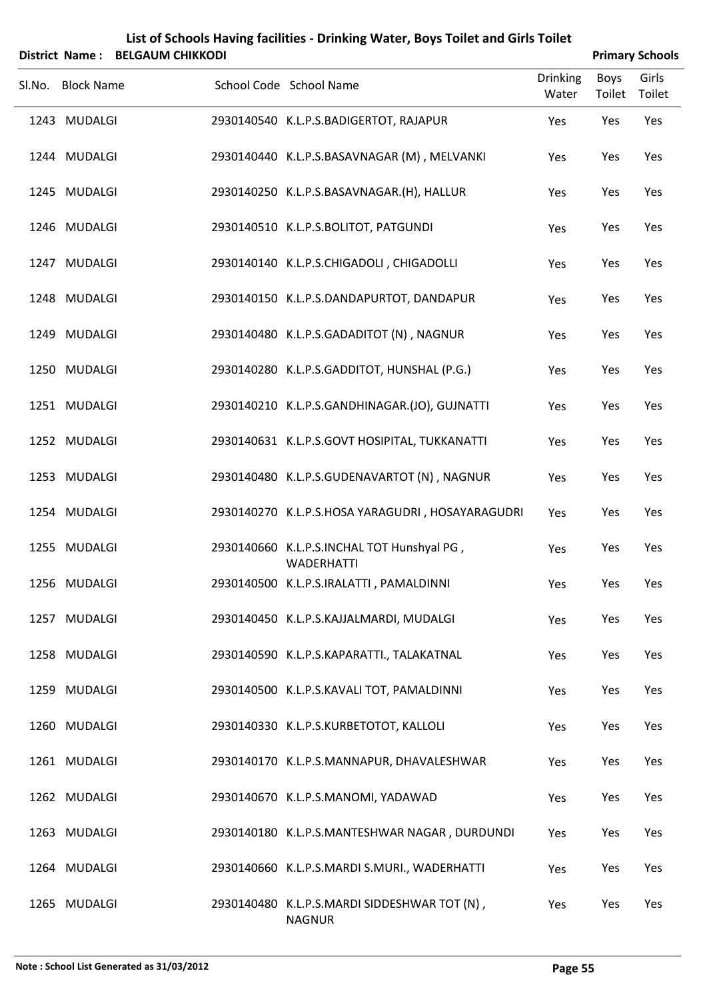|        |                       |                         | List of Schools Having facilities - Drinking Water, Boys Toilet and Girls Toilet |                          |                |                        |
|--------|-----------------------|-------------------------|----------------------------------------------------------------------------------|--------------------------|----------------|------------------------|
|        | <b>District Name:</b> | <b>BELGAUM CHIKKODI</b> |                                                                                  |                          |                | <b>Primary Schools</b> |
| Sl.No. | <b>Block Name</b>     |                         | School Code School Name                                                          | <b>Drinking</b><br>Water | Boys<br>Toilet | Girls<br>Toilet        |
|        | 1243 MUDALGI          |                         | 2930140540 K.L.P.S.BADIGERTOT, RAJAPUR                                           | Yes                      | Yes            | Yes                    |
|        | 1244 MUDALGI          |                         | 2930140440 K.L.P.S.BASAVNAGAR (M), MELVANKI                                      | Yes                      | Yes            | Yes                    |
|        | 1245 MUDALGI          |                         | 2930140250 K.L.P.S.BASAVNAGAR.(H), HALLUR                                        | Yes                      | Yes            | Yes                    |
|        | 1246 MUDALGI          |                         | 2930140510 K.L.P.S.BOLITOT, PATGUNDI                                             | Yes                      | Yes            | Yes                    |
|        | 1247 MUDALGI          |                         | 2930140140 K.L.P.S.CHIGADOLI, CHIGADOLLI                                         | Yes                      | Yes            | Yes                    |
|        | 1248 MUDALGI          |                         | 2930140150 K.L.P.S.DANDAPURTOT, DANDAPUR                                         | Yes                      | Yes            | Yes                    |
|        | 1249 MUDALGI          |                         | 2930140480 K.L.P.S.GADADITOT (N), NAGNUR                                         | Yes                      | Yes            | Yes                    |
|        | 1250 MUDALGI          |                         | 2930140280 K.L.P.S.GADDITOT, HUNSHAL (P.G.)                                      | Yes                      | Yes            | Yes                    |
|        | 1251 MUDALGI          |                         | 2930140210 K.L.P.S.GANDHINAGAR.(JO), GUJNATTI                                    | Yes                      | Yes            | Yes                    |
|        | 1252 MUDALGI          |                         | 2930140631 K.L.P.S.GOVT HOSIPITAL, TUKKANATTI                                    | Yes                      | Yes            | Yes                    |
|        | 1253 MUDALGI          |                         | 2930140480 K.L.P.S.GUDENAVARTOT (N), NAGNUR                                      | Yes                      | Yes            | Yes                    |
|        | 1254 MUDALGI          |                         | 2930140270 K.L.P.S.HOSA YARAGUDRI, HOSAYARAGUDRI                                 | Yes                      | Yes            | Yes                    |
|        | 1255 MUDALGI          |                         | 2930140660 K.L.P.S.INCHAL TOT Hunshyal PG,<br><b>WADERHATTI</b>                  | Yes                      | Yes            | Yes                    |
|        | 1256 MUDALGI          |                         | 2930140500 K.L.P.S.IRALATTI, PAMALDINNI                                          | Yes                      | Yes            | Yes                    |
|        | 1257 MUDALGI          |                         | 2930140450 K.L.P.S.KAJJALMARDI, MUDALGI                                          | Yes                      | Yes            | Yes                    |
|        | 1258 MUDALGI          |                         | 2930140590 K.L.P.S.KAPARATTI., TALAKATNAL                                        | Yes                      | Yes            | Yes                    |
|        | 1259 MUDALGI          |                         | 2930140500 K.L.P.S.KAVALI TOT, PAMALDINNI                                        | Yes                      | Yes            | Yes                    |
|        | 1260 MUDALGI          |                         | 2930140330 K.L.P.S.KURBETOTOT, KALLOLI                                           | Yes                      | Yes            | Yes                    |
|        | 1261 MUDALGI          |                         | 2930140170 K.L.P.S.MANNAPUR, DHAVALESHWAR                                        | Yes                      | Yes            | Yes                    |
|        | 1262 MUDALGI          |                         | 2930140670 K.L.P.S.MANOMI, YADAWAD                                               | Yes                      | Yes            | Yes                    |
|        | 1263 MUDALGI          |                         | 2930140180 K.L.P.S.MANTESHWAR NAGAR, DURDUNDI                                    | Yes                      | Yes            | Yes                    |
|        | 1264 MUDALGI          |                         | 2930140660 K.L.P.S.MARDI S.MURI., WADERHATTI                                     | Yes                      | Yes            | Yes                    |
|        | 1265 MUDALGI          |                         | 2930140480 K.L.P.S.MARDI SIDDESHWAR TOT (N),<br><b>NAGNUR</b>                    | Yes                      | Yes            | Yes                    |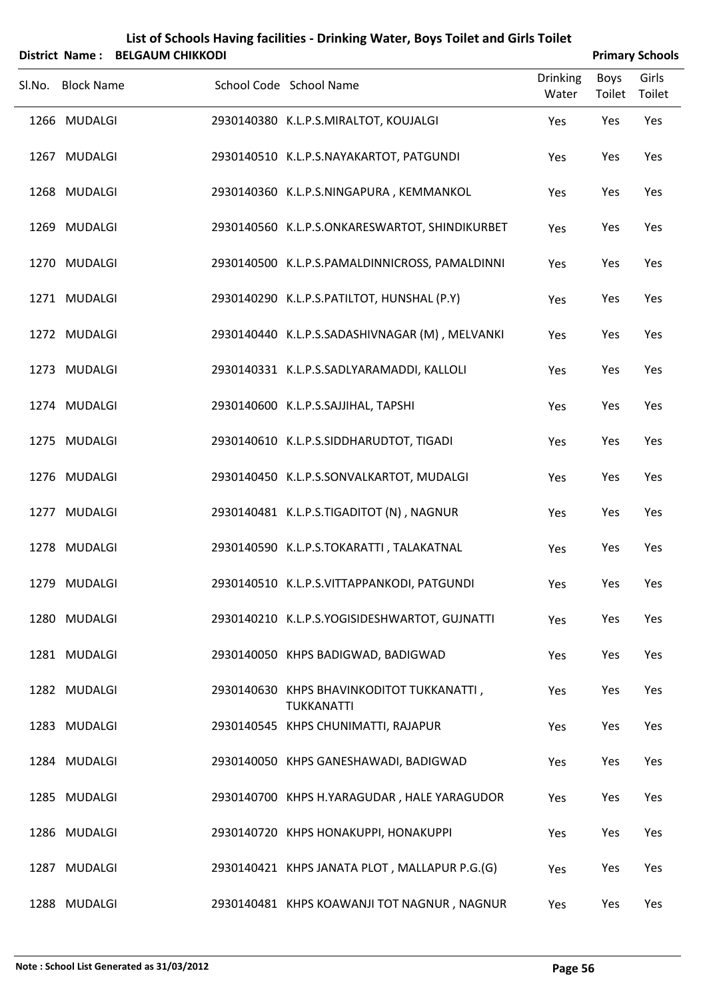|        |                   | District Name: BELGAUM CHIKKODI |                                                         |                          |                | <b>Primary Schools</b> |
|--------|-------------------|---------------------------------|---------------------------------------------------------|--------------------------|----------------|------------------------|
| Sl.No. | <b>Block Name</b> |                                 | School Code School Name                                 | <b>Drinking</b><br>Water | Boys<br>Toilet | Girls<br>Toilet        |
|        | 1266 MUDALGI      |                                 | 2930140380 K.L.P.S.MIRALTOT, KOUJALGI                   | Yes                      | Yes            | Yes                    |
|        | 1267 MUDALGI      |                                 | 2930140510 K.L.P.S.NAYAKARTOT, PATGUNDI                 | Yes                      | Yes            | Yes                    |
|        | 1268 MUDALGI      |                                 | 2930140360 K.L.P.S.NINGAPURA, KEMMANKOL                 | Yes                      | Yes            | Yes                    |
|        | 1269 MUDALGI      |                                 | 2930140560 K.L.P.S.ONKARESWARTOT, SHINDIKURBET          | Yes                      | Yes            | Yes                    |
|        | 1270 MUDALGI      |                                 | 2930140500 K.L.P.S.PAMALDINNICROSS, PAMALDINNI          | Yes                      | Yes            | Yes                    |
|        | 1271 MUDALGI      |                                 | 2930140290 K.L.P.S.PATILTOT, HUNSHAL (P.Y)              | Yes                      | Yes            | Yes                    |
|        | 1272 MUDALGI      |                                 | 2930140440 K.L.P.S.SADASHIVNAGAR (M), MELVANKI          | Yes                      | Yes            | Yes                    |
|        | 1273 MUDALGI      |                                 | 2930140331 K.L.P.S.SADLYARAMADDI, KALLOLI               | Yes                      | Yes            | Yes                    |
|        | 1274 MUDALGI      |                                 | 2930140600 K.L.P.S.SAJJIHAL, TAPSHI                     | Yes                      | Yes            | Yes                    |
|        | 1275 MUDALGI      |                                 | 2930140610 K.L.P.S.SIDDHARUDTOT, TIGADI                 | Yes                      | Yes            | Yes                    |
|        | 1276 MUDALGI      |                                 | 2930140450 K.L.P.S.SONVALKARTOT, MUDALGI                | Yes                      | Yes            | Yes                    |
|        | 1277 MUDALGI      |                                 | 2930140481 K.L.P.S.TIGADITOT (N), NAGNUR                | Yes                      | Yes            | Yes                    |
|        | 1278 MUDALGI      |                                 | 2930140590 K.L.P.S.TOKARATTI, TALAKATNAL                | Yes                      | Yes            | Yes                    |
|        | 1279 MUDALGI      |                                 | 2930140510 K.L.P.S.VITTAPPANKODI, PATGUNDI              | Yes                      | Yes            | Yes                    |
|        | 1280 MUDALGI      |                                 | 2930140210 K.L.P.S.YOGISIDESHWARTOT, GUJNATTI           | Yes                      | Yes            | Yes                    |
|        | 1281 MUDALGI      |                                 | 2930140050 KHPS BADIGWAD, BADIGWAD                      | Yes                      | Yes            | Yes                    |
|        | 1282 MUDALGI      |                                 | 2930140630 KHPS BHAVINKODITOT TUKKANATTI,<br>TUKKANATTI | Yes                      | Yes            | Yes                    |
|        | 1283 MUDALGI      |                                 | 2930140545 KHPS CHUNIMATTI, RAJAPUR                     | Yes                      | Yes            | Yes                    |
|        | 1284 MUDALGI      |                                 | 2930140050 KHPS GANESHAWADI, BADIGWAD                   | Yes                      | Yes            | Yes                    |
|        | 1285 MUDALGI      |                                 | 2930140700 KHPS H.YARAGUDAR, HALE YARAGUDOR             | Yes                      | Yes            | Yes                    |
|        | 1286 MUDALGI      |                                 | 2930140720 KHPS HONAKUPPI, HONAKUPPI                    | Yes                      | Yes            | Yes                    |
|        | 1287 MUDALGI      |                                 | 2930140421 KHPS JANATA PLOT, MALLAPUR P.G.(G)           | Yes                      | Yes            | Yes                    |
|        | 1288 MUDALGI      |                                 | 2930140481 KHPS KOAWANJI TOT NAGNUR, NAGNUR             | Yes                      | Yes            | Yes                    |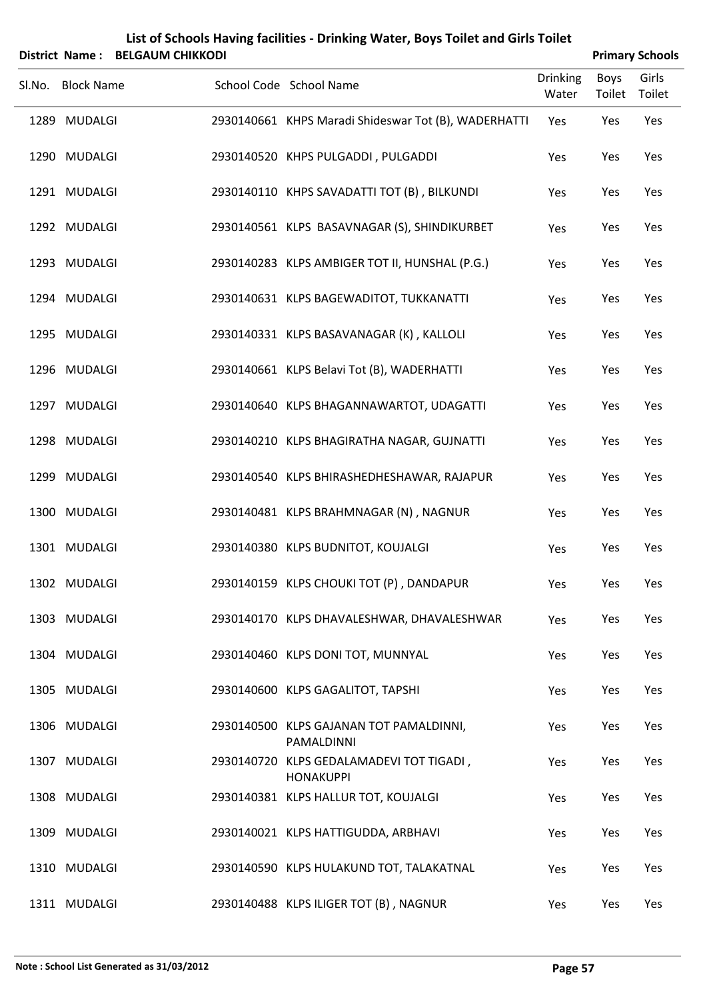|        |                   | District Name: BELGAUM CHIKKODI |                                                              |                          |                | <b>Primary Schools</b> |
|--------|-------------------|---------------------------------|--------------------------------------------------------------|--------------------------|----------------|------------------------|
| Sl.No. | <b>Block Name</b> |                                 | School Code School Name                                      | <b>Drinking</b><br>Water | Boys<br>Toilet | Girls<br>Toilet        |
|        | 1289 MUDALGI      |                                 | 2930140661 KHPS Maradi Shideswar Tot (B), WADERHATTI         | Yes                      | Yes            | Yes                    |
|        | 1290 MUDALGI      |                                 | 2930140520 KHPS PULGADDI, PULGADDI                           | Yes                      | Yes            | Yes                    |
|        | 1291 MUDALGI      |                                 | 2930140110 KHPS SAVADATTI TOT (B), BILKUNDI                  | Yes                      | Yes            | Yes                    |
|        | 1292 MUDALGI      |                                 | 2930140561 KLPS BASAVNAGAR (S), SHINDIKURBET                 | Yes                      | Yes            | Yes                    |
|        | 1293 MUDALGI      |                                 | 2930140283 KLPS AMBIGER TOT II, HUNSHAL (P.G.)               | Yes                      | Yes            | Yes                    |
|        | 1294 MUDALGI      |                                 | 2930140631 KLPS BAGEWADITOT, TUKKANATTI                      | Yes                      | Yes            | Yes                    |
|        | 1295 MUDALGI      |                                 | 2930140331 KLPS BASAVANAGAR (K), KALLOLI                     | Yes                      | Yes            | Yes                    |
|        | 1296 MUDALGI      |                                 | 2930140661 KLPS Belavi Tot (B), WADERHATTI                   | Yes                      | Yes            | Yes                    |
|        | 1297 MUDALGI      |                                 | 2930140640 KLPS BHAGANNAWARTOT, UDAGATTI                     | Yes                      | Yes            | Yes                    |
|        | 1298 MUDALGI      |                                 | 2930140210 KLPS BHAGIRATHA NAGAR, GUJNATTI                   | Yes                      | Yes            | Yes                    |
|        | 1299 MUDALGI      |                                 | 2930140540 KLPS BHIRASHEDHESHAWAR, RAJAPUR                   | Yes                      | Yes            | Yes                    |
|        | 1300 MUDALGI      |                                 | 2930140481 KLPS BRAHMNAGAR (N), NAGNUR                       | Yes                      | Yes            | Yes                    |
|        | 1301 MUDALGI      |                                 | 2930140380 KLPS BUDNITOT, KOUJALGI                           | Yes                      | Yes            | Yes                    |
|        | 1302 MUDALGI      |                                 | 2930140159 KLPS CHOUKI TOT (P), DANDAPUR                     | Yes                      | Yes            | Yes                    |
|        | 1303 MUDALGI      |                                 | 2930140170 KLPS DHAVALESHWAR, DHAVALESHWAR                   | Yes                      | Yes            | Yes                    |
|        | 1304 MUDALGI      |                                 | 2930140460 KLPS DONI TOT, MUNNYAL                            | Yes                      | Yes            | Yes                    |
|        | 1305 MUDALGI      |                                 | 2930140600 KLPS GAGALITOT, TAPSHI                            | Yes                      | Yes            | Yes                    |
|        | 1306 MUDALGI      |                                 | 2930140500 KLPS GAJANAN TOT PAMALDINNI,<br>PAMALDINNI        | Yes                      | Yes            | Yes                    |
|        | 1307 MUDALGI      |                                 | 2930140720 KLPS GEDALAMADEVI TOT TIGADI,<br><b>HONAKUPPI</b> | Yes                      | Yes            | Yes                    |
|        | 1308 MUDALGI      |                                 | 2930140381 KLPS HALLUR TOT, KOUJALGI                         | Yes                      | Yes            | Yes                    |
|        | 1309 MUDALGI      |                                 | 2930140021 KLPS HATTIGUDDA, ARBHAVI                          | Yes                      | Yes            | Yes                    |
|        | 1310 MUDALGI      |                                 | 2930140590 KLPS HULAKUND TOT, TALAKATNAL                     | Yes                      | Yes            | Yes                    |
|        |                   |                                 |                                                              |                          |                |                        |

1311 MUDALGI 2930140488 KLPS ILIGER TOT (B) , NAGNUR Yes Yes Yes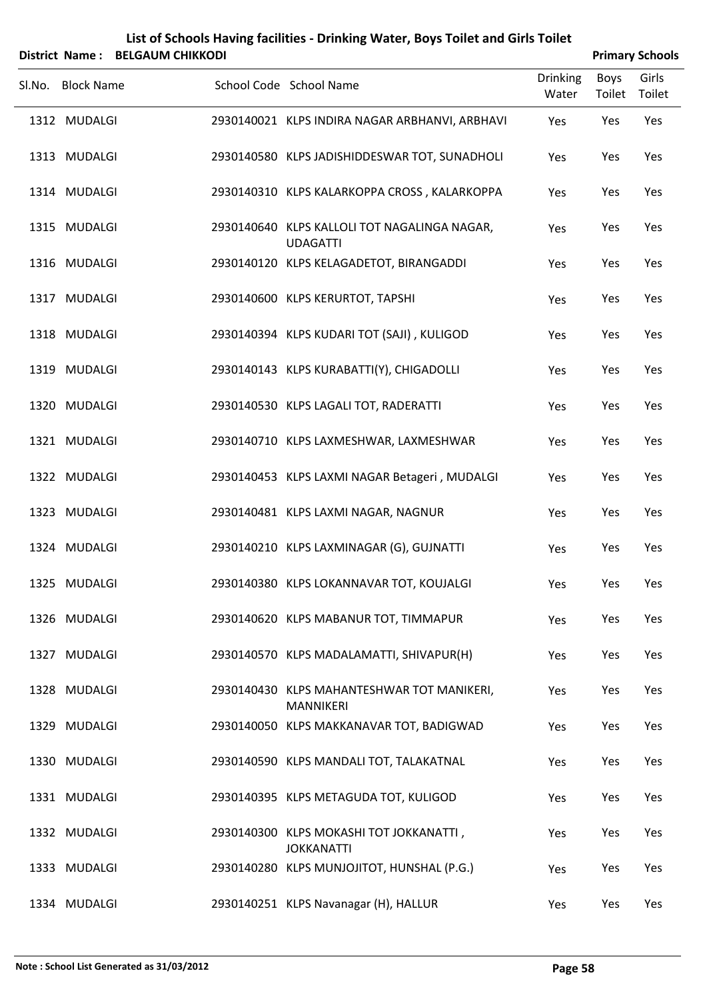|        | DISUILL NAME. DELGAONI CHINNODI |                                                                 |                          |                | PHINGLY SCHOOD  |
|--------|---------------------------------|-----------------------------------------------------------------|--------------------------|----------------|-----------------|
| Sl.No. | <b>Block Name</b>               | School Code School Name                                         | <b>Drinking</b><br>Water | Boys<br>Toilet | Girls<br>Toilet |
|        | 1312 MUDALGI                    | 2930140021 KLPS INDIRA NAGAR ARBHANVI, ARBHAVI                  | Yes                      | Yes            | Yes             |
|        | 1313 MUDALGI                    | 2930140580 KLPS JADISHIDDESWAR TOT, SUNADHOLI                   | Yes                      | Yes            | Yes             |
|        | 1314 MUDALGI                    | 2930140310 KLPS KALARKOPPA CROSS, KALARKOPPA                    | Yes                      | Yes            | Yes             |
|        | 1315 MUDALGI                    | 2930140640 KLPS KALLOLI TOT NAGALINGA NAGAR,<br><b>UDAGATTI</b> | Yes                      | Yes            | Yes             |
|        | 1316 MUDALGI                    | 2930140120 KLPS KELAGADETOT, BIRANGADDI                         | Yes                      | Yes            | Yes             |
|        | 1317 MUDALGI                    | 2930140600 KLPS KERURTOT, TAPSHI                                | Yes                      | Yes            | Yes             |
|        | 1318 MUDALGI                    | 2930140394 KLPS KUDARI TOT (SAJI), KULIGOD                      | Yes                      | Yes            | Yes             |
|        | 1319 MUDALGI                    | 2930140143 KLPS KURABATTI(Y), CHIGADOLLI                        | Yes                      | Yes            | Yes             |
|        | 1320 MUDALGI                    | 2930140530 KLPS LAGALI TOT, RADERATTI                           | Yes                      | Yes            | Yes             |
|        | 1321 MUDALGI                    | 2930140710 KLPS LAXMESHWAR, LAXMESHWAR                          | Yes                      | Yes            | Yes             |
|        | 1322 MUDALGI                    | 2930140453 KLPS LAXMI NAGAR Betageri, MUDALGI                   | Yes                      | Yes            | Yes             |
|        | 1323 MUDALGI                    | 2930140481 KLPS LAXMI NAGAR, NAGNUR                             | Yes                      | Yes            | Yes             |
|        | 1324 MUDALGI                    | 2930140210 KLPS LAXMINAGAR (G), GUJNATTI                        | Yes                      | Yes            | Yes             |
|        | 1325 MUDALGI                    | 2930140380 KLPS LOKANNAVAR TOT, KOUJALGI                        | Yes                      | Yes            | Yes             |
|        | 1326 MUDALGI                    | 2930140620 KLPS MABANUR TOT, TIMMAPUR                           | Yes                      | Yes            | Yes             |
|        | 1327 MUDALGI                    | 2930140570 KLPS MADALAMATTI, SHIVAPUR(H)                        | Yes                      | Yes            | Yes             |
|        | 1328 MUDALGI                    | 2930140430 KLPS MAHANTESHWAR TOT MANIKERI,<br><b>MANNIKERI</b>  | Yes                      | Yes            | Yes             |
|        | 1329 MUDALGI                    | 2930140050 KLPS MAKKANAVAR TOT, BADIGWAD                        | Yes                      | Yes            | Yes             |
|        | 1330 MUDALGI                    | 2930140590 KLPS MANDALI TOT, TALAKATNAL                         | Yes                      | Yes            | Yes             |
|        | 1331 MUDALGI                    | 2930140395 KLPS METAGUDA TOT, KULIGOD                           | Yes                      | Yes            | Yes             |
|        | 1332 MUDALGI                    | 2930140300 KLPS MOKASHI TOT JOKKANATTI,<br><b>JOKKANATTI</b>    | Yes                      | Yes            | Yes             |
|        | 1333 MUDALGI                    | 2930140280 KLPS MUNJOJITOT, HUNSHAL (P.G.)                      | Yes                      | Yes            | Yes             |
|        |                                 |                                                                 |                          |                |                 |

1334 MUDALGI 1334 MUDALGI 2930140251 KLPS Navanagar (H), HALLUR YES Yes Yes Yes

### **List of Schools Having facilities ‐ Drinking Water, Boys Toilet and Girls Toilet District Name : BELGAUM CHIKKODI Primary Schools**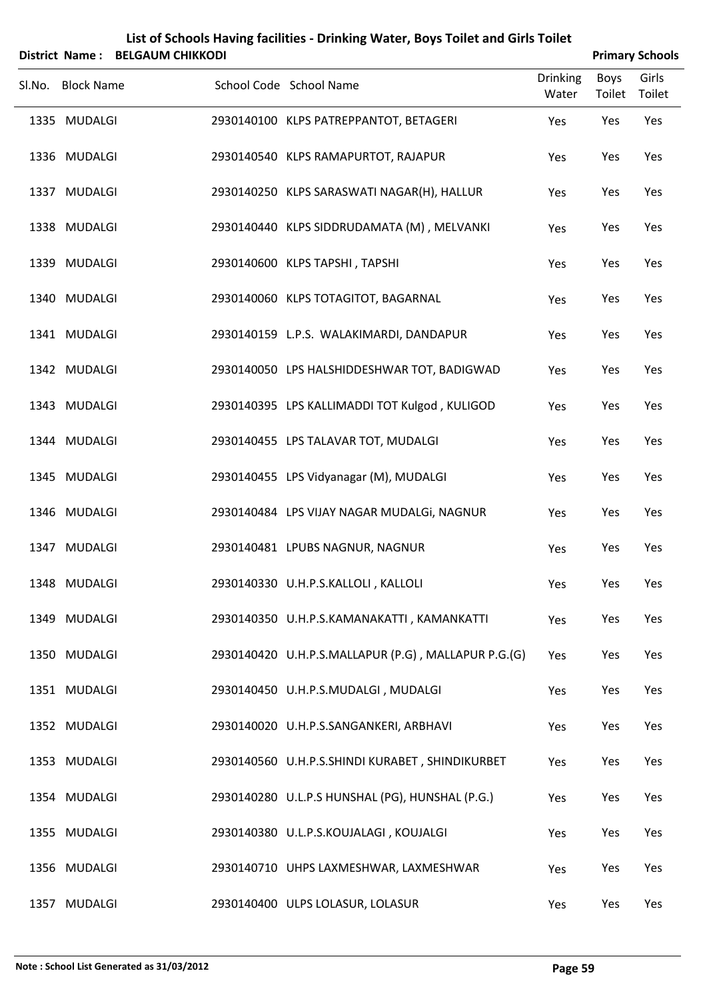|        | List of Schools Having facilities - Drinking Water, Boys Toilet and Girls Toilet<br><b>BELGAUM CHIKKODI</b><br><b>Primary Schools</b><br>District Name: |  |  |                                                     |                          |                |                 |
|--------|---------------------------------------------------------------------------------------------------------------------------------------------------------|--|--|-----------------------------------------------------|--------------------------|----------------|-----------------|
| Sl.No. | <b>Block Name</b>                                                                                                                                       |  |  | School Code School Name                             | <b>Drinking</b><br>Water | Boys<br>Toilet | Girls<br>Toilet |
|        | 1335 MUDALGI                                                                                                                                            |  |  | 2930140100 KLPS PATREPPANTOT, BETAGERI              | Yes                      | Yes            | Yes             |
|        | 1336 MUDALGI                                                                                                                                            |  |  | 2930140540 KLPS RAMAPURTOT, RAJAPUR                 | Yes                      | Yes            | Yes             |
|        | 1337 MUDALGI                                                                                                                                            |  |  | 2930140250 KLPS SARASWATI NAGAR(H), HALLUR          | Yes                      | Yes            | Yes             |
|        | 1338 MUDALGI                                                                                                                                            |  |  | 2930140440 KLPS SIDDRUDAMATA (M), MELVANKI          | Yes                      | Yes            | Yes             |
|        | 1339 MUDALGI                                                                                                                                            |  |  | 2930140600 KLPS TAPSHI, TAPSHI                      | Yes                      | Yes            | Yes             |
|        | 1340 MUDALGI                                                                                                                                            |  |  | 2930140060 KLPS TOTAGITOT, BAGARNAL                 | Yes                      | Yes            | Yes             |
|        | 1341 MUDALGI                                                                                                                                            |  |  | 2930140159 L.P.S. WALAKIMARDI, DANDAPUR             | Yes                      | Yes            | Yes             |
|        | 1342 MUDALGI                                                                                                                                            |  |  | 2930140050 LPS HALSHIDDESHWAR TOT, BADIGWAD         | Yes                      | Yes            | Yes             |
|        | 1343 MUDALGI                                                                                                                                            |  |  | 2930140395 LPS KALLIMADDI TOT Kulgod, KULIGOD       | Yes                      | Yes            | Yes             |
|        | 1344 MUDALGI                                                                                                                                            |  |  | 2930140455 LPS TALAVAR TOT, MUDALGI                 | Yes                      | Yes            | Yes             |
|        | 1345 MUDALGI                                                                                                                                            |  |  | 2930140455 LPS Vidyanagar (M), MUDALGI              | Yes                      | Yes            | Yes             |
|        | 1346 MUDALGI                                                                                                                                            |  |  | 2930140484 LPS VIJAY NAGAR MUDALGI, NAGNUR          | Yes                      | Yes            | Yes             |
|        | 1347 MUDALGI                                                                                                                                            |  |  | 2930140481 LPUBS NAGNUR, NAGNUR                     | Yes                      | Yes            | Yes             |
|        | 1348 MUDALGI                                                                                                                                            |  |  | 2930140330 U.H.P.S.KALLOLI, KALLOLI                 | Yes                      | Yes            | Yes             |
|        | 1349 MUDALGI                                                                                                                                            |  |  | 2930140350 U.H.P.S.KAMANAKATTI, KAMANKATTI          | Yes                      | Yes            | Yes             |
|        | 1350 MUDALGI                                                                                                                                            |  |  | 2930140420 U.H.P.S.MALLAPUR (P.G), MALLAPUR P.G.(G) | Yes                      | Yes            | Yes             |
|        | 1351 MUDALGI                                                                                                                                            |  |  | 2930140450 U.H.P.S.MUDALGI, MUDALGI                 | Yes                      | Yes            | Yes             |
|        | 1352 MUDALGI                                                                                                                                            |  |  | 2930140020 U.H.P.S.SANGANKERI, ARBHAVI              | Yes                      | Yes            | Yes             |
|        | 1353 MUDALGI                                                                                                                                            |  |  | 2930140560 U.H.P.S.SHINDI KURABET, SHINDIKURBET     | Yes                      | Yes            | Yes             |
|        | 1354 MUDALGI                                                                                                                                            |  |  | 2930140280 U.L.P.S HUNSHAL (PG), HUNSHAL (P.G.)     | Yes                      | Yes            | Yes             |
|        | 1355 MUDALGI                                                                                                                                            |  |  | 2930140380 U.L.P.S.KOUJALAGI, KOUJALGI              | Yes                      | Yes            | Yes             |
|        | 1356 MUDALGI                                                                                                                                            |  |  | 2930140710 UHPS LAXMESHWAR, LAXMESHWAR              | Yes                      | Yes            | Yes             |
|        | 1357 MUDALGI                                                                                                                                            |  |  | 2930140400 ULPS LOLASUR, LOLASUR                    | Yes                      | Yes            | Yes             |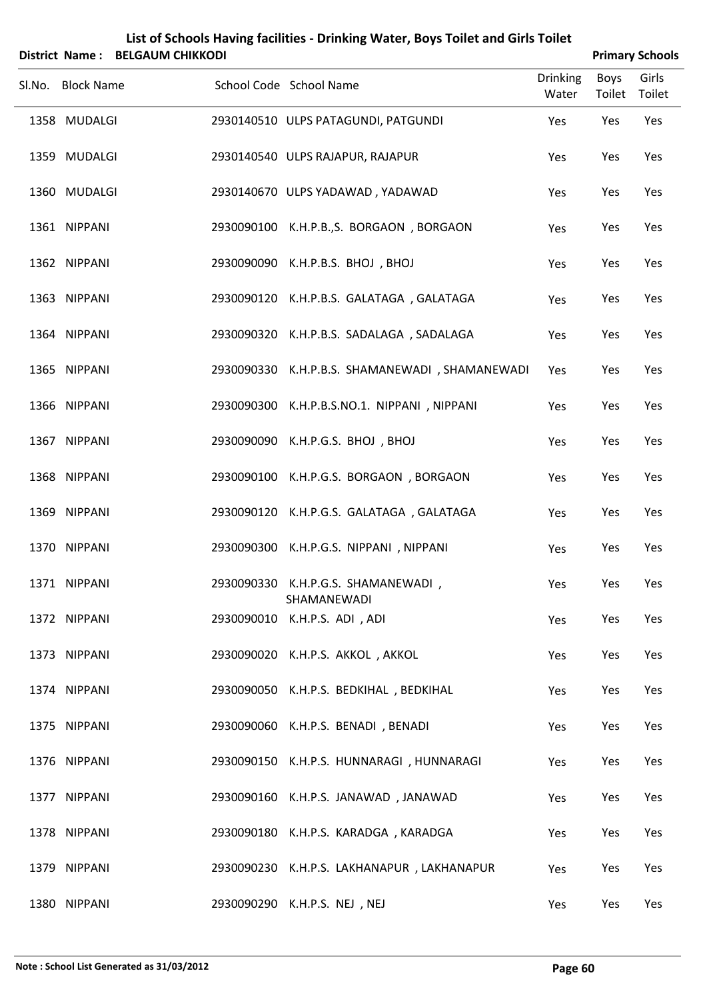| District Name:    | <b>BELGAUM CHIKKODI</b> | List of Schools Having facilities - Drinking Water, Boys Toilet and Girls Toilet |                          |                       | <b>Primary Schools</b> |
|-------------------|-------------------------|----------------------------------------------------------------------------------|--------------------------|-----------------------|------------------------|
| Sl.No. Block Name |                         | School Code School Name                                                          | <b>Drinking</b><br>Water | <b>Boys</b><br>Toilet | Girls<br>Toilet        |
| 1358 MUDALGI      |                         | 2930140510 ULPS PATAGUNDI, PATGUNDI                                              | Yes                      | Yes                   | Yes                    |
| 1359 MUDALGI      |                         | 2930140540 ULPS RAJAPUR, RAJAPUR                                                 | Yes                      | Yes                   | Yes                    |
| 1360 MUDALGI      |                         | 2930140670 ULPS YADAWAD, YADAWAD                                                 | Yes                      | Yes                   | Yes                    |
| 1361 NIPPANI      |                         | 2930090100 K.H.P.B.,S. BORGAON, BORGAON                                          | Yes                      | Yes                   | Yes                    |
| 1362 NIPPANI      |                         | 2930090090 K.H.P.B.S. BHOJ, BHOJ                                                 | Yes                      | Yes                   | Yes                    |
| 1363 NIPPANI      |                         | 2930090120 K.H.P.B.S. GALATAGA, GALATAGA                                         | Yes                      | Yes                   | Yes                    |
| 1364 NIPPANI      |                         | 2930090320 K.H.P.B.S. SADALAGA, SADALAGA                                         | Yes                      | Yes                   | Yes                    |
| 1365 NIPPANI      |                         | 2930090330 K.H.P.B.S. SHAMANEWADI, SHAMANEWADI                                   | Yes                      | Yes                   | Yes                    |
| 1366 NIPPANI      |                         | 2930090300 K.H.P.B.S.NO.1. NIPPANI, NIPPANI                                      | Yes                      | Yes                   | Yes                    |
| 1367 NIPPANI      |                         | 2930090090 K.H.P.G.S. BHOJ, BHOJ                                                 | Yes                      | Yes                   | Yes                    |
| 1368 NIPPANI      |                         | 2930090100 K.H.P.G.S. BORGAON, BORGAON                                           | Yes                      | Yes                   | Yes                    |
| 1369 NIPPANI      |                         | 2930090120 K.H.P.G.S. GALATAGA, GALATAGA                                         | Yes                      | Yes                   | Yes                    |
| 1370 NIPPANI      |                         | 2930090300 K.H.P.G.S. NIPPANI, NIPPANI                                           | Yes                      | Yes                   | Yes                    |
| 1371 NIPPANI      |                         | 2930090330 K.H.P.G.S. SHAMANEWADI,<br>SHAMANEWADI                                | Yes                      | Yes                   | Yes                    |
| 1372 NIPPANI      |                         | 2930090010 K.H.P.S. ADI, ADI                                                     | Yes                      | Yes                   | Yes                    |
| 1373 NIPPANI      |                         | 2930090020 K.H.P.S. AKKOL, AKKOL                                                 | Yes                      | Yes                   | Yes                    |
| 1374 NIPPANI      |                         | 2930090050 K.H.P.S. BEDKIHAL, BEDKIHAL                                           | Yes                      | Yes                   | Yes                    |
| 1375 NIPPANI      |                         | 2930090060 K.H.P.S. BENADI, BENADI                                               | Yes                      | Yes                   | Yes                    |
| 1376 NIPPANI      |                         | 2930090150 K.H.P.S. HUNNARAGI, HUNNARAGI                                         | Yes                      | Yes                   | Yes                    |
| 1377 NIPPANI      |                         | 2930090160 K.H.P.S. JANAWAD, JANAWAD                                             | Yes                      | Yes                   | Yes                    |
| 1378 NIPPANI      |                         | 2930090180 K.H.P.S. KARADGA, KARADGA                                             | Yes                      | Yes                   | Yes                    |
| 1379 NIPPANI      |                         | 2930090230 K.H.P.S. LAKHANAPUR, LAKHANAPUR                                       | Yes                      | Yes                   | Yes                    |
| 1380 NIPPANI      |                         | 2930090290 K.H.P.S. NEJ, NEJ                                                     | Yes                      | Yes                   | Yes                    |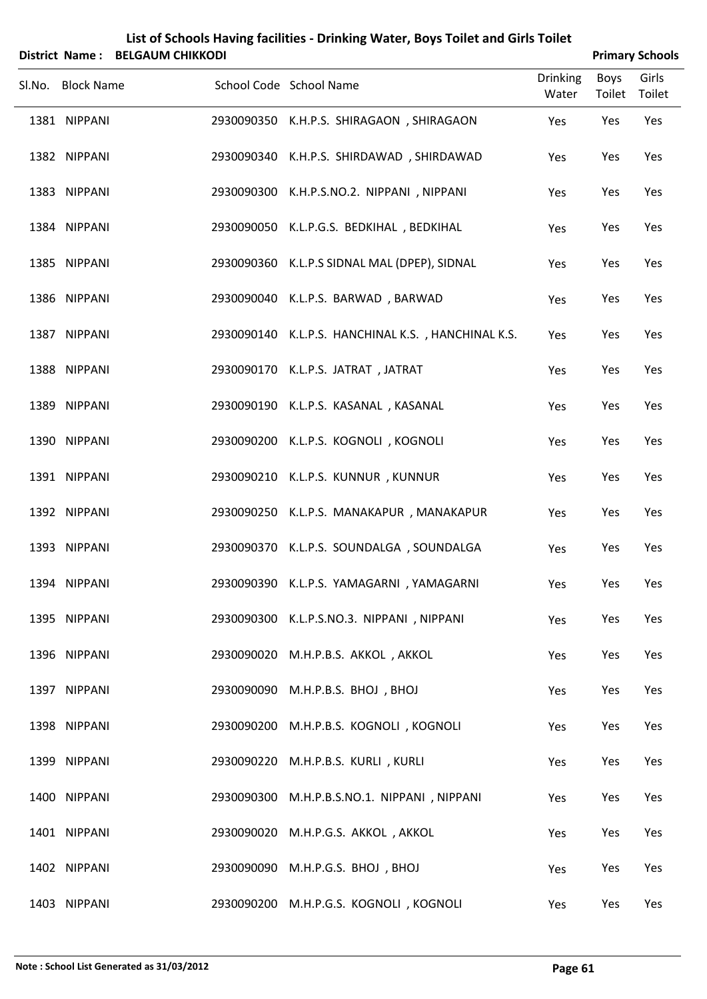|                                                                                                                                                                                                                                                                                                                                                              |                                                      |                                                                                                                                                                                                                                                                                                            |                                                                                  | <b>Primary Schools</b> |
|--------------------------------------------------------------------------------------------------------------------------------------------------------------------------------------------------------------------------------------------------------------------------------------------------------------------------------------------------------------|------------------------------------------------------|------------------------------------------------------------------------------------------------------------------------------------------------------------------------------------------------------------------------------------------------------------------------------------------------------------|----------------------------------------------------------------------------------|------------------------|
|                                                                                                                                                                                                                                                                                                                                                              |                                                      | <b>Drinking</b><br>Water                                                                                                                                                                                                                                                                                   | <b>Boys</b><br>Toilet                                                            | Girls<br>Toilet        |
| 2930090350                                                                                                                                                                                                                                                                                                                                                   | K.H.P.S. SHIRAGAON, SHIRAGAON                        | Yes                                                                                                                                                                                                                                                                                                        | Yes                                                                              | Yes                    |
| 2930090340                                                                                                                                                                                                                                                                                                                                                   | K.H.P.S. SHIRDAWAD, SHIRDAWAD                        | Yes                                                                                                                                                                                                                                                                                                        | Yes                                                                              | Yes                    |
| 2930090300                                                                                                                                                                                                                                                                                                                                                   | K.H.P.S.NO.2. NIPPANI, NIPPANI                       | Yes                                                                                                                                                                                                                                                                                                        | Yes                                                                              | Yes                    |
|                                                                                                                                                                                                                                                                                                                                                              | K.L.P.G.S. BEDKIHAL, BEDKIHAL                        | Yes                                                                                                                                                                                                                                                                                                        | Yes                                                                              | Yes                    |
| 2930090360                                                                                                                                                                                                                                                                                                                                                   | K.L.P.S SIDNAL MAL (DPEP), SIDNAL                    | Yes                                                                                                                                                                                                                                                                                                        | Yes                                                                              | Yes                    |
|                                                                                                                                                                                                                                                                                                                                                              | K.L.P.S. BARWAD, BARWAD                              | Yes                                                                                                                                                                                                                                                                                                        | Yes                                                                              | Yes                    |
| 2930090140                                                                                                                                                                                                                                                                                                                                                   | K.L.P.S. HANCHINAL K.S., HANCHINAL K.S.              | Yes                                                                                                                                                                                                                                                                                                        | Yes                                                                              | Yes                    |
|                                                                                                                                                                                                                                                                                                                                                              | K.L.P.S. JATRAT, JATRAT                              | Yes                                                                                                                                                                                                                                                                                                        | Yes                                                                              | Yes                    |
| 2930090190                                                                                                                                                                                                                                                                                                                                                   | K.L.P.S. KASANAL, KASANAL                            | Yes                                                                                                                                                                                                                                                                                                        | Yes                                                                              | Yes                    |
|                                                                                                                                                                                                                                                                                                                                                              | K.L.P.S. KOGNOLI, KOGNOLI                            | Yes                                                                                                                                                                                                                                                                                                        | Yes                                                                              | Yes                    |
| 2930090210                                                                                                                                                                                                                                                                                                                                                   | K.L.P.S. KUNNUR, KUNNUR                              | Yes                                                                                                                                                                                                                                                                                                        | Yes                                                                              | Yes                    |
|                                                                                                                                                                                                                                                                                                                                                              |                                                      | Yes                                                                                                                                                                                                                                                                                                        | Yes                                                                              | Yes                    |
|                                                                                                                                                                                                                                                                                                                                                              |                                                      | Yes                                                                                                                                                                                                                                                                                                        | Yes                                                                              | Yes                    |
|                                                                                                                                                                                                                                                                                                                                                              |                                                      | Yes                                                                                                                                                                                                                                                                                                        | Yes                                                                              | Yes                    |
|                                                                                                                                                                                                                                                                                                                                                              |                                                      | Yes                                                                                                                                                                                                                                                                                                        | Yes                                                                              | Yes                    |
| 2930090020                                                                                                                                                                                                                                                                                                                                                   | M.H.P.B.S. AKKOL, AKKOL                              | Yes                                                                                                                                                                                                                                                                                                        | Yes                                                                              | Yes                    |
|                                                                                                                                                                                                                                                                                                                                                              | M.H.P.B.S. BHOJ, BHOJ                                | Yes                                                                                                                                                                                                                                                                                                        | Yes                                                                              | Yes                    |
| 2930090200                                                                                                                                                                                                                                                                                                                                                   | M.H.P.B.S. KOGNOLI, KOGNOLI                          | Yes                                                                                                                                                                                                                                                                                                        | Yes                                                                              | Yes                    |
|                                                                                                                                                                                                                                                                                                                                                              | M.H.P.B.S. KURLI, KURLI                              | Yes                                                                                                                                                                                                                                                                                                        | Yes                                                                              | Yes                    |
| 2930090300                                                                                                                                                                                                                                                                                                                                                   | M.H.P.B.S.NO.1. NIPPANI, NIPPANI                     | Yes                                                                                                                                                                                                                                                                                                        | Yes                                                                              | Yes                    |
|                                                                                                                                                                                                                                                                                                                                                              | M.H.P.G.S. AKKOL, AKKOL                              | Yes                                                                                                                                                                                                                                                                                                        | Yes                                                                              | Yes                    |
| 2930090090                                                                                                                                                                                                                                                                                                                                                   | M.H.P.G.S. BHOJ, BHOJ                                | Yes                                                                                                                                                                                                                                                                                                        | Yes                                                                              | Yes                    |
| 1381 NIPPANI<br>1382 NIPPANI<br>1383 NIPPANI<br>1384 NIPPANI<br>1385 NIPPANI<br>1386 NIPPANI<br>1387 NIPPANI<br>1388 NIPPANI<br>1389 NIPPANI<br>1390 NIPPANI<br>1391 NIPPANI<br>1392 NIPPANI<br>1393 NIPPANI<br>1394 NIPPANI<br>1395 NIPPANI<br>1396 NIPPANI<br>1397 NIPPANI<br>1398 NIPPANI<br>1399 NIPPANI<br>1400 NIPPANI<br>1401 NIPPANI<br>1402 NIPPANI | District Name: BELGAUM CHIKKODI<br><b>Block Name</b> | School Code School Name<br>2930090050<br>2930090040<br>2930090170<br>2930090200<br>2930090250 K.L.P.S. MANAKAPUR, MANAKAPUR<br>2930090370 K.L.P.S. SOUNDALGA, SOUNDALGA<br>2930090390 K.L.P.S. YAMAGARNI, YAMAGARNI<br>2930090300 K.L.P.S.NO.3. NIPPANI, NIPPANI<br>2930090090<br>2930090220<br>2930090020 | List of Schools Having facilities - Drinking Water, Boys Toilet and Girls Toilet |                        |

NIPPANI 2930090200 M.H.P.G.S. KOGNOLI , KOGNOLI Yes Yes Yes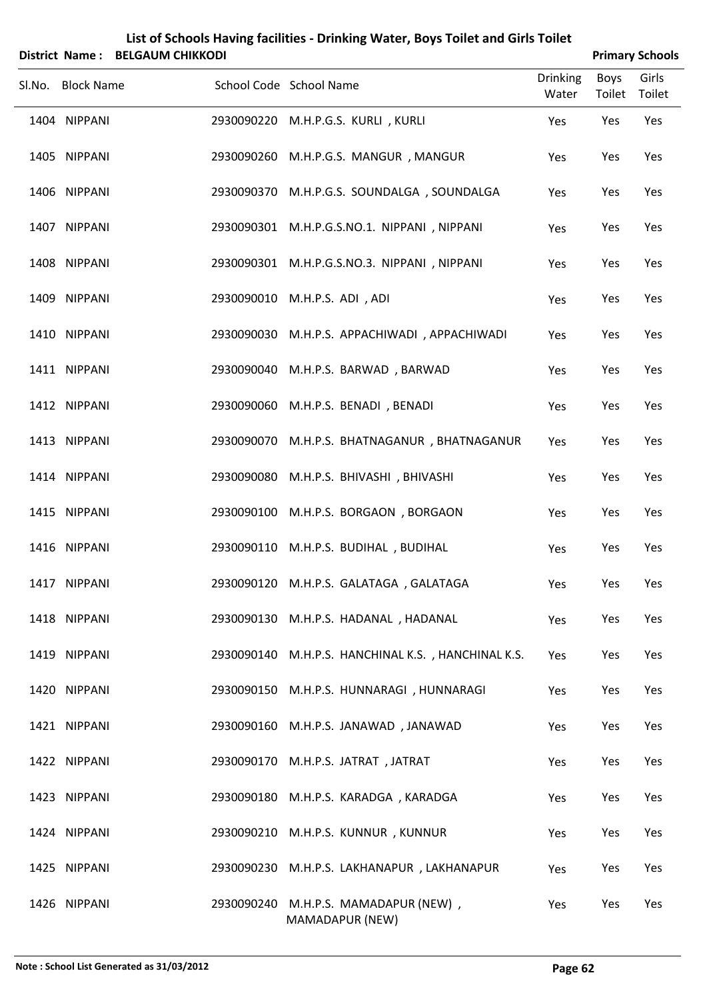| List of Schools Having facilities - Drinking Water, Boys Toilet and Girls Toilet<br>District Name: BELGAUM CHIKKODI |                   |            |                                            |                          |                       | <b>Primary Schools</b> |  |  |
|---------------------------------------------------------------------------------------------------------------------|-------------------|------------|--------------------------------------------|--------------------------|-----------------------|------------------------|--|--|
| SI.No.                                                                                                              | <b>Block Name</b> |            | School Code School Name                    | <b>Drinking</b><br>Water | <b>Boys</b><br>Toilet | Girls<br>Toilet        |  |  |
|                                                                                                                     | 1404 NIPPANI      | 2930090220 | M.H.P.G.S. KURLI, KURLI                    | Yes                      | Yes                   | Yes                    |  |  |
|                                                                                                                     | 1405 NIPPANI      | 2930090260 | M.H.P.G.S. MANGUR, MANGUR                  | Yes                      | Yes                   | Yes                    |  |  |
|                                                                                                                     | 1406 NIPPANI      | 2930090370 | M.H.P.G.S. SOUNDALGA, SOUNDALGA            | Yes                      | Yes                   | Yes                    |  |  |
|                                                                                                                     | 1407 NIPPANI      | 2930090301 | M.H.P.G.S.NO.1. NIPPANI, NIPPANI           | Yes                      | Yes                   | Yes                    |  |  |
|                                                                                                                     | 1408 NIPPANI      | 2930090301 | M.H.P.G.S.NO.3. NIPPANI, NIPPANI           | Yes                      | Yes                   | Yes                    |  |  |
|                                                                                                                     | 1409 NIPPANI      | 2930090010 | M.H.P.S. ADI, ADI                          | Yes                      | Yes                   | Yes                    |  |  |
|                                                                                                                     | 1410 NIPPANI      | 2930090030 | M.H.P.S. APPACHIWADI, APPACHIWADI          | Yes                      | Yes                   | Yes                    |  |  |
|                                                                                                                     | 1411 NIPPANI      | 2930090040 | M.H.P.S. BARWAD, BARWAD                    | Yes                      | Yes                   | Yes                    |  |  |
|                                                                                                                     | 1412 NIPPANI      | 2930090060 | M.H.P.S. BENADI, BENADI                    | Yes                      | Yes                   | Yes                    |  |  |
|                                                                                                                     | 1413 NIPPANI      | 2930090070 | M.H.P.S. BHATNAGANUR, BHATNAGANUR          | Yes                      | Yes                   | Yes                    |  |  |
|                                                                                                                     | 1414 NIPPANI      | 2930090080 | M.H.P.S. BHIVASHI, BHIVASHI                | Yes                      | Yes                   | Yes                    |  |  |
|                                                                                                                     | 1415 NIPPANI      | 2930090100 | M.H.P.S. BORGAON, BORGAON                  | Yes                      | Yes                   | Yes                    |  |  |
|                                                                                                                     | 1416 NIPPANI      |            | 2930090110 M.H.P.S. BUDIHAL, BUDIHAL       | Yes                      | Yes                   | Yes                    |  |  |
|                                                                                                                     | 1417 NIPPANI      |            | 2930090120 M.H.P.S. GALATAGA, GALATAGA     | Yes                      | Yes                   | Yes                    |  |  |
|                                                                                                                     | 1418 NIPPANI      |            | 2930090130 M.H.P.S. HADANAL, HADANAL       | Yes                      | Yes                   | Yes                    |  |  |
|                                                                                                                     | 1419 NIPPANI      | 2930090140 | M.H.P.S. HANCHINAL K.S., HANCHINAL K.S.    | Yes                      | Yes                   | Yes                    |  |  |
|                                                                                                                     | 1420 NIPPANI      |            | 2930090150 M.H.P.S. HUNNARAGI, HUNNARAGI   | Yes                      | Yes                   | Yes                    |  |  |
|                                                                                                                     | 1421 NIPPANI      | 2930090160 | M.H.P.S. JANAWAD, JANAWAD                  | Yes                      | Yes                   | Yes                    |  |  |
|                                                                                                                     | 1422 NIPPANI      |            | 2930090170 M.H.P.S. JATRAT, JATRAT         | Yes                      | Yes                   | Yes                    |  |  |
|                                                                                                                     | 1423 NIPPANI      |            | 2930090180 M.H.P.S. KARADGA, KARADGA       | Yes                      | Yes                   | Yes                    |  |  |
|                                                                                                                     | 1424 NIPPANI      |            | 2930090210 M.H.P.S. KUNNUR, KUNNUR         | Yes                      | Yes                   | Yes                    |  |  |
|                                                                                                                     | 1425 NIPPANI      |            | 2930090230 M.H.P.S. LAKHANAPUR, LAKHANAPUR | Yes                      | Yes                   | Yes                    |  |  |
|                                                                                                                     | 1426 NIPPANI      |            | 2930090240 M.H.P.S. MAMADAPUR (NEW),       | Yes                      | Yes                   | Yes                    |  |  |

MAMADAPUR (NEW)

### **Note : School List Generated as 31/03/2012 Page 62**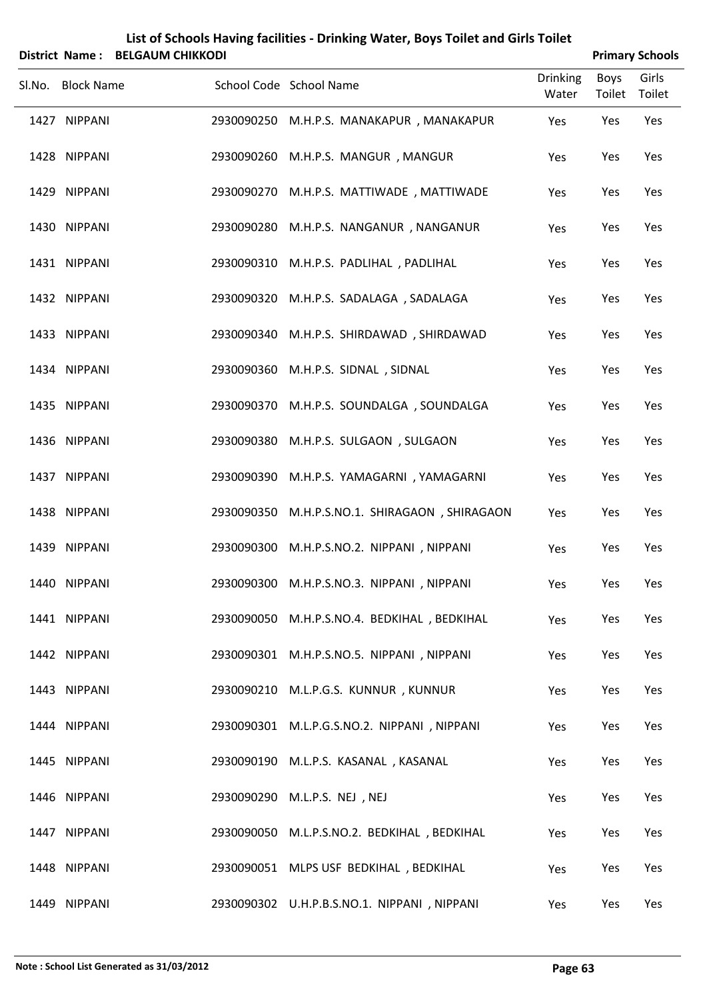| List of Schools Having facilities - Drinking Water, Boys Toilet and Girls Toilet |
|----------------------------------------------------------------------------------|
| District Name: BELGAUM CHIKKODI                                                  |

| <b>Primary Schools</b> |
|------------------------|
|                        |

| 213UICL IVANIE : DELOAOIVI CHINNODI |                                               |                          |                | <b>FINNALY JUNUOIS</b> |
|-------------------------------------|-----------------------------------------------|--------------------------|----------------|------------------------|
| Sl.No. Block Name                   | School Code School Name                       | <b>Drinking</b><br>Water | Boys<br>Toilet | Girls<br>Toilet        |
| 1427 NIPPANI                        | 2930090250 M.H.P.S. MANAKAPUR, MANAKAPUR      | Yes                      | Yes            | Yes                    |
| 1428 NIPPANI                        | 2930090260 M.H.P.S. MANGUR, MANGUR            | Yes                      | Yes            | Yes                    |
| 1429 NIPPANI                        | 2930090270 M.H.P.S. MATTIWADE, MATTIWADE      | Yes                      | Yes            | Yes                    |
| 1430 NIPPANI                        | 2930090280 M.H.P.S. NANGANUR, NANGANUR        | Yes                      | Yes            | Yes                    |
| 1431 NIPPANI                        | 2930090310 M.H.P.S. PADLIHAL, PADLIHAL        | Yes                      | Yes            | Yes                    |
| 1432 NIPPANI                        | 2930090320 M.H.P.S. SADALAGA, SADALAGA        | Yes                      | Yes            | Yes                    |
| 1433 NIPPANI                        | 2930090340 M.H.P.S. SHIRDAWAD, SHIRDAWAD      | Yes                      | Yes            | Yes                    |
| 1434 NIPPANI                        | 2930090360 M.H.P.S. SIDNAL, SIDNAL            | Yes                      | Yes            | Yes                    |
| 1435 NIPPANI                        | 2930090370 M.H.P.S. SOUNDALGA, SOUNDALGA      | Yes                      | Yes            | Yes                    |
| 1436 NIPPANI                        | 2930090380 M.H.P.S. SULGAON, SULGAON          | Yes                      | Yes            | Yes                    |
| 1437 NIPPANI                        | 2930090390 M.H.P.S. YAMAGARNI, YAMAGARNI      | Yes                      | Yes            | Yes                    |
| 1438 NIPPANI                        | 2930090350 M.H.P.S.NO.1. SHIRAGAON, SHIRAGAON | Yes                      | Yes            | Yes                    |
| 1439 NIPPANI                        | 2930090300 M.H.P.S.NO.2. NIPPANI, NIPPANI     | Yes                      | Yes            | Yes                    |
| 1440 NIPPANI                        | 2930090300 M.H.P.S.NO.3. NIPPANI, NIPPANI     | Yes                      | Yes            | Yes                    |
| 1441 NIPPANI                        | 2930090050 M.H.P.S.NO.4. BEDKIHAL, BEDKIHAL   | Yes                      | Yes            | Yes                    |
| 1442 NIPPANI                        | 2930090301 M.H.P.S.NO.5. NIPPANI, NIPPANI     | Yes                      | Yes            | Yes                    |
| 1443 NIPPANI                        | 2930090210 M.L.P.G.S. KUNNUR, KUNNUR          | Yes                      | Yes            | Yes                    |
| 1444 NIPPANI                        | 2930090301 M.L.P.G.S.NO.2. NIPPANI, NIPPANI   | Yes                      | Yes            | Yes                    |
| 1445 NIPPANI                        | 2930090190 M.L.P.S. KASANAL, KASANAL          | Yes                      | Yes            | Yes                    |
| 1446 NIPPANI                        | 2930090290 M.L.P.S. NEJ, NEJ                  | Yes                      | Yes            | Yes                    |
| 1447 NIPPANI                        | 2930090050 M.L.P.S.NO.2. BEDKIHAL, BEDKIHAL   | Yes                      | Yes            | Yes                    |
| 1448 NIPPANI                        | 2930090051 MLPS USF BEDKIHAL, BEDKIHAL        | Yes                      | Yes            | Yes                    |
| 1449 NIPPANI                        | 2930090302 U.H.P.B.S.NO.1. NIPPANI, NIPPANI   | Yes                      | Yes            | Yes                    |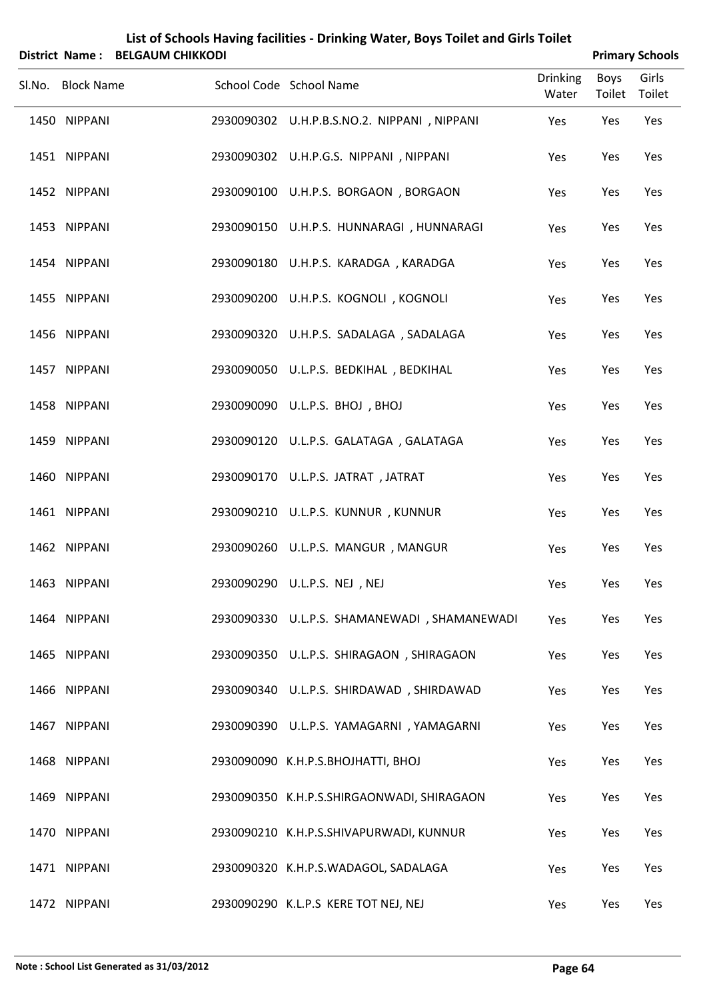|   | List of Schools Having facilities - Drinking Water, Boys Toilet and Girls Toilet |  |
|---|----------------------------------------------------------------------------------|--|
| . |                                                                                  |  |

| District Name: BELGAUM CHIKKODI |                                              |                          |                | <b>Primary Schools</b> |
|---------------------------------|----------------------------------------------|--------------------------|----------------|------------------------|
| Sl.No. Block Name               | School Code School Name                      | <b>Drinking</b><br>Water | Boys<br>Toilet | Girls<br>Toilet        |
| 1450 NIPPANI                    | 2930090302 U.H.P.B.S.NO.2. NIPPANI, NIPPANI  | Yes                      | Yes            | Yes                    |
| 1451 NIPPANI                    | 2930090302 U.H.P.G.S. NIPPANI, NIPPANI       | Yes                      | Yes            | Yes                    |
| 1452 NIPPANI                    | 2930090100 U.H.P.S. BORGAON, BORGAON         | Yes                      | Yes            | Yes                    |
| 1453 NIPPANI                    | 2930090150 U.H.P.S. HUNNARAGI, HUNNARAGI     | Yes                      | Yes            | Yes                    |
| 1454 NIPPANI                    | 2930090180 U.H.P.S. KARADGA, KARADGA         | Yes                      | Yes            | Yes                    |
| 1455 NIPPANI                    | 2930090200 U.H.P.S. KOGNOLI, KOGNOLI         | Yes                      | Yes            | Yes                    |
| 1456 NIPPANI                    | 2930090320 U.H.P.S. SADALAGA, SADALAGA       | Yes                      | Yes            | Yes                    |
| 1457 NIPPANI                    | 2930090050 U.L.P.S. BEDKIHAL, BEDKIHAL       | Yes                      | Yes            | Yes                    |
| 1458 NIPPANI                    | 2930090090 U.L.P.S. BHOJ, BHOJ               | Yes                      | Yes            | Yes                    |
| 1459 NIPPANI                    | 2930090120 U.L.P.S. GALATAGA, GALATAGA       | Yes                      | Yes            | Yes                    |
| 1460 NIPPANI                    | 2930090170 U.L.P.S. JATRAT, JATRAT           | Yes                      | Yes            | Yes                    |
| 1461 NIPPANI                    | 2930090210 U.L.P.S. KUNNUR, KUNNUR           | Yes                      | Yes            | Yes                    |
| 1462 NIPPANI                    | 2930090260 U.L.P.S. MANGUR, MANGUR           | Yes                      | Yes            | Yes                    |
| 1463 NIPPANI                    | 2930090290 U.L.P.S. NEJ , NEJ                | Yes                      | Yes            | Yes                    |
| 1464 NIPPANI                    | 2930090330 U.L.P.S. SHAMANEWADI, SHAMANEWADI | Yes                      | Yes            | Yes                    |
| 1465 NIPPANI                    | 2930090350 U.L.P.S. SHIRAGAON, SHIRAGAON     | Yes                      | Yes            | Yes                    |
| 1466 NIPPANI                    | 2930090340 U.L.P.S. SHIRDAWAD, SHIRDAWAD     | Yes                      | Yes            | Yes                    |
| 1467 NIPPANI                    | 2930090390 U.L.P.S. YAMAGARNI, YAMAGARNI     | Yes                      | Yes            | Yes                    |
| 1468 NIPPANI                    | 2930090090 K.H.P.S.BHOJHATTI, BHOJ           | Yes                      | Yes            | Yes                    |
| 1469 NIPPANI                    | 2930090350 K.H.P.S.SHIRGAONWADI, SHIRAGAON   | Yes                      | Yes            | Yes                    |
| 1470 NIPPANI                    | 2930090210 K.H.P.S.SHIVAPURWADI, KUNNUR      | Yes                      | Yes            | Yes                    |
| 1471 NIPPANI                    | 2930090320 K.H.P.S.WADAGOL, SADALAGA         | Yes                      | Yes            | Yes                    |
| 1472 NIPPANI                    | 2930090290 K.L.P.S KERE TOT NEJ, NEJ         | Yes                      | Yes            | Yes                    |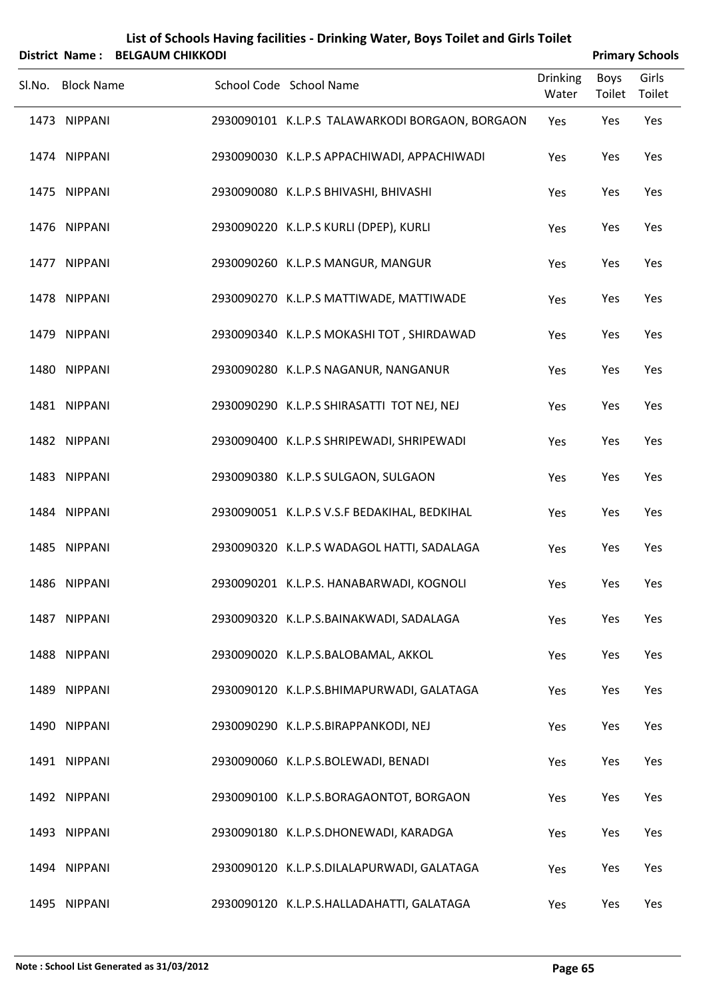|        |                   | District Name: BELGAUM CHIKKODI |                                                 |                          |                       | <b>Primary Schools</b> |
|--------|-------------------|---------------------------------|-------------------------------------------------|--------------------------|-----------------------|------------------------|
| SI.No. | <b>Block Name</b> |                                 | School Code School Name                         | <b>Drinking</b><br>Water | <b>Boys</b><br>Toilet | Girls<br>Toilet        |
|        | 1473 NIPPANI      |                                 | 2930090101 K.L.P.S TALAWARKODI BORGAON, BORGAON | Yes                      | Yes                   | Yes                    |
|        | 1474 NIPPANI      |                                 | 2930090030 K.L.P.S APPACHIWADI, APPACHIWADI     | Yes                      | Yes                   | Yes                    |
|        | 1475 NIPPANI      |                                 | 2930090080 K.L.P.S BHIVASHI, BHIVASHI           | Yes                      | Yes                   | Yes                    |
|        | 1476 NIPPANI      |                                 | 2930090220 K.L.P.S KURLI (DPEP), KURLI          | Yes                      | Yes                   | Yes                    |
|        | 1477 NIPPANI      |                                 | 2930090260 K.L.P.S MANGUR, MANGUR               | Yes                      | Yes                   | Yes                    |
|        | 1478 NIPPANI      |                                 | 2930090270 K.L.P.S MATTIWADE, MATTIWADE         | Yes                      | Yes                   | Yes                    |
|        | 1479 NIPPANI      |                                 | 2930090340 K.L.P.S MOKASHI TOT, SHIRDAWAD       | Yes                      | Yes                   | Yes                    |
|        | 1480 NIPPANI      |                                 | 2930090280 K.L.P.S NAGANUR, NANGANUR            | Yes                      | Yes                   | Yes                    |
|        | 1481 NIPPANI      |                                 | 2930090290 K.L.P.S SHIRASATTI TOT NEJ, NEJ      | Yes                      | Yes                   | Yes                    |
|        | 1482 NIPPANI      |                                 | 2930090400 K.L.P.S SHRIPEWADI, SHRIPEWADI       | Yes                      | Yes                   | Yes                    |
|        | 1483 NIPPANI      |                                 | 2930090380 K.L.P.S SULGAON, SULGAON             | Yes                      | Yes                   | Yes                    |
|        | 1484 NIPPANI      |                                 | 2930090051 K.L.P.S V.S.F BEDAKIHAL, BEDKIHAL    | Yes                      | Yes                   | Yes                    |
|        | 1485 NIPPANI      |                                 | 2930090320 K.L.P.S WADAGOL HATTI, SADALAGA      | Yes                      | Yes                   | Yes                    |
|        | 1486 NIPPANI      |                                 | 2930090201 K.L.P.S. HANABARWADI, KOGNOLI        | Yes                      | Yes                   | Yes                    |
|        | 1487 NIPPANI      |                                 | 2930090320 K.L.P.S.BAINAKWADI, SADALAGA         | Yes                      | Yes                   | Yes                    |
|        | 1488 NIPPANI      |                                 | 2930090020 K.L.P.S.BALOBAMAL, AKKOL             | Yes                      | Yes                   | Yes                    |
|        | 1489 NIPPANI      |                                 | 2930090120 K.L.P.S.BHIMAPURWADI, GALATAGA       | Yes                      | Yes                   | Yes                    |
|        | 1490 NIPPANI      |                                 | 2930090290 K.L.P.S.BIRAPPANKODI, NEJ            | Yes                      | Yes                   | Yes                    |
|        | 1491 NIPPANI      |                                 | 2930090060 K.L.P.S.BOLEWADI, BENADI             | Yes                      | Yes                   | Yes                    |
|        | 1492 NIPPANI      |                                 | 2930090100 K.L.P.S.BORAGAONTOT, BORGAON         | Yes                      | Yes                   | Yes                    |
|        | 1493 NIPPANI      |                                 | 2930090180 K.L.P.S.DHONEWADI, KARADGA           | Yes                      | Yes                   | Yes                    |
|        | 1494 NIPPANI      |                                 | 2930090120 K.L.P.S.DILALAPURWADI, GALATAGA      | Yes                      | Yes                   | Yes                    |

NIPPANI 2930090120 K.L.P.S.HALLADAHATTI, GALATAGA Yes Yes Yes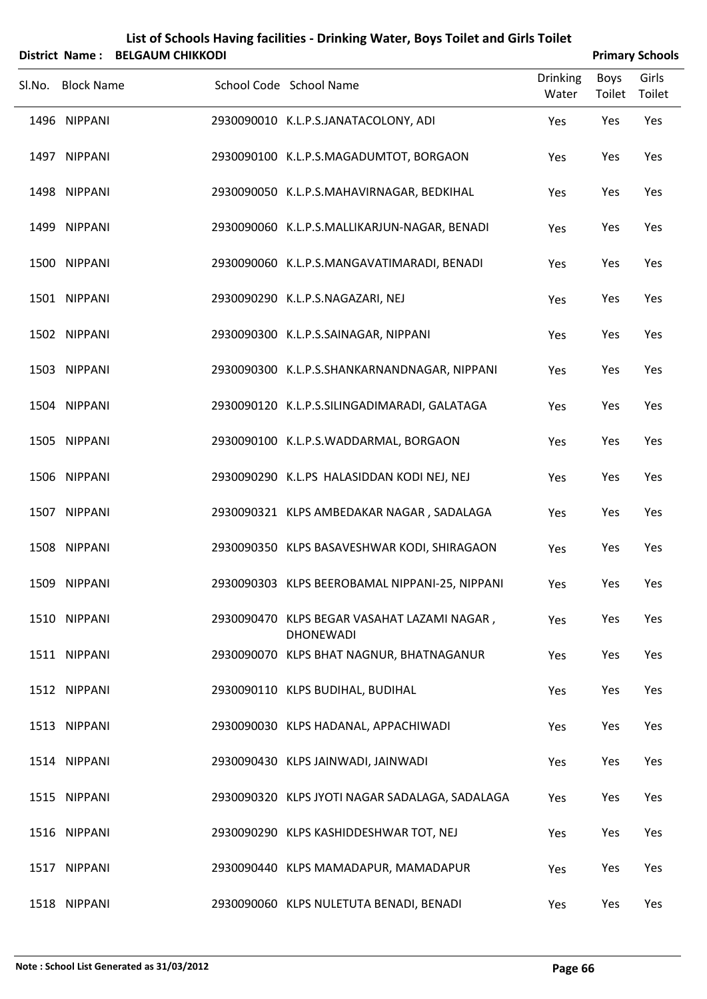|        |                   | District Name: BELGAUM CHIKKODI |                                                                 |                          |                       | <b>Primary Schools</b> |
|--------|-------------------|---------------------------------|-----------------------------------------------------------------|--------------------------|-----------------------|------------------------|
| SI.No. | <b>Block Name</b> |                                 | School Code School Name                                         | <b>Drinking</b><br>Water | <b>Boys</b><br>Toilet | Girls<br>Toilet        |
|        | 1496 NIPPANI      |                                 | 2930090010 K.L.P.S.JANATACOLONY, ADI                            | Yes                      | Yes                   | Yes                    |
|        | 1497 NIPPANI      |                                 | 2930090100 K.L.P.S.MAGADUMTOT, BORGAON                          | Yes                      | Yes                   | Yes                    |
|        | 1498 NIPPANI      |                                 | 2930090050 K.L.P.S.MAHAVIRNAGAR, BEDKIHAL                       | Yes                      | Yes                   | Yes                    |
|        | 1499 NIPPANI      |                                 | 2930090060 K.L.P.S.MALLIKARJUN-NAGAR, BENADI                    | Yes                      | Yes                   | Yes                    |
|        | 1500 NIPPANI      |                                 | 2930090060 K.L.P.S.MANGAVATIMARADI, BENADI                      | Yes                      | Yes                   | Yes                    |
|        | 1501 NIPPANI      |                                 | 2930090290 K.L.P.S.NAGAZARI, NEJ                                | Yes                      | Yes                   | Yes                    |
|        | 1502 NIPPANI      |                                 | 2930090300 K.L.P.S.SAINAGAR, NIPPANI                            | Yes                      | Yes                   | Yes                    |
|        | 1503 NIPPANI      |                                 | 2930090300 K.L.P.S.SHANKARNANDNAGAR, NIPPANI                    | Yes                      | Yes                   | Yes                    |
|        | 1504 NIPPANI      |                                 | 2930090120 K.L.P.S.SILINGADIMARADI, GALATAGA                    | Yes                      | Yes                   | Yes                    |
|        | 1505 NIPPANI      |                                 | 2930090100 K.L.P.S.WADDARMAL, BORGAON                           | Yes                      | Yes                   | Yes                    |
|        | 1506 NIPPANI      |                                 | 2930090290 K.L.PS HALASIDDAN KODI NEJ, NEJ                      | Yes                      | Yes                   | Yes                    |
|        | 1507 NIPPANI      |                                 | 2930090321 KLPS AMBEDAKAR NAGAR, SADALAGA                       | Yes                      | Yes                   | Yes                    |
|        | 1508 NIPPANI      |                                 | 2930090350 KLPS BASAVESHWAR KODI, SHIRAGAON                     | Yes                      | Yes                   | Yes                    |
|        | 1509 NIPPANI      |                                 | 2930090303 KLPS BEEROBAMAL NIPPANI-25, NIPPANI                  | Yes                      | Yes                   | Yes                    |
|        | 1510 NIPPANI      |                                 | 2930090470 KLPS BEGAR VASAHAT LAZAMI NAGAR,<br><b>DHONEWADI</b> | Yes                      | Yes                   | Yes                    |
|        | 1511 NIPPANI      |                                 | 2930090070 KLPS BHAT NAGNUR, BHATNAGANUR                        | Yes                      | Yes                   | Yes                    |
|        | 1512 NIPPANI      |                                 | 2930090110 KLPS BUDIHAL, BUDIHAL                                | Yes                      | Yes                   | Yes                    |
|        | 1513 NIPPANI      |                                 | 2930090030 KLPS HADANAL, APPACHIWADI                            | Yes                      | Yes                   | Yes                    |
|        | 1514 NIPPANI      |                                 | 2930090430 KLPS JAINWADI, JAINWADI                              | Yes                      | Yes                   | Yes                    |
|        | 1515 NIPPANI      |                                 | 2930090320 KLPS JYOTI NAGAR SADALAGA, SADALAGA                  | Yes                      | Yes                   | Yes                    |
|        | 1516 NIPPANI      |                                 | 2930090290 KLPS KASHIDDESHWAR TOT, NEJ                          | Yes                      | Yes                   | Yes                    |
|        | 1517 NIPPANI      |                                 | 2930090440 KLPS MAMADAPUR, MAMADAPUR                            | Yes                      | Yes                   | Yes                    |
|        | 1518 NIPPANI      |                                 | 2930090060 KLPS NULETUTA BENADI, BENADI                         | Yes                      | Yes                   | Yes                    |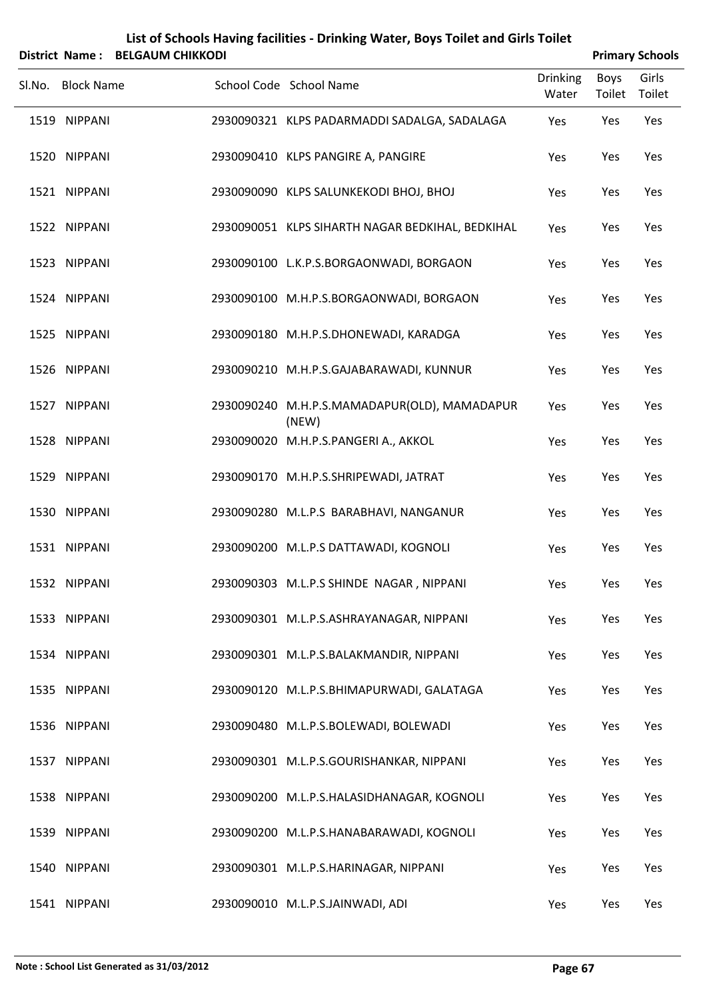|        |                   | District Name: BELGAUM CHIKKODI |                                                       |                          |                | <b>Primary Schools</b> |
|--------|-------------------|---------------------------------|-------------------------------------------------------|--------------------------|----------------|------------------------|
| Sl.No. | <b>Block Name</b> |                                 | School Code School Name                               | <b>Drinking</b><br>Water | Boys<br>Toilet | Girls<br>Toilet        |
|        | 1519 NIPPANI      |                                 | 2930090321 KLPS PADARMADDI SADALGA, SADALAGA          | Yes                      | Yes            | Yes                    |
|        | 1520 NIPPANI      |                                 | 2930090410 KLPS PANGIRE A, PANGIRE                    | Yes                      | Yes            | Yes                    |
|        | 1521 NIPPANI      |                                 | 2930090090 KLPS SALUNKEKODI BHOJ, BHOJ                | Yes                      | Yes            | Yes                    |
|        | 1522 NIPPANI      |                                 | 2930090051 KLPS SIHARTH NAGAR BEDKIHAL, BEDKIHAL      | Yes                      | Yes            | Yes                    |
|        | 1523 NIPPANI      |                                 | 2930090100 L.K.P.S.BORGAONWADI, BORGAON               | Yes                      | Yes            | Yes                    |
|        | 1524 NIPPANI      |                                 | 2930090100 M.H.P.S.BORGAONWADI, BORGAON               | Yes                      | Yes            | Yes                    |
|        | 1525 NIPPANI      |                                 | 2930090180 M.H.P.S.DHONEWADI, KARADGA                 | Yes                      | Yes            | Yes                    |
|        | 1526 NIPPANI      |                                 | 2930090210 M.H.P.S.GAJABARAWADI, KUNNUR               | Yes                      | Yes            | Yes                    |
|        | 1527 NIPPANI      |                                 | 2930090240 M.H.P.S.MAMADAPUR(OLD), MAMADAPUR<br>(NEW) | Yes                      | Yes            | Yes                    |
|        | 1528 NIPPANI      |                                 | 2930090020 M.H.P.S.PANGERI A., AKKOL                  | Yes                      | Yes            | Yes                    |
|        | 1529 NIPPANI      |                                 | 2930090170 M.H.P.S.SHRIPEWADI, JATRAT                 | Yes                      | Yes            | Yes                    |
|        | 1530 NIPPANI      |                                 | 2930090280 M.L.P.S BARABHAVI, NANGANUR                | Yes                      | Yes            | Yes                    |
|        | 1531 NIPPANI      |                                 | 2930090200 M.L.P.S DATTAWADI, KOGNOLI                 | Yes                      | Yes            | Yes                    |
|        | 1532 NIPPANI      |                                 | 2930090303 M.L.P.S SHINDE NAGAR, NIPPANI              | Yes                      | Yes            | Yes                    |
|        | 1533 NIPPANI      |                                 | 2930090301 M.L.P.S.ASHRAYANAGAR, NIPPANI              | Yes                      | Yes            | Yes                    |
|        | 1534 NIPPANI      |                                 | 2930090301 M.L.P.S.BALAKMANDIR, NIPPANI               | Yes                      | Yes            | Yes                    |
|        | 1535 NIPPANI      |                                 | 2930090120 M.L.P.S.BHIMAPURWADI, GALATAGA             | Yes                      | Yes            | Yes                    |
|        | 1536 NIPPANI      |                                 | 2930090480 M.L.P.S.BOLEWADI, BOLEWADI                 | Yes                      | Yes            | Yes                    |
|        | 1537 NIPPANI      |                                 | 2930090301 M.L.P.S.GOURISHANKAR, NIPPANI              | Yes                      | Yes            | Yes                    |
|        | 1538 NIPPANI      |                                 | 2930090200 M.L.P.S.HALASIDHANAGAR, KOGNOLI            | Yes                      | Yes            | Yes                    |
|        | 1539 NIPPANI      |                                 | 2930090200 M.L.P.S.HANABARAWADI, KOGNOLI              | Yes                      | Yes            | Yes                    |
|        | 1540 NIPPANI      |                                 | 2930090301 M.L.P.S.HARINAGAR, NIPPANI                 | Yes                      | Yes            | Yes                    |
|        | 1541 NIPPANI      |                                 | 2930090010 M.L.P.S.JAINWADI, ADI                      | Yes                      | Yes            | Yes                    |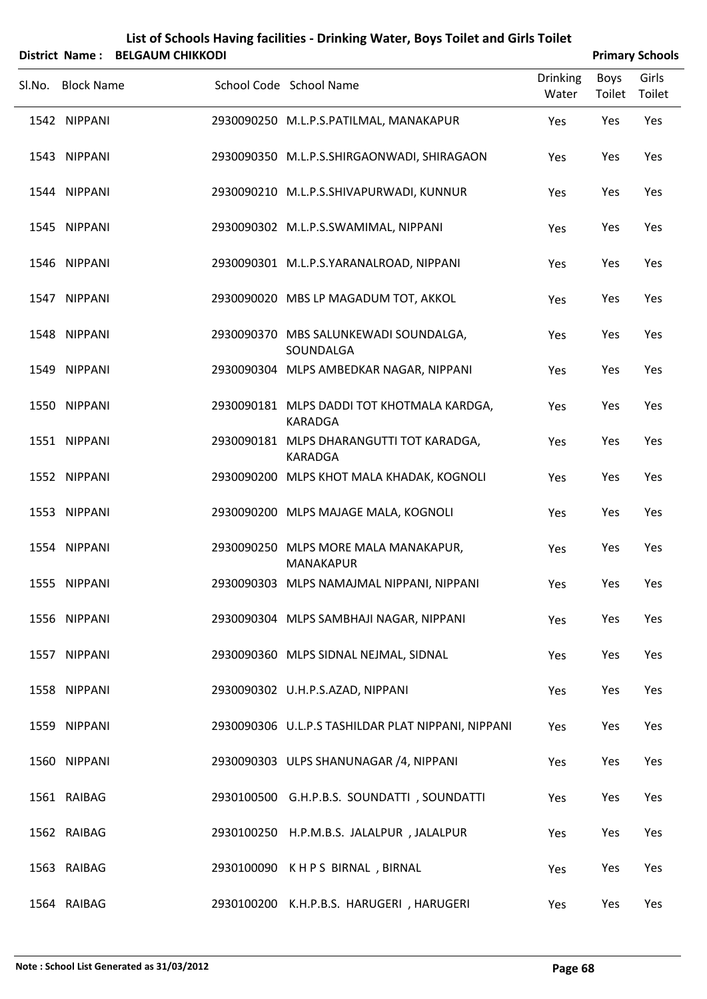| List of Schools Having facilities - Drinking Water, Boys Toilet and Girls Toilet |
|----------------------------------------------------------------------------------|
| District Name: BELGAUM CHIKKODI                                                  |

| <b>Primary Schools</b> |
|------------------------|
|                        |

| Sl.No. Block Name | School Code School Name                                      | <b>Drinking</b><br>Water | Boys<br>Toilet | Girls<br>Toilet |
|-------------------|--------------------------------------------------------------|--------------------------|----------------|-----------------|
| 1542 NIPPANI      | 2930090250 M.L.P.S.PATILMAL, MANAKAPUR                       | Yes                      | Yes            | Yes             |
| 1543 NIPPANI      | 2930090350 M.L.P.S.SHIRGAONWADI, SHIRAGAON                   | Yes                      | Yes            | Yes             |
| 1544 NIPPANI      | 2930090210 M.L.P.S.SHIVAPURWADI, KUNNUR                      | Yes                      | Yes            | Yes             |
| 1545 NIPPANI      | 2930090302 M.L.P.S.SWAMIMAL, NIPPANI                         | Yes                      | Yes            | Yes             |
| 1546 NIPPANI      | 2930090301 M.L.P.S.YARANALROAD, NIPPANI                      | Yes                      | Yes            | Yes             |
| 1547 NIPPANI      | 2930090020 MBS LP MAGADUM TOT, AKKOL                         | Yes                      | Yes            | Yes             |
| 1548 NIPPANI      | 2930090370 MBS SALUNKEWADI SOUNDALGA,<br>SOUNDALGA           | Yes                      | Yes            | Yes             |
| 1549 NIPPANI      | 2930090304 MLPS AMBEDKAR NAGAR, NIPPANI                      | Yes                      | Yes            | Yes             |
| 1550 NIPPANI      | 2930090181 MLPS DADDI TOT KHOTMALA KARDGA,<br><b>KARADGA</b> | Yes                      | Yes            | Yes             |
| 1551 NIPPANI      | 2930090181 MLPS DHARANGUTTI TOT KARADGA,<br><b>KARADGA</b>   | Yes                      | Yes            | Yes             |
| 1552 NIPPANI      | 2930090200 MLPS KHOT MALA KHADAK, KOGNOLI                    | Yes                      | Yes            | Yes             |
| 1553 NIPPANI      | 2930090200 MLPS MAJAGE MALA, KOGNOLI                         | Yes                      | Yes            | Yes             |
| 1554 NIPPANI      | 2930090250 MLPS MORE MALA MANAKAPUR,<br><b>MANAKAPUR</b>     | Yes                      | Yes            | Yes             |
| 1555 NIPPANI      | 2930090303 MLPS NAMAJMAL NIPPANI, NIPPANI                    | Yes                      | Yes            | Yes             |
| 1556 NIPPANI      | 2930090304 MLPS SAMBHAJI NAGAR, NIPPANI                      | Yes                      | Yes            | Yes             |
| 1557 NIPPANI      | 2930090360 MLPS SIDNAL NEJMAL, SIDNAL                        | Yes                      | Yes            | Yes             |
| 1558 NIPPANI      | 2930090302 U.H.P.S.AZAD, NIPPANI                             | Yes                      | Yes            | Yes             |
| 1559 NIPPANI      | 2930090306 U.L.P.S TASHILDAR PLAT NIPPANI, NIPPANI           | Yes                      | Yes            | Yes             |
| 1560 NIPPANI      | 2930090303 ULPS SHANUNAGAR /4, NIPPANI                       | Yes                      | Yes            | Yes             |
| 1561 RAIBAG       | 2930100500 G.H.P.B.S. SOUNDATTI, SOUNDATTI                   | Yes                      | Yes            | Yes             |
| 1562 RAIBAG       | 2930100250 H.P.M.B.S. JALALPUR, JALALPUR                     | Yes                      | Yes            | Yes             |
| 1563 RAIBAG       | 2930100090 KHPS BIRNAL, BIRNAL                               | Yes                      | Yes            | Yes             |
| 1564 RAIBAG       | 2930100200 K.H.P.B.S. HARUGERI, HARUGERI                     | Yes                      | Yes            | Yes             |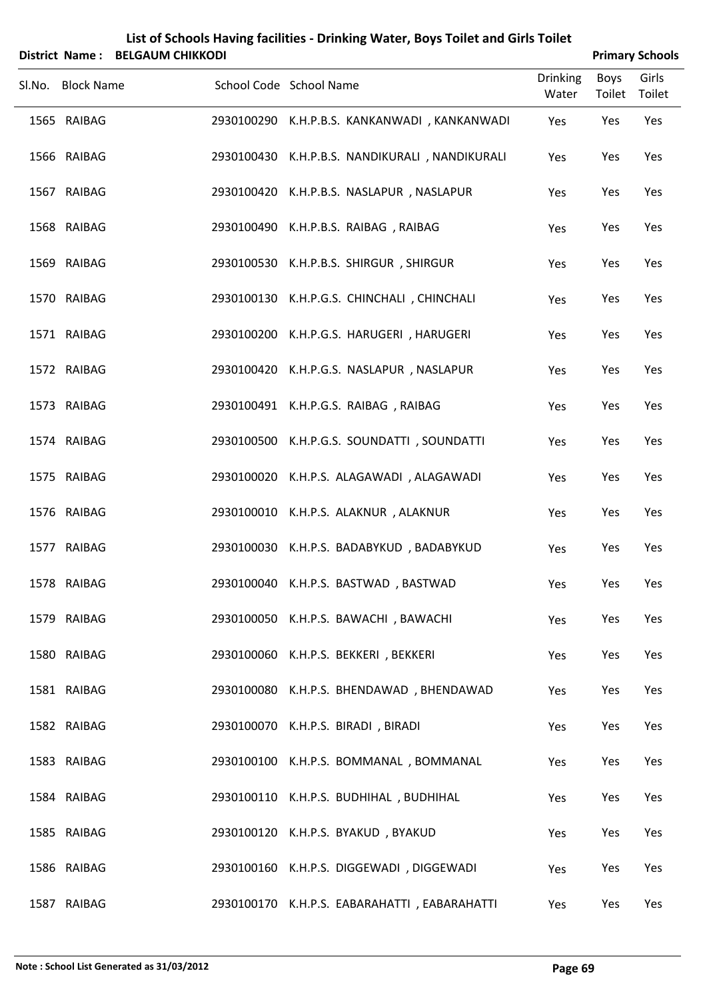| List of Schools Having facilities - Drinking Water, Boys Toilet and Girls Toilet |
|----------------------------------------------------------------------------------|
| District Name: RELGALIM CHIKKODL                                                 |

| <b>Primary Schools</b> |
|------------------------|
|                        |

| DISTITT IN THE PELOADINI CHINNODI |                                                |                          |                | Fillilai y Juliuuls |
|-----------------------------------|------------------------------------------------|--------------------------|----------------|---------------------|
| Sl.No. Block Name                 | School Code School Name                        | <b>Drinking</b><br>Water | Boys<br>Toilet | Girls<br>Toilet     |
| 1565 RAIBAG                       | 2930100290 K.H.P.B.S. KANKANWADI, KANKANWADI   | Yes                      | Yes            | Yes                 |
| 1566 RAIBAG                       | 2930100430 K.H.P.B.S. NANDIKURALI, NANDIKURALI | Yes                      | Yes            | Yes                 |
| 1567 RAIBAG                       | 2930100420 K.H.P.B.S. NASLAPUR, NASLAPUR       | Yes                      | Yes            | Yes                 |
| 1568 RAIBAG                       | 2930100490 K.H.P.B.S. RAIBAG, RAIBAG           | Yes                      | Yes            | Yes                 |
| 1569 RAIBAG                       | 2930100530 K.H.P.B.S. SHIRGUR, SHIRGUR         | Yes                      | Yes            | Yes                 |
| 1570 RAIBAG                       | 2930100130 K.H.P.G.S. CHINCHALI, CHINCHALI     | Yes                      | Yes            | Yes                 |
| 1571 RAIBAG                       | 2930100200 K.H.P.G.S. HARUGERI, HARUGERI       | Yes                      | Yes            | Yes                 |
| 1572 RAIBAG                       | 2930100420 K.H.P.G.S. NASLAPUR, NASLAPUR       | Yes                      | Yes            | Yes                 |
| 1573 RAIBAG                       | 2930100491 K.H.P.G.S. RAIBAG, RAIBAG           | Yes                      | Yes            | Yes                 |
| 1574 RAIBAG                       | 2930100500 K.H.P.G.S. SOUNDATTI, SOUNDATTI     | Yes                      | Yes            | Yes                 |
| 1575 RAIBAG                       | 2930100020 K.H.P.S. ALAGAWADI, ALAGAWADI       | Yes                      | Yes            | Yes                 |
| 1576 RAIBAG                       | 2930100010 K.H.P.S. ALAKNUR, ALAKNUR           | Yes                      | Yes            | Yes                 |
| 1577 RAIBAG                       | 2930100030 K.H.P.S. BADABYKUD, BADABYKUD       | Yes                      | Yes            | Yes                 |
| 1578 RAIBAG                       | 2930100040 K.H.P.S. BASTWAD, BASTWAD           | Yes                      | Yes            | Yes                 |
| 1579 RAIBAG                       | 2930100050 K.H.P.S. BAWACHI, BAWACHI           | Yes                      | Yes            | Yes                 |
| 1580 RAIBAG                       | 2930100060 K.H.P.S. BEKKERI, BEKKERI           | Yes                      | Yes            | Yes                 |
| 1581 RAIBAG                       | 2930100080 K.H.P.S. BHENDAWAD, BHENDAWAD       | Yes                      | Yes            | Yes                 |
| 1582 RAIBAG                       | 2930100070 K.H.P.S. BIRADI, BIRADI             | Yes                      | Yes            | Yes                 |
| 1583 RAIBAG                       | 2930100100 K.H.P.S. BOMMANAL, BOMMANAL         | Yes                      | Yes            | Yes                 |
| 1584 RAIBAG                       | 2930100110 K.H.P.S. BUDHIHAL, BUDHIHAL         | Yes                      | Yes            | Yes                 |
| 1585 RAIBAG                       | 2930100120 K.H.P.S. BYAKUD, BYAKUD             | Yes                      | Yes            | Yes                 |
| 1586 RAIBAG                       | 2930100160 K.H.P.S. DIGGEWADI, DIGGEWADI       | Yes                      | Yes            | Yes                 |
| 1587 RAIBAG                       | 2930100170 K.H.P.S. EABARAHATTI, EABARAHATTI   | Yes                      | Yes            | Yes                 |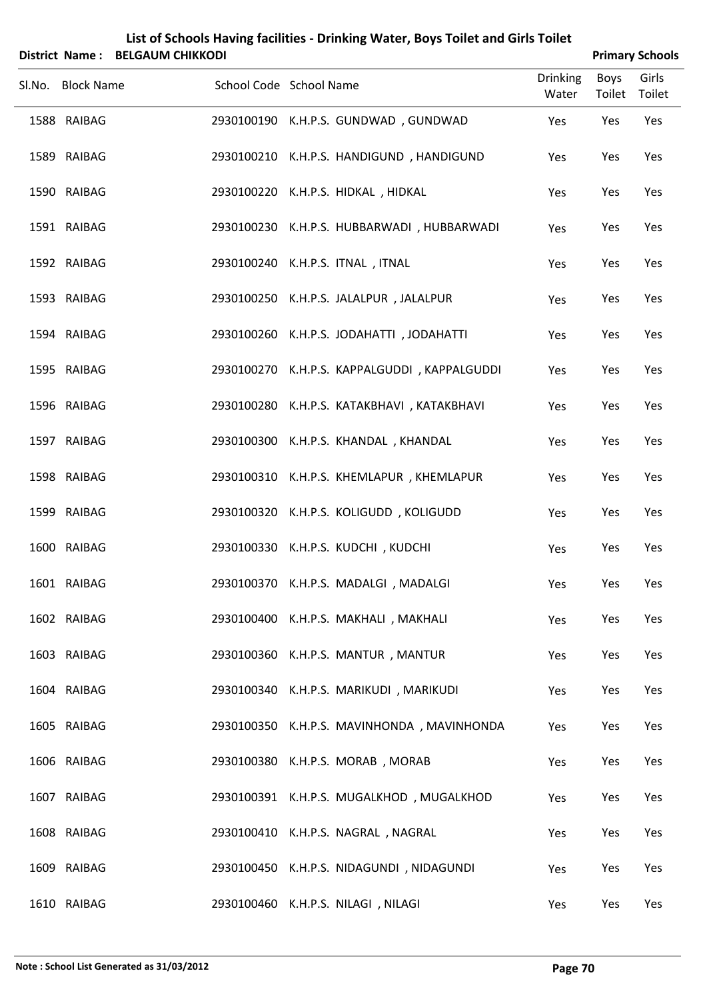|                   | District Name: BELGAUM CHIKKODI | List of Schools Having facilities - Drinking Water, Boys Tollet and Girls Tollet |                          |                       | <b>Primary Schools</b> |
|-------------------|---------------------------------|----------------------------------------------------------------------------------|--------------------------|-----------------------|------------------------|
| Sl.No. Block Name | School Code School Name         |                                                                                  | <b>Drinking</b><br>Water | Boys<br>Toilet Toilet | Girls                  |
| 1588 RAIBAG       |                                 | 2930100190 K.H.P.S. GUNDWAD, GUNDWAD                                             | Yes                      | Yes                   | Yes                    |
| 1589 RAIBAG       |                                 | 2930100210 K.H.P.S. HANDIGUND, HANDIGUND                                         | Yes                      | Yes                   | Yes                    |
| 1590 RAIBAG       |                                 | 2930100220 K.H.P.S. HIDKAL, HIDKAL                                               | Yes                      | Yes                   | Yes                    |
| 1591 RAIBAG       |                                 | 2930100230 K.H.P.S. HUBBARWADI, HUBBARWADI                                       | Yes                      | Yes                   | Yes                    |
| 1592 RAIBAG       |                                 | 2930100240 K.H.P.S. ITNAL, ITNAL                                                 | Yes                      | Yes                   | Yes                    |
| 1593 RAIBAG       |                                 | 2930100250 K.H.P.S. JALALPUR, JALALPUR                                           | Yes                      | Yes                   | Yes                    |
| 1594 RAIBAG       |                                 | 2930100260 K.H.P.S. JODAHATTI, JODAHATTI                                         | Yes                      | Yes                   | Yes                    |
| 1595 RAIBAG       |                                 | 2930100270 K.H.P.S. KAPPALGUDDI, KAPPALGUDDI                                     | Yes                      | Yes                   | Yes                    |
| 1596 RAIBAG       |                                 | 2930100280 K.H.P.S. KATAKBHAVI, KATAKBHAVI                                       | Yes                      | Yes                   | Yes                    |
| 1597 RAIBAG       |                                 | 2930100300 K.H.P.S. KHANDAL, KHANDAL                                             | Yes                      | Yes                   | Yes                    |
| 1598 RAIBAG       |                                 | 2930100310 K.H.P.S. KHEMLAPUR, KHEMLAPUR                                         | Yes                      | Yes                   | Yes                    |
| 1599 RAIBAG       |                                 | 2930100320 K.H.P.S. KOLIGUDD, KOLIGUDD                                           | Yes                      | Yes                   | Yes                    |
| 1600 RAIBAG       |                                 | 2930100330 K.H.P.S. KUDCHI, KUDCHI                                               | Yes                      | Yes                   | Yes                    |
| 1601 RAIBAG       |                                 | 2930100370 K.H.P.S. MADALGI, MADALGI                                             | Yes                      | Yes                   | Yes                    |
| 1602 RAIBAG       |                                 | 2930100400 K.H.P.S. MAKHALI, MAKHALI                                             | Yes                      | Yes                   | Yes                    |
| 1603 RAIBAG       |                                 | 2930100360 K.H.P.S. MANTUR, MANTUR                                               | Yes                      | Yes                   | Yes                    |
| 1604 RAIBAG       |                                 | 2930100340 K.H.P.S. MARIKUDI, MARIKUDI                                           | Yes                      | Yes                   | Yes                    |
| 1605 RAIBAG       |                                 | 2930100350 K.H.P.S. MAVINHONDA, MAVINHONDA                                       | Yes                      | Yes                   | Yes                    |
| 1606 RAIBAG       |                                 | 2930100380 K.H.P.S. MORAB, MORAB                                                 | Yes                      | Yes                   | Yes                    |
| 1607 RAIBAG       |                                 | 2930100391 K.H.P.S. MUGALKHOD, MUGALKHOD                                         | Yes                      | Yes                   | Yes                    |
| 1608 RAIBAG       |                                 | 2930100410 K.H.P.S. NAGRAL, NAGRAL                                               | Yes                      | Yes                   | Yes                    |
| 1609 RAIBAG       |                                 | 2930100450 K.H.P.S. NIDAGUNDI, NIDAGUNDI                                         | Yes                      | Yes                   | Yes                    |
| 1610 RAIBAG       |                                 | 2930100460 K.H.P.S. NILAGI, NILAGI                                               | Yes                      | Yes                   | Yes                    |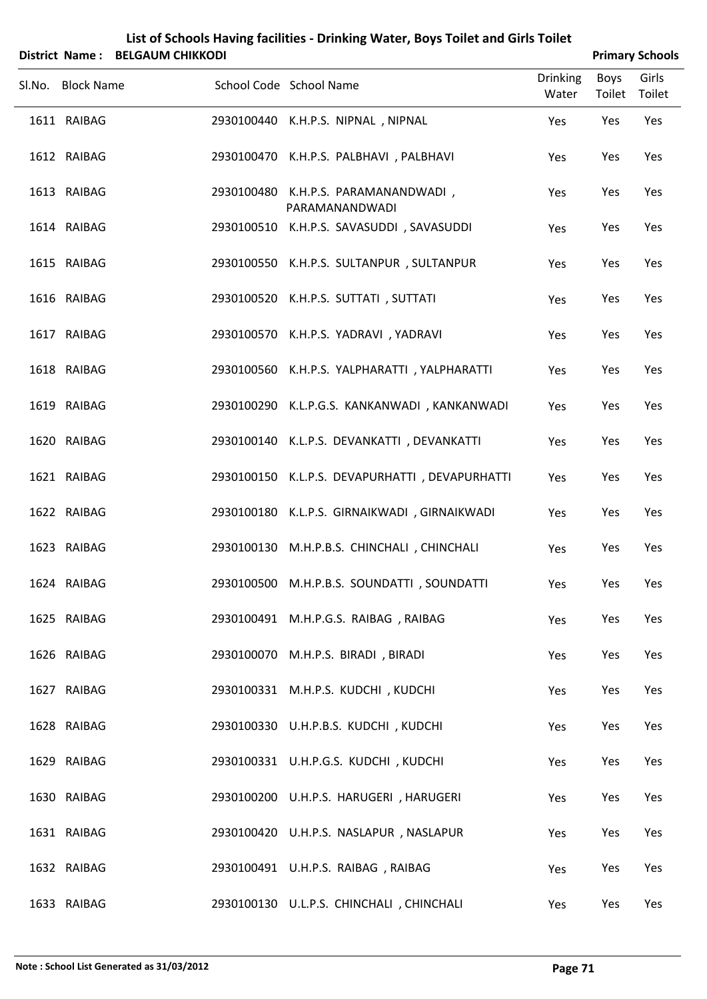| <b>District Name:</b> | <b>BELGAUM CHIKKODI</b> | List of scribbis Having Tachities - Diffiking Water, Doys Tonet and Only Tonet |                          |                       | <b>Primary Schools</b> |
|-----------------------|-------------------------|--------------------------------------------------------------------------------|--------------------------|-----------------------|------------------------|
| Sl.No. Block Name     |                         | School Code School Name                                                        | <b>Drinking</b><br>Water | <b>Boys</b><br>Toilet | Girls<br>Toilet        |
| 1611 RAIBAG           |                         | 2930100440 K.H.P.S. NIPNAL, NIPNAL                                             | Yes                      | Yes                   | Yes                    |
| 1612 RAIBAG           |                         | 2930100470 K.H.P.S. PALBHAVI, PALBHAVI                                         | Yes                      | Yes                   | Yes                    |
| 1613 RAIBAG           |                         | 2930100480 K.H.P.S. PARAMANANDWADI,<br>PARAMANANDWADI                          | Yes                      | Yes                   | Yes                    |
| 1614 RAIBAG           | 2930100510              | K.H.P.S. SAVASUDDI, SAVASUDDI                                                  | Yes                      | Yes                   | Yes                    |
| 1615 RAIBAG           |                         | 2930100550 K.H.P.S. SULTANPUR, SULTANPUR                                       | Yes                      | Yes                   | Yes                    |
| 1616 RAIBAG           |                         | 2930100520 K.H.P.S. SUTTATI, SUTTATI                                           | Yes                      | Yes                   | Yes                    |
| 1617 RAIBAG           |                         | 2930100570 K.H.P.S. YADRAVI, YADRAVI                                           | Yes                      | Yes                   | Yes                    |
| 1618 RAIBAG           |                         | 2930100560 K.H.P.S. YALPHARATTI, YALPHARATTI                                   | Yes                      | Yes                   | Yes                    |
| 1619 RAIBAG           |                         | 2930100290 K.L.P.G.S. KANKANWADI, KANKANWADI                                   | Yes                      | Yes                   | Yes                    |
| 1620 RAIBAG           |                         | 2930100140 K.L.P.S. DEVANKATTI, DEVANKATTI                                     | Yes                      | Yes                   | Yes                    |
| 1621 RAIBAG           |                         | 2930100150 K.L.P.S. DEVAPURHATTI, DEVAPURHATTI                                 | Yes                      | Yes                   | Yes                    |
| 1622 RAIBAG           |                         | 2930100180 K.L.P.S. GIRNAIKWADI, GIRNAIKWADI                                   | Yes                      | Yes                   | Yes                    |
| 1623 RAIBAG           |                         | 2930100130 M.H.P.B.S. CHINCHALI, CHINCHALI                                     | Yes                      | Yes                   | Yes                    |
| 1624 RAIBAG           |                         | 2930100500 M.H.P.B.S. SOUNDATTI, SOUNDATTI                                     | Yes                      | Yes                   | Yes                    |
| 1625 RAIBAG           |                         | 2930100491 M.H.P.G.S. RAIBAG, RAIBAG                                           | Yes                      | Yes                   | Yes                    |
| 1626 RAIBAG           |                         | 2930100070 M.H.P.S. BIRADI, BIRADI                                             | Yes                      | Yes                   | Yes                    |
| 1627 RAIBAG           |                         | 2930100331 M.H.P.S. KUDCHI, KUDCHI                                             | Yes                      | Yes                   | Yes                    |
| 1628 RAIBAG           |                         | 2930100330 U.H.P.B.S. KUDCHI, KUDCHI                                           | Yes                      | Yes                   | Yes                    |
| 1629 RAIBAG           |                         | 2930100331 U.H.P.G.S. KUDCHI, KUDCHI                                           | Yes                      | Yes                   | Yes                    |
| 1630 RAIBAG           |                         | 2930100200 U.H.P.S. HARUGERI, HARUGERI                                         | Yes                      | Yes                   | Yes                    |
| 1631 RAIBAG           |                         | 2930100420 U.H.P.S. NASLAPUR, NASLAPUR                                         | Yes                      | Yes                   | Yes                    |
| 1632 RAIBAG           |                         | 2930100491 U.H.P.S. RAIBAG, RAIBAG                                             | Yes                      | Yes                   | Yes                    |
| 1633 RAIBAG           |                         | 2930100130 U.L.P.S. CHINCHALI, CHINCHALI                                       | Yes                      | Yes                   | Yes                    |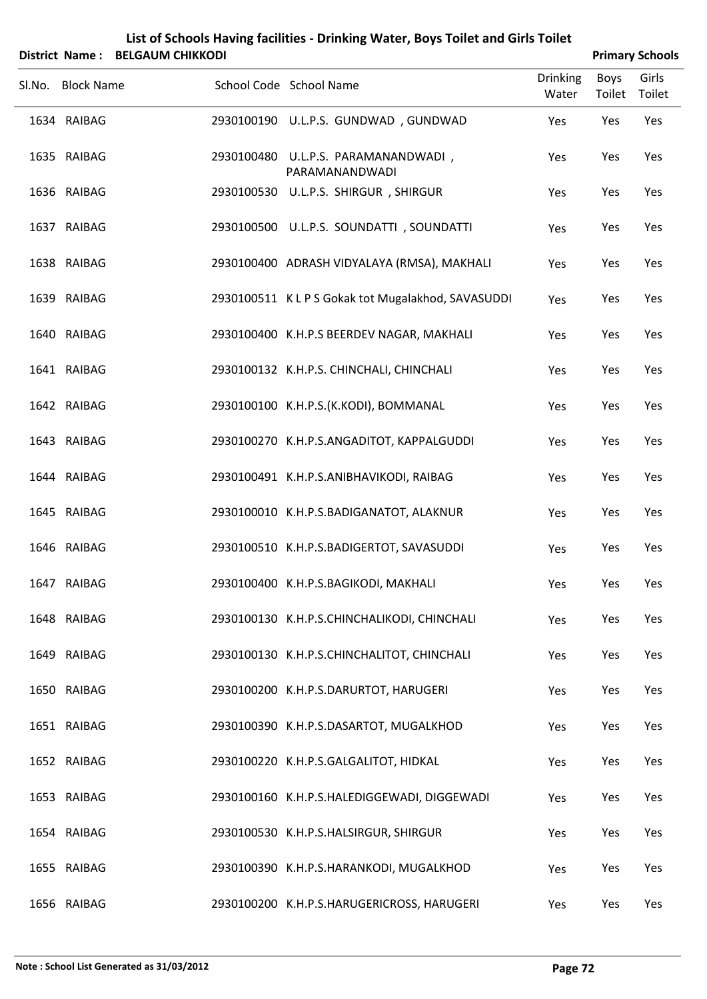|   | List of Schools Having facilities - Drinking Water, Boys Toilet and Girls Toilet |  |
|---|----------------------------------------------------------------------------------|--|
| . | ------------------                                                               |  |

|        |                   | District Name: BELGAUM CHIKKODI |                                                       |                          |                | <b>Primary Schools</b> |
|--------|-------------------|---------------------------------|-------------------------------------------------------|--------------------------|----------------|------------------------|
| Sl.No. | <b>Block Name</b> |                                 | School Code School Name                               | <b>Drinking</b><br>Water | Boys<br>Toilet | Girls<br>Toilet        |
|        | 1634 RAIBAG       |                                 | 2930100190 U.L.P.S. GUNDWAD, GUNDWAD                  | Yes                      | Yes            | Yes                    |
|        | 1635 RAIBAG       |                                 | 2930100480 U.L.P.S. PARAMANANDWADI,<br>PARAMANANDWADI | Yes                      | Yes            | Yes                    |
|        | 1636 RAIBAG       |                                 | 2930100530 U.L.P.S. SHIRGUR, SHIRGUR                  | Yes                      | Yes            | Yes                    |
|        | 1637 RAIBAG       |                                 | 2930100500 U.L.P.S. SOUNDATTI, SOUNDATTI              | Yes                      | Yes            | Yes                    |
|        | 1638 RAIBAG       |                                 | 2930100400 ADRASH VIDYALAYA (RMSA), MAKHALI           | Yes                      | Yes            | Yes                    |
|        | 1639 RAIBAG       |                                 | 2930100511 K L P S Gokak tot Mugalakhod, SAVASUDDI    | Yes                      | Yes            | Yes                    |
|        | 1640 RAIBAG       |                                 | 2930100400 K.H.P.S BEERDEV NAGAR, MAKHALI             | Yes                      | Yes            | Yes                    |
|        | 1641 RAIBAG       |                                 | 2930100132 K.H.P.S. CHINCHALI, CHINCHALI              | Yes                      | Yes            | Yes                    |
|        | 1642 RAIBAG       |                                 | 2930100100 K.H.P.S.(K.KODI), BOMMANAL                 | Yes                      | Yes            | Yes                    |
|        | 1643 RAIBAG       |                                 | 2930100270 K.H.P.S.ANGADITOT, KAPPALGUDDI             | Yes                      | Yes            | Yes                    |
|        | 1644 RAIBAG       |                                 | 2930100491 K.H.P.S.ANIBHAVIKODI, RAIBAG               | Yes                      | Yes            | Yes                    |
|        | 1645 RAIBAG       |                                 | 2930100010 K.H.P.S.BADIGANATOT, ALAKNUR               | Yes                      | Yes            | Yes                    |
|        | 1646 RAIBAG       |                                 | 2930100510 K.H.P.S.BADIGERTOT, SAVASUDDI              | Yes                      | Yes            | Yes                    |
|        | 1647 RAIBAG       |                                 | 2930100400 K.H.P.S.BAGIKODI, MAKHALI                  | Yes                      | Yes            | Yes                    |
|        | 1648 RAIBAG       |                                 | 2930100130 K.H.P.S.CHINCHALIKODI, CHINCHALI           | Yes                      | Yes            | Yes                    |
|        | 1649 RAIBAG       |                                 | 2930100130 K.H.P.S.CHINCHALITOT, CHINCHALI            | Yes                      | Yes            | Yes                    |
|        | 1650 RAIBAG       |                                 | 2930100200 K.H.P.S.DARURTOT, HARUGERI                 | Yes                      | Yes            | Yes                    |
|        | 1651 RAIBAG       |                                 | 2930100390 K.H.P.S.DASARTOT, MUGALKHOD                | Yes                      | Yes            | Yes                    |
|        | 1652 RAIBAG       |                                 | 2930100220 K.H.P.S.GALGALITOT, HIDKAL                 | Yes                      | Yes            | Yes                    |
|        | 1653 RAIBAG       |                                 | 2930100160 K.H.P.S.HALEDIGGEWADI, DIGGEWADI           | Yes                      | Yes            | Yes                    |
|        | 1654 RAIBAG       |                                 | 2930100530 K.H.P.S.HALSIRGUR, SHIRGUR                 | Yes                      | Yes            | Yes                    |
|        | 1655 RAIBAG       |                                 | 2930100390 K.H.P.S.HARANKODI, MUGALKHOD               | Yes                      | Yes            | Yes                    |
|        | 1656 RAIBAG       |                                 | 2930100200 K.H.P.S.HARUGERICROSS, HARUGERI            | Yes                      | Yes            | Yes                    |

L,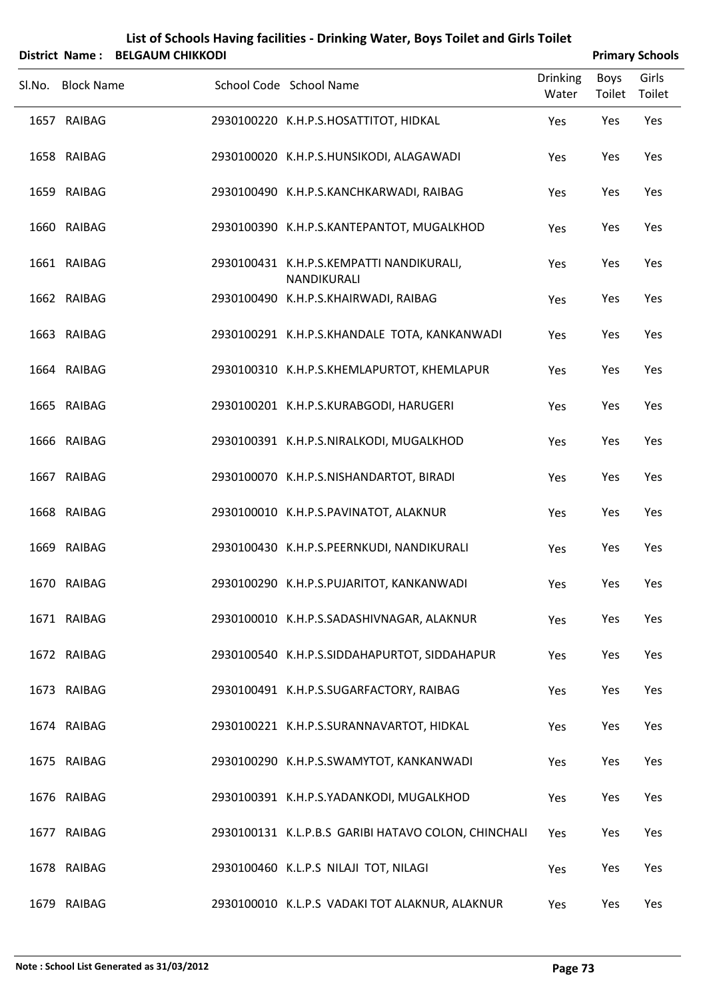| List of Schools Having facilities - Drinking Water, Boys Toilet and Girls Toilet |                        |
|----------------------------------------------------------------------------------|------------------------|
| District Name: REIGAUM CHIKKODI                                                  | <b>Primary Schools</b> |

| DISTITUT IN THE . DELGAUNI CHINNODI |                                                         |                          |                | PHILID Y SUIDUIS |
|-------------------------------------|---------------------------------------------------------|--------------------------|----------------|------------------|
| Sl.No. Block Name                   | School Code School Name                                 | <b>Drinking</b><br>Water | Boys<br>Toilet | Girls<br>Toilet  |
| 1657 RAIBAG                         | 2930100220 K.H.P.S.HOSATTITOT, HIDKAL                   | Yes                      | Yes            | Yes              |
| 1658 RAIBAG                         | 2930100020 K.H.P.S.HUNSIKODI, ALAGAWADI                 | Yes                      | Yes            | Yes              |
| 1659 RAIBAG                         | 2930100490 K.H.P.S.KANCHKARWADI, RAIBAG                 | Yes                      | Yes            | Yes              |
| 1660 RAIBAG                         | 2930100390 K.H.P.S.KANTEPANTOT, MUGALKHOD               | Yes                      | Yes            | Yes              |
| 1661 RAIBAG                         | 2930100431 K.H.P.S.KEMPATTI NANDIKURALI,<br>NANDIKURALI | Yes                      | Yes            | Yes              |
| 1662 RAIBAG                         | 2930100490 K.H.P.S.KHAIRWADI, RAIBAG                    | Yes                      | Yes            | Yes              |
| 1663 RAIBAG                         | 2930100291 K.H.P.S.KHANDALE TOTA, KANKANWADI            | Yes                      | Yes            | Yes              |
| 1664 RAIBAG                         | 2930100310 K.H.P.S.KHEMLAPURTOT, KHEMLAPUR              | Yes                      | Yes            | Yes              |
| 1665 RAIBAG                         | 2930100201 K.H.P.S.KURABGODI, HARUGERI                  | Yes                      | Yes            | Yes              |
| 1666 RAIBAG                         | 2930100391 K.H.P.S.NIRALKODI, MUGALKHOD                 | Yes                      | Yes            | Yes              |
| 1667 RAIBAG                         | 2930100070 K.H.P.S.NISHANDARTOT, BIRADI                 | Yes                      | Yes            | Yes              |
| 1668 RAIBAG                         | 2930100010 K.H.P.S.PAVINATOT, ALAKNUR                   | Yes                      | Yes            | Yes              |
| 1669 RAIBAG                         | 2930100430 K.H.P.S.PEERNKUDI, NANDIKURALI               | Yes                      | Yes            | Yes              |
| 1670 RAIBAG                         | 2930100290 K.H.P.S.PUJARITOT, KANKANWADI                | Yes                      | Yes            | Yes              |
| 1671 RAIBAG                         | 2930100010 K.H.P.S.SADASHIVNAGAR, ALAKNUR               | Yes                      | Yes            | Yes              |
| 1672 RAIBAG                         | 2930100540 K.H.P.S.SIDDAHAPURTOT, SIDDAHAPUR            | Yes                      | Yes            | Yes              |
| 1673 RAIBAG                         | 2930100491 K.H.P.S.SUGARFACTORY, RAIBAG                 | Yes                      | Yes            | Yes              |
| 1674 RAIBAG                         | 2930100221 K.H.P.S.SURANNAVARTOT, HIDKAL                | Yes                      | Yes            | Yes              |
| 1675 RAIBAG                         | 2930100290 K.H.P.S.SWAMYTOT, KANKANWADI                 | Yes                      | Yes            | Yes              |
| 1676 RAIBAG                         | 2930100391 K.H.P.S.YADANKODI, MUGALKHOD                 | Yes                      | Yes            | Yes              |
| 1677 RAIBAG                         | 2930100131 K.L.P.B.S GARIBI HATAVO COLON, CHINCHALI     | Yes                      | Yes            | Yes              |
| 1678 RAIBAG                         | 2930100460 K.L.P.S NILAJI TOT, NILAGI                   | Yes                      | Yes            | Yes              |
| 1679 RAIBAG                         | 2930100010 K.L.P.S VADAKI TOT ALAKNUR, ALAKNUR          | Yes                      | Yes            | Yes              |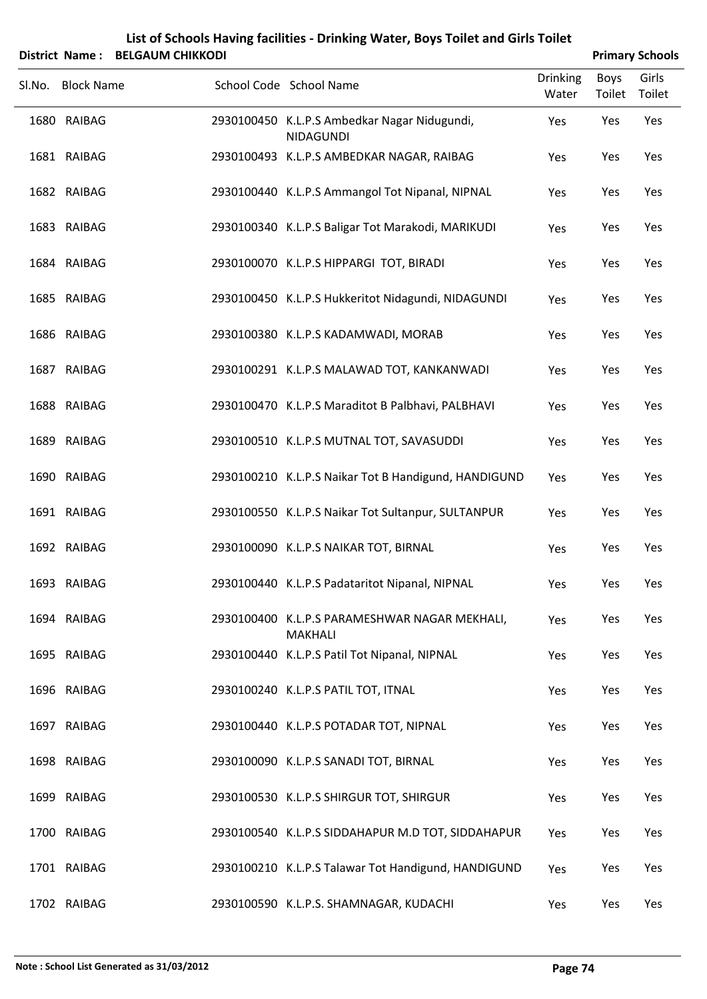| List of Schools Having facilities - Drinking Water, Boys Toilet and Girls Toilet |
|----------------------------------------------------------------------------------|
|                                                                                  |

|        | <b>District Name:</b><br><b>BELGAUM CHIKKODI</b> |                                                                  |                          |                | <b>Primary Schools</b> |
|--------|--------------------------------------------------|------------------------------------------------------------------|--------------------------|----------------|------------------------|
| Sl.No. | <b>Block Name</b>                                | School Code School Name                                          | <b>Drinking</b><br>Water | Boys<br>Toilet | Girls<br>Toilet        |
|        | 1680 RAIBAG                                      | 2930100450 K.L.P.S Ambedkar Nagar Nidugundi,<br><b>NIDAGUNDI</b> | Yes                      | Yes            | Yes                    |
|        | 1681 RAIBAG                                      | 2930100493 K.L.P.S AMBEDKAR NAGAR, RAIBAG                        | Yes                      | Yes            | Yes                    |
|        | 1682 RAIBAG                                      | 2930100440 K.L.P.S Ammangol Tot Nipanal, NIPNAL                  | Yes                      | Yes            | Yes                    |
|        | 1683 RAIBAG                                      | 2930100340 K.L.P.S Baligar Tot Marakodi, MARIKUDI                | Yes                      | Yes            | Yes                    |
|        | 1684 RAIBAG                                      | 2930100070 K.L.P.S HIPPARGI TOT, BIRADI                          | Yes                      | Yes            | Yes                    |
|        | 1685 RAIBAG                                      | 2930100450 K.L.P.S Hukkeritot Nidagundi, NIDAGUNDI               | Yes                      | Yes            | Yes                    |
|        | 1686 RAIBAG                                      | 2930100380 K.L.P.S KADAMWADI, MORAB                              | Yes                      | Yes            | Yes                    |
|        | 1687 RAIBAG                                      | 2930100291 K.L.P.S MALAWAD TOT, KANKANWADI                       | Yes                      | Yes            | Yes                    |
|        | 1688 RAIBAG                                      | 2930100470 K.L.P.S Maraditot B Palbhavi, PALBHAVI                | Yes                      | Yes            | Yes                    |
|        | 1689 RAIBAG                                      | 2930100510 K.L.P.S MUTNAL TOT, SAVASUDDI                         | Yes                      | Yes            | Yes                    |
|        | 1690 RAIBAG                                      | 2930100210 K.L.P.S Naikar Tot B Handigund, HANDIGUND             | Yes                      | Yes            | Yes                    |
|        | 1691 RAIBAG                                      | 2930100550 K.L.P.S Naikar Tot Sultanpur, SULTANPUR               | Yes                      | Yes            | Yes                    |
|        | 1692 RAIBAG                                      | 2930100090 K.L.P.S NAIKAR TOT, BIRNAL                            | Yes                      | Yes            | Yes                    |
|        | 1693 RAIBAG                                      | 2930100440 K.L.P.S Padataritot Nipanal, NIPNAL                   | Yes                      | Yes            | Yes                    |
|        | 1694 RAIBAG                                      | 2930100400 K.L.P.S PARAMESHWAR NAGAR MEKHALI,<br><b>MAKHALI</b>  | Yes                      | Yes            | Yes                    |
|        | 1695 RAIBAG                                      | 2930100440 K.L.P.S Patil Tot Nipanal, NIPNAL                     | Yes                      | Yes            | Yes                    |
|        | 1696 RAIBAG                                      | 2930100240 K.L.P.S PATIL TOT, ITNAL                              | Yes                      | Yes            | Yes                    |
|        | 1697 RAIBAG                                      | 2930100440 K.L.P.S POTADAR TOT, NIPNAL                           | Yes                      | Yes            | Yes                    |
|        | 1698 RAIBAG                                      | 2930100090 K.L.P.S SANADI TOT, BIRNAL                            | Yes                      | Yes            | Yes                    |
|        | 1699 RAIBAG                                      | 2930100530 K.L.P.S SHIRGUR TOT, SHIRGUR                          | Yes                      | Yes            | Yes                    |
|        | 1700 RAIBAG                                      | 2930100540 K.L.P.S SIDDAHAPUR M.D TOT, SIDDAHAPUR                | Yes                      | Yes            | Yes                    |
|        | 1701 RAIBAG                                      | 2930100210 K.L.P.S Talawar Tot Handigund, HANDIGUND              | Yes                      | Yes            | Yes                    |
|        | 1702 RAIBAG                                      | 2930100590 K.L.P.S. SHAMNAGAR, KUDACHI                           | Yes                      | Yes            | Yes                    |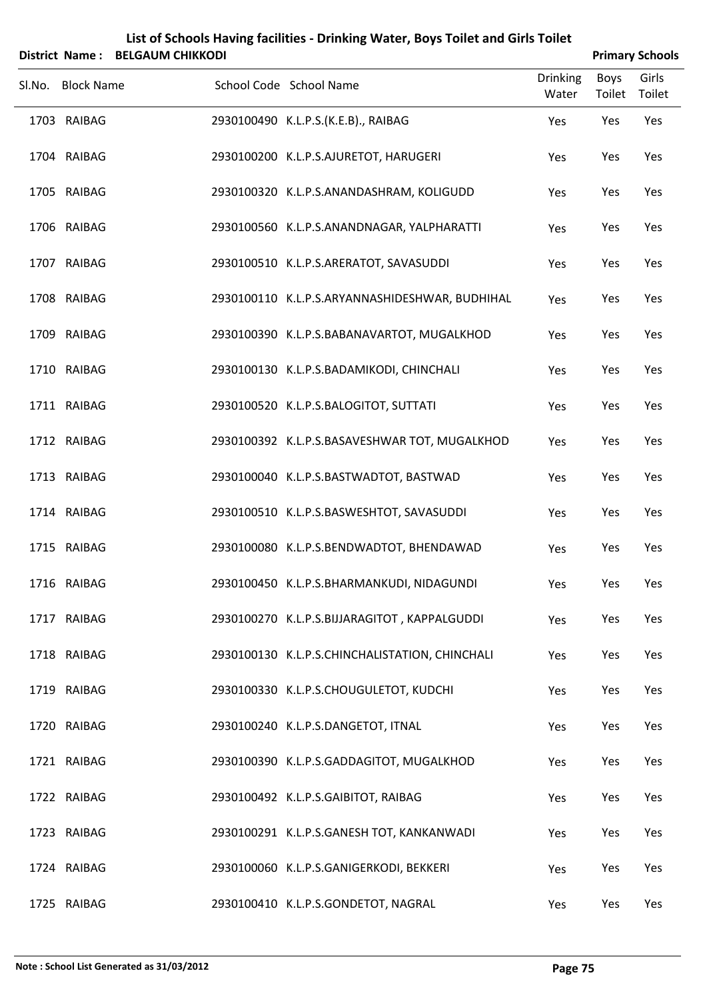|        | <b>District Name:</b> | <b>BELGAUM CHIKKODI</b> | List of Schools Having facilities - Drinking Water, Boys Toilet and Girls Toilet |                          |                | <b>Primary Schools</b> |
|--------|-----------------------|-------------------------|----------------------------------------------------------------------------------|--------------------------|----------------|------------------------|
| Sl.No. | <b>Block Name</b>     |                         | School Code School Name                                                          | <b>Drinking</b><br>Water | Boys<br>Toilet | Girls<br>Toilet        |
|        | 1703 RAIBAG           |                         | 2930100490 K.L.P.S.(K.E.B)., RAIBAG                                              | Yes                      | Yes            | Yes                    |
|        | 1704 RAIBAG           |                         | 2930100200 K.L.P.S.AJURETOT, HARUGERI                                            | Yes                      | Yes            | Yes                    |
|        | 1705 RAIBAG           |                         | 2930100320 K.L.P.S.ANANDASHRAM, KOLIGUDD                                         | Yes                      | Yes            | Yes                    |
|        | 1706 RAIBAG           |                         | 2930100560 K.L.P.S.ANANDNAGAR, YALPHARATTI                                       | Yes                      | Yes            | Yes                    |
|        | 1707 RAIBAG           |                         | 2930100510 K.L.P.S.ARERATOT, SAVASUDDI                                           | Yes                      | Yes            | Yes                    |
|        | 1708 RAIBAG           |                         | 2930100110 K.L.P.S.ARYANNASHIDESHWAR, BUDHIHAL                                   | Yes                      | Yes            | Yes                    |
|        | 1709 RAIBAG           |                         | 2930100390 K.L.P.S.BABANAVARTOT, MUGALKHOD                                       | Yes                      | Yes            | Yes                    |
|        | 1710 RAIBAG           |                         | 2930100130 K.L.P.S.BADAMIKODI, CHINCHALI                                         | Yes                      | Yes            | Yes                    |
|        | 1711 RAIBAG           |                         | 2930100520 K.L.P.S.BALOGITOT, SUTTATI                                            | Yes                      | Yes            | Yes                    |
|        | 1712 RAIBAG           |                         | 2930100392 K.L.P.S.BASAVESHWAR TOT, MUGALKHOD                                    | Yes                      | Yes            | Yes                    |
|        | 1713 RAIBAG           |                         | 2930100040 K.L.P.S.BASTWADTOT, BASTWAD                                           | Yes                      | Yes            | Yes                    |
|        | 1714 RAIBAG           |                         | 2930100510 K.L.P.S.BASWESHTOT, SAVASUDDI                                         | Yes                      | Yes            | Yes                    |
|        | 1715 RAIBAG           |                         | 2930100080 K.L.P.S.BENDWADTOT, BHENDAWAD                                         | Yes                      | Yes            | Yes                    |
|        | 1716 RAIBAG           |                         | 2930100450 K.L.P.S.BHARMANKUDI, NIDAGUNDI                                        | Yes                      | Yes            | Yes                    |
|        | 1717 RAIBAG           |                         | 2930100270 K.L.P.S.BIJJARAGITOT, KAPPALGUDDI                                     | Yes                      | Yes            | Yes                    |
|        | 1718 RAIBAG           |                         | 2930100130 K.L.P.S.CHINCHALISTATION, CHINCHALI                                   | Yes                      | Yes            | Yes                    |
|        | 1719 RAIBAG           |                         | 2930100330 K.L.P.S.CHOUGULETOT, KUDCHI                                           | Yes                      | Yes            | Yes                    |
|        | 1720 RAIBAG           |                         | 2930100240 K.L.P.S.DANGETOT, ITNAL                                               | Yes                      | Yes            | Yes                    |
|        | 1721 RAIBAG           |                         | 2930100390 K.L.P.S.GADDAGITOT, MUGALKHOD                                         | Yes                      | Yes            | Yes                    |
|        | 1722 RAIBAG           |                         | 2930100492 K.L.P.S.GAIBITOT, RAIBAG                                              | Yes                      | Yes            | Yes                    |
|        | 1723 RAIBAG           |                         | 2930100291 K.L.P.S.GANESH TOT, KANKANWADI                                        | Yes                      | Yes            | Yes                    |
|        | 1724 RAIBAG           |                         | 2930100060 K.L.P.S.GANIGERKODI, BEKKERI                                          | Yes                      | Yes            | Yes                    |
|        | 1725 RAIBAG           |                         | 2930100410 K.L.P.S.GONDETOT, NAGRAL                                              | Yes                      | Yes            | Yes                    |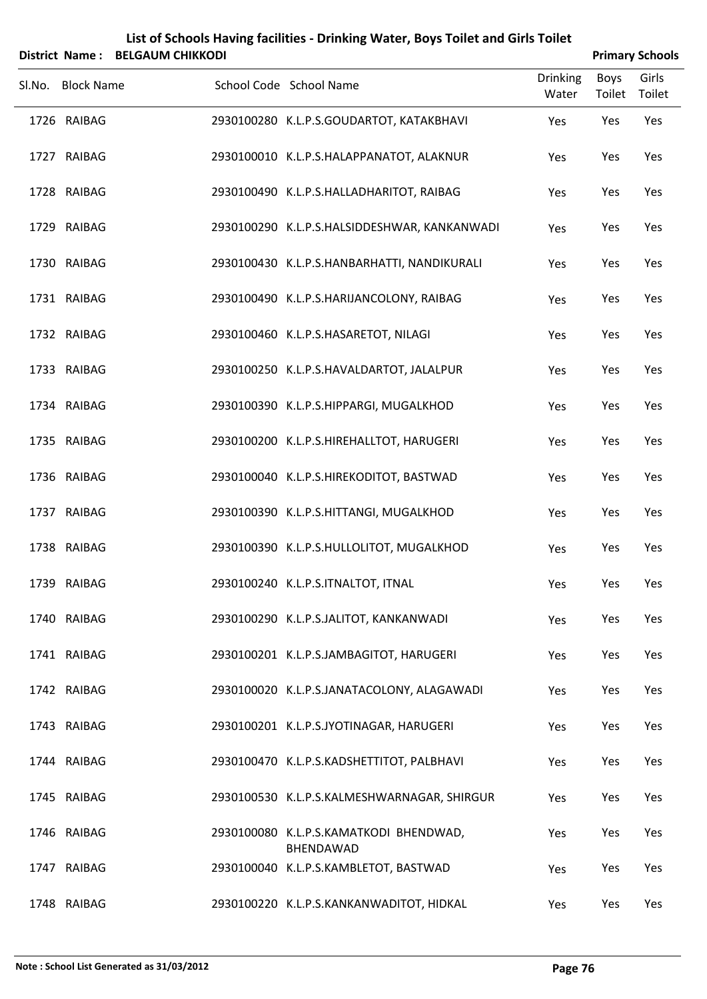|        |                   | District Name: BELGAUM CHIKKODI |                                                     |                          | <b>Primary Schools</b> |                 |
|--------|-------------------|---------------------------------|-----------------------------------------------------|--------------------------|------------------------|-----------------|
| Sl.No. | <b>Block Name</b> |                                 | School Code School Name                             | <b>Drinking</b><br>Water | Boys<br>Toilet         | Girls<br>Toilet |
|        | 1726 RAIBAG       |                                 | 2930100280 K.L.P.S.GOUDARTOT, KATAKBHAVI            | Yes                      | Yes                    | Yes             |
|        | 1727 RAIBAG       |                                 | 2930100010 K.L.P.S.HALAPPANATOT, ALAKNUR            | Yes                      | Yes                    | Yes             |
|        | 1728 RAIBAG       |                                 | 2930100490 K.L.P.S.HALLADHARITOT, RAIBAG            | Yes                      | Yes                    | Yes             |
|        | 1729 RAIBAG       |                                 | 2930100290 K.L.P.S.HALSIDDESHWAR, KANKANWADI        | Yes                      | Yes                    | Yes             |
|        | 1730 RAIBAG       |                                 | 2930100430 K.L.P.S.HANBARHATTI, NANDIKURALI         | Yes                      | Yes                    | Yes             |
|        | 1731 RAIBAG       |                                 | 2930100490 K.L.P.S.HARIJANCOLONY, RAIBAG            | Yes                      | Yes                    | Yes             |
|        | 1732 RAIBAG       |                                 | 2930100460 K.L.P.S.HASARETOT, NILAGI                | Yes                      | Yes                    | Yes             |
|        | 1733 RAIBAG       |                                 | 2930100250 K.L.P.S.HAVALDARTOT, JALALPUR            | Yes                      | Yes                    | Yes             |
|        | 1734 RAIBAG       |                                 | 2930100390 K.L.P.S.HIPPARGI, MUGALKHOD              | Yes                      | Yes                    | Yes             |
|        | 1735 RAIBAG       |                                 | 2930100200 K.L.P.S.HIREHALLTOT, HARUGERI            | Yes                      | Yes                    | Yes             |
|        | 1736 RAIBAG       |                                 | 2930100040 K.L.P.S.HIREKODITOT, BASTWAD             | Yes                      | Yes                    | Yes             |
|        | 1737 RAIBAG       |                                 | 2930100390 K.L.P.S.HITTANGI, MUGALKHOD              | Yes                      | Yes                    | Yes             |
|        | 1738 RAIBAG       |                                 | 2930100390 K.L.P.S.HULLOLITOT, MUGALKHOD            | Yes                      | Yes                    | Yes             |
|        | 1739 RAIBAG       |                                 | 2930100240 K.L.P.S.ITNALTOT, ITNAL                  | Yes                      | Yes                    | Yes             |
|        | 1740 RAIBAG       |                                 | 2930100290 K.L.P.S.JALITOT, KANKANWADI              | Yes                      | Yes                    | Yes             |
|        | 1741 RAIBAG       |                                 | 2930100201 K.L.P.S.JAMBAGITOT, HARUGERI             | Yes                      | Yes                    | Yes             |
|        | 1742 RAIBAG       |                                 | 2930100020 K.L.P.S.JANATACOLONY, ALAGAWADI          | Yes                      | Yes                    | Yes             |
|        | 1743 RAIBAG       |                                 | 2930100201 K.L.P.S.JYOTINAGAR, HARUGERI             | Yes                      | Yes                    | Yes             |
|        | 1744 RAIBAG       |                                 | 2930100470 K.L.P.S.KADSHETTITOT, PALBHAVI           | Yes                      | Yes                    | Yes             |
|        | 1745 RAIBAG       |                                 | 2930100530 K.L.P.S.KALMESHWARNAGAR, SHIRGUR         | Yes                      | Yes                    | Yes             |
|        | 1746 RAIBAG       |                                 | 2930100080 K.L.P.S.KAMATKODI BHENDWAD,<br>BHENDAWAD | Yes                      | Yes                    | Yes             |
|        | 1747 RAIBAG       |                                 | 2930100040 K.L.P.S.KAMBLETOT, BASTWAD               | Yes                      | Yes                    | Yes             |
|        |                   |                                 |                                                     |                          |                        |                 |

RAIBAG 2930100220 K.L.P.S.KANKANWADITOT, HIDKAL Yes Yes Yes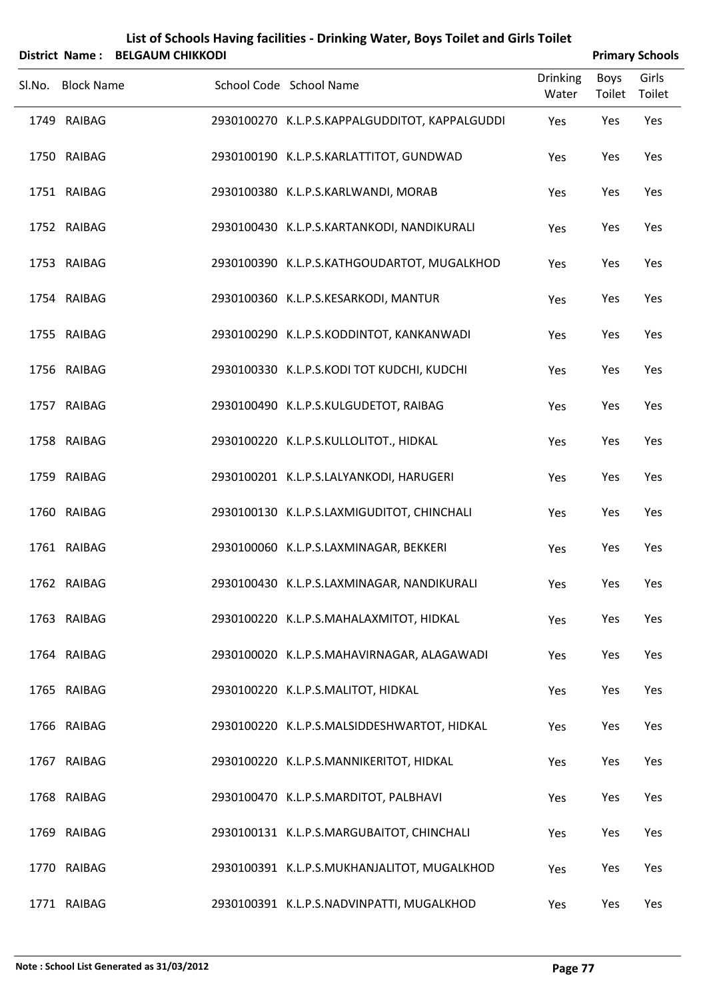|        |                   | District Name: BELGAUM CHIKKODI |                                                |                          |                | <b>Primary Schools</b> |
|--------|-------------------|---------------------------------|------------------------------------------------|--------------------------|----------------|------------------------|
| Sl.No. | <b>Block Name</b> |                                 | School Code School Name                        | <b>Drinking</b><br>Water | Boys<br>Toilet | Girls<br>Toilet        |
|        | 1749 RAIBAG       |                                 | 2930100270 K.L.P.S.KAPPALGUDDITOT, KAPPALGUDDI | Yes                      | Yes            | Yes                    |
|        | 1750 RAIBAG       |                                 | 2930100190 K.L.P.S.KARLATTITOT, GUNDWAD        | Yes                      | Yes            | Yes                    |
|        | 1751 RAIBAG       |                                 | 2930100380 K.L.P.S.KARLWANDI, MORAB            | Yes                      | Yes            | Yes                    |
|        | 1752 RAIBAG       |                                 | 2930100430 K.L.P.S.KARTANKODI, NANDIKURALI     | Yes                      | Yes            | Yes                    |
|        | 1753 RAIBAG       |                                 | 2930100390 K.L.P.S.KATHGOUDARTOT, MUGALKHOD    | Yes                      | Yes            | Yes                    |
|        | 1754 RAIBAG       |                                 | 2930100360 K.L.P.S.KESARKODI, MANTUR           | Yes                      | Yes            | Yes                    |
|        | 1755 RAIBAG       |                                 | 2930100290 K.L.P.S.KODDINTOT, KANKANWADI       | Yes                      | Yes            | Yes                    |
|        | 1756 RAIBAG       |                                 | 2930100330 K.L.P.S.KODI TOT KUDCHI, KUDCHI     | Yes                      | Yes            | Yes                    |
|        | 1757 RAIBAG       |                                 | 2930100490 K.L.P.S.KULGUDETOT, RAIBAG          | Yes                      | Yes            | Yes                    |
|        | 1758 RAIBAG       |                                 | 2930100220 K.L.P.S.KULLOLITOT., HIDKAL         | Yes                      | Yes            | Yes                    |
|        | 1759 RAIBAG       |                                 | 2930100201 K.L.P.S.LALYANKODI, HARUGERI        | Yes                      | Yes            | Yes                    |
|        | 1760 RAIBAG       |                                 | 2930100130 K.L.P.S.LAXMIGUDITOT, CHINCHALI     | Yes                      | Yes            | Yes                    |
|        | 1761 RAIBAG       |                                 | 2930100060 K.L.P.S.LAXMINAGAR, BEKKERI         | Yes                      | Yes            | Yes                    |
|        | 1762 RAIBAG       |                                 | 2930100430 K.L.P.S.LAXMINAGAR, NANDIKURALI     | Yes                      | Yes            | Yes                    |
|        | 1763 RAIBAG       |                                 | 2930100220 K.L.P.S.MAHALAXMITOT, HIDKAL        | Yes                      | Yes            | Yes                    |
|        | 1764 RAIBAG       |                                 | 2930100020 K.L.P.S.MAHAVIRNAGAR, ALAGAWADI     | Yes                      | Yes            | Yes                    |
|        | 1765 RAIBAG       |                                 | 2930100220 K.L.P.S.MALITOT, HIDKAL             | Yes                      | Yes            | Yes                    |
|        | 1766 RAIBAG       |                                 | 2930100220 K.L.P.S.MALSIDDESHWARTOT, HIDKAL    | Yes                      | Yes            | Yes                    |
|        | 1767 RAIBAG       |                                 | 2930100220 K.L.P.S.MANNIKERITOT, HIDKAL        | Yes                      | Yes            | Yes                    |
|        | 1768 RAIBAG       |                                 | 2930100470 K.L.P.S.MARDITOT, PALBHAVI          | Yes                      | Yes            | Yes                    |
|        | 1769 RAIBAG       |                                 | 2930100131 K.L.P.S.MARGUBAITOT, CHINCHALI      | Yes                      | Yes            | Yes                    |
|        | 1770 RAIBAG       |                                 | 2930100391 K.L.P.S.MUKHANJALITOT, MUGALKHOD    | Yes                      | Yes            | Yes                    |
|        | 1771 RAIBAG       |                                 | 2930100391 K.L.P.S.NADVINPATTI, MUGALKHOD      | Yes                      | Yes            | Yes                    |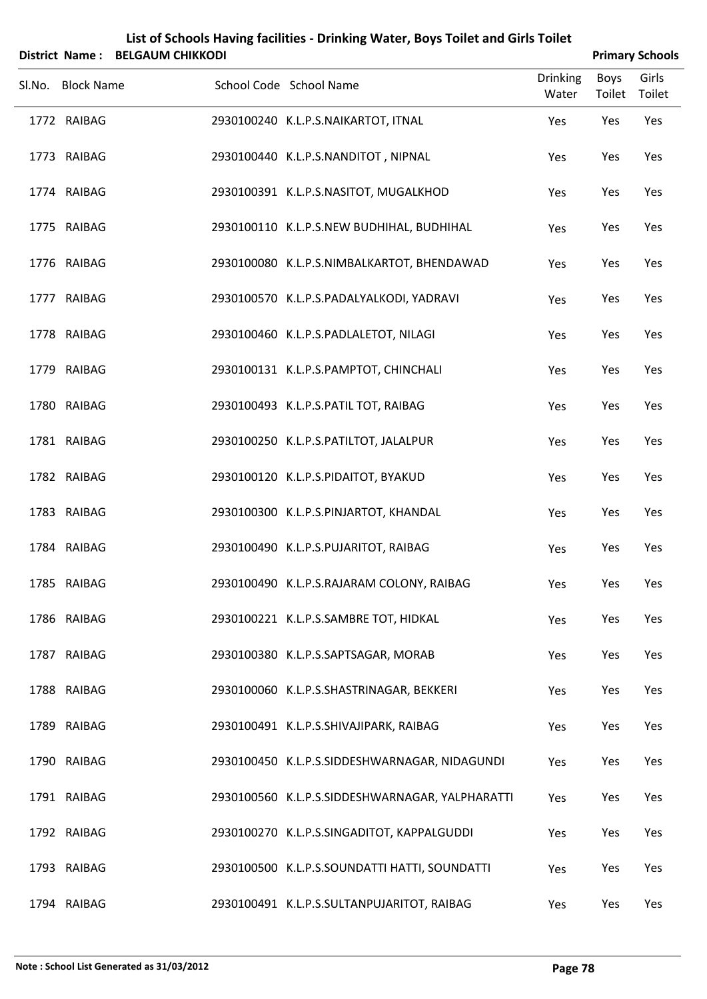| List of Schools Having facilities - Drinking Water, Boys Toilet and Girls Toilet<br>District Name: BELGAUM CHIKKODI<br><b>Primary Schools</b> |                   |  |                                                 |                          |                       |                 |  |
|-----------------------------------------------------------------------------------------------------------------------------------------------|-------------------|--|-------------------------------------------------|--------------------------|-----------------------|-----------------|--|
| Sl.No.                                                                                                                                        | <b>Block Name</b> |  | School Code School Name                         | <b>Drinking</b><br>Water | <b>Boys</b><br>Toilet | Girls<br>Toilet |  |
|                                                                                                                                               | 1772 RAIBAG       |  | 2930100240 K.L.P.S.NAIKARTOT, ITNAL             | Yes                      | Yes                   | Yes             |  |
|                                                                                                                                               | 1773 RAIBAG       |  | 2930100440 K.L.P.S.NANDITOT, NIPNAL             | Yes                      | Yes                   | Yes             |  |
|                                                                                                                                               | 1774 RAIBAG       |  | 2930100391 K.L.P.S.NASITOT, MUGALKHOD           | Yes                      | Yes                   | Yes             |  |
|                                                                                                                                               | 1775 RAIBAG       |  | 2930100110 K.L.P.S.NEW BUDHIHAL, BUDHIHAL       | Yes                      | Yes                   | Yes             |  |
|                                                                                                                                               | 1776 RAIBAG       |  | 2930100080 K.L.P.S.NIMBALKARTOT, BHENDAWAD      | Yes                      | Yes                   | Yes             |  |
|                                                                                                                                               | 1777 RAIBAG       |  | 2930100570 K.L.P.S.PADALYALKODI, YADRAVI        | Yes                      | Yes                   | Yes             |  |
|                                                                                                                                               | 1778 RAIBAG       |  | 2930100460 K.L.P.S.PADLALETOT, NILAGI           | Yes                      | Yes                   | Yes             |  |
|                                                                                                                                               | 1779 RAIBAG       |  | 2930100131 K.L.P.S.PAMPTOT, CHINCHALI           | Yes                      | Yes                   | Yes             |  |
|                                                                                                                                               | 1780 RAIBAG       |  | 2930100493 K.L.P.S.PATIL TOT, RAIBAG            | Yes                      | Yes                   | Yes             |  |
|                                                                                                                                               | 1781 RAIBAG       |  | 2930100250 K.L.P.S.PATILTOT, JALALPUR           | Yes                      | Yes                   | Yes             |  |
|                                                                                                                                               | 1782 RAIBAG       |  | 2930100120 K.L.P.S.PIDAITOT, BYAKUD             | Yes                      | Yes                   | Yes             |  |
|                                                                                                                                               | 1783 RAIBAG       |  | 2930100300 K.L.P.S.PINJARTOT, KHANDAL           | Yes                      | Yes                   | Yes             |  |
|                                                                                                                                               | 1784 RAIBAG       |  | 2930100490 K.L.P.S.PUJARITOT, RAIBAG            | Yes                      | Yes                   | Yes             |  |
|                                                                                                                                               | 1785 RAIBAG       |  | 2930100490 K.L.P.S.RAJARAM COLONY, RAIBAG       | Yes                      | Yes                   | Yes             |  |
|                                                                                                                                               | 1786 RAIBAG       |  | 2930100221 K.L.P.S.SAMBRE TOT, HIDKAL           | Yes                      | Yes                   | Yes             |  |
|                                                                                                                                               | 1787 RAIBAG       |  | 2930100380 K.L.P.S.SAPTSAGAR, MORAB             | Yes                      | Yes                   | Yes             |  |
|                                                                                                                                               | 1788 RAIBAG       |  | 2930100060 K.L.P.S.SHASTRINAGAR, BEKKERI        | Yes                      | Yes                   | Yes             |  |
|                                                                                                                                               | 1789 RAIBAG       |  | 2930100491 K.L.P.S.SHIVAJIPARK, RAIBAG          | Yes                      | Yes                   | Yes             |  |
|                                                                                                                                               | 1790 RAIBAG       |  | 2930100450 K.L.P.S.SIDDESHWARNAGAR, NIDAGUNDI   | Yes                      | Yes                   | Yes             |  |
|                                                                                                                                               | 1791 RAIBAG       |  | 2930100560 K.L.P.S.SIDDESHWARNAGAR, YALPHARATTI | Yes                      | Yes                   | Yes             |  |
|                                                                                                                                               | 1792 RAIBAG       |  | 2930100270 K.L.P.S.SINGADITOT, KAPPALGUDDI      | Yes                      | Yes                   | Yes             |  |
|                                                                                                                                               | 1793 RAIBAG       |  | 2930100500 K.L.P.S.SOUNDATTI HATTI, SOUNDATTI   | Yes                      | Yes                   | Yes             |  |
|                                                                                                                                               | 1794 RAIBAG       |  | 2930100491 K.L.P.S.SULTANPUJARITOT, RAIBAG      | Yes                      | Yes                   | Yes             |  |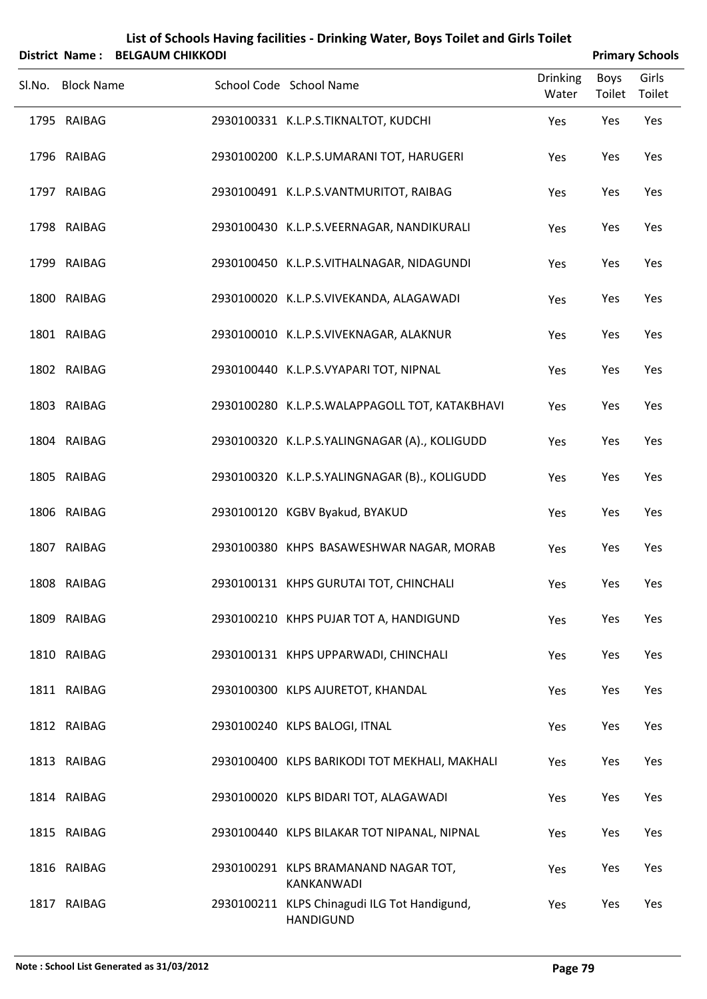|                   | District Name: BELGAUM CHIKKODI | List of Schools Having facilities - Drinking Water, Boys Toilet and Girls Toilet |                          |                | <b>Primary Schools</b> |
|-------------------|---------------------------------|----------------------------------------------------------------------------------|--------------------------|----------------|------------------------|
| Sl.No. Block Name |                                 | School Code School Name                                                          | <b>Drinking</b><br>Water | Boys<br>Toilet | Girls<br>Toilet        |
| 1795 RAIBAG       |                                 | 2930100331 K.L.P.S.TIKNALTOT, KUDCHI                                             | Yes                      | Yes            | Yes                    |
| 1796 RAIBAG       |                                 | 2930100200 K.L.P.S.UMARANI TOT, HARUGERI                                         | Yes                      | Yes            | Yes                    |
| 1797 RAIBAG       |                                 | 2930100491 K.L.P.S.VANTMURITOT, RAIBAG                                           | Yes                      | Yes            | Yes                    |
| 1798 RAIBAG       |                                 | 2930100430 K.L.P.S.VEERNAGAR, NANDIKURALI                                        | Yes                      | Yes            | Yes                    |
| 1799 RAIBAG       |                                 | 2930100450 K.L.P.S.VITHALNAGAR, NIDAGUNDI                                        | Yes                      | Yes            | Yes                    |
| 1800 RAIBAG       |                                 | 2930100020 K.L.P.S.VIVEKANDA, ALAGAWADI                                          | Yes                      | Yes            | Yes                    |
| 1801 RAIBAG       |                                 | 2930100010 K.L.P.S.VIVEKNAGAR, ALAKNUR                                           | Yes                      | Yes            | Yes                    |
| 1802 RAIBAG       |                                 | 2930100440 K.L.P.S.VYAPARI TOT, NIPNAL                                           | Yes                      | Yes            | Yes                    |
| 1803 RAIBAG       |                                 | 2930100280 K.L.P.S.WALAPPAGOLL TOT, KATAKBHAVI                                   | Yes                      | Yes            | Yes                    |
| 1804 RAIBAG       |                                 | 2930100320 K.L.P.S.YALINGNAGAR (A)., KOLIGUDD                                    | Yes                      | Yes            | Yes                    |
| 1805 RAIBAG       |                                 | 2930100320 K.L.P.S.YALINGNAGAR (B)., KOLIGUDD                                    | Yes                      | Yes            | Yes                    |
| 1806 RAIBAG       |                                 | 2930100120 KGBV Byakud, BYAKUD                                                   | Yes                      | Yes            | Yes                    |
| 1807 RAIBAG       |                                 | 2930100380 KHPS BASAWESHWAR NAGAR, MORAB                                         | Yes                      | Yes            | Yes                    |
| 1808 RAIBAG       |                                 | 2930100131 KHPS GURUTAI TOT, CHINCHALI                                           | Yes                      | Yes            | Yes                    |
| 1809 RAIBAG       |                                 | 2930100210 KHPS PUJAR TOT A, HANDIGUND                                           | Yes                      | Yes            | Yes                    |
| 1810 RAIBAG       |                                 | 2930100131 KHPS UPPARWADI, CHINCHALI                                             | Yes                      | Yes            | Yes                    |
| 1811 RAIBAG       |                                 | 2930100300 KLPS AJURETOT, KHANDAL                                                | Yes                      | Yes            | Yes                    |
| 1812 RAIBAG       |                                 | 2930100240 KLPS BALOGI, ITNAL                                                    | Yes                      | Yes            | Yes                    |
| 1813 RAIBAG       |                                 | 2930100400 KLPS BARIKODI TOT MEKHALI, MAKHALI                                    | Yes                      | Yes            | Yes                    |
| 1814 RAIBAG       |                                 | 2930100020 KLPS BIDARI TOT, ALAGAWADI                                            | Yes                      | Yes            | Yes                    |
| 1815 RAIBAG       |                                 | 2930100440 KLPS BILAKAR TOT NIPANAL, NIPNAL                                      | Yes                      | Yes            | Yes                    |
| 1816 RAIBAG       |                                 | 2930100291 KLPS BRAMANAND NAGAR TOT,<br>KANKANWADI                               | Yes                      | Yes            | Yes                    |
| 1817 RAIBAG       |                                 | 2930100211 KLPS Chinagudi ILG Tot Handigund,<br>HANDIGUND                        | Yes                      | Yes            | Yes                    |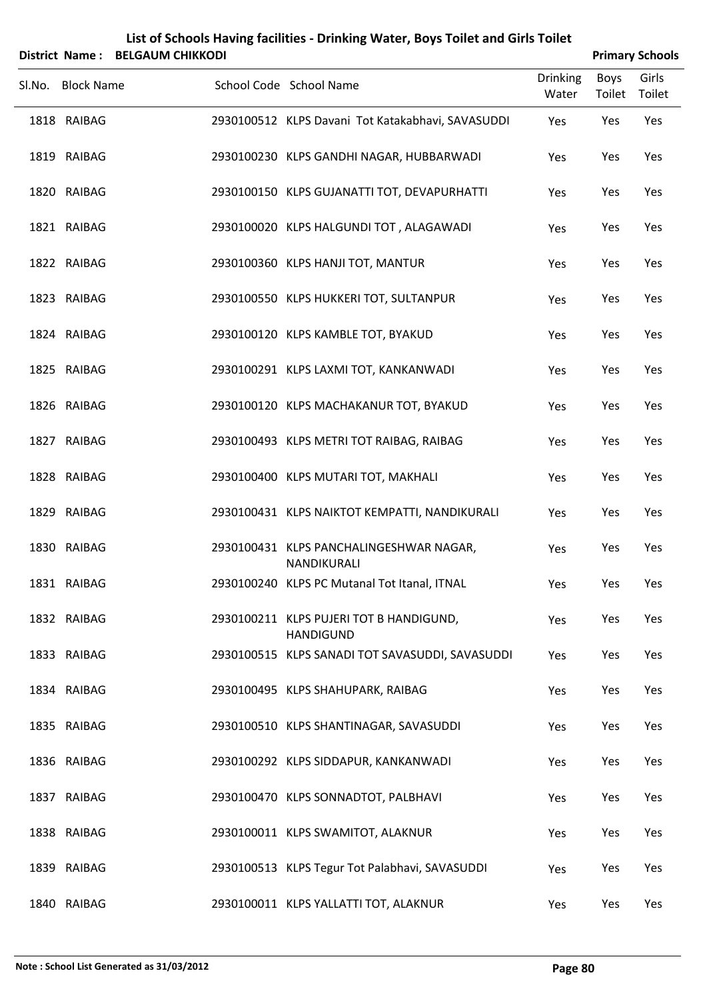|        |                   | District Name: BELGAUM CHIKKODI |                                                             |                          |                | <b>Primary Schools</b> |
|--------|-------------------|---------------------------------|-------------------------------------------------------------|--------------------------|----------------|------------------------|
| Sl.No. | <b>Block Name</b> |                                 | School Code School Name                                     | <b>Drinking</b><br>Water | Boys<br>Toilet | Girls<br>Toilet        |
|        | 1818 RAIBAG       |                                 | 2930100512 KLPS Davani Tot Katakabhavi, SAVASUDDI           | Yes                      | Yes            | Yes                    |
|        | 1819 RAIBAG       |                                 | 2930100230 KLPS GANDHI NAGAR, HUBBARWADI                    | Yes                      | Yes            | Yes                    |
|        | 1820 RAIBAG       |                                 | 2930100150 KLPS GUJANATTI TOT, DEVAPURHATTI                 | Yes                      | Yes            | Yes                    |
|        | 1821 RAIBAG       |                                 | 2930100020 KLPS HALGUNDI TOT, ALAGAWADI                     | Yes                      | Yes            | Yes                    |
|        | 1822 RAIBAG       |                                 | 2930100360 KLPS HANJI TOT, MANTUR                           | Yes                      | Yes            | Yes                    |
|        | 1823 RAIBAG       |                                 | 2930100550 KLPS HUKKERI TOT, SULTANPUR                      | Yes                      | Yes            | Yes                    |
|        | 1824 RAIBAG       |                                 | 2930100120 KLPS KAMBLE TOT, BYAKUD                          | Yes                      | Yes            | Yes                    |
|        | 1825 RAIBAG       |                                 | 2930100291 KLPS LAXMI TOT, KANKANWADI                       | Yes                      | Yes            | Yes                    |
|        | 1826 RAIBAG       |                                 | 2930100120 KLPS MACHAKANUR TOT, BYAKUD                      | Yes                      | Yes            | Yes                    |
|        | 1827 RAIBAG       |                                 | 2930100493 KLPS METRI TOT RAIBAG, RAIBAG                    | Yes                      | Yes            | Yes                    |
|        | 1828 RAIBAG       |                                 | 2930100400 KLPS MUTARI TOT, MAKHALI                         | Yes                      | Yes            | Yes                    |
|        | 1829 RAIBAG       |                                 | 2930100431 KLPS NAIKTOT KEMPATTI, NANDIKURALI               | Yes                      | Yes            | Yes                    |
|        | 1830 RAIBAG       |                                 | 2930100431 KLPS PANCHALINGESHWAR NAGAR,<br>NANDIKURALI      | Yes                      | Yes            | Yes                    |
|        | 1831 RAIBAG       |                                 | 2930100240 KLPS PC Mutanal Tot Itanal, ITNAL                | Yes                      | Yes            | Yes                    |
|        | 1832 RAIBAG       |                                 | 2930100211 KLPS PUJERI TOT B HANDIGUND,<br><b>HANDIGUND</b> | Yes                      | Yes            | Yes                    |
|        | 1833 RAIBAG       |                                 | 2930100515 KLPS SANADI TOT SAVASUDDI, SAVASUDDI             | Yes                      | Yes            | Yes                    |
|        | 1834 RAIBAG       |                                 | 2930100495 KLPS SHAHUPARK, RAIBAG                           | Yes                      | Yes            | Yes                    |
|        | 1835 RAIBAG       |                                 | 2930100510 KLPS SHANTINAGAR, SAVASUDDI                      | Yes                      | Yes            | Yes                    |
|        | 1836 RAIBAG       |                                 | 2930100292 KLPS SIDDAPUR, KANKANWADI                        | Yes                      | Yes            | Yes                    |
|        | 1837 RAIBAG       |                                 | 2930100470 KLPS SONNADTOT, PALBHAVI                         | Yes                      | Yes            | Yes                    |
|        | 1838 RAIBAG       |                                 | 2930100011 KLPS SWAMITOT, ALAKNUR                           | Yes                      | Yes            | Yes                    |
|        | 1839 RAIBAG       |                                 | 2930100513 KLPS Tegur Tot Palabhavi, SAVASUDDI              | Yes                      | Yes            | Yes                    |
|        | 1840 RAIBAG       |                                 | 2930100011 KLPS YALLATTI TOT, ALAKNUR                       | Yes                      | Yes            | Yes                    |